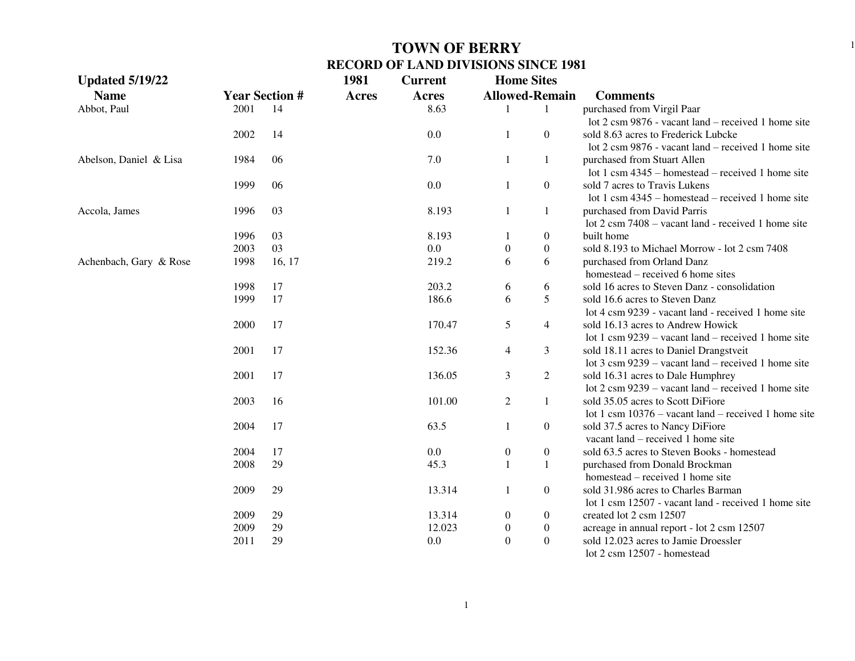| <b>Updated 5/19/22</b> |      |                       | 1981         | <b>Current</b> | <b>Home Sites</b>     |                  |                                                               |
|------------------------|------|-----------------------|--------------|----------------|-----------------------|------------------|---------------------------------------------------------------|
| <b>Name</b>            |      | <b>Year Section #</b> | <b>Acres</b> | <b>Acres</b>   | <b>Allowed-Remain</b> |                  | <b>Comments</b>                                               |
| Abbot, Paul            | 2001 | -14                   |              | 8.63           |                       | 1                | purchased from Virgil Paar                                    |
|                        |      |                       |              |                |                       |                  | lot 2 csm 9876 - vacant land – received 1 home site           |
|                        | 2002 | 14                    |              | 0.0            | $\mathbf{1}$          | $\overline{0}$   | sold 8.63 acres to Frederick Lubcke                           |
|                        |      |                       |              |                |                       |                  | lot 2 csm 9876 - vacant land – received 1 home site           |
| Abelson, Daniel & Lisa | 1984 | 06                    |              | 7.0            | $\mathbf{1}$          | 1                | purchased from Stuart Allen                                   |
|                        |      |                       |              |                |                       |                  | lot 1 csm 4345 – homestead – received 1 home site             |
|                        | 1999 | 06                    |              | 0.0            | -1                    | $\overline{0}$   | sold 7 acres to Travis Lukens                                 |
|                        |      |                       |              |                |                       |                  | lot 1 csm $4345$ – homestead – received 1 home site           |
| Accola, James          | 1996 | 03                    |              | 8.193          | 1                     | 1                | purchased from David Parris                                   |
|                        |      |                       |              |                |                       |                  | lot 2 csm 7408 - vacant land - received 1 home site           |
|                        | 1996 | 03                    |              | 8.193          | -1                    | $\overline{0}$   | built home                                                    |
|                        | 2003 | 03                    |              | 0.0            | $\boldsymbol{0}$      | $\boldsymbol{0}$ | sold 8.193 to Michael Morrow - lot 2 csm 7408                 |
| Achenbach, Gary & Rose | 1998 | 16, 17                |              | 219.2          | 6                     | 6                | purchased from Orland Danz                                    |
|                        |      |                       |              |                |                       |                  | homestead – received 6 home sites                             |
|                        | 1998 | 17                    |              | 203.2          | 6                     | 6                | sold 16 acres to Steven Danz - consolidation                  |
|                        | 1999 | 17                    |              | 186.6          | 6                     | 5                | sold 16.6 acres to Steven Danz                                |
|                        |      |                       |              |                |                       |                  | lot 4 csm 9239 - vacant land - received 1 home site           |
|                        | 2000 | 17                    |              | 170.47         | 5                     | $\overline{4}$   | sold 16.13 acres to Andrew Howick                             |
|                        |      |                       |              |                |                       |                  | lot 1 csm $9239$ – vacant land – received 1 home site         |
|                        | 2001 | 17                    |              | 152.36         | $\overline{4}$        | 3                | sold 18.11 acres to Daniel Drangstveit                        |
|                        |      |                       |              |                |                       |                  | lot 3 csm 9239 – vacant land – received 1 home site           |
|                        | 2001 | 17                    |              | 136.05         | 3                     | $\overline{c}$   | sold 16.31 acres to Dale Humphrey                             |
|                        |      |                       |              |                |                       |                  | lot $2 \text{ cm } 9239$ – vacant land – received 1 home site |
|                        | 2003 | 16                    |              | 101.00         | $\overline{2}$        | $\mathbf{1}$     | sold 35.05 acres to Scott DiFiore                             |
|                        |      |                       |              |                |                       |                  | lot 1 csm $10376$ – vacant land – received 1 home site        |
|                        | 2004 | 17                    |              | 63.5           | $\mathbf{1}$          | $\boldsymbol{0}$ | sold 37.5 acres to Nancy DiFiore                              |
|                        |      |                       |              |                |                       |                  | vacant land – received 1 home site                            |
|                        | 2004 | 17                    |              | 0.0            | $\boldsymbol{0}$      | $\boldsymbol{0}$ | sold 63.5 acres to Steven Books - homestead                   |
|                        | 2008 | 29                    |              | 45.3           | $\mathbf{1}$          | $\mathbf{1}$     | purchased from Donald Brockman                                |
|                        |      |                       |              |                |                       |                  | homestead – received 1 home site                              |
|                        | 2009 | 29                    |              | 13.314         | -1                    | $\boldsymbol{0}$ | sold 31.986 acres to Charles Barman                           |
|                        |      |                       |              |                |                       |                  | lot 1 csm 12507 - vacant land - received 1 home site          |
|                        | 2009 | 29                    |              | 13.314         | $\boldsymbol{0}$      | $\boldsymbol{0}$ | created lot 2 csm 12507                                       |
|                        | 2009 | 29                    |              | 12.023         | $\boldsymbol{0}$      | $\boldsymbol{0}$ | acreage in annual report - lot 2 csm 12507                    |
|                        | 2011 | 29                    |              | 0.0            | $\mathbf{0}$          | $\boldsymbol{0}$ | sold 12.023 acres to Jamie Droessler                          |
|                        |      |                       |              |                |                       |                  | lot 2 csm 12507 - homestead                                   |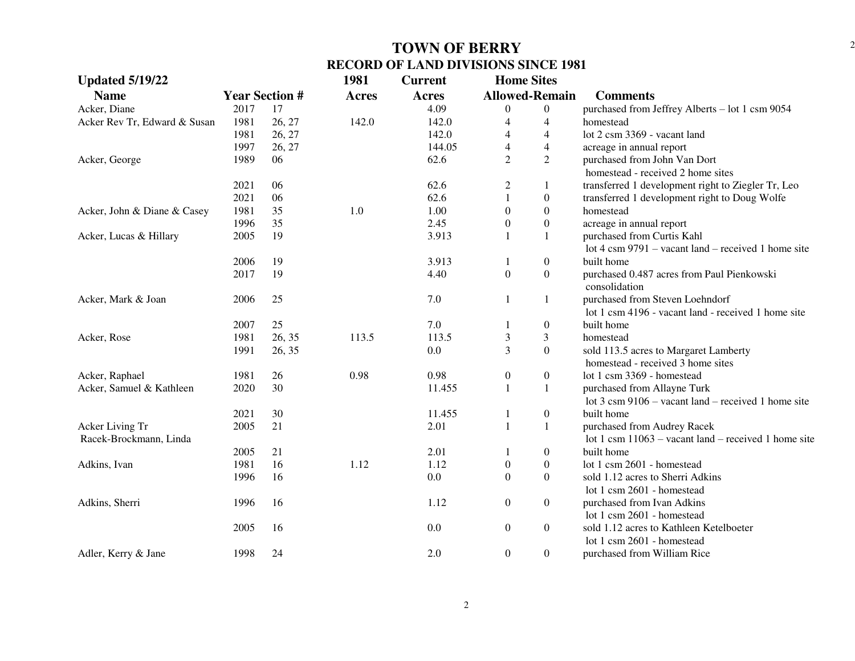| <b>Updated 5/19/22</b>       |      |                       | 1981         | <b>Current</b> | <b>Home Sites</b>     |                  |                                                               |
|------------------------------|------|-----------------------|--------------|----------------|-----------------------|------------------|---------------------------------------------------------------|
| <b>Name</b>                  |      | <b>Year Section #</b> | <b>Acres</b> | <b>Acres</b>   | <b>Allowed-Remain</b> |                  | <b>Comments</b>                                               |
| Acker, Diane                 | 2017 | 17                    |              | 4.09           | $\overline{0}$        | $\boldsymbol{0}$ | purchased from Jeffrey Alberts - lot 1 csm 9054               |
| Acker Rev Tr, Edward & Susan | 1981 | 26, 27                | 142.0        | 142.0          | $\overline{4}$        | $\overline{4}$   | homestead                                                     |
|                              | 1981 | 26, 27                |              | 142.0          | 4                     | $\overline{4}$   | lot 2 csm 3369 - vacant land                                  |
|                              | 1997 | 26, 27                |              | 144.05         | $\overline{4}$        | $\overline{4}$   | acreage in annual report                                      |
| Acker, George                | 1989 | 06                    |              | 62.6           | $\overline{2}$        | $\overline{2}$   | purchased from John Van Dort                                  |
|                              |      |                       |              |                |                       |                  | homestead - received 2 home sites                             |
|                              | 2021 | 06                    |              | 62.6           | 2                     | 1                | transferred 1 development right to Ziegler Tr, Leo            |
|                              | 2021 | 06                    |              | 62.6           | $\mathbf{1}$          | $\boldsymbol{0}$ | transferred 1 development right to Doug Wolfe                 |
| Acker, John & Diane & Casey  | 1981 | 35                    | 1.0          | 1.00           | $\boldsymbol{0}$      | $\boldsymbol{0}$ | homestead                                                     |
|                              | 1996 | 35                    |              | 2.45           | $\boldsymbol{0}$      | $\boldsymbol{0}$ | acreage in annual report                                      |
| Acker, Lucas & Hillary       | 2005 | 19                    |              | 3.913          | $\mathbf{1}$          | $\mathbf{1}$     | purchased from Curtis Kahl                                    |
|                              |      |                       |              |                |                       |                  | lot 4 csm $9791$ – vacant land – received 1 home site         |
|                              | 2006 | 19                    |              | 3.913          | 1                     | $\boldsymbol{0}$ | built home                                                    |
|                              | 2017 | 19                    |              | 4.40           | $\boldsymbol{0}$      | $\boldsymbol{0}$ | purchased 0.487 acres from Paul Pienkowski                    |
|                              |      |                       |              |                |                       |                  | consolidation                                                 |
| Acker, Mark & Joan           | 2006 | 25                    |              | 7.0            | 1                     | 1                | purchased from Steven Loehndorf                               |
|                              |      |                       |              |                |                       |                  | lot 1 csm 4196 - vacant land - received 1 home site           |
|                              | 2007 | 25                    |              | 7.0            |                       | $\boldsymbol{0}$ | built home                                                    |
| Acker, Rose                  | 1981 | 26, 35                | 113.5        | 113.5          | 3                     | 3                | homestead                                                     |
|                              | 1991 | 26, 35                |              | 0.0            | $\overline{3}$        | $\overline{0}$   | sold 113.5 acres to Margaret Lamberty                         |
|                              |      |                       |              |                |                       |                  | homestead - received 3 home sites                             |
| Acker, Raphael               | 1981 | 26                    | 0.98         | 0.98           | $\boldsymbol{0}$      | $\boldsymbol{0}$ | lot 1 csm 3369 - homestead                                    |
| Acker, Samuel & Kathleen     | 2020 | 30                    |              | 11.455         | $\mathbf{1}$          | $\mathbf{1}$     | purchased from Allayne Turk                                   |
|                              |      |                       |              |                |                       |                  | lot $3 \text{ cm } 9106$ – vacant land – received 1 home site |
|                              | 2021 | 30                    |              | 11.455         | 1                     | $\boldsymbol{0}$ | built home                                                    |
| Acker Living Tr              | 2005 | 21                    |              | 2.01           | $\mathbf{1}$          | $\mathbf{1}$     | purchased from Audrey Racek                                   |
| Racek-Brockmann, Linda       |      |                       |              |                |                       |                  | lot 1 csm $11063$ – vacant land – received 1 home site        |
|                              | 2005 | 21                    |              | 2.01           | $\mathbf{1}$          | $\boldsymbol{0}$ | built home                                                    |
| Adkins, Ivan                 | 1981 | 16                    | 1.12         | 1.12           | $\boldsymbol{0}$      | $\boldsymbol{0}$ | lot 1 csm 2601 - homestead                                    |
|                              | 1996 | 16                    |              | 0.0            | $\Omega$              | $\overline{0}$   | sold 1.12 acres to Sherri Adkins                              |
|                              |      |                       |              |                |                       |                  | lot 1 csm 2601 - homestead                                    |
| Adkins, Sherri               | 1996 | 16                    |              | 1.12           | $\boldsymbol{0}$      | $\boldsymbol{0}$ | purchased from Ivan Adkins                                    |
|                              |      |                       |              |                |                       |                  | lot 1 csm 2601 - homestead                                    |
|                              | 2005 | 16                    |              | 0.0            | $\boldsymbol{0}$      | $\boldsymbol{0}$ | sold 1.12 acres to Kathleen Ketelboeter                       |
|                              |      |                       |              |                |                       |                  | lot 1 csm 2601 - homestead                                    |
| Adler, Kerry & Jane          | 1998 | 24                    |              | 2.0            | $\boldsymbol{0}$      | $\boldsymbol{0}$ | purchased from William Rice                                   |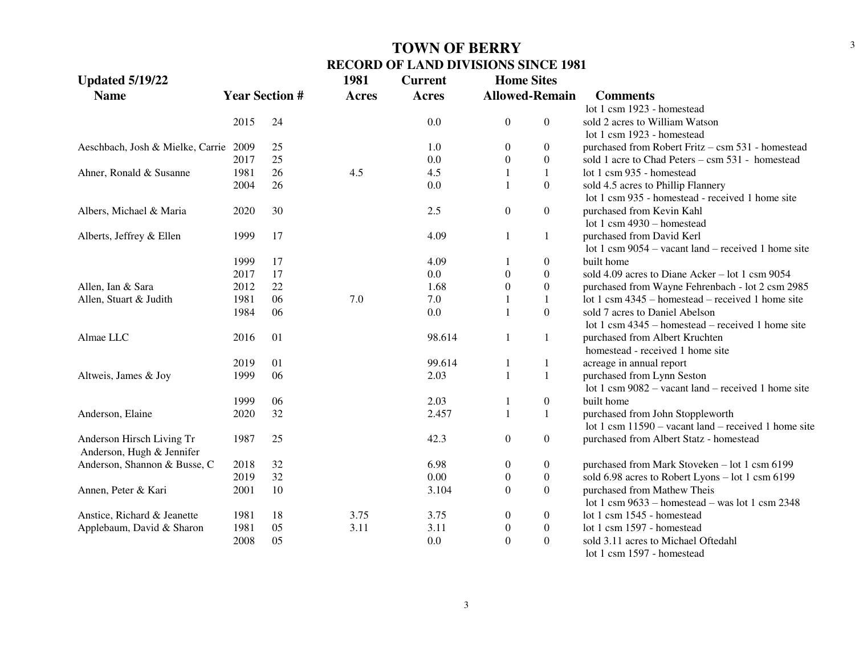| <b>Updated 5/19/22</b>           |      |                       | 1981         | <b>Current</b> | <b>Home Sites</b> |                       |                                                        |
|----------------------------------|------|-----------------------|--------------|----------------|-------------------|-----------------------|--------------------------------------------------------|
| <b>Name</b>                      |      | <b>Year Section #</b> | <b>Acres</b> | <b>Acres</b>   |                   | <b>Allowed-Remain</b> | <b>Comments</b>                                        |
|                                  |      |                       |              |                |                   |                       | lot 1 csm 1923 - homestead                             |
|                                  | 2015 | 24                    |              | 0.0            | $\boldsymbol{0}$  | $\boldsymbol{0}$      | sold 2 acres to William Watson                         |
|                                  |      |                       |              |                |                   |                       | lot 1 csm 1923 - homestead                             |
| Aeschbach, Josh & Mielke, Carrie | 2009 | 25                    |              | 1.0            | $\boldsymbol{0}$  | $\overline{0}$        | purchased from Robert Fritz - csm 531 - homestead      |
|                                  | 2017 | 25                    |              | 0.0            | $\mathbf{0}$      | $\overline{0}$        | sold 1 acre to Chad Peters - csm 531 - homestead       |
| Ahner, Ronald & Susanne          | 1981 | 26                    | 4.5          | 4.5            |                   | $\mathbf{1}$          | lot 1 csm 935 - homestead                              |
|                                  | 2004 | 26                    |              | 0.0            |                   | $\overline{0}$        | sold 4.5 acres to Phillip Flannery                     |
|                                  |      |                       |              |                |                   |                       | lot 1 csm 935 - homestead - received 1 home site       |
| Albers, Michael & Maria          | 2020 | 30                    |              | 2.5            | $\boldsymbol{0}$  | $\boldsymbol{0}$      | purchased from Kevin Kahl                              |
|                                  |      |                       |              |                |                   |                       | lot 1 csm $4930 -$ homestead                           |
| Alberts, Jeffrey & Ellen         | 1999 | 17                    |              | 4.09           | 1                 | 1                     | purchased from David Kerl                              |
|                                  |      |                       |              |                |                   |                       | lot 1 csm $9054$ – vacant land – received 1 home site  |
|                                  | 1999 | 17                    |              | 4.09           |                   | $\overline{0}$        | built home                                             |
|                                  | 2017 | 17                    |              | 0.0            | $\theta$          | $\theta$              | sold 4.09 acres to Diane Acker – lot 1 csm 9054        |
| Allen, Ian & Sara                | 2012 | 22                    |              | 1.68           | $\mathbf{0}$      | $\overline{0}$        | purchased from Wayne Fehrenbach - lot 2 csm 2985       |
| Allen, Stuart & Judith           | 1981 | 06                    | 7.0          | 7.0            |                   | $\mathbf{1}$          | lot 1 csm $4345$ – homestead – received 1 home site    |
|                                  | 1984 | 06                    |              | 0.0            | 1                 | $\Omega$              | sold 7 acres to Daniel Abelson                         |
|                                  |      |                       |              |                |                   |                       | lot 1 csm $4345$ – homestead – received 1 home site    |
| Almae LLC                        | 2016 | 01                    |              | 98.614         | 1                 | $\mathbf{1}$          | purchased from Albert Kruchten                         |
|                                  |      |                       |              |                |                   |                       | homestead - received 1 home site                       |
|                                  | 2019 | 01                    |              | 99.614         | 1                 | $\mathbf{1}$          | acreage in annual report                               |
| Altweis, James & Joy             | 1999 | 06                    |              | 2.03           | $\mathbf{1}$      | $\mathbf{1}$          | purchased from Lynn Seston                             |
|                                  |      |                       |              |                |                   |                       | lot 1 csm $9082$ – vacant land – received 1 home site  |
|                                  | 1999 | 06                    |              | 2.03           | 1                 | $\boldsymbol{0}$      | built home                                             |
| Anderson, Elaine                 | 2020 | 32                    |              | 2.457          | $\mathbf{1}$      | 1                     | purchased from John Stoppleworth                       |
|                                  |      |                       |              |                |                   |                       | lot 1 csm $11590$ – vacant land – received 1 home site |
| Anderson Hirsch Living Tr        | 1987 | 25                    |              | 42.3           | $\mathbf{0}$      | $\overline{0}$        | purchased from Albert Statz - homestead                |
| Anderson, Hugh & Jennifer        |      |                       |              |                |                   |                       |                                                        |
| Anderson, Shannon & Busse, C     | 2018 | 32                    |              | 6.98           | $\boldsymbol{0}$  | $\boldsymbol{0}$      | purchased from Mark Stoveken - lot 1 csm 6199          |
|                                  | 2019 | 32                    |              | 0.00           | $\boldsymbol{0}$  | $\boldsymbol{0}$      | sold 6.98 acres to Robert Lyons – lot 1 csm 6199       |
| Annen, Peter & Kari              | 2001 | 10                    |              | 3.104          | $\overline{0}$    | $\boldsymbol{0}$      | purchased from Mathew Theis                            |
|                                  |      |                       |              |                |                   |                       | lot 1 csm $9633$ – homestead – was lot 1 csm 2348      |
| Anstice, Richard & Jeanette      | 1981 | 18                    | 3.75         | 3.75           | $\boldsymbol{0}$  | $\overline{0}$        | lot 1 csm 1545 - homestead                             |
| Applebaum, David & Sharon        | 1981 | 05                    | 3.11         | 3.11           | $\boldsymbol{0}$  | $\boldsymbol{0}$      | lot 1 csm 1597 - homestead                             |
|                                  | 2008 | 05                    |              | 0.0            | $\overline{0}$    | $\boldsymbol{0}$      | sold 3.11 acres to Michael Oftedahl                    |
|                                  |      |                       |              |                |                   |                       | $10$ + 1 agms $1507$ homeotrand                        |

lot 1 csm 1597 - homestead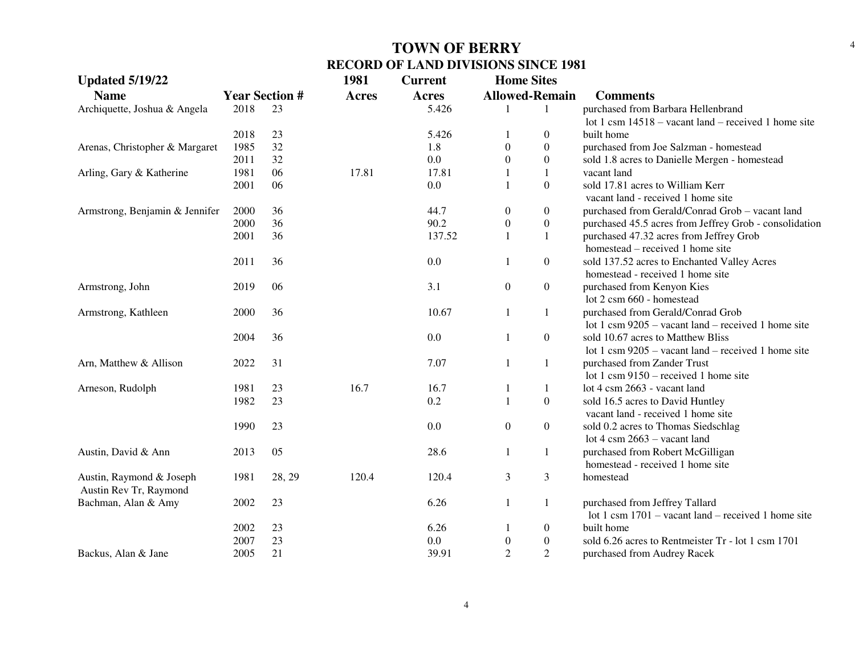| <b>Updated 5/19/22</b>         |                       |        | 1981         | <b>Current</b> | <b>Home Sites</b>     |                  |                                                        |
|--------------------------------|-----------------------|--------|--------------|----------------|-----------------------|------------------|--------------------------------------------------------|
| <b>Name</b>                    | <b>Year Section #</b> |        | <b>Acres</b> | Acres          | <b>Allowed-Remain</b> |                  | <b>Comments</b>                                        |
| Archiquette, Joshua & Angela   | 2018                  | 23     |              | 5.426          |                       | 1                | purchased from Barbara Hellenbrand                     |
|                                |                       |        |              |                |                       |                  | lot 1 csm $14518 -$ vacant land – received 1 home site |
|                                | 2018                  | 23     |              | 5.426          | 1                     | $\boldsymbol{0}$ | built home                                             |
| Arenas, Christopher & Margaret | 1985                  | 32     |              | 1.8            | $\theta$              | $\boldsymbol{0}$ | purchased from Joe Salzman - homestead                 |
|                                | 2011                  | 32     |              | $0.0\,$        | $\Omega$              | $\boldsymbol{0}$ | sold 1.8 acres to Danielle Mergen - homestead          |
| Arling, Gary & Katherine       | 1981                  | 06     | 17.81        | 17.81          | 1                     | $\mathbf{1}$     | vacant land                                            |
|                                | 2001                  | 06     |              | 0.0            | 1                     | $\Omega$         | sold 17.81 acres to William Kerr                       |
|                                |                       |        |              |                |                       |                  | vacant land - received 1 home site                     |
| Armstrong, Benjamin & Jennifer | 2000                  | 36     |              | 44.7           | $\boldsymbol{0}$      | $\overline{0}$   | purchased from Gerald/Conrad Grob - vacant land        |
|                                | 2000                  | 36     |              | 90.2           | $\boldsymbol{0}$      | $\boldsymbol{0}$ | purchased 45.5 acres from Jeffrey Grob - consolidation |
|                                | 2001                  | 36     |              | 137.52         | $\mathbf{1}$          | 1                | purchased 47.32 acres from Jeffrey Grob                |
|                                |                       |        |              |                |                       |                  | homestead – received 1 home site                       |
|                                | 2011                  | 36     |              | 0.0            | 1                     | $\boldsymbol{0}$ | sold 137.52 acres to Enchanted Valley Acres            |
|                                |                       |        |              |                |                       |                  | homestead - received 1 home site                       |
| Armstrong, John                | 2019                  | 06     |              | 3.1            | $\boldsymbol{0}$      | $\boldsymbol{0}$ | purchased from Kenyon Kies                             |
|                                |                       |        |              |                |                       |                  | lot 2 csm 660 - homestead                              |
| Armstrong, Kathleen            | 2000                  | 36     |              | 10.67          | $\mathbf{1}$          | 1                | purchased from Gerald/Conrad Grob                      |
|                                |                       |        |              |                |                       |                  | lot 1 csm $9205$ – vacant land – received 1 home site  |
|                                | 2004                  | 36     |              | 0.0            | $\mathbf{1}$          | $\boldsymbol{0}$ | sold 10.67 acres to Matthew Bliss                      |
|                                |                       |        |              |                |                       |                  | lot 1 csm $9205$ – vacant land – received 1 home site  |
| Arn, Matthew & Allison         | 2022                  | 31     |              | 7.07           | $\mathbf{1}$          | $\mathbf{1}$     | purchased from Zander Trust                            |
|                                |                       |        |              |                |                       |                  | lot 1 csm $9150$ – received 1 home site                |
| Arneson, Rudolph               | 1981                  | 23     | 16.7         | 16.7           | 1                     | 1                | lot 4 csm 2663 - vacant land                           |
|                                | 1982                  | 23     |              | 0.2            | $\mathbf{1}$          | $\overline{0}$   | sold 16.5 acres to David Huntley                       |
|                                |                       |        |              |                |                       |                  | vacant land - received 1 home site                     |
|                                | 1990                  | 23     |              | 0.0            | $\boldsymbol{0}$      | $\boldsymbol{0}$ | sold 0.2 acres to Thomas Siedschlag                    |
|                                |                       |        |              |                |                       |                  | lot 4 csm $2663 -$ vacant land                         |
| Austin, David & Ann            | 2013                  | 05     |              | 28.6           | $\mathbf{1}$          | 1                | purchased from Robert McGilligan                       |
|                                |                       |        |              |                |                       |                  | homestead - received 1 home site                       |
| Austin, Raymond & Joseph       | 1981                  | 28, 29 | 120.4        | 120.4          | 3                     | 3                | homestead                                              |
| Austin Rev Tr, Raymond         |                       |        |              |                |                       |                  |                                                        |
| Bachman, Alan & Amy            | 2002                  | 23     |              | 6.26           | $\mathbf{1}$          | 1                | purchased from Jeffrey Tallard                         |
|                                |                       |        |              |                |                       |                  | lot 1 csm $1701$ – vacant land – received 1 home site  |
|                                | 2002                  | 23     |              | 6.26           | 1                     | $\overline{0}$   | built home                                             |
|                                | 2007                  | 23     |              | 0.0            | $\boldsymbol{0}$      | $\boldsymbol{0}$ | sold 6.26 acres to Rentmeister Tr - lot 1 csm 1701     |
| Backus, Alan & Jane            | 2005                  | 21     |              | 39.91          | $\overline{2}$        | $\overline{2}$   | purchased from Audrey Racek                            |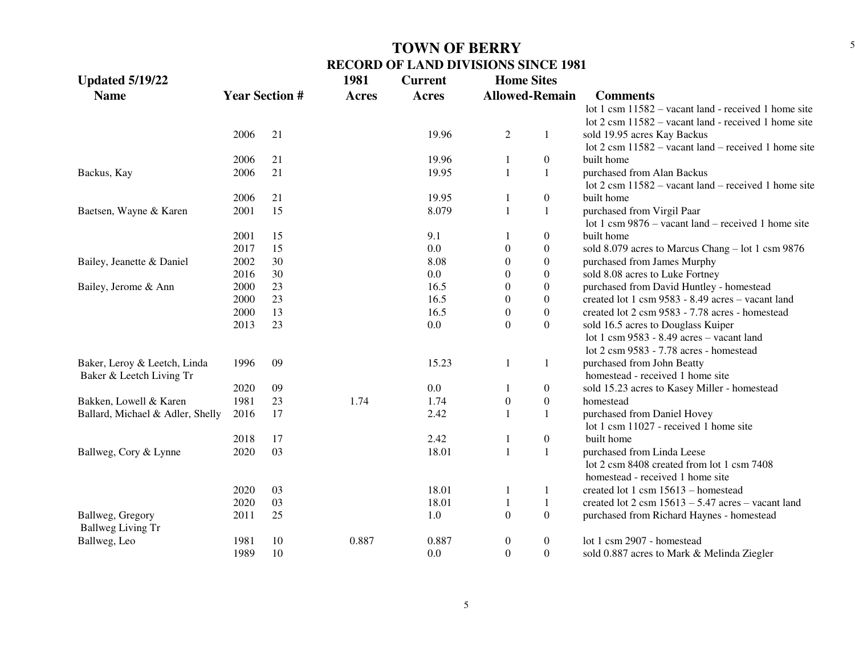| <b>Updated 5/19/22</b>           |      |                       | 1981         | <b>Current</b> | <b>Home Sites</b> |                       |                                                                              |
|----------------------------------|------|-----------------------|--------------|----------------|-------------------|-----------------------|------------------------------------------------------------------------------|
| <b>Name</b>                      |      | <b>Year Section #</b> | <b>Acres</b> | <b>Acres</b>   |                   | <b>Allowed-Remain</b> | <b>Comments</b>                                                              |
|                                  |      |                       |              |                |                   |                       | lot 1 csm 11582 – vacant land - received 1 home site                         |
|                                  |      |                       |              |                |                   |                       | lot 2 csm 11582 - vacant land - received 1 home site                         |
|                                  | 2006 | 21                    |              | 19.96          | $\overline{c}$    | 1                     | sold 19.95 acres Kay Backus                                                  |
|                                  |      |                       |              |                |                   |                       | lot $2 \text{ cm } 11582$ – vacant land – received 1 home site               |
|                                  | 2006 | 21                    |              | 19.96          | 1                 | $\boldsymbol{0}$      | built home                                                                   |
| Backus, Kay                      | 2006 | 21                    |              | 19.95          | $\mathbf{1}$      | $\mathbf{1}$          | purchased from Alan Backus                                                   |
|                                  |      |                       |              |                |                   |                       | lot $2 \text{ cm } 11582$ – vacant land – received 1 home site               |
|                                  | 2006 | 21                    |              | 19.95          | 1                 | $\boldsymbol{0}$      | built home                                                                   |
| Baetsen, Wayne & Karen           | 2001 | 15                    |              | 8.079          | $\mathbf{1}$      | $\mathbf{1}$          | purchased from Virgil Paar                                                   |
|                                  |      |                       |              |                |                   |                       | lot 1 csm $9876 -$ vacant land – received 1 home site                        |
|                                  | 2001 | 15                    |              | 9.1            |                   | $\boldsymbol{0}$      | built home                                                                   |
|                                  | 2017 | 15                    |              | 0.0            | $\boldsymbol{0}$  | $\boldsymbol{0}$      | sold 8.079 acres to Marcus Chang - lot 1 csm 9876                            |
| Bailey, Jeanette & Daniel        | 2002 | 30                    |              | 8.08           | $\boldsymbol{0}$  | $\boldsymbol{0}$      | purchased from James Murphy                                                  |
|                                  | 2016 | 30                    |              | 0.0            | $\boldsymbol{0}$  | $\boldsymbol{0}$      | sold 8.08 acres to Luke Fortney                                              |
| Bailey, Jerome & Ann             | 2000 | 23                    |              | 16.5           | $\boldsymbol{0}$  | $\boldsymbol{0}$      | purchased from David Huntley - homestead                                     |
|                                  | 2000 | 23                    |              | 16.5           | $\boldsymbol{0}$  | $\boldsymbol{0}$      | created lot 1 csm 9583 - 8.49 acres - vacant land                            |
|                                  | 2000 | 13                    |              | 16.5           | $\boldsymbol{0}$  | $\boldsymbol{0}$      | created lot 2 csm 9583 - 7.78 acres - homestead                              |
|                                  | 2013 | 23                    |              | 0.0            | $\overline{0}$    | $\overline{0}$        | sold 16.5 acres to Douglass Kuiper                                           |
|                                  |      |                       |              |                |                   |                       | lot 1 csm 9583 - 8.49 acres - vacant land                                    |
|                                  |      |                       |              |                |                   |                       | lot 2 csm 9583 - 7.78 acres - homestead                                      |
| Baker, Leroy & Leetch, Linda     | 1996 | 09                    |              | 15.23          | $\mathbf{1}$      | 1                     | purchased from John Beatty                                                   |
| Baker & Leetch Living Tr         |      |                       |              |                |                   |                       | homestead - received 1 home site                                             |
|                                  | 2020 | 09                    |              | 0.0            |                   | $\boldsymbol{0}$      | sold 15.23 acres to Kasey Miller - homestead                                 |
| Bakken, Lowell & Karen           | 1981 | 23                    | 1.74         | 1.74           | $\boldsymbol{0}$  | $\boldsymbol{0}$      | homestead                                                                    |
| Ballard, Michael & Adler, Shelly | 2016 | 17                    |              | 2.42           | $\mathbf{1}$      | $\mathbf{1}$          | purchased from Daniel Hovey                                                  |
|                                  |      |                       |              |                |                   |                       | lot 1 csm 11027 - received 1 home site                                       |
|                                  | 2018 | 17                    |              | 2.42           | 1                 | $\boldsymbol{0}$      | built home                                                                   |
| Ballweg, Cory & Lynne            | 2020 | 03                    |              | 18.01          | $\mathbf{1}$      | $\mathbf{1}$          | purchased from Linda Leese                                                   |
|                                  |      |                       |              |                |                   |                       | lot 2 csm 8408 created from lot 1 csm 7408                                   |
|                                  |      |                       |              |                |                   |                       | homestead - received 1 home site                                             |
|                                  | 2020 | 03                    |              | 18.01          | 1                 | 1                     | created lot 1 csm 15613 - homestead                                          |
|                                  | 2020 | 03                    |              | 18.01          | $\mathbf{1}$      | 1                     | created lot $2 \text{ csm } 15613 - 5.47 \text{ acres} - \text{vacant land}$ |
| Ballweg, Gregory                 | 2011 | 25                    |              | 1.0            | $\mathbf{0}$      | $\boldsymbol{0}$      | purchased from Richard Haynes - homestead                                    |
| <b>Ballweg Living Tr</b>         |      |                       |              |                |                   |                       |                                                                              |
| Ballweg, Leo                     | 1981 | 10                    | 0.887        | 0.887          | $\boldsymbol{0}$  | $\boldsymbol{0}$      | lot 1 csm 2907 - homestead                                                   |
|                                  | 1989 | 10                    |              | 0.0            | $\overline{0}$    | $\overline{0}$        | sold 0.887 acres to Mark & Melinda Ziegler                                   |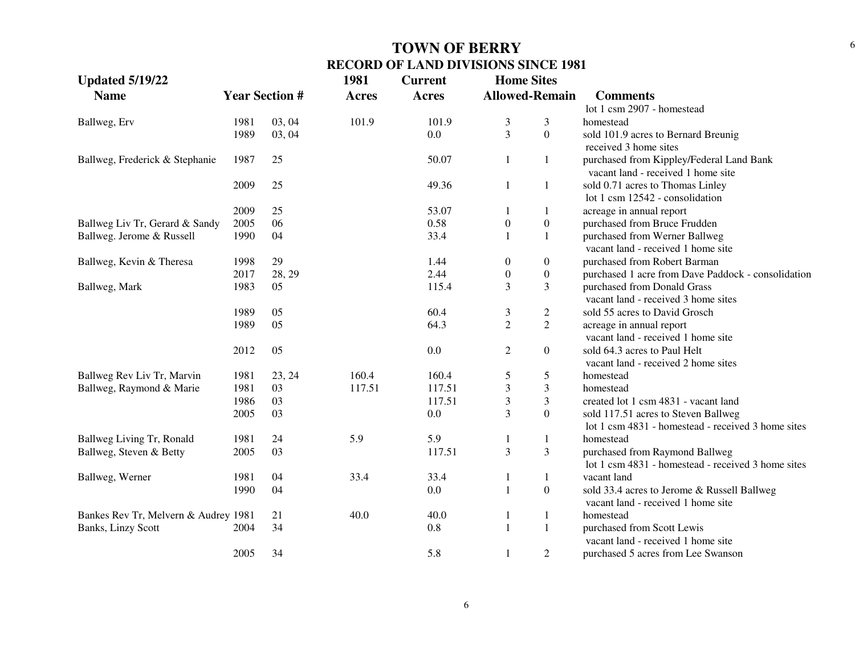| <b>Updated 5/19/22</b>               |      |                       | 1981         | <b>Current</b> | <b>Home Sites</b> |                       |                                                                                |
|--------------------------------------|------|-----------------------|--------------|----------------|-------------------|-----------------------|--------------------------------------------------------------------------------|
| <b>Name</b>                          |      | <b>Year Section #</b> | <b>Acres</b> | <b>Acres</b>   |                   | <b>Allowed-Remain</b> | <b>Comments</b>                                                                |
|                                      |      |                       |              |                |                   |                       | lot 1 csm 2907 - homestead                                                     |
| Ballweg, Erv                         | 1981 | 03, 04                | 101.9        | 101.9          | 3                 | 3                     | homestead                                                                      |
|                                      | 1989 | 03, 04                |              | 0.0            | 3                 | $\overline{0}$        | sold 101.9 acres to Bernard Breunig                                            |
|                                      |      |                       |              |                |                   |                       | received 3 home sites                                                          |
| Ballweg, Frederick & Stephanie       | 1987 | 25                    |              | 50.07          | $\mathbf{1}$      | $\mathbf{1}$          | purchased from Kippley/Federal Land Bank<br>vacant land - received 1 home site |
|                                      | 2009 | 25                    |              | 49.36          | 1                 | $\mathbf{1}$          | sold 0.71 acres to Thomas Linley<br>lot 1 csm 12542 - consolidation            |
|                                      | 2009 | 25                    |              | 53.07          | 1                 | -1                    | acreage in annual report                                                       |
| Ballweg Liv Tr, Gerard & Sandy       | 2005 | 06                    |              | 0.58           | $\boldsymbol{0}$  | $\boldsymbol{0}$      | purchased from Bruce Frudden                                                   |
| Ballweg. Jerome & Russell            | 1990 | 04                    |              | 33.4           |                   | $\mathbf{1}$          | purchased from Werner Ballweg                                                  |
|                                      |      |                       |              |                |                   |                       | vacant land - received 1 home site                                             |
| Ballweg, Kevin & Theresa             | 1998 | 29                    |              | 1.44           | $\boldsymbol{0}$  | $\overline{0}$        | purchased from Robert Barman                                                   |
|                                      | 2017 | 28, 29                |              | 2.44           | $\boldsymbol{0}$  | $\boldsymbol{0}$      | purchased 1 acre from Dave Paddock - consolidation                             |
| Ballweg, Mark                        | 1983 | 05                    |              | 115.4          | 3                 | 3                     | purchased from Donald Grass<br>vacant land - received 3 home sites             |
|                                      | 1989 | 05                    |              | 60.4           | 3                 | $\mathbf{2}$          | sold 55 acres to David Grosch                                                  |
|                                      | 1989 | 05                    |              | 64.3           | $\overline{2}$    | $\overline{2}$        | acreage in annual report                                                       |
|                                      |      |                       |              |                |                   |                       | vacant land - received 1 home site                                             |
|                                      | 2012 | 05                    |              | 0.0            | $\overline{2}$    | $\overline{0}$        | sold 64.3 acres to Paul Helt                                                   |
|                                      |      |                       |              |                |                   |                       | vacant land - received 2 home sites                                            |
| Ballweg Rev Liv Tr, Marvin           | 1981 | 23, 24                | 160.4        | 160.4          | 5                 | 5                     | homestead                                                                      |
| Ballweg, Raymond & Marie             | 1981 | 03                    | 117.51       | 117.51         | $\mathfrak{Z}$    | $\overline{3}$        | homestead                                                                      |
|                                      | 1986 | 03                    |              | 117.51         | 3                 | $\mathfrak{Z}$        | created lot 1 csm 4831 - vacant land                                           |
|                                      | 2005 | 03                    |              | 0.0            | 3                 | $\overline{0}$        | sold 117.51 acres to Steven Ballweg                                            |
|                                      |      |                       |              |                |                   |                       | lot 1 csm 4831 - homestead - received 3 home sites                             |
| Ballweg Living Tr, Ronald            | 1981 | 24                    | 5.9          | 5.9            |                   | $\mathbf 1$           | homestead                                                                      |
| Ballweg, Steven & Betty              | 2005 | 03                    |              | 117.51         | 3                 | $\mathfrak{Z}$        | purchased from Raymond Ballweg                                                 |
|                                      |      |                       |              |                |                   |                       | lot 1 csm 4831 - homestead - received 3 home sites                             |
| Ballweg, Werner                      | 1981 | 04                    | 33.4         | 33.4           | 1                 | $\mathbf{1}$          | vacant land                                                                    |
|                                      | 1990 | 04                    |              | 0.0            | $\mathbf{1}$      | $\boldsymbol{0}$      | sold 33.4 acres to Jerome & Russell Ballweg                                    |
|                                      |      |                       |              |                |                   |                       | vacant land - received 1 home site                                             |
| Bankes Rev Tr, Melvern & Audrey 1981 |      | 21                    | 40.0         | 40.0           | 1                 | $\mathbf{1}$          | homestead                                                                      |
| Banks, Linzy Scott                   | 2004 | 34                    |              | 0.8            | $\mathbf{1}$      | $\mathbf{1}$          | purchased from Scott Lewis                                                     |
|                                      |      |                       |              |                |                   |                       | vacant land - received 1 home site                                             |
|                                      | 2005 | 34                    |              | 5.8            | $\mathbf{1}$      | $\overline{2}$        | purchased 5 acres from Lee Swanson                                             |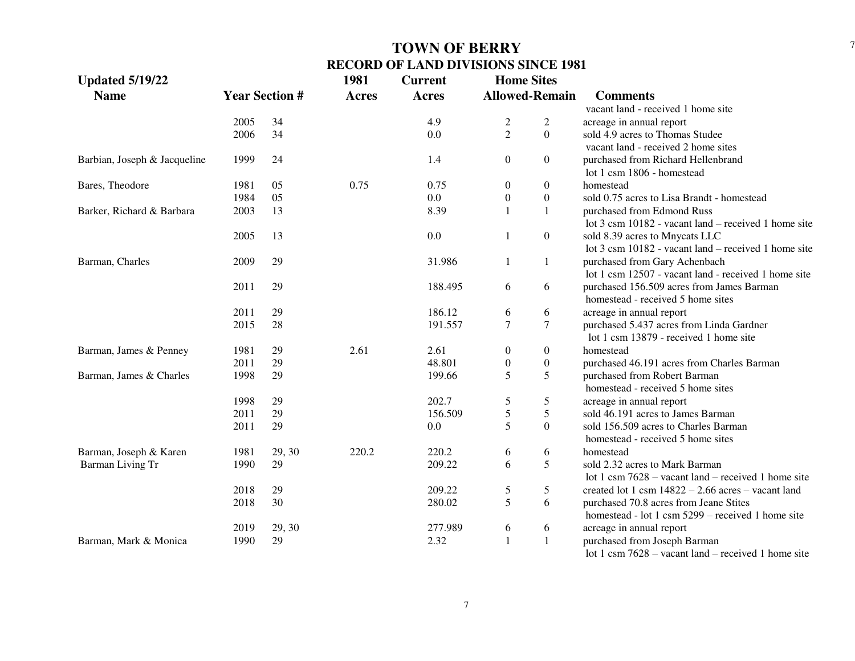| <b>Updated 5/19/22</b>       |                       |        | 1981         | <b>Current</b> | <b>Home Sites</b>     |                  |                                                       |
|------------------------------|-----------------------|--------|--------------|----------------|-----------------------|------------------|-------------------------------------------------------|
| <b>Name</b>                  | <b>Year Section #</b> |        | <b>Acres</b> | <b>Acres</b>   | <b>Allowed-Remain</b> |                  | <b>Comments</b>                                       |
|                              |                       |        |              |                |                       |                  | vacant land - received 1 home site                    |
|                              | 2005                  | 34     |              | 4.9            | $\overline{c}$        | $\overline{c}$   | acreage in annual report                              |
|                              | 2006                  | 34     |              | 0.0            | $\overline{2}$        | $\Omega$         | sold 4.9 acres to Thomas Studee                       |
|                              |                       |        |              |                |                       |                  | vacant land - received 2 home sites                   |
| Barbian, Joseph & Jacqueline | 1999                  | 24     |              | 1.4            | $\theta$              | $\overline{0}$   | purchased from Richard Hellenbrand                    |
|                              |                       |        |              |                |                       |                  | lot 1 csm 1806 - homestead                            |
| Bares, Theodore              | 1981                  | 05     | 0.75         | 0.75           | $\boldsymbol{0}$      | $\overline{0}$   | homestead                                             |
|                              | 1984                  | 05     |              | 0.0            | $\boldsymbol{0}$      | $\boldsymbol{0}$ | sold 0.75 acres to Lisa Brandt - homestead            |
| Barker, Richard & Barbara    | 2003                  | 13     |              | 8.39           | $\mathbf{1}$          |                  | purchased from Edmond Russ                            |
|                              |                       |        |              |                |                       |                  | lot 3 csm 10182 - vacant land – received 1 home site  |
|                              | 2005                  | 13     |              | 0.0            | $\mathbf{1}$          | $\overline{0}$   | sold 8.39 acres to Mnycats LLC                        |
|                              |                       |        |              |                |                       |                  | lot 3 csm 10182 - vacant land – received 1 home site  |
| Barman, Charles              | 2009                  | 29     |              | 31.986         | 1                     | 1                | purchased from Gary Achenbach                         |
|                              |                       |        |              |                |                       |                  | lot 1 csm 12507 - vacant land - received 1 home site  |
|                              | 2011                  | 29     |              | 188.495        | 6                     | 6                | purchased 156.509 acres from James Barman             |
|                              |                       |        |              |                |                       |                  | homestead - received 5 home sites                     |
|                              | 2011                  | 29     |              | 186.12         | 6                     | 6                | acreage in annual report                              |
|                              | 2015                  | 28     |              | 191.557        | $\overline{7}$        | $\overline{7}$   | purchased 5.437 acres from Linda Gardner              |
|                              |                       |        |              |                |                       |                  | lot 1 csm 13879 - received 1 home site                |
| Barman, James & Penney       | 1981                  | 29     | 2.61         | 2.61           | $\boldsymbol{0}$      | $\overline{0}$   | homestead                                             |
|                              | 2011                  | 29     |              | 48.801         | $\boldsymbol{0}$      | $\boldsymbol{0}$ | purchased 46.191 acres from Charles Barman            |
| Barman, James & Charles      | 1998                  | 29     |              | 199.66         | 5                     | 5                | purchased from Robert Barman                          |
|                              |                       |        |              |                |                       |                  | homestead - received 5 home sites                     |
|                              | 1998                  | 29     |              | 202.7          | 5                     | 5                | acreage in annual report                              |
|                              | 2011                  | 29     |              | 156.509        | $\sqrt{5}$            | 5                | sold 46.191 acres to James Barman                     |
|                              | 2011                  | 29     |              | 0.0            | 5                     | $\overline{0}$   | sold 156.509 acres to Charles Barman                  |
|                              |                       |        |              |                |                       |                  | homestead - received 5 home sites                     |
| Barman, Joseph & Karen       | 1981                  | 29, 30 | 220.2        | 220.2          | 6                     | 6                | homestead                                             |
| Barman Living Tr             | 1990                  | 29     |              | 209.22         | 6                     | 5                | sold 2.32 acres to Mark Barman                        |
|                              |                       |        |              |                |                       |                  | lot 1 csm $7628 -$ vacant land – received 1 home site |
|                              | 2018                  | 29     |              | 209.22         | 5                     | 5                | created lot 1 csm $14822 - 2.66$ acres – vacant land  |
|                              | 2018                  | 30     |              | 280.02         | 5                     | 6                | purchased 70.8 acres from Jeane Stites                |
|                              |                       |        |              |                |                       |                  | homestead - lot 1 csm 5299 – received 1 home site     |
|                              | 2019                  | 29, 30 |              | 277.989        | 6                     | 6                | acreage in annual report                              |
| Barman, Mark & Monica        | 1990                  | 29     |              | 2.32           | $\mathbf{1}$          | $\mathbf{1}$     | purchased from Joseph Barman                          |
|                              |                       |        |              |                |                       |                  | lot 1 csm $7628 -$ vacant land – received 1 home site |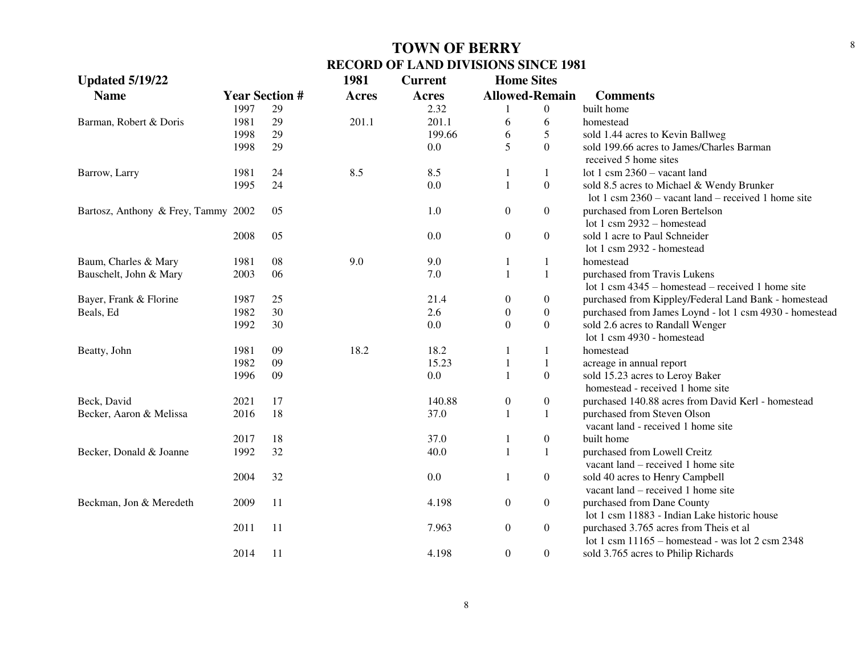| <b>Updated 5/19/22</b>              |      |                       | 1981         | <b>Current</b> | <b>Home Sites</b> |                       |                                                         |
|-------------------------------------|------|-----------------------|--------------|----------------|-------------------|-----------------------|---------------------------------------------------------|
| <b>Name</b>                         |      | <b>Year Section #</b> | <b>Acres</b> | Acres          |                   | <b>Allowed-Remain</b> | <b>Comments</b>                                         |
|                                     | 1997 | 29                    |              | 2.32           |                   | $\overline{0}$        | built home                                              |
| Barman, Robert & Doris              | 1981 | 29                    | 201.1        | 201.1          | 6                 | 6                     | homestead                                               |
|                                     | 1998 | 29                    |              | 199.66         | 6                 | $\mathfrak s$         | sold 1.44 acres to Kevin Ballweg                        |
|                                     | 1998 | 29                    |              | 0.0            | 5                 | $\overline{0}$        | sold 199.66 acres to James/Charles Barman               |
|                                     |      |                       |              |                |                   |                       | received 5 home sites                                   |
| Barrow, Larry                       | 1981 | 24                    | 8.5          | 8.5            | 1                 | $\mathbf{1}$          | lot 1 csm $2360 -$ vacant land                          |
|                                     | 1995 | 24                    |              | 0.0            | 1                 | $\boldsymbol{0}$      | sold 8.5 acres to Michael & Wendy Brunker               |
|                                     |      |                       |              |                |                   |                       | lot 1 csm $2360 -$ vacant land – received 1 home site   |
| Bartosz, Anthony & Frey, Tammy 2002 |      | 05                    |              | 1.0            | $\boldsymbol{0}$  | $\boldsymbol{0}$      | purchased from Loren Bertelson                          |
|                                     |      |                       |              |                |                   |                       | lot 1 csm 2932 - homestead                              |
|                                     | 2008 | 05                    |              | 0.0            | $\boldsymbol{0}$  | $\boldsymbol{0}$      | sold 1 acre to Paul Schneider                           |
|                                     |      |                       |              |                |                   |                       | lot 1 csm 2932 - homestead                              |
| Baum, Charles & Mary                | 1981 | 08                    | 9.0          | 9.0            | 1                 | $\mathbf{1}$          | homestead                                               |
| Bauschelt, John & Mary              | 2003 | 06                    |              | 7.0            | 1                 | $\mathbf{1}$          | purchased from Travis Lukens                            |
|                                     |      |                       |              |                |                   |                       | lot 1 csm $4345$ – homestead – received 1 home site     |
| Bayer, Frank & Florine              | 1987 | 25                    |              | 21.4           | $\mathbf{0}$      | $\boldsymbol{0}$      | purchased from Kippley/Federal Land Bank - homestead    |
| Beals, Ed                           | 1982 | 30                    |              | 2.6            | $\boldsymbol{0}$  | $\boldsymbol{0}$      | purchased from James Loynd - lot 1 csm 4930 - homestead |
|                                     | 1992 | 30                    |              | 0.0            | $\boldsymbol{0}$  | $\boldsymbol{0}$      | sold 2.6 acres to Randall Wenger                        |
|                                     |      |                       |              |                |                   |                       | lot 1 csm 4930 - homestead                              |
| Beatty, John                        | 1981 | 09                    | 18.2         | 18.2           | 1                 | 1                     | homestead                                               |
|                                     | 1982 | 09                    |              | 15.23          | 1                 | $\mathbf{1}$          | acreage in annual report                                |
|                                     | 1996 | 09                    |              | 0.0            | 1                 | $\boldsymbol{0}$      | sold 15.23 acres to Leroy Baker                         |
|                                     |      |                       |              |                |                   |                       | homestead - received 1 home site                        |
| Beck, David                         | 2021 | 17                    |              | 140.88         | $\boldsymbol{0}$  | $\boldsymbol{0}$      | purchased 140.88 acres from David Kerl - homestead      |
| Becker, Aaron & Melissa             | 2016 | 18                    |              | 37.0           | $\mathbf{1}$      | $\mathbf{1}$          | purchased from Steven Olson                             |
|                                     |      |                       |              |                |                   |                       | vacant land - received 1 home site                      |
|                                     | 2017 | 18                    |              | 37.0           | 1                 | $\boldsymbol{0}$      | built home                                              |
| Becker, Donald & Joanne             | 1992 | 32                    |              | 40.0           | $\mathbf{1}$      | $\mathbf{1}$          | purchased from Lowell Creitz                            |
|                                     |      |                       |              |                |                   |                       | vacant land – received 1 home site                      |
|                                     | 2004 | 32                    |              | 0.0            | 1                 | $\boldsymbol{0}$      | sold 40 acres to Henry Campbell                         |
|                                     |      |                       |              |                |                   |                       | vacant land – received 1 home site                      |
| Beckman, Jon & Meredeth             | 2009 | 11                    |              | 4.198          | $\boldsymbol{0}$  | $\boldsymbol{0}$      | purchased from Dane County                              |
|                                     |      |                       |              |                |                   |                       | lot 1 csm 11883 - Indian Lake historic house            |
|                                     | 2011 | 11                    |              | 7.963          | $\boldsymbol{0}$  | $\boldsymbol{0}$      | purchased 3.765 acres from Theis et al                  |
|                                     |      |                       |              |                |                   |                       | lot 1 csm $11165$ – homestead - was lot 2 csm 2348      |
|                                     | 2014 | 11                    |              | 4.198          | $\overline{0}$    | $\boldsymbol{0}$      | sold 3.765 acres to Philip Richards                     |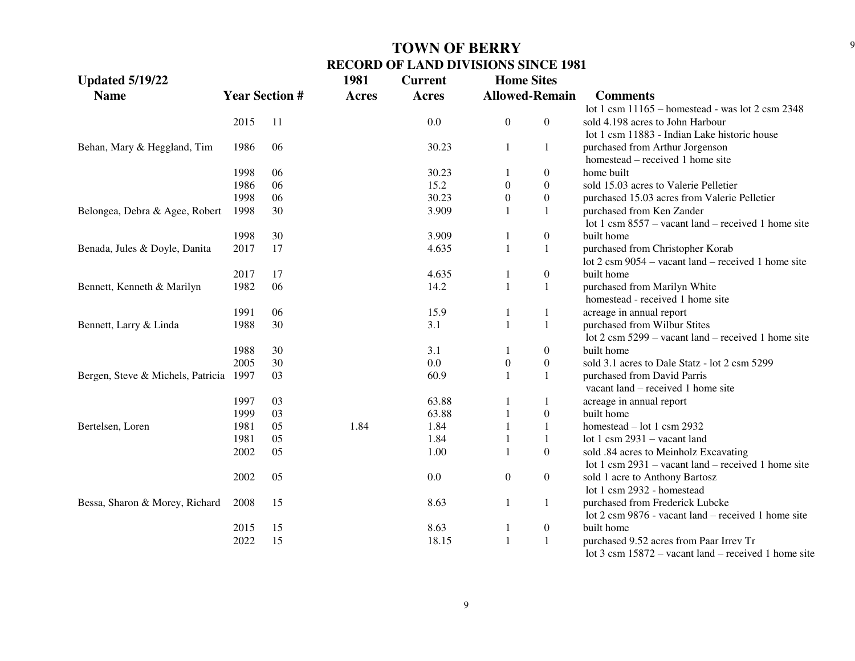| <b>Updated 5/19/22</b>            |      |                       | 1981         | <b>Current</b> | <b>Home Sites</b> |                       |                                                                |
|-----------------------------------|------|-----------------------|--------------|----------------|-------------------|-----------------------|----------------------------------------------------------------|
| <b>Name</b>                       |      | <b>Year Section #</b> | <b>Acres</b> | Acres          |                   | <b>Allowed-Remain</b> | <b>Comments</b>                                                |
|                                   |      |                       |              |                |                   |                       | lot 1 csm $11165$ - homestead - was lot 2 csm 2348             |
|                                   | 2015 | 11                    |              | 0.0            | $\boldsymbol{0}$  | $\boldsymbol{0}$      | sold 4.198 acres to John Harbour                               |
|                                   |      |                       |              |                |                   |                       | lot 1 csm 11883 - Indian Lake historic house                   |
| Behan, Mary & Heggland, Tim       | 1986 | 06                    |              | 30.23          | 1                 | 1                     | purchased from Arthur Jorgenson                                |
|                                   |      |                       |              |                |                   |                       | homestead – received 1 home site                               |
|                                   | 1998 | 06                    |              | 30.23          |                   | $\theta$              | home built                                                     |
|                                   | 1986 | 06                    |              | 15.2           | $\mathbf{0}$      | $\overline{0}$        | sold 15.03 acres to Valerie Pelletier                          |
|                                   | 1998 | 06                    |              | 30.23          | $\boldsymbol{0}$  | $\boldsymbol{0}$      | purchased 15.03 acres from Valerie Pelletier                   |
| Belongea, Debra & Agee, Robert    | 1998 | 30                    |              | 3.909          |                   | 1                     | purchased from Ken Zander                                      |
|                                   |      |                       |              |                |                   |                       | lot 1 csm $8557$ – vacant land – received 1 home site          |
|                                   | 1998 | 30                    |              | 3.909          |                   | $\boldsymbol{0}$      | built home                                                     |
| Benada, Jules & Doyle, Danita     | 2017 | 17                    |              | 4.635          | $\mathbf{1}$      | 1                     | purchased from Christopher Korab                               |
|                                   |      |                       |              |                |                   |                       | lot $2 \text{ cm } 9054$ – vacant land – received 1 home site  |
|                                   | 2017 | 17                    |              | 4.635          |                   | $\boldsymbol{0}$      | built home                                                     |
| Bennett, Kenneth & Marilyn        | 1982 | 06                    |              | 14.2           | $\mathbf{1}$      | 1                     | purchased from Marilyn White                                   |
|                                   |      |                       |              |                |                   |                       | homestead - received 1 home site                               |
|                                   | 1991 | 06                    |              | 15.9           | $\mathbf{1}$      | 1                     | acreage in annual report                                       |
| Bennett, Larry & Linda            | 1988 | 30                    |              | 3.1            | $\mathbf{1}$      | 1                     | purchased from Wilbur Stites                                   |
|                                   |      |                       |              |                |                   |                       | lot $2 \text{ cm } 5299$ – vacant land – received 1 home site  |
|                                   | 1988 | 30                    |              | 3.1            | $\mathbf{1}$      | $\boldsymbol{0}$      | built home                                                     |
|                                   | 2005 | 30                    |              | 0.0            | $\boldsymbol{0}$  | $\boldsymbol{0}$      | sold 3.1 acres to Dale Statz - lot 2 csm 5299                  |
| Bergen, Steve & Michels, Patricia | 1997 | 03                    |              | 60.9           | $\mathbf{1}$      | 1                     | purchased from David Parris                                    |
|                                   |      |                       |              |                |                   |                       | vacant land - received 1 home site                             |
|                                   | 1997 | 03                    |              | 63.88          | -1                | 1                     | acreage in annual report                                       |
|                                   | 1999 | 03                    |              | 63.88          |                   | $\boldsymbol{0}$      | built home                                                     |
| Bertelsen, Loren                  | 1981 | 05                    | 1.84         | 1.84           |                   | 1                     | homestead $-$ lot 1 csm 2932                                   |
|                                   | 1981 | 05                    |              | 1.84           |                   | 1                     | lot 1 csm $2931 -$ vacant land                                 |
|                                   | 2002 | 05                    |              | 1.00           | $\mathbf{1}$      | $\mathbf{0}$          | sold .84 acres to Meinholz Excavating                          |
|                                   |      |                       |              |                |                   |                       | lot 1 csm $2931$ – vacant land – received 1 home site          |
|                                   | 2002 | 05                    |              | 0.0            | $\boldsymbol{0}$  | $\boldsymbol{0}$      | sold 1 acre to Anthony Bartosz                                 |
|                                   |      |                       |              |                |                   |                       | lot 1 csm 2932 - homestead                                     |
| Bessa, Sharon & Morey, Richard    | 2008 | 15                    |              | 8.63           | 1                 | 1                     | purchased from Frederick Lubcke                                |
|                                   |      |                       |              |                |                   |                       | lot 2 csm 9876 - vacant land – received 1 home site            |
|                                   | 2015 | 15                    |              | 8.63           | 1                 | $\boldsymbol{0}$      | built home                                                     |
|                                   | 2022 | 15                    |              | 18.15          | $\mathbf{1}$      | 1                     | purchased 9.52 acres from Paar Irrev Tr                        |
|                                   |      |                       |              |                |                   |                       | lot $3 \text{ cm } 15872$ – vacant land – received 1 home site |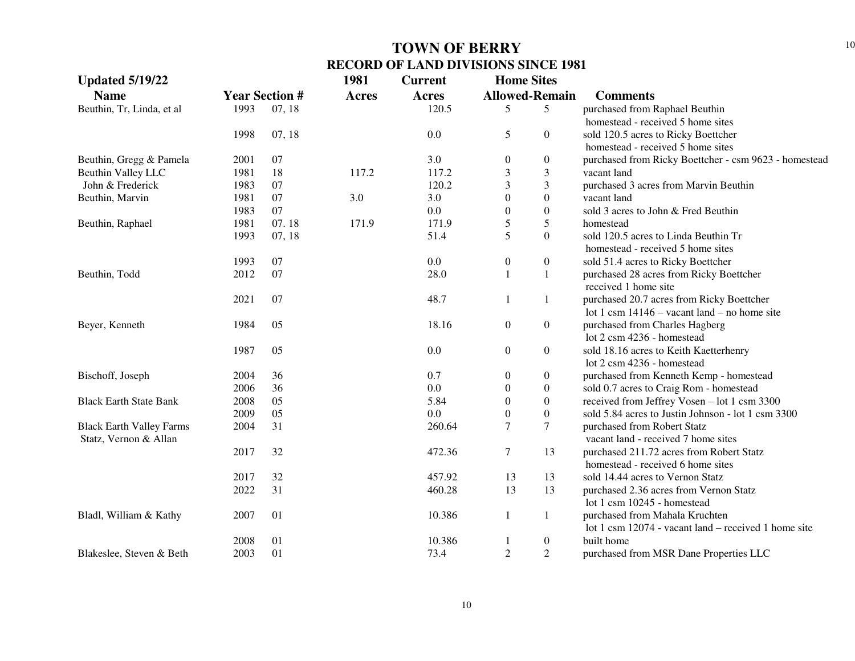| <b>Updated 5/19/22</b>          |      |                       | 1981         | <b>Current</b> | <b>Home Sites</b> |                       |                                                        |
|---------------------------------|------|-----------------------|--------------|----------------|-------------------|-----------------------|--------------------------------------------------------|
| <b>Name</b>                     |      | <b>Year Section #</b> | <b>Acres</b> | <b>Acres</b>   |                   | <b>Allowed-Remain</b> | <b>Comments</b>                                        |
| Beuthin, Tr, Linda, et al       | 1993 | 07, 18                |              | 120.5          | 5                 | 5                     | purchased from Raphael Beuthin                         |
|                                 |      |                       |              |                |                   |                       | homestead - received 5 home sites                      |
|                                 | 1998 | 07, 18                |              | 0.0            | 5                 | $\overline{0}$        | sold 120.5 acres to Ricky Boettcher                    |
|                                 |      |                       |              |                |                   |                       | homestead - received 5 home sites                      |
| Beuthin, Gregg & Pamela         | 2001 | 07                    |              | 3.0            | $\mathbf{0}$      | $\boldsymbol{0}$      | purchased from Ricky Boettcher - csm 9623 - homestead  |
| Beuthin Valley LLC              | 1981 | 18                    | 117.2        | 117.2          | 3                 | $\mathfrak{Z}$        | vacant land                                            |
| John & Frederick                | 1983 | 07                    |              | 120.2          | 3                 | $\mathfrak{Z}$        | purchased 3 acres from Marvin Beuthin                  |
| Beuthin, Marvin                 | 1981 | 07                    | 3.0          | 3.0            | $\overline{0}$    | $\boldsymbol{0}$      | vacant land                                            |
|                                 | 1983 | 07                    |              | 0.0            | $\overline{0}$    | $\boldsymbol{0}$      | sold 3 acres to John & Fred Beuthin                    |
| Beuthin, Raphael                | 1981 | 07.18                 | 171.9        | 171.9          | 5                 | $\sqrt{5}$            | homestead                                              |
|                                 | 1993 | 07, 18                |              | 51.4           | 5                 | $\boldsymbol{0}$      | sold 120.5 acres to Linda Beuthin Tr                   |
|                                 |      |                       |              |                |                   |                       | homestead - received 5 home sites                      |
|                                 | 1993 | 07                    |              | 0.0            | $\boldsymbol{0}$  | $\boldsymbol{0}$      | sold 51.4 acres to Ricky Boettcher                     |
| Beuthin, Todd                   | 2012 | 07                    |              | 28.0           | 1                 | $\mathbf{1}$          | purchased 28 acres from Ricky Boettcher                |
|                                 |      |                       |              |                |                   |                       | received 1 home site                                   |
|                                 | 2021 | 07                    |              | 48.7           |                   | $\mathbf{1}$          | purchased 20.7 acres from Ricky Boettcher              |
|                                 |      |                       |              |                |                   |                       | lot 1 csm $14146 -$ vacant land – no home site         |
| Beyer, Kenneth                  | 1984 | 05                    |              | 18.16          | $\boldsymbol{0}$  | $\overline{0}$        | purchased from Charles Hagberg                         |
|                                 |      |                       |              |                |                   |                       | lot 2 csm 4236 - homestead                             |
|                                 | 1987 | 05                    |              | 0.0            | $\boldsymbol{0}$  | $\boldsymbol{0}$      | sold 18.16 acres to Keith Kaetterhenry                 |
|                                 |      |                       |              |                |                   |                       | lot 2 csm 4236 - homestead                             |
| Bischoff, Joseph                | 2004 | 36                    |              | 0.7            | $\boldsymbol{0}$  | $\boldsymbol{0}$      | purchased from Kenneth Kemp - homestead                |
|                                 | 2006 | 36                    |              | 0.0            | $\theta$          | $\overline{0}$        | sold 0.7 acres to Craig Rom - homestead                |
| <b>Black Earth State Bank</b>   | 2008 | 05                    |              | 5.84           | $\overline{0}$    | $\boldsymbol{0}$      | received from Jeffrey Vosen - lot 1 csm 3300           |
|                                 | 2009 | 05                    |              | 0.0            | $\overline{0}$    | $\boldsymbol{0}$      | sold 5.84 acres to Justin Johnson - lot 1 csm 3300     |
| <b>Black Earth Valley Farms</b> | 2004 | 31                    |              | 260.64         | 7                 | $\tau$                | purchased from Robert Statz                            |
| Statz, Vernon & Allan           |      |                       |              |                |                   |                       | vacant land - received 7 home sites                    |
|                                 | 2017 | 32                    |              | 472.36         | $\tau$            | 13                    | purchased 211.72 acres from Robert Statz               |
|                                 |      |                       |              |                |                   |                       | homestead - received 6 home sites                      |
|                                 | 2017 | 32                    |              | 457.92         | 13                | 13                    | sold 14.44 acres to Vernon Statz                       |
|                                 | 2022 | 31                    |              | 460.28         | 13                | 13                    | purchased 2.36 acres from Vernon Statz                 |
|                                 |      |                       |              |                |                   |                       | lot 1 csm 10245 - homestead                            |
| Bladl, William & Kathy          | 2007 | 01                    |              | 10.386         | 1                 | $\mathbf{1}$          | purchased from Mahala Kruchten                         |
|                                 |      |                       |              |                |                   |                       | lot 1 csm $12074$ - vacant land – received 1 home site |
|                                 | 2008 | 01                    |              | 10.386         |                   | $\boldsymbol{0}$      | built home                                             |
| Blakeslee, Steven & Beth        | 2003 | 01                    |              | 73.4           | $\overline{2}$    | $\overline{2}$        | purchased from MSR Dane Properties LLC                 |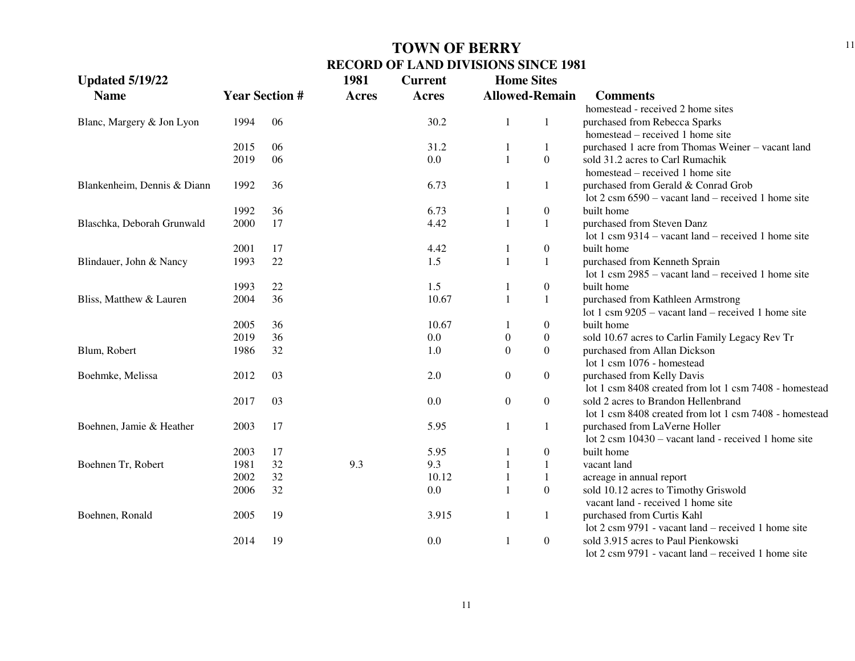| <b>Updated 5/19/22</b>      |      |                       | 1981         | <b>Current</b> | <b>Home Sites</b>     |                  |                                                               |
|-----------------------------|------|-----------------------|--------------|----------------|-----------------------|------------------|---------------------------------------------------------------|
| <b>Name</b>                 |      | <b>Year Section #</b> | <b>Acres</b> | <b>Acres</b>   | <b>Allowed-Remain</b> |                  | <b>Comments</b>                                               |
|                             |      |                       |              |                |                       |                  | homestead - received 2 home sites                             |
| Blanc, Margery & Jon Lyon   | 1994 | 06                    |              | 30.2           | -1                    | 1                | purchased from Rebecca Sparks                                 |
|                             |      |                       |              |                |                       |                  | homestead – received 1 home site                              |
|                             | 2015 | 06                    |              | 31.2           |                       | 1                | purchased 1 acre from Thomas Weiner - vacant land             |
|                             | 2019 | 06                    |              | 0.0            | $\mathbf{1}$          | $\boldsymbol{0}$ | sold 31.2 acres to Carl Rumachik                              |
|                             |      |                       |              |                |                       |                  | homestead – received 1 home site                              |
| Blankenheim, Dennis & Diann | 1992 | 36                    |              | 6.73           |                       | 1                | purchased from Gerald & Conrad Grob                           |
|                             |      |                       |              |                |                       |                  | lot $2 \text{ cm } 6590$ – vacant land – received 1 home site |
|                             | 1992 | 36                    |              | 6.73           |                       | $\mathbf{0}$     | built home                                                    |
| Blaschka, Deborah Grunwald  | 2000 | 17                    |              | 4.42           |                       | 1                | purchased from Steven Danz                                    |
|                             |      |                       |              |                |                       |                  | lot 1 csm $9314 -$ vacant land – received 1 home site         |
|                             | 2001 | 17                    |              | 4.42           |                       | $\boldsymbol{0}$ | built home                                                    |
| Blindauer, John & Nancy     | 1993 | 22                    |              | 1.5            |                       | 1                | purchased from Kenneth Sprain                                 |
|                             |      |                       |              |                |                       |                  | lot 1 csm $2985$ – vacant land – received 1 home site         |
|                             | 1993 | 22                    |              | 1.5            |                       | $\boldsymbol{0}$ | built home                                                    |
| Bliss, Matthew & Lauren     | 2004 | 36                    |              | 10.67          |                       | 1                | purchased from Kathleen Armstrong                             |
|                             |      |                       |              |                |                       |                  | lot 1 csm $9205$ – vacant land – received 1 home site         |
|                             | 2005 | 36                    |              | 10.67          |                       | $\boldsymbol{0}$ | built home                                                    |
|                             | 2019 | 36                    |              | 0.0            | $\boldsymbol{0}$      | $\boldsymbol{0}$ | sold 10.67 acres to Carlin Family Legacy Rev Tr               |
| Blum, Robert                | 1986 | 32                    |              | 1.0            | $\boldsymbol{0}$      | $\overline{0}$   | purchased from Allan Dickson                                  |
|                             |      |                       |              |                |                       |                  | lot 1 csm 1076 - homestead                                    |
| Boehmke, Melissa            | 2012 | 03                    |              | 2.0            | $\boldsymbol{0}$      | $\boldsymbol{0}$ | purchased from Kelly Davis                                    |
|                             |      |                       |              |                |                       |                  | lot 1 csm 8408 created from lot 1 csm 7408 - homestead        |
|                             | 2017 | 03                    |              | 0.0            | $\boldsymbol{0}$      | $\overline{0}$   | sold 2 acres to Brandon Hellenbrand                           |
|                             |      |                       |              |                |                       |                  | lot 1 csm 8408 created from lot 1 csm 7408 - homestead        |
| Boehnen, Jamie & Heather    | 2003 | 17                    |              | 5.95           | $\mathbf{1}$          | 1                | purchased from LaVerne Holler                                 |
|                             |      |                       |              |                |                       |                  | lot 2 csm 10430 – vacant land - received 1 home site          |
|                             | 2003 | 17                    |              | 5.95           |                       | $\mathbf{0}$     | built home                                                    |
| Boehnen Tr, Robert          | 1981 | 32                    | 9.3          | 9.3            |                       |                  | vacant land                                                   |
|                             | 2002 | 32                    |              | 10.12          |                       |                  | acreage in annual report                                      |
|                             | 2006 | 32                    |              | 0.0            |                       | $\overline{0}$   | sold 10.12 acres to Timothy Griswold                          |
|                             |      |                       |              |                |                       |                  | vacant land - received 1 home site                            |
| Boehnen, Ronald             | 2005 | 19                    |              | 3.915          | 1                     | $\mathbf{1}$     | purchased from Curtis Kahl                                    |
|                             |      |                       |              |                |                       |                  | lot 2 csm 9791 - vacant land – received 1 home site           |
|                             | 2014 | 19                    |              | 0.0            |                       | $\boldsymbol{0}$ | sold 3.915 acres to Paul Pienkowski                           |
|                             |      |                       |              |                |                       |                  | $\cot 2$ csm 9791 - vacant land – received 1 home site        |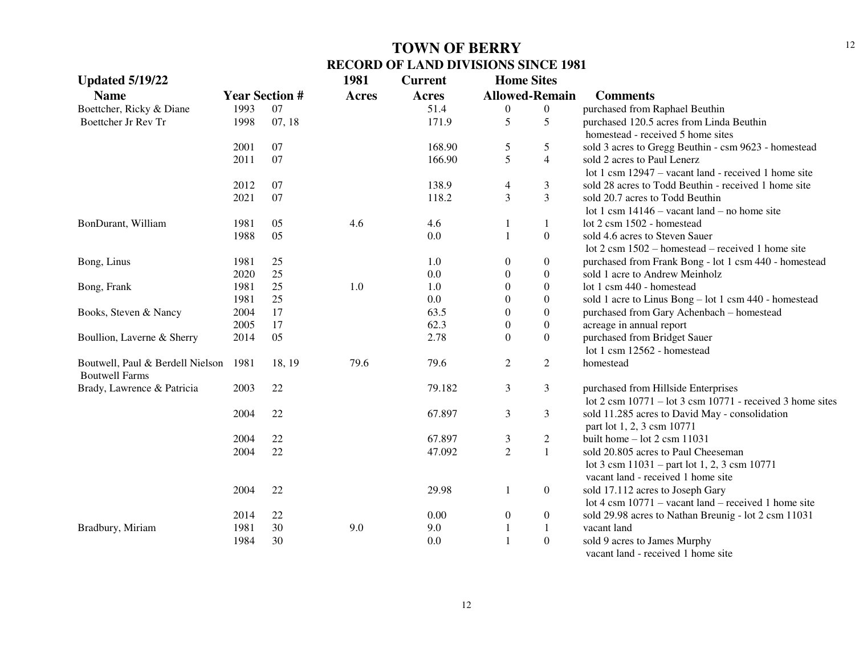| <b>Updated 5/19/22</b>                                    |      |                       | 1981         | <b>Current</b> | <b>Home Sites</b> |                       |                                                                                     |
|-----------------------------------------------------------|------|-----------------------|--------------|----------------|-------------------|-----------------------|-------------------------------------------------------------------------------------|
| <b>Name</b>                                               |      | <b>Year Section #</b> | <b>Acres</b> | <b>Acres</b>   |                   | <b>Allowed-Remain</b> | <b>Comments</b>                                                                     |
| Boettcher, Ricky & Diane                                  | 1993 | 07                    |              | 51.4           | $\boldsymbol{0}$  | $\boldsymbol{0}$      | purchased from Raphael Beuthin                                                      |
| Boettcher Jr Rev Tr                                       | 1998 | 07, 18                |              | 171.9          | 5                 | 5                     | purchased 120.5 acres from Linda Beuthin                                            |
|                                                           |      |                       |              |                |                   |                       | homestead - received 5 home sites                                                   |
|                                                           | 2001 | 07                    |              | 168.90         | 5                 | 5                     | sold 3 acres to Gregg Beuthin - csm 9623 - homestead                                |
|                                                           | 2011 | 07                    |              | 166.90         | 5                 | $\overline{4}$        | sold 2 acres to Paul Lenerz                                                         |
|                                                           |      |                       |              |                |                   |                       | lot 1 csm 12947 – vacant land - received 1 home site                                |
|                                                           | 2012 | 07                    |              | 138.9          | $\overline{4}$    | $\mathfrak{Z}$        | sold 28 acres to Todd Beuthin - received 1 home site                                |
|                                                           | 2021 | 07                    |              | 118.2          | $\overline{3}$    | $\mathfrak{Z}$        | sold 20.7 acres to Todd Beuthin                                                     |
|                                                           |      |                       |              |                |                   |                       | lot 1 csm $14146$ – vacant land – no home site                                      |
| BonDurant, William                                        | 1981 | 05                    | 4.6          | 4.6            |                   | $\mathbf{1}$          | lot 2 csm 1502 - homestead                                                          |
|                                                           | 1988 | 05                    |              | 0.0            | $\mathbf{1}$      | $\boldsymbol{0}$      | sold 4.6 acres to Steven Sauer                                                      |
|                                                           |      |                       |              |                |                   |                       | lot $2 \text{ cm } 1502$ – homestead – received 1 home site                         |
| Bong, Linus                                               | 1981 | 25                    |              | 1.0            | $\boldsymbol{0}$  | $\boldsymbol{0}$      | purchased from Frank Bong - lot 1 csm 440 - homestead                               |
|                                                           | 2020 | $25\,$                |              | 0.0            | $\theta$          | $\boldsymbol{0}$      | sold 1 acre to Andrew Meinholz                                                      |
| Bong, Frank                                               | 1981 | 25                    | 1.0          | 1.0            | $\Omega$          | $\mathbf{0}$          | lot 1 csm 440 - homestead                                                           |
|                                                           | 1981 | 25                    |              | 0.0            | $\Omega$          | $\boldsymbol{0}$      | sold 1 acre to Linus Bong - lot 1 csm 440 - homestead                               |
| Books, Steven & Nancy                                     | 2004 | 17                    |              | 63.5           | $\theta$          | $\boldsymbol{0}$      | purchased from Gary Achenbach - homestead                                           |
|                                                           | 2005 | 17                    |              | 62.3           | $\boldsymbol{0}$  | $\boldsymbol{0}$      | acreage in annual report                                                            |
| Boullion, Laverne & Sherry                                | 2014 | 05                    |              | 2.78           | $\overline{0}$    | $\mathbf{0}$          | purchased from Bridget Sauer                                                        |
|                                                           |      |                       |              |                |                   |                       | lot 1 csm 12562 - homestead                                                         |
| Boutwell, Paul & Berdell Nielson<br><b>Boutwell Farms</b> | 1981 | 18, 19                | 79.6         | 79.6           | $\overline{2}$    | $\sqrt{2}$            | homestead                                                                           |
| Brady, Lawrence & Patricia                                | 2003 | 22                    |              | 79.182         | $\mathfrak{Z}$    | $\mathfrak{Z}$        | purchased from Hillside Enterprises                                                 |
|                                                           |      |                       |              |                |                   |                       | lot $2 \text{ cm } 10771 - \text{lot } 3 \text{ cm } 10771$ - received 3 home sites |
|                                                           | 2004 | 22                    |              | 67.897         | $\mathfrak{Z}$    | $\mathfrak{Z}$        | sold 11.285 acres to David May - consolidation                                      |
|                                                           |      |                       |              |                |                   |                       | part lot 1, 2, 3 csm 10771                                                          |
|                                                           | 2004 | 22                    |              | 67.897         | $\mathfrak{Z}$    | $\sqrt{2}$            | built home $-$ lot 2 csm 11031                                                      |
|                                                           | 2004 | 22                    |              | 47.092         | $\overline{2}$    | $\mathbf{1}$          | sold 20.805 acres to Paul Cheeseman                                                 |
|                                                           |      |                       |              |                |                   |                       | lot 3 csm $11031$ – part lot 1, 2, 3 csm 10771                                      |
|                                                           |      |                       |              |                |                   |                       | vacant land - received 1 home site                                                  |
|                                                           | 2004 | 22                    |              | 29.98          | $\mathbf{1}$      | $\boldsymbol{0}$      | sold 17.112 acres to Joseph Gary                                                    |
|                                                           |      |                       |              |                |                   |                       | lot 4 csm $10771$ – vacant land – received 1 home site                              |
|                                                           | 2014 | 22                    |              | 0.00           | $\boldsymbol{0}$  | $\boldsymbol{0}$      | sold 29.98 acres to Nathan Breunig - lot 2 csm 11031                                |
| Bradbury, Miriam                                          | 1981 | 30                    | 9.0          | 9.0            | $\mathbf{1}$      | $\mathbf{1}$          | vacant land                                                                         |
|                                                           | 1984 | 30                    |              | 0.0            |                   | $\boldsymbol{0}$      | sold 9 acres to James Murphy                                                        |
|                                                           |      |                       |              |                |                   |                       | المفاد المستملة القائم والمتمادين القسمة عسما                                       |

vacant land - received 1 home site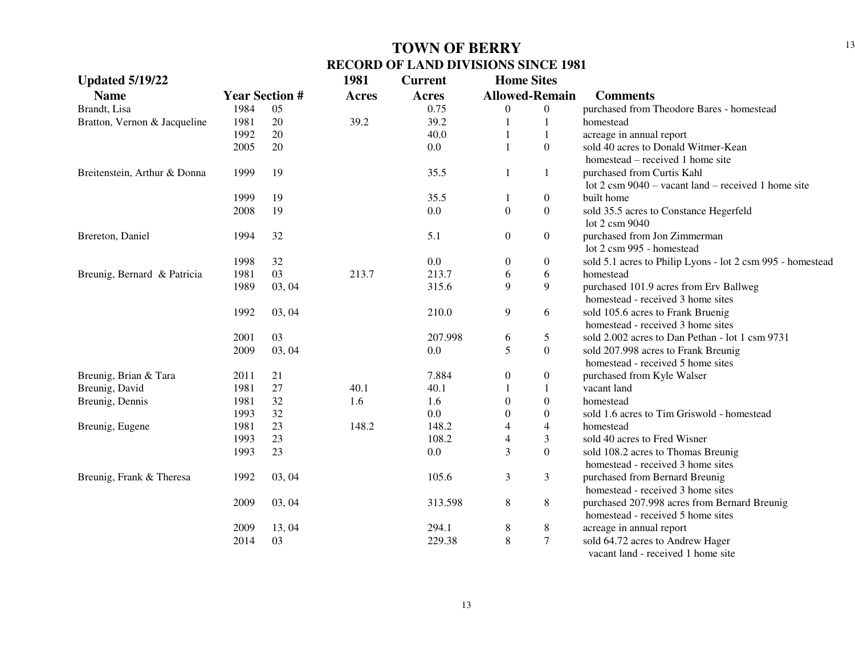| <b>Updated 5/19/22</b>       |      |                       | 1981  | <b>Current</b> | <b>Home Sites</b> |                       |                                                               |
|------------------------------|------|-----------------------|-------|----------------|-------------------|-----------------------|---------------------------------------------------------------|
| <b>Name</b>                  |      | <b>Year Section #</b> | Acres | Acres          |                   | <b>Allowed-Remain</b> | <b>Comments</b>                                               |
| Brandt, Lisa                 | 1984 | 05                    |       | 0.75           | 0                 | $\boldsymbol{0}$      | purchased from Theodore Bares - homestead                     |
| Bratton, Vernon & Jacqueline | 1981 | 20                    | 39.2  | 39.2           | 1                 | 1                     | homestead                                                     |
|                              | 1992 | 20                    |       | 40.0           | 1                 | 1                     | acreage in annual report                                      |
|                              | 2005 | 20                    |       | 0.0            | 1                 | $\overline{0}$        | sold 40 acres to Donald Witmer-Kean                           |
|                              |      |                       |       |                |                   |                       | homestead – received 1 home site                              |
| Breitenstein, Arthur & Donna | 1999 | 19                    |       | 35.5           | 1                 | 1                     | purchased from Curtis Kahl                                    |
|                              |      |                       |       |                |                   |                       | lot $2 \text{ cm } 9040$ – vacant land – received 1 home site |
|                              | 1999 | 19                    |       | 35.5           | 1                 | $\boldsymbol{0}$      | built home                                                    |
|                              | 2008 | 19                    |       | 0.0            | $\boldsymbol{0}$  | $\boldsymbol{0}$      | sold 35.5 acres to Constance Hegerfeld                        |
|                              |      |                       |       |                |                   |                       | lot 2 csm 9040                                                |
| Brereton, Daniel             | 1994 | 32                    |       | 5.1            | $\boldsymbol{0}$  | $\boldsymbol{0}$      | purchased from Jon Zimmerman                                  |
|                              |      |                       |       |                |                   |                       | lot 2 csm 995 - homestead                                     |
|                              | 1998 | 32                    |       | 0.0            | $\boldsymbol{0}$  | $\boldsymbol{0}$      | sold 5.1 acres to Philip Lyons - lot 2 csm 995 - homestead    |
| Breunig, Bernard & Patricia  | 1981 | 03                    | 213.7 | 213.7          | 6                 | 6                     | homestead                                                     |
|                              | 1989 | 03, 04                |       | 315.6          | 9                 | 9                     | purchased 101.9 acres from Erv Ballweg                        |
|                              |      |                       |       |                |                   |                       | homestead - received 3 home sites                             |
|                              | 1992 | 03, 04                |       | 210.0          | 9                 | 6                     | sold 105.6 acres to Frank Bruenig                             |
|                              |      |                       |       |                |                   |                       | homestead - received 3 home sites                             |
|                              | 2001 | 03                    |       | 207.998        | 6                 | 5                     | sold 2.002 acres to Dan Pethan - lot 1 csm 9731               |
|                              | 2009 | 03, 04                |       | 0.0            | 5                 | $\boldsymbol{0}$      | sold 207.998 acres to Frank Breunig                           |
|                              |      |                       |       |                |                   |                       | homestead - received 5 home sites                             |
| Breunig, Brian & Tara        | 2011 | 21                    |       | 7.884          | $\boldsymbol{0}$  | $\boldsymbol{0}$      | purchased from Kyle Walser                                    |
| Breunig, David               | 1981 | 27                    | 40.1  | 40.1           |                   | 1                     | vacant land                                                   |
| Breunig, Dennis              | 1981 | 32                    | 1.6   | 1.6            | $\boldsymbol{0}$  | $\boldsymbol{0}$      | homestead                                                     |
|                              | 1993 | 32                    |       | 0.0            | $\theta$          | $\boldsymbol{0}$      | sold 1.6 acres to Tim Griswold - homestead                    |
| Breunig, Eugene              | 1981 | 23                    | 148.2 | 148.2          | 4                 | $\overline{4}$        | homestead                                                     |
|                              | 1993 | 23                    |       | 108.2          | 4                 | 3                     | sold 40 acres to Fred Wisner                                  |
|                              | 1993 | 23                    |       | 0.0            | 3                 | $\overline{0}$        | sold 108.2 acres to Thomas Breunig                            |
|                              |      |                       |       |                |                   |                       | homestead - received 3 home sites                             |
| Breunig, Frank & Theresa     | 1992 | 03, 04                |       | 105.6          | 3                 | 3                     | purchased from Bernard Breunig                                |
|                              |      |                       |       |                |                   |                       | homestead - received 3 home sites                             |
|                              | 2009 | 03, 04                |       | 313.598        | 8                 | $8\,$                 | purchased 207.998 acres from Bernard Breunig                  |
|                              |      |                       |       |                |                   |                       | homestead - received 5 home sites                             |
|                              | 2009 | 13,04                 |       | 294.1          | 8                 | 8                     | acreage in annual report                                      |
|                              | 2014 | 03                    |       | 229.38         | 8                 | $\tau$                | sold 64.72 acres to Andrew Hager                              |
|                              |      |                       |       |                |                   |                       | vacant land - received 1 home site                            |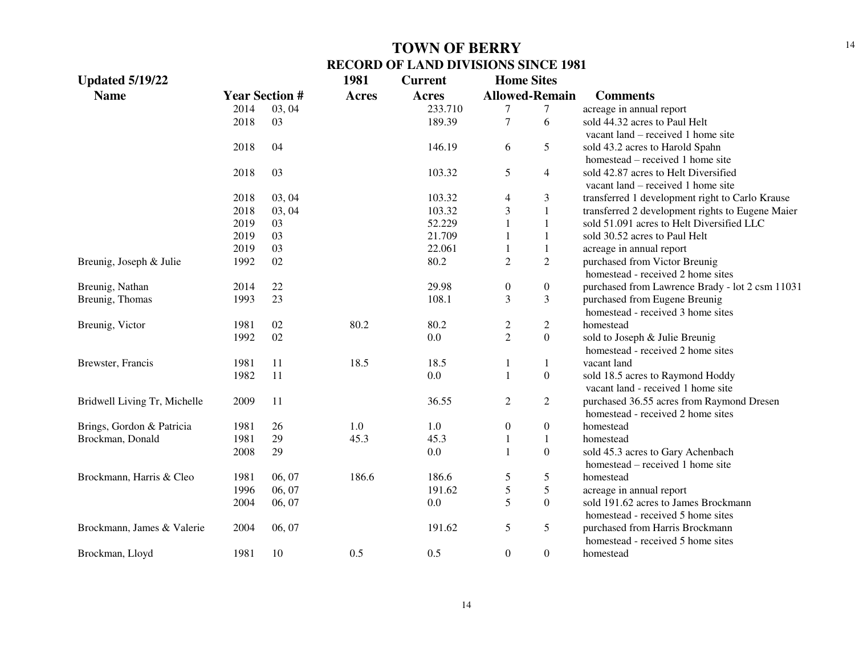| <b>Updated 5/19/22</b>       |      |                       | 1981         | <b>Current</b> | <b>Home Sites</b> |                       |                                                  |
|------------------------------|------|-----------------------|--------------|----------------|-------------------|-----------------------|--------------------------------------------------|
| <b>Name</b>                  |      | <b>Year Section #</b> | <b>Acres</b> | <b>Acres</b>   |                   | <b>Allowed-Remain</b> | <b>Comments</b>                                  |
|                              | 2014 | 03, 04                |              | 233.710        | 7                 | 7                     | acreage in annual report                         |
|                              | 2018 | 03                    |              | 189.39         | $\boldsymbol{7}$  | 6                     | sold 44.32 acres to Paul Helt                    |
|                              |      |                       |              |                |                   |                       | vacant land – received 1 home site               |
|                              | 2018 | 04                    |              | 146.19         | 6                 | 5                     | sold 43.2 acres to Harold Spahn                  |
|                              |      |                       |              |                |                   |                       | homestead – received 1 home site                 |
|                              | 2018 | 03                    |              | 103.32         | 5                 | $\overline{4}$        | sold 42.87 acres to Helt Diversified             |
|                              |      |                       |              |                |                   |                       | vacant land – received 1 home site               |
|                              | 2018 | 03, 04                |              | 103.32         | 4                 | $\mathfrak{Z}$        | transferred 1 development right to Carlo Krause  |
|                              | 2018 | 03, 04                |              | 103.32         | 3                 | $\mathbf{1}$          | transferred 2 development rights to Eugene Maier |
|                              | 2019 | 03                    |              | 52.229         | $\mathbf{1}$      | $\mathbf{1}$          | sold 51.091 acres to Helt Diversified LLC        |
|                              | 2019 | 03                    |              | 21.709         | $\mathbf{1}$      | $\mathbf{1}$          | sold 30.52 acres to Paul Helt                    |
|                              | 2019 | 03                    |              | 22.061         | $\mathbf{1}$      | $\mathbf{1}$          | acreage in annual report                         |
| Breunig, Joseph & Julie      | 1992 | 02                    |              | 80.2           | $\overline{c}$    | $\overline{2}$        | purchased from Victor Breunig                    |
|                              |      |                       |              |                |                   |                       | homestead - received 2 home sites                |
| Breunig, Nathan              | 2014 | $22\,$                |              | 29.98          | $\boldsymbol{0}$  | $\boldsymbol{0}$      | purchased from Lawrence Brady - lot 2 csm 11031  |
| Breunig, Thomas              | 1993 | 23                    |              | 108.1          | 3                 | 3                     | purchased from Eugene Breunig                    |
|                              |      |                       |              |                |                   |                       | homestead - received 3 home sites                |
| Breunig, Victor              | 1981 | 02                    | 80.2         | 80.2           | $\overline{c}$    | 2                     | homestead                                        |
|                              | 1992 | 02                    |              | 0.0            | $\overline{2}$    | $\overline{0}$        | sold to Joseph & Julie Breunig                   |
|                              |      |                       |              |                |                   |                       | homestead - received 2 home sites                |
| Brewster, Francis            | 1981 | 11                    | 18.5         | 18.5           | 1                 | $\mathbf{1}$          | vacant land                                      |
|                              | 1982 | 11                    |              | 0.0            | $\mathbf{1}$      | $\boldsymbol{0}$      | sold 18.5 acres to Raymond Hoddy                 |
|                              |      |                       |              |                |                   |                       | vacant land - received 1 home site               |
| Bridwell Living Tr, Michelle | 2009 | 11                    |              | 36.55          | $\boldsymbol{2}$  | $\sqrt{2}$            | purchased 36.55 acres from Raymond Dresen        |
|                              |      |                       |              |                |                   |                       | homestead - received 2 home sites                |
| Brings, Gordon & Patricia    | 1981 | 26                    | $1.0\,$      | $1.0\,$        | $\boldsymbol{0}$  | $\overline{0}$        | homestead                                        |
| Brockman, Donald             | 1981 | 29                    | 45.3         | 45.3           | $\,1$             | $\mathbf{1}$          | homestead                                        |
|                              | 2008 | 29                    |              | 0.0            | $\mathbf{1}$      | $\boldsymbol{0}$      | sold 45.3 acres to Gary Achenbach                |
|                              |      |                       |              |                |                   |                       | homestead – received 1 home site                 |
| Brockmann, Harris & Cleo     | 1981 | 06, 07                | 186.6        | 186.6          | 5                 | 5                     | homestead                                        |
|                              | 1996 | 06, 07                |              | 191.62         | 5                 | 5                     | acreage in annual report                         |
|                              | 2004 | 06, 07                |              | 0.0            | 5                 | $\overline{0}$        | sold 191.62 acres to James Brockmann             |
|                              |      |                       |              |                |                   |                       | homestead - received 5 home sites                |
| Brockmann, James & Valerie   | 2004 | 06, 07                |              | 191.62         | 5                 | 5                     | purchased from Harris Brockmann                  |
|                              |      |                       |              |                |                   |                       | homestead - received 5 home sites                |
| Brockman, Lloyd              | 1981 | 10                    | 0.5          | 0.5            | $\boldsymbol{0}$  | $\overline{0}$        | homestead                                        |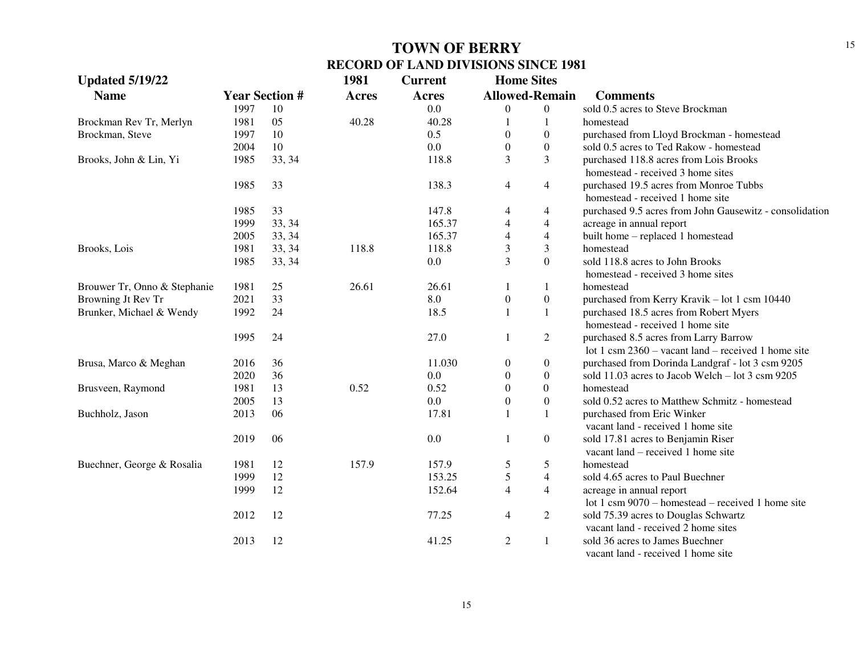| <b>Updated 5/19/22</b>       |      |                       | 1981         | <b>Current</b> | <b>Home Sites</b> |                       |                                                         |
|------------------------------|------|-----------------------|--------------|----------------|-------------------|-----------------------|---------------------------------------------------------|
| <b>Name</b>                  |      | <b>Year Section #</b> | <b>Acres</b> | <b>Acres</b>   |                   | <b>Allowed-Remain</b> | <b>Comments</b>                                         |
|                              | 1997 | 10                    |              | 0.0            | $\overline{0}$    | $\overline{0}$        | sold 0.5 acres to Steve Brockman                        |
| Brockman Rev Tr, Merlyn      | 1981 | 05                    | 40.28        | 40.28          | 1                 | 1                     | homestead                                               |
| Brockman, Steve              | 1997 | 10                    |              | 0.5            | $\theta$          | $\boldsymbol{0}$      | purchased from Lloyd Brockman - homestead               |
|                              | 2004 | 10                    |              | 0.0            | $\overline{0}$    | $\boldsymbol{0}$      | sold 0.5 acres to Ted Rakow - homestead                 |
| Brooks, John & Lin, Yi       | 1985 | 33, 34                |              | 118.8          | 3                 | 3                     | purchased 118.8 acres from Lois Brooks                  |
|                              |      |                       |              |                |                   |                       | homestead - received 3 home sites                       |
|                              | 1985 | 33                    |              | 138.3          | 4                 | $\overline{4}$        | purchased 19.5 acres from Monroe Tubbs                  |
|                              |      |                       |              |                |                   |                       | homestead - received 1 home site                        |
|                              | 1985 | 33                    |              | 147.8          | 4                 | 4                     | purchased 9.5 acres from John Gausewitz - consolidation |
|                              | 1999 | 33, 34                |              | 165.37         | $\overline{4}$    | $\overline{4}$        | acreage in annual report                                |
|                              | 2005 | 33, 34                |              | 165.37         | $\overline{4}$    | $\overline{4}$        | built home - replaced 1 homestead                       |
| Brooks, Lois                 | 1981 | 33, 34                | 118.8        | 118.8          | 3                 | 3                     | homestead                                               |
|                              | 1985 | 33, 34                |              | 0.0            | 3                 | $\overline{0}$        | sold 118.8 acres to John Brooks                         |
|                              |      |                       |              |                |                   |                       | homestead - received 3 home sites                       |
| Brouwer Tr, Onno & Stephanie | 1981 | 25                    | 26.61        | 26.61          | 1                 | 1                     | homestead                                               |
| Browning Jt Rev Tr           | 2021 | 33                    |              | 8.0            | $\boldsymbol{0}$  | $\boldsymbol{0}$      | purchased from Kerry Kravik - lot 1 csm 10440           |
| Brunker, Michael & Wendy     | 1992 | 24                    |              | 18.5           | $\mathbf{1}$      | $\mathbf{1}$          | purchased 18.5 acres from Robert Myers                  |
|                              |      |                       |              |                |                   |                       | homestead - received 1 home site                        |
|                              | 1995 | 24                    |              | 27.0           | 1                 | $\overline{2}$        | purchased 8.5 acres from Larry Barrow                   |
|                              |      |                       |              |                |                   |                       | lot 1 csm $2360 -$ vacant land – received 1 home site   |
| Brusa, Marco & Meghan        | 2016 | 36                    |              | 11.030         | $\boldsymbol{0}$  | $\boldsymbol{0}$      | purchased from Dorinda Landgraf - lot 3 csm 9205        |
|                              | 2020 | 36                    |              | 0.0            | $\boldsymbol{0}$  | $\boldsymbol{0}$      | sold 11.03 acres to Jacob Welch – lot 3 csm 9205        |
| Brusveen, Raymond            | 1981 | 13                    | 0.52         | 0.52           | $\theta$          | $\overline{0}$        | homestead                                               |
|                              | 2005 | 13                    |              | 0.0            | $\overline{0}$    | $\boldsymbol{0}$      | sold 0.52 acres to Matthew Schmitz - homestead          |
| Buchholz, Jason              | 2013 | 06                    |              | 17.81          | 1                 | $\mathbf{1}$          | purchased from Eric Winker                              |
|                              |      |                       |              |                |                   |                       | vacant land - received 1 home site                      |
|                              | 2019 | 06                    |              | 0.0            | $\mathbf{1}$      | $\boldsymbol{0}$      | sold 17.81 acres to Benjamin Riser                      |
|                              |      |                       |              |                |                   |                       | vacant land – received 1 home site                      |
| Buechner, George & Rosalia   | 1981 | 12                    | 157.9        | 157.9          | 5                 | 5                     | homestead                                               |
|                              | 1999 | 12                    |              | 153.25         | 5                 | $\overline{4}$        | sold 4.65 acres to Paul Buechner                        |
|                              | 1999 | 12                    |              | 152.64         | $\overline{4}$    | $\overline{4}$        | acreage in annual report                                |
|                              |      |                       |              |                |                   |                       | lot 1 csm $9070$ – homestead – received 1 home site     |
|                              | 2012 | 12                    |              | 77.25          | 4                 | $\overline{c}$        | sold 75.39 acres to Douglas Schwartz                    |
|                              |      |                       |              |                |                   |                       | vacant land - received 2 home sites                     |
|                              | 2013 | 12                    |              | 41.25          | $\overline{2}$    | 1                     | sold 36 acres to James Buechner                         |
|                              |      |                       |              |                |                   |                       | vacant land - received 1 home site                      |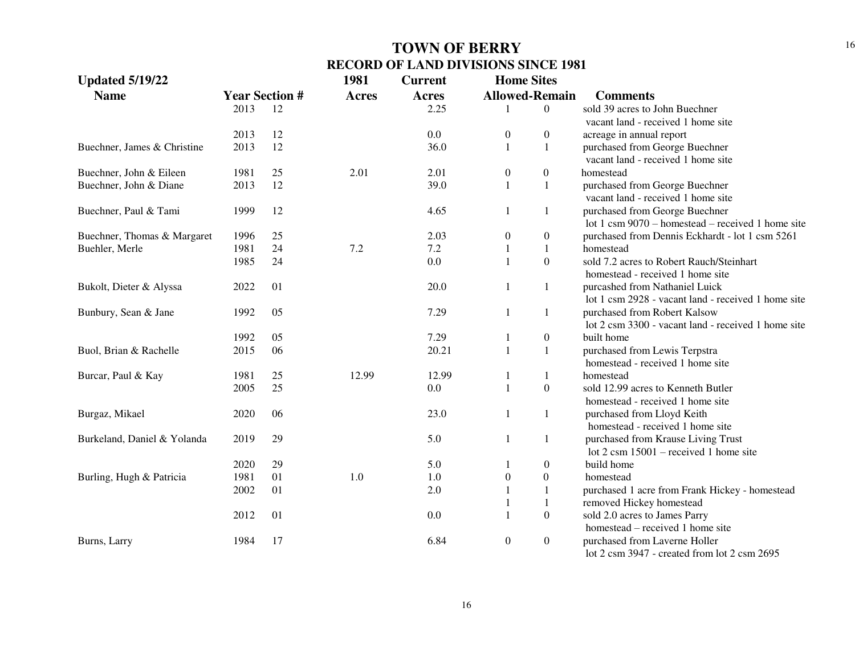| <b>Updated 5/19/22</b>      |                       |    | 1981         | <b>Current</b> | <b>Home Sites</b>     |                  |                                                     |
|-----------------------------|-----------------------|----|--------------|----------------|-----------------------|------------------|-----------------------------------------------------|
| <b>Name</b>                 | <b>Year Section #</b> |    | <b>Acres</b> | Acres          | <b>Allowed-Remain</b> |                  | <b>Comments</b>                                     |
|                             | 2013                  | 12 |              | 2.25           |                       | $\overline{0}$   | sold 39 acres to John Buechner                      |
|                             |                       |    |              |                |                       |                  | vacant land - received 1 home site                  |
|                             | 2013                  | 12 |              | 0.0            | $\boldsymbol{0}$      | 0                | acreage in annual report                            |
| Buechner, James & Christine | 2013                  | 12 |              | 36.0           | 1                     | 1                | purchased from George Buechner                      |
|                             |                       |    |              |                |                       |                  | vacant land - received 1 home site                  |
| Buechner, John & Eileen     | 1981                  | 25 | 2.01         | 2.01           | $\boldsymbol{0}$      | $\overline{0}$   | homestead                                           |
| Buechner, John & Diane      | 2013                  | 12 |              | 39.0           | 1                     | $\mathbf{1}$     | purchased from George Buechner                      |
|                             |                       |    |              |                |                       |                  | vacant land - received 1 home site                  |
| Buechner, Paul & Tami       | 1999                  | 12 |              | 4.65           | 1                     | 1                | purchased from George Buechner                      |
|                             |                       |    |              |                |                       |                  | lot 1 csm $9070$ – homestead – received 1 home site |
| Buechner, Thomas & Margaret | 1996                  | 25 |              | 2.03           | $\boldsymbol{0}$      | $\boldsymbol{0}$ | purchased from Dennis Eckhardt - lot 1 csm 5261     |
| Buehler, Merle              | 1981                  | 24 | 7.2          | 7.2            | 1                     | $\mathbf{1}$     | homestead                                           |
|                             | 1985                  | 24 |              | 0.0            | 1                     | $\overline{0}$   | sold 7.2 acres to Robert Rauch/Steinhart            |
|                             |                       |    |              |                |                       |                  | homestead - received 1 home site                    |
| Bukolt, Dieter & Alyssa     | 2022                  | 01 |              | 20.0           | 1                     | 1                | purcashed from Nathaniel Luick                      |
|                             |                       |    |              |                |                       |                  | lot 1 csm 2928 - vacant land - received 1 home site |
| Bunbury, Sean & Jane        | 1992                  | 05 |              | 7.29           | 1                     | 1                | purchased from Robert Kalsow                        |
|                             |                       |    |              |                |                       |                  | lot 2 csm 3300 - vacant land - received 1 home site |
|                             | 1992                  | 05 |              | 7.29           | 1                     | $\boldsymbol{0}$ | built home                                          |
| Buol, Brian & Rachelle      | 2015                  | 06 |              | 20.21          | 1                     | $\mathbf{1}$     | purchased from Lewis Terpstra                       |
|                             |                       |    |              |                |                       |                  | homestead - received 1 home site                    |
| Burcar, Paul & Kay          | 1981                  | 25 | 12.99        | 12.99          | 1                     | 1                | homestead                                           |
|                             | 2005                  | 25 |              | 0.0            | 1                     | $\boldsymbol{0}$ | sold 12.99 acres to Kenneth Butler                  |
|                             |                       |    |              |                |                       |                  | homestead - received 1 home site                    |
| Burgaz, Mikael              | 2020                  | 06 |              | 23.0           | 1                     | 1                | purchased from Lloyd Keith                          |
|                             |                       |    |              |                |                       |                  | homestead - received 1 home site                    |
| Burkeland, Daniel & Yolanda | 2019                  | 29 |              | 5.0            | 1                     | 1                | purchased from Krause Living Trust                  |
|                             |                       |    |              |                |                       |                  | lot $2 \text{ cm } 15001$ – received 1 home site    |
|                             | 2020                  | 29 |              | 5.0            | 1                     | $\boldsymbol{0}$ | build home                                          |
| Burling, Hugh & Patricia    | 1981                  | 01 | 1.0          | 1.0            | $\mathbf{0}$          | $\boldsymbol{0}$ | homestead                                           |
|                             | 2002                  | 01 |              | 2.0            | 1                     | $\mathbf{1}$     | purchased 1 acre from Frank Hickey - homestead      |
|                             |                       |    |              |                | 1                     | $\mathbf{1}$     | removed Hickey homestead                            |
|                             | 2012                  | 01 |              | 0.0            | 1                     | $\overline{0}$   | sold 2.0 acres to James Parry                       |
|                             |                       |    |              |                |                       |                  | homestead – received 1 home site                    |
| Burns, Larry                | 1984                  | 17 |              | 6.84           | $\boldsymbol{0}$      | $\overline{0}$   | purchased from Laverne Holler                       |
|                             |                       |    |              |                |                       |                  | lot 2 csm 3947 - created from lot 2 csm 2695        |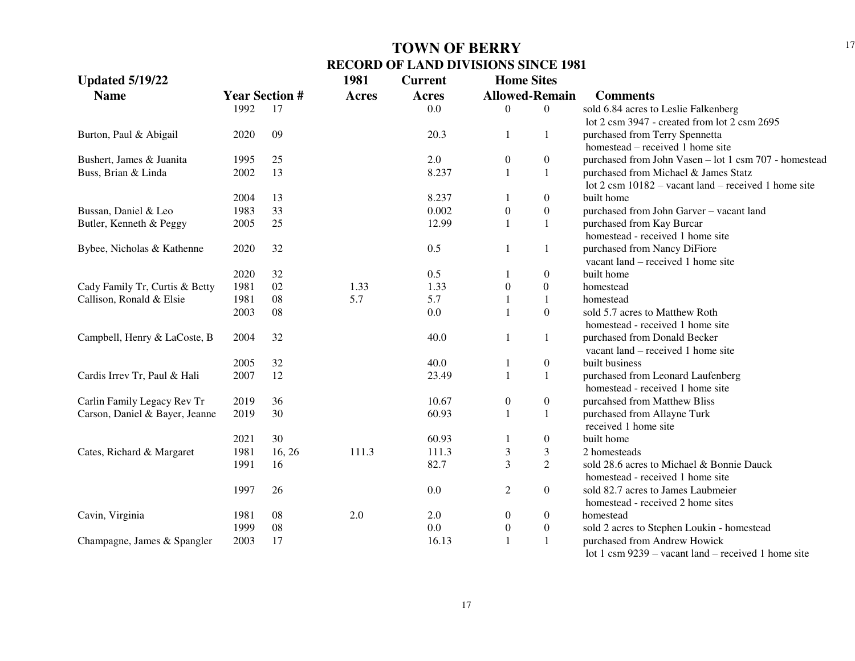17

| <b>Updated 5/19/22</b>         |      |                       | 1981         | <b>Current</b> | <b>Home Sites</b> |                       |                                                                |
|--------------------------------|------|-----------------------|--------------|----------------|-------------------|-----------------------|----------------------------------------------------------------|
| <b>Name</b>                    |      | <b>Year Section #</b> | <b>Acres</b> | <b>Acres</b>   |                   | <b>Allowed-Remain</b> | <b>Comments</b>                                                |
|                                | 1992 | 17                    |              | 0.0            | 0                 | $\theta$              | sold 6.84 acres to Leslie Falkenberg                           |
|                                |      |                       |              |                |                   |                       | lot 2 csm 3947 - created from lot 2 csm 2695                   |
| Burton, Paul & Abigail         | 2020 | 09                    |              | 20.3           | 1                 | 1                     | purchased from Terry Spennetta                                 |
|                                |      |                       |              |                |                   |                       | homestead – received 1 home site                               |
| Bushert, James & Juanita       | 1995 | 25                    |              | 2.0            | $\mathbf{0}$      | $\boldsymbol{0}$      | purchased from John Vasen - lot 1 csm 707 - homestead          |
| Buss, Brian & Linda            | 2002 | 13                    |              | 8.237          |                   | $\mathbf{1}$          | purchased from Michael & James Statz                           |
|                                |      |                       |              |                |                   |                       | lot $2 \text{ cm } 10182$ – vacant land – received 1 home site |
|                                | 2004 | 13                    |              | 8.237          |                   | $\boldsymbol{0}$      | built home                                                     |
| Bussan, Daniel & Leo           | 1983 | 33                    |              | 0.002          | $\boldsymbol{0}$  | $\overline{0}$        | purchased from John Garver - vacant land                       |
| Butler, Kenneth & Peggy        | 2005 | 25                    |              | 12.99          |                   | 1                     | purchased from Kay Burcar                                      |
|                                |      |                       |              |                |                   |                       | homestead - received 1 home site                               |
| Bybee, Nicholas & Kathenne     | 2020 | 32                    |              | 0.5            |                   | 1                     | purchased from Nancy DiFiore                                   |
|                                |      |                       |              |                |                   |                       | vacant land – received 1 home site                             |
|                                | 2020 | 32                    |              | 0.5            |                   | $\boldsymbol{0}$      | built home                                                     |
| Cady Family Tr, Curtis & Betty | 1981 | 02                    | 1.33         | 1.33           | $\theta$          | $\boldsymbol{0}$      | homestead                                                      |
| Callison, Ronald & Elsie       | 1981 | 08                    | 5.7          | 5.7            |                   | -1                    | homestead                                                      |
|                                | 2003 | 08                    |              | 0.0            |                   | $\Omega$              | sold 5.7 acres to Matthew Roth                                 |
|                                |      |                       |              |                |                   |                       | homestead - received 1 home site                               |
| Campbell, Henry & LaCoste, B   | 2004 | 32                    |              | 40.0           |                   | 1                     | purchased from Donald Becker                                   |
|                                |      |                       |              |                |                   |                       | vacant land – received 1 home site                             |
|                                | 2005 | 32                    |              | 40.0           |                   | $\boldsymbol{0}$      | built business                                                 |
| Cardis Irrev Tr, Paul & Hali   | 2007 | 12                    |              | 23.49          |                   | 1                     | purchased from Leonard Laufenberg                              |
|                                |      |                       |              |                |                   |                       | homestead - received 1 home site                               |
| Carlin Family Legacy Rev Tr    | 2019 | 36                    |              | 10.67          | $\boldsymbol{0}$  | $\boldsymbol{0}$      | purcahsed from Matthew Bliss                                   |
| Carson, Daniel & Bayer, Jeanne | 2019 | 30                    |              | 60.93          |                   | $\mathbf{1}$          | purchased from Allayne Turk                                    |
|                                |      |                       |              |                |                   |                       | received 1 home site                                           |
|                                | 2021 | 30                    |              | 60.93          |                   | $\boldsymbol{0}$      | built home                                                     |
| Cates, Richard & Margaret      | 1981 | 16, 26                | 111.3        | 111.3          | 3                 | 3                     | 2 homesteads                                                   |
|                                | 1991 | 16                    |              | 82.7           | $\overline{3}$    | $\overline{2}$        | sold 28.6 acres to Michael & Bonnie Dauck                      |
|                                |      |                       |              |                |                   |                       | homestead - received 1 home site                               |
|                                | 1997 | 26                    |              | 0.0            | $\overline{c}$    | $\overline{0}$        | sold 82.7 acres to James Laubmeier                             |
|                                |      |                       |              |                |                   |                       | homestead - received 2 home sites                              |
| Cavin, Virginia                | 1981 | 08                    | 2.0          | 2.0            | $\overline{0}$    | $\boldsymbol{0}$      | homestead                                                      |
|                                | 1999 | 08                    |              | 0.0            | $\overline{0}$    | $\mathbf{0}$          | sold 2 acres to Stephen Loukin - homestead                     |
| Champagne, James & Spangler    | 2003 | 17                    |              | 16.13          |                   | $\mathbf{1}$          | purchased from Andrew Howick                                   |
|                                |      |                       |              |                |                   |                       | lot 1 csm $9239$ – vacant land – received 1 home site          |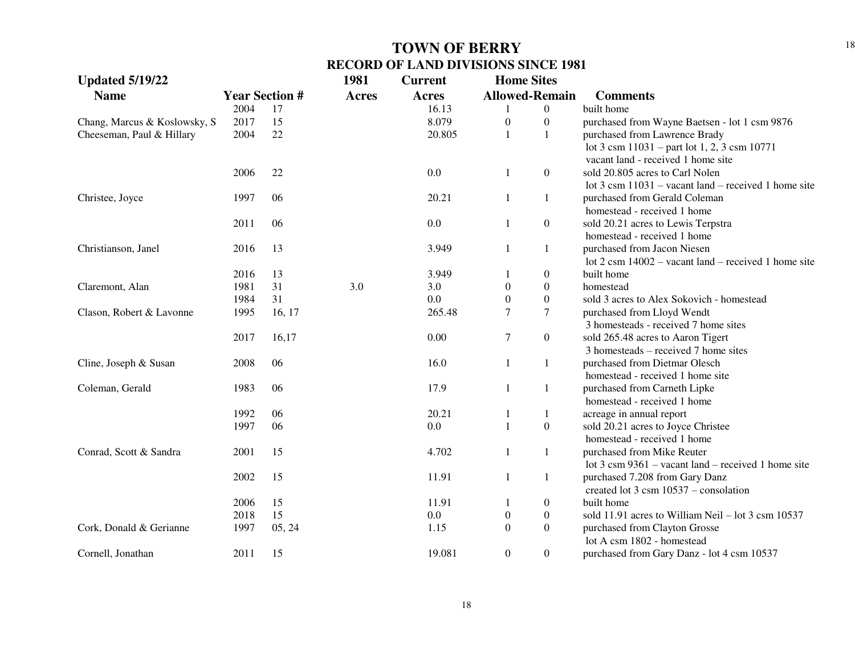| <b>Updated 5/19/22</b>       |                       |        | 1981  | <b>Current</b> | <b>Home Sites</b>     |                  |                                                                |
|------------------------------|-----------------------|--------|-------|----------------|-----------------------|------------------|----------------------------------------------------------------|
| <b>Name</b>                  | <b>Year Section #</b> |        | Acres | <b>Acres</b>   | <b>Allowed-Remain</b> |                  | <b>Comments</b>                                                |
|                              | 2004                  | 17     |       | 16.13          |                       | $\boldsymbol{0}$ | built home                                                     |
| Chang, Marcus & Koslowsky, S | 2017                  | 15     |       | 8.079          | $\boldsymbol{0}$      | $\boldsymbol{0}$ | purchased from Wayne Baetsen - lot 1 csm 9876                  |
| Cheeseman, Paul & Hillary    | 2004                  | 22     |       | 20.805         | $\mathbf{1}$          | $\mathbf{1}$     | purchased from Lawrence Brady                                  |
|                              |                       |        |       |                |                       |                  | lot 3 csm $11031$ – part lot 1, 2, 3 csm $10771$               |
|                              |                       |        |       |                |                       |                  | vacant land - received 1 home site                             |
|                              | 2006                  | 22     |       | 0.0            | 1                     | $\boldsymbol{0}$ | sold 20.805 acres to Carl Nolen                                |
|                              |                       |        |       |                |                       |                  | lot $3 \text{ cm } 11031$ – vacant land – received 1 home site |
| Christee, Joyce              | 1997                  | 06     |       | 20.21          | 1                     | 1                | purchased from Gerald Coleman                                  |
|                              |                       |        |       |                |                       |                  | homestead - received 1 home                                    |
|                              | 2011                  | 06     |       | 0.0            | $\mathbf{1}$          | $\boldsymbol{0}$ | sold 20.21 acres to Lewis Terpstra                             |
|                              |                       |        |       |                |                       |                  | homestead - received 1 home                                    |
| Christianson, Janel          | 2016                  | 13     |       | 3.949          | 1                     | $\mathbf{1}$     | purchased from Jacon Niesen                                    |
|                              |                       |        |       |                |                       |                  | lot $2 \text{ cm} 14002$ – vacant land – received 1 home site  |
|                              | 2016                  | 13     |       | 3.949          | 1                     | $\overline{0}$   | built home                                                     |
| Claremont, Alan              | 1981                  | 31     | 3.0   | 3.0            | $\boldsymbol{0}$      | $\overline{0}$   | homestead                                                      |
|                              | 1984                  | 31     |       | 0.0            | $\boldsymbol{0}$      | $\boldsymbol{0}$ | sold 3 acres to Alex Sokovich - homestead                      |
| Clason, Robert & Lavonne     | 1995                  | 16, 17 |       | 265.48         | $\tau$                | 7                | purchased from Lloyd Wendt                                     |
|                              |                       |        |       |                |                       |                  | 3 homesteads - received 7 home sites                           |
|                              | 2017                  | 16,17  |       | 0.00           | $\overline{7}$        | $\boldsymbol{0}$ | sold 265.48 acres to Aaron Tigert                              |
|                              |                       |        |       |                |                       |                  | $3$ homesteads – received $7$ home sites                       |
| Cline, Joseph & Susan        | 2008                  | 06     |       | 16.0           | 1                     | $\mathbf{1}$     | purchased from Dietmar Olesch                                  |
|                              |                       |        |       |                |                       |                  | homestead - received 1 home site                               |
| Coleman, Gerald              | 1983                  | 06     |       | 17.9           | 1                     | $\mathbf{1}$     | purchased from Carneth Lipke                                   |
|                              |                       |        |       |                |                       |                  | homestead - received 1 home                                    |
|                              | 1992                  | 06     |       | 20.21          | 1                     | $\mathbf{1}$     | acreage in annual report                                       |
|                              | 1997                  | 06     |       | 0.0            | $\mathbf{1}$          | $\boldsymbol{0}$ | sold 20.21 acres to Joyce Christee                             |
|                              |                       |        |       |                |                       |                  | homestead - received 1 home                                    |
| Conrad, Scott & Sandra       | 2001                  | 15     |       | 4.702          | $1\,$                 | $\mathbf{1}$     | purchased from Mike Reuter                                     |
|                              |                       |        |       |                |                       |                  | lot $3 \text{ cm } 9361$ – vacant land – received 1 home site  |
|                              | 2002                  | 15     |       | 11.91          | 1                     | $\mathbf{1}$     | purchased 7.208 from Gary Danz                                 |
|                              |                       |        |       |                |                       |                  | created lot $3 \text{ cm}$ 10537 – consolation                 |
|                              | 2006                  | 15     |       | 11.91          | 1                     | $\overline{0}$   | built home                                                     |
|                              | 2018                  | 15     |       | 0.0            | $\boldsymbol{0}$      | $\overline{0}$   | sold 11.91 acres to William Neil – lot $3 \text{ cm}$ 10537    |
| Cork, Donald & Gerianne      | 1997                  | 05, 24 |       | 1.15           | $\boldsymbol{0}$      | $\boldsymbol{0}$ | purchased from Clayton Grosse                                  |
|                              |                       |        |       |                |                       |                  | lot A csm 1802 - homestead                                     |
| Cornell, Jonathan            | 2011                  | 15     |       | 19.081         | $\boldsymbol{0}$      | $\boldsymbol{0}$ | purchased from Gary Danz - lot 4 csm 10537                     |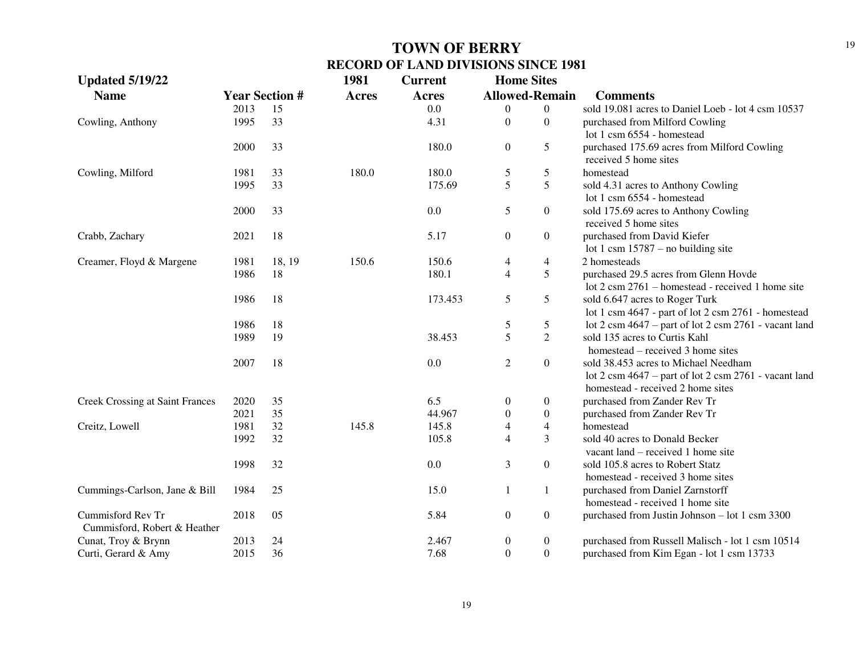| <b>Updated 5/19/22</b>                            |      |                       | 1981         | <b>Current</b> | <b>Home Sites</b>     |                  |                                                                                                                                        |
|---------------------------------------------------|------|-----------------------|--------------|----------------|-----------------------|------------------|----------------------------------------------------------------------------------------------------------------------------------------|
| <b>Name</b>                                       |      | <b>Year Section #</b> | <b>Acres</b> | <b>Acres</b>   | <b>Allowed-Remain</b> |                  | <b>Comments</b>                                                                                                                        |
|                                                   | 2013 | 15                    |              | 0.0            | $\boldsymbol{0}$      | $\boldsymbol{0}$ | sold 19.081 acres to Daniel Loeb - lot 4 csm 10537                                                                                     |
| Cowling, Anthony                                  | 1995 | 33                    |              | 4.31           | $\mathbf{0}$          | $\overline{0}$   | purchased from Milford Cowling                                                                                                         |
|                                                   |      |                       |              |                |                       |                  | lot 1 csm 6554 - homestead                                                                                                             |
|                                                   | 2000 | 33                    |              | 180.0          | $\boldsymbol{0}$      | 5                | purchased 175.69 acres from Milford Cowling<br>received 5 home sites                                                                   |
| Cowling, Milford                                  | 1981 | 33                    | 180.0        | 180.0          | $\mathfrak s$         | 5                | homestead                                                                                                                              |
|                                                   | 1995 | 33                    |              | 175.69         | 5                     | 5                | sold 4.31 acres to Anthony Cowling<br>lot 1 csm 6554 - homestead                                                                       |
|                                                   | 2000 | 33                    |              | 0.0            | 5                     | $\boldsymbol{0}$ | sold 175.69 acres to Anthony Cowling<br>received 5 home sites                                                                          |
| Crabb, Zachary                                    | 2021 | 18                    |              | 5.17           | $\boldsymbol{0}$      | $\boldsymbol{0}$ | purchased from David Kiefer<br>lot 1 csm $15787 -$ no building site                                                                    |
| Creamer, Floyd & Margene                          | 1981 | 18, 19                | 150.6        | 150.6          | $\overline{4}$        | $\overline{4}$   | 2 homesteads                                                                                                                           |
|                                                   | 1986 | 18                    |              | 180.1          | $\overline{4}$        | 5                | purchased 29.5 acres from Glenn Hovde                                                                                                  |
|                                                   |      |                       |              |                |                       |                  | lot $2 \text{ cm } 2761$ – homestead - received 1 home site                                                                            |
|                                                   | 1986 | 18                    |              | 173.453        | 5                     | 5                | sold 6.647 acres to Roger Turk<br>lot 1 csm 4647 - part of lot 2 csm 2761 - homestead                                                  |
|                                                   | 1986 | 18                    |              |                | 5                     | 5                | lot $2 \text{ cm } 4647$ – part of lot $2 \text{ cm } 2761$ - vacant land                                                              |
|                                                   | 1989 | 19                    |              | 38.453         | 5                     | $\overline{2}$   | sold 135 acres to Curtis Kahl<br>homestead – received 3 home sites                                                                     |
|                                                   | 2007 | 18                    |              | 0.0            | 2                     | $\boldsymbol{0}$ | sold 38.453 acres to Michael Needham<br>lot 2 csm $4647$ – part of lot 2 csm $2761$ - vacant land<br>homestead - received 2 home sites |
| <b>Creek Crossing at Saint Frances</b>            | 2020 | 35                    |              | 6.5            | $\boldsymbol{0}$      | $\boldsymbol{0}$ | purchased from Zander Rev Tr                                                                                                           |
|                                                   | 2021 | 35                    |              | 44.967         | $\boldsymbol{0}$      | $\boldsymbol{0}$ | purchased from Zander Rev Tr                                                                                                           |
| Creitz, Lowell                                    | 1981 | 32                    | 145.8        | 145.8          | $\overline{4}$        | $\overline{4}$   | homestead                                                                                                                              |
|                                                   | 1992 | 32                    |              | 105.8          | $\overline{4}$        | 3                | sold 40 acres to Donald Becker<br>vacant land – received 1 home site                                                                   |
|                                                   | 1998 | 32                    |              | 0.0            | 3                     | $\boldsymbol{0}$ | sold 105.8 acres to Robert Statz<br>homestead - received 3 home sites                                                                  |
| Cummings-Carlson, Jane & Bill                     | 1984 | 25                    |              | 15.0           | $\mathbf{1}$          | 1                | purchased from Daniel Zarnstorff<br>homestead - received 1 home site                                                                   |
| Cummisford Rev Tr<br>Cummisford, Robert & Heather | 2018 | 05                    |              | 5.84           | $\boldsymbol{0}$      | $\boldsymbol{0}$ | purchased from Justin Johnson - lot 1 csm 3300                                                                                         |
| Cunat, Troy & Brynn                               | 2013 | 24                    |              | 2.467          | $\boldsymbol{0}$      | $\overline{0}$   | purchased from Russell Malisch - lot 1 csm 10514                                                                                       |
| Curti, Gerard & Amy                               | 2015 | 36                    |              | 7.68           | $\boldsymbol{0}$      | $\boldsymbol{0}$ | purchased from Kim Egan - lot 1 csm 13733                                                                                              |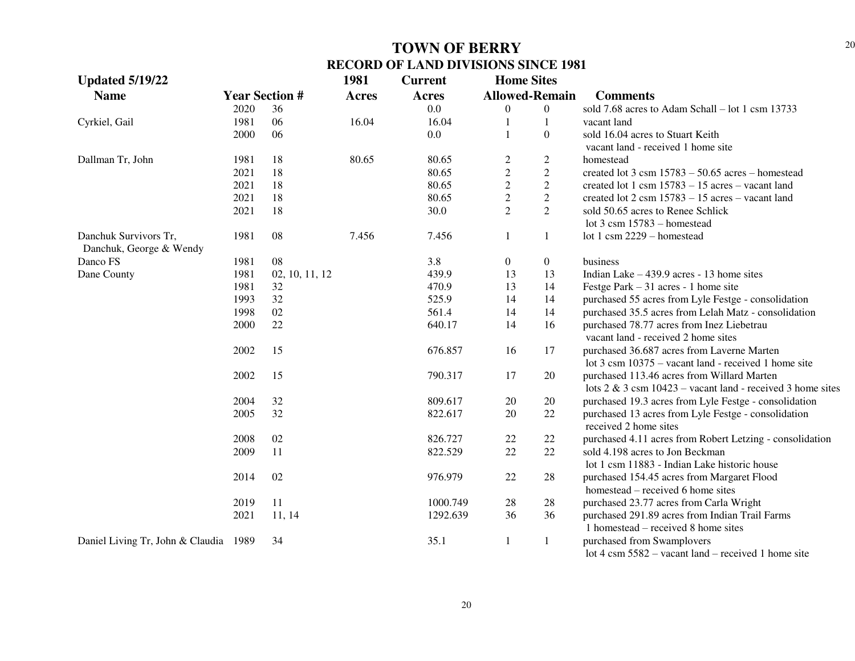| <b>Updated 5/19/22</b>                |      |                       | 1981         | <b>Current</b> | <b>Home Sites</b>     |                  |                                                                            |
|---------------------------------------|------|-----------------------|--------------|----------------|-----------------------|------------------|----------------------------------------------------------------------------|
| <b>Name</b>                           |      | <b>Year Section #</b> | <b>Acres</b> | Acres          | <b>Allowed-Remain</b> |                  | <b>Comments</b>                                                            |
|                                       | 2020 | 36                    |              | 0.0            | $\overline{0}$        | $\theta$         | sold 7.68 acres to Adam Schall - lot 1 csm 13733                           |
| Cyrkiel, Gail                         | 1981 | 06                    | 16.04        | 16.04          | $\mathbf{1}$          | 1                | vacant land                                                                |
|                                       | 2000 | 06                    |              | 0.0            | $\mathbf{1}$          | $\boldsymbol{0}$ | sold 16.04 acres to Stuart Keith                                           |
|                                       |      |                       |              |                |                       |                  | vacant land - received 1 home site                                         |
| Dallman Tr, John                      | 1981 | 18                    | 80.65        | 80.65          | $\overline{c}$        | $\mathbf{2}$     | homestead                                                                  |
|                                       | 2021 | 18                    |              | 80.65          | $\overline{c}$        | $\overline{c}$   | created lot $3 \text{ cm} 15783 - 50.65 \text{ acres} - \text{homested}$   |
|                                       | 2021 | 18                    |              | 80.65          | $\overline{2}$        | $\sqrt{2}$       | created lot 1 csm $15783 - 15$ acres - vacant land                         |
|                                       | 2021 | 18                    |              | 80.65          | $\overline{2}$        | $\overline{2}$   | created lot $2 \text{ csm } 15783 - 15 \text{ acres} - \text{vacant land}$ |
|                                       | 2021 | 18                    |              | 30.0           | $\overline{2}$        | $\overline{2}$   | sold 50.65 acres to Renee Schlick                                          |
|                                       |      |                       |              |                |                       |                  | lot $3 \text{ cm}$ 15783 – homestead                                       |
| Danchuk Survivors Tr,                 | 1981 | 08                    | 7.456        | 7.456          | $\mathbf{1}$          | 1                | lot 1 csm 2229 - homestead                                                 |
| Danchuk, George & Wendy               |      |                       |              |                |                       |                  |                                                                            |
| Danco FS                              | 1981 | 08                    |              | 3.8            | $\boldsymbol{0}$      | $\boldsymbol{0}$ | business                                                                   |
| Dane County                           | 1981 | 02, 10, 11, 12        |              | 439.9          | 13                    | 13               | Indian Lake $-439.9$ acres - 13 home sites                                 |
|                                       | 1981 | 32                    |              | 470.9          | 13                    | 14               | Festge Park $-31$ acres - 1 home site                                      |
|                                       | 1993 | 32                    |              | 525.9          | 14                    | 14               | purchased 55 acres from Lyle Festge - consolidation                        |
|                                       | 1998 | $02\,$                |              | 561.4          | 14                    | 14               | purchased 35.5 acres from Lelah Matz - consolidation                       |
|                                       | 2000 | 22                    |              | 640.17         | 14                    | 16               | purchased 78.77 acres from Inez Liebetrau                                  |
|                                       |      |                       |              |                |                       |                  | vacant land - received 2 home sites                                        |
|                                       | 2002 | 15                    |              | 676.857        | 16                    | 17               | purchased 36.687 acres from Laverne Marten                                 |
|                                       |      |                       |              |                |                       |                  | lot $3 \text{ cm } 10375$ – vacant land - received 1 home site             |
|                                       | 2002 | 15                    |              | 790.317        | 17                    | 20               | purchased 113.46 acres from Willard Marten                                 |
|                                       |      |                       |              |                |                       |                  | lots $2 \& 3 \text{ cm} 10423$ – vacant land - received 3 home sites       |
|                                       | 2004 | 32                    |              | 809.617        | 20                    | 20               | purchased 19.3 acres from Lyle Festge - consolidation                      |
|                                       | 2005 | 32                    |              | 822.617        | 20                    | 22               | purchased 13 acres from Lyle Festge - consolidation                        |
|                                       |      |                       |              |                |                       |                  | received 2 home sites                                                      |
|                                       | 2008 | 02                    |              | 826.727        | 22                    | 22               | purchased 4.11 acres from Robert Letzing - consolidation                   |
|                                       | 2009 | 11                    |              | 822.529        | 22                    | 22               | sold 4.198 acres to Jon Beckman                                            |
|                                       |      |                       |              |                |                       |                  | lot 1 csm 11883 - Indian Lake historic house                               |
|                                       | 2014 | $02\,$                |              | 976.979        | 22                    | 28               | purchased 154.45 acres from Margaret Flood                                 |
|                                       |      |                       |              |                |                       |                  | homestead – received 6 home sites                                          |
|                                       | 2019 | 11                    |              | 1000.749       | 28                    | 28               | purchased 23.77 acres from Carla Wright                                    |
|                                       | 2021 | 11, 14                |              | 1292.639       | 36                    | 36               | purchased 291.89 acres from Indian Trail Farms                             |
|                                       |      |                       |              |                |                       |                  | 1 homestead – received 8 home sites                                        |
| Daniel Living Tr, John & Claudia 1989 |      | 34                    |              | 35.1           | $\mathbf{1}$          | $\mathbf{1}$     | purchased from Swamplovers                                                 |
|                                       |      |                       |              |                |                       |                  | lot $4 \text{ cm } 5582$ – vacant land – received 1 home site              |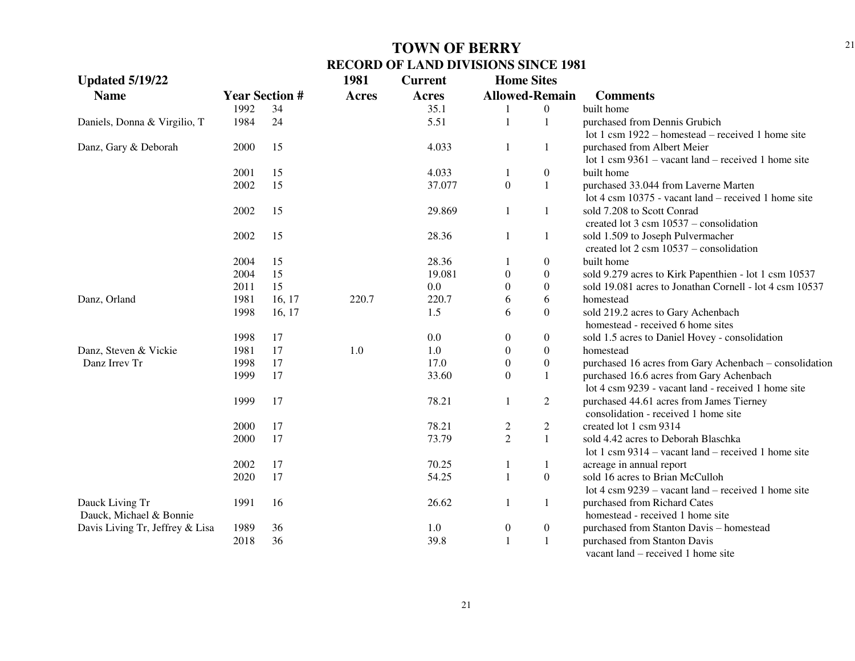| <b>Updated 5/19/22</b>          |                       |        | 1981         | <b>Current</b> | <b>Home Sites</b>     |                  |                                                         |
|---------------------------------|-----------------------|--------|--------------|----------------|-----------------------|------------------|---------------------------------------------------------|
| <b>Name</b>                     | <b>Year Section #</b> |        | <b>Acres</b> | Acres          | <b>Allowed-Remain</b> |                  | <b>Comments</b>                                         |
|                                 | 1992                  | 34     |              | 35.1           |                       | $\overline{0}$   | built home                                              |
| Daniels, Donna & Virgilio, T    | 1984                  | 24     |              | 5.51           | $\overline{1}$        | 1                | purchased from Dennis Grubich                           |
|                                 |                       |        |              |                |                       |                  | lot 1 csm 1922 – homestead – received 1 home site       |
| Danz, Gary & Deborah            | 2000                  | 15     |              | 4.033          | 1                     | $\mathbf{1}$     | purchased from Albert Meier                             |
|                                 |                       |        |              |                |                       |                  | lot 1 csm $9361 -$ vacant land – received 1 home site   |
|                                 | 2001                  | 15     |              | 4.033          |                       | $\boldsymbol{0}$ | built home                                              |
|                                 | 2002                  | 15     |              | 37.077         | $\boldsymbol{0}$      | $\mathbf{1}$     | purchased 33.044 from Laverne Marten                    |
|                                 |                       |        |              |                |                       |                  | lot 4 csm 10375 - vacant land – received 1 home site    |
|                                 | 2002                  | 15     |              | 29.869         | 1                     | $\mathbf{1}$     | sold 7.208 to Scott Conrad                              |
|                                 |                       |        |              |                |                       |                  | created lot $3 \text{ csm } 10537$ – consolidation      |
|                                 | 2002                  | 15     |              | 28.36          | 1                     | $\mathbf{1}$     | sold 1.509 to Joseph Pulvermacher                       |
|                                 |                       |        |              |                |                       |                  | created lot $2 \text{ csm } 10537$ – consolidation      |
|                                 | 2004                  | 15     |              | 28.36          |                       | $\boldsymbol{0}$ | built home                                              |
|                                 | 2004                  | 15     |              | 19.081         | $\boldsymbol{0}$      | $\boldsymbol{0}$ | sold 9.279 acres to Kirk Papenthien - lot 1 csm 10537   |
|                                 | 2011                  | 15     |              | 0.0            | $\theta$              | $\boldsymbol{0}$ | sold 19.081 acres to Jonathan Cornell - lot 4 csm 10537 |
| Danz, Orland                    | 1981                  | 16, 17 | 220.7        | 220.7          | 6                     | 6                | homestead                                               |
|                                 | 1998                  | 16, 17 |              | 1.5            | 6                     | $\boldsymbol{0}$ | sold 219.2 acres to Gary Achenbach                      |
|                                 |                       |        |              |                |                       |                  | homestead - received 6 home sites                       |
|                                 | 1998                  | 17     |              | 0.0            | $\boldsymbol{0}$      | $\boldsymbol{0}$ | sold 1.5 acres to Daniel Hovey - consolidation          |
| Danz, Steven & Vickie           | 1981                  | 17     | 1.0          | 1.0            | $\boldsymbol{0}$      | $\boldsymbol{0}$ | homestead                                               |
| Danz Irrev Tr                   | 1998                  | 17     |              | 17.0           | $\boldsymbol{0}$      | $\boldsymbol{0}$ | purchased 16 acres from Gary Achenbach - consolidation  |
|                                 | 1999                  | 17     |              | 33.60          | $\mathbf{0}$          | 1                | purchased 16.6 acres from Gary Achenbach                |
|                                 |                       |        |              |                |                       |                  | lot 4 csm 9239 - vacant land - received 1 home site     |
|                                 | 1999                  | 17     |              | 78.21          | 1                     | 2                | purchased 44.61 acres from James Tierney                |
|                                 |                       |        |              |                |                       |                  | consolidation - received 1 home site                    |
|                                 | 2000                  | 17     |              | 78.21          | 2                     | $\overline{c}$   | created lot 1 csm 9314                                  |
|                                 | 2000                  | 17     |              | 73.79          | $\overline{2}$        | $\mathbf{1}$     | sold 4.42 acres to Deborah Blaschka                     |
|                                 |                       |        |              |                |                       |                  | lot 1 csm $9314 -$ vacant land – received 1 home site   |
|                                 | 2002                  | 17     |              | 70.25          | 1                     | 1                | acreage in annual report                                |
|                                 | 2020                  | 17     |              | 54.25          | $\mathbf{1}$          | $\boldsymbol{0}$ | sold 16 acres to Brian McCulloh                         |
|                                 |                       |        |              |                |                       |                  | lot 4 csm $9239$ – vacant land – received 1 home site   |
| Dauck Living Tr                 | 1991                  | 16     |              | 26.62          | 1                     | $\mathbf{1}$     | purchased from Richard Cates                            |
| Dauck, Michael & Bonnie         |                       |        |              |                |                       |                  | homestead - received 1 home site                        |
| Davis Living Tr, Jeffrey & Lisa | 1989                  | 36     |              | 1.0            | $\boldsymbol{0}$      | $\boldsymbol{0}$ | purchased from Stanton Davis - homestead                |
|                                 | 2018                  | 36     |              | 39.8           | $\mathbf{1}$          | $\mathbf{1}$     | purchased from Stanton Davis                            |
|                                 |                       |        |              |                |                       |                  | vacant land – received 1 home site                      |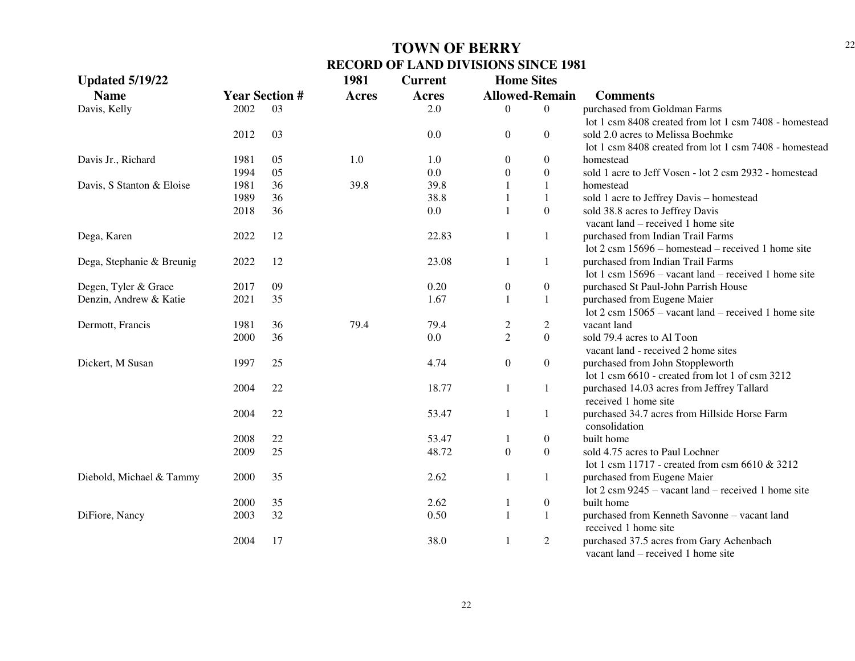| <b>Updated 5/19/22</b>    |      |                       | 1981         | <b>Current</b> | <b>Home Sites</b>     |                  |                                                                |
|---------------------------|------|-----------------------|--------------|----------------|-----------------------|------------------|----------------------------------------------------------------|
| <b>Name</b>               |      | <b>Year Section #</b> | <b>Acres</b> | <b>Acres</b>   | <b>Allowed-Remain</b> |                  | <b>Comments</b>                                                |
| Davis, Kelly              | 2002 | 03                    |              | 2.0            | $\Omega$              | $\overline{0}$   | purchased from Goldman Farms                                   |
|                           |      |                       |              |                |                       |                  | lot 1 csm 8408 created from lot 1 csm 7408 - homestead         |
|                           | 2012 | 03                    |              | 0.0            | $\overline{0}$        | $\boldsymbol{0}$ | sold 2.0 acres to Melissa Boehmke                              |
|                           |      |                       |              |                |                       |                  | lot 1 csm 8408 created from lot 1 csm 7408 - homestead         |
| Davis Jr., Richard        | 1981 | 05                    | 1.0          | 1.0            | $\overline{0}$        | $\boldsymbol{0}$ | homestead                                                      |
|                           | 1994 | 05                    |              | 0.0            | $\Omega$              | $\mathbf{0}$     | sold 1 acre to Jeff Vosen - lot 2 csm 2932 - homestead         |
| Davis, S Stanton & Eloise | 1981 | 36                    | 39.8         | 39.8           |                       | $\mathbf{1}$     | homestead                                                      |
|                           | 1989 | 36                    |              | 38.8           |                       | $\mathbf{1}$     | sold 1 acre to Jeffrey Davis - homestead                       |
|                           | 2018 | 36                    |              | 0.0            |                       | $\mathbf{0}$     | sold 38.8 acres to Jeffrey Davis                               |
|                           |      |                       |              |                |                       |                  | vacant land – received 1 home site                             |
| Dega, Karen               | 2022 | 12                    |              | 22.83          | 1                     | 1                | purchased from Indian Trail Farms                              |
|                           |      |                       |              |                |                       |                  | lot $2 \text{ cm} 15696$ – homestead – received 1 home site    |
| Dega, Stephanie & Breunig | 2022 | 12                    |              | 23.08          | 1                     | 1                | purchased from Indian Trail Farms                              |
|                           |      |                       |              |                |                       |                  | lot 1 csm $15696$ – vacant land – received 1 home site         |
| Degen, Tyler & Grace      | 2017 | 09                    |              | 0.20           | $\mathbf{0}$          | $\boldsymbol{0}$ | purchased St Paul-John Parrish House                           |
| Denzin, Andrew & Katie    | 2021 | 35                    |              | 1.67           |                       | 1                | purchased from Eugene Maier                                    |
|                           |      |                       |              |                |                       |                  | lot $2 \text{ cm } 15065$ – vacant land – received 1 home site |
| Dermott, Francis          | 1981 | 36                    | 79.4         | 79.4           | $\overline{c}$        | $\mathfrak{2}$   | vacant land                                                    |
|                           | 2000 | 36                    |              | 0.0            | $\overline{2}$        | $\mathbf{0}$     | sold 79.4 acres to Al Toon                                     |
|                           |      |                       |              |                |                       |                  | vacant land - received 2 home sites                            |
| Dickert, M Susan          | 1997 | 25                    |              | 4.74           | $\overline{0}$        | $\boldsymbol{0}$ | purchased from John Stoppleworth                               |
|                           |      |                       |              |                |                       |                  | lot 1 csm 6610 - created from lot 1 of csm 3212                |
|                           | 2004 | 22                    |              | 18.77          | 1                     | 1                | purchased 14.03 acres from Jeffrey Tallard                     |
|                           |      |                       |              |                |                       |                  | received 1 home site                                           |
|                           | 2004 | 22                    |              | 53.47          |                       | $\mathbf{1}$     | purchased 34.7 acres from Hillside Horse Farm                  |
|                           |      |                       |              |                |                       |                  | consolidation                                                  |
|                           | 2008 | 22                    |              | 53.47          |                       | $\boldsymbol{0}$ | built home                                                     |
|                           | 2009 | 25                    |              | 48.72          | $\theta$              | $\boldsymbol{0}$ | sold 4.75 acres to Paul Lochner                                |
|                           |      |                       |              |                |                       |                  | lot 1 csm 11717 - created from csm 6610 & 3212                 |
| Diebold, Michael & Tammy  | 2000 | 35                    |              | 2.62           |                       | $\mathbf{1}$     | purchased from Eugene Maier                                    |
|                           |      |                       |              |                |                       |                  | lot $2 \text{ cm } 9245$ – vacant land – received 1 home site  |
|                           | 2000 | 35                    |              | 2.62           |                       | $\boldsymbol{0}$ | built home                                                     |
| DiFiore, Nancy            | 2003 | 32                    |              | 0.50           |                       | $\mathbf{1}$     | purchased from Kenneth Savonne - vacant land                   |
|                           |      |                       |              |                |                       |                  | received 1 home site                                           |
|                           | 2004 | 17                    |              | 38.0           | 1                     | $\overline{2}$   | purchased 37.5 acres from Gary Achenbach                       |
|                           |      |                       |              |                |                       |                  | vacant land $-$ received 1 home site                           |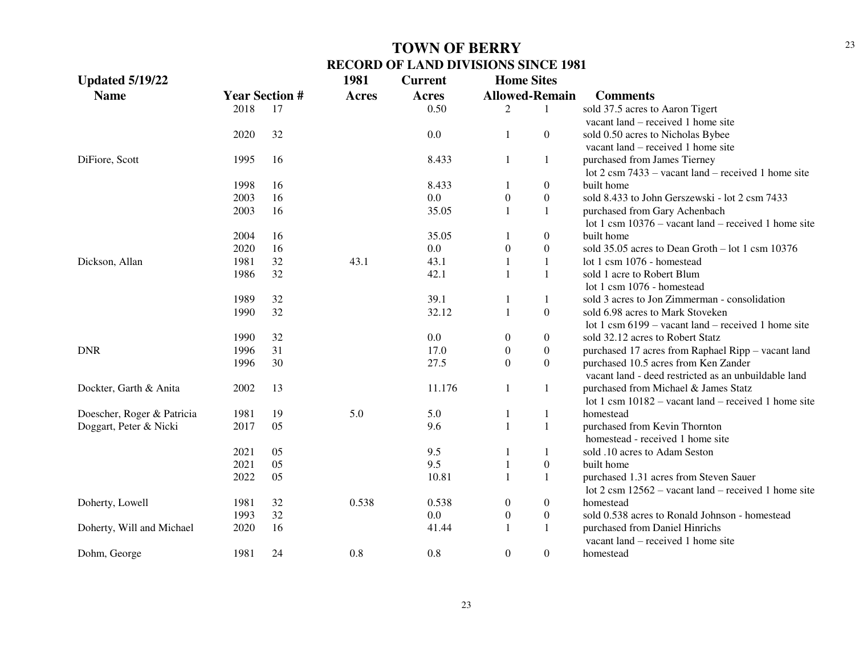| <b>Updated 5/19/22</b>     |      |                       | 1981         | <b>Current</b> | <b>Home Sites</b> |                       |                                                               |
|----------------------------|------|-----------------------|--------------|----------------|-------------------|-----------------------|---------------------------------------------------------------|
| <b>Name</b>                |      | <b>Year Section #</b> | <b>Acres</b> | <b>Acres</b>   |                   | <b>Allowed-Remain</b> | <b>Comments</b>                                               |
|                            | 2018 | 17                    |              | 0.50           | 2                 | 1                     | sold 37.5 acres to Aaron Tigert                               |
|                            |      |                       |              |                |                   |                       | vacant land – received 1 home site                            |
|                            | 2020 | 32                    |              | 0.0            | $\mathbf{1}$      | $\boldsymbol{0}$      | sold 0.50 acres to Nicholas Bybee                             |
|                            |      |                       |              |                |                   |                       | vacant land – received 1 home site                            |
| DiFiore, Scott             | 1995 | 16                    |              | 8.433          | $\mathbf{1}$      | $\mathbf{1}$          | purchased from James Tierney                                  |
|                            |      |                       |              |                |                   |                       | lot $2 \text{ cm } 7433$ – vacant land – received 1 home site |
|                            | 1998 | 16                    |              | 8.433          | 1                 | $\overline{0}$        | built home                                                    |
|                            | 2003 | 16                    |              | 0.0            | $\boldsymbol{0}$  | $\boldsymbol{0}$      | sold 8.433 to John Gerszewski - lot 2 csm 7433                |
|                            | 2003 | 16                    |              | 35.05          | $\mathbf{1}$      | $\mathbf{1}$          | purchased from Gary Achenbach                                 |
|                            |      |                       |              |                |                   |                       | lot 1 csm $10376$ – vacant land – received 1 home site        |
|                            | 2004 | 16                    |              | 35.05          | 1                 | $\boldsymbol{0}$      | built home                                                    |
|                            | 2020 | 16                    |              | 0.0            | $\boldsymbol{0}$  | $\boldsymbol{0}$      | sold $35.05$ acres to Dean Groth $-$ lot 1 csm 10376          |
| Dickson, Allan             | 1981 | 32                    | 43.1         | 43.1           | $\mathbf{1}$      | $\mathbf{1}$          | lot 1 csm 1076 - homestead                                    |
|                            | 1986 | 32                    |              | 42.1           | $\mathbf{1}$      | $\mathbf{1}$          | sold 1 acre to Robert Blum                                    |
|                            |      |                       |              |                |                   |                       | lot 1 csm 1076 - homestead                                    |
|                            | 1989 | 32                    |              | 39.1           | 1                 | $\mathbf{1}$          | sold 3 acres to Jon Zimmerman - consolidation                 |
|                            | 1990 | 32                    |              | 32.12          | $\mathbf{1}$      | $\overline{0}$        | sold 6.98 acres to Mark Stoveken                              |
|                            |      |                       |              |                |                   |                       | lot 1 csm $6199 -$ vacant land – received 1 home site         |
|                            | 1990 | 32                    |              | 0.0            | $\theta$          | $\overline{0}$        | sold 32.12 acres to Robert Statz                              |
| <b>DNR</b>                 | 1996 | 31                    |              | 17.0           | $\boldsymbol{0}$  | $\boldsymbol{0}$      | purchased 17 acres from Raphael Ripp - vacant land            |
|                            | 1996 | 30                    |              | 27.5           | $\boldsymbol{0}$  | $\overline{0}$        | purchased 10.5 acres from Ken Zander                          |
|                            |      |                       |              |                |                   |                       | vacant land - deed restricted as an unbuildable land          |
| Dockter, Garth & Anita     | 2002 | 13                    |              | 11.176         | $\mathbf{1}$      | $\mathbf{1}$          | purchased from Michael & James Statz                          |
|                            |      |                       |              |                |                   |                       | lot 1 csm $10182$ – vacant land – received 1 home site        |
| Doescher, Roger & Patricia | 1981 | 19                    | 5.0          | 5.0            | $\mathbf{1}$      | 1                     | homestead                                                     |
| Doggart, Peter & Nicki     | 2017 | 05                    |              | 9.6            | $\mathbf{1}$      | $\mathbf{1}$          | purchased from Kevin Thornton                                 |
|                            |      |                       |              |                |                   |                       | homestead - received 1 home site                              |
|                            | 2021 | 05                    |              | 9.5            | $\mathbf{1}$      | 1                     | sold .10 acres to Adam Seston                                 |
|                            | 2021 | 05                    |              | 9.5            | $\mathbf{1}$      | $\boldsymbol{0}$      | built home                                                    |
|                            | 2022 | 05                    |              | 10.81          | $\mathbf{1}$      | $\mathbf{1}$          | purchased 1.31 acres from Steven Sauer                        |
|                            |      |                       |              |                |                   |                       | lot 2 csm $12562$ – vacant land – received 1 home site        |
| Doherty, Lowell            | 1981 | 32                    | 0.538        | 0.538          | $\boldsymbol{0}$  | $\boldsymbol{0}$      | homestead                                                     |
|                            | 1993 | 32                    |              | 0.0            | $\boldsymbol{0}$  | $\boldsymbol{0}$      | sold 0.538 acres to Ronald Johnson - homestead                |
| Doherty, Will and Michael  | 2020 | 16                    |              | 41.44          | $\mathbf{1}$      | $\mathbf{1}$          | purchased from Daniel Hinrichs                                |
|                            |      |                       |              |                |                   |                       | vacant land – received 1 home site                            |
| Dohm, George               | 1981 | 24                    | 0.8          | 0.8            | $\Omega$          | $\overline{0}$        | homestead                                                     |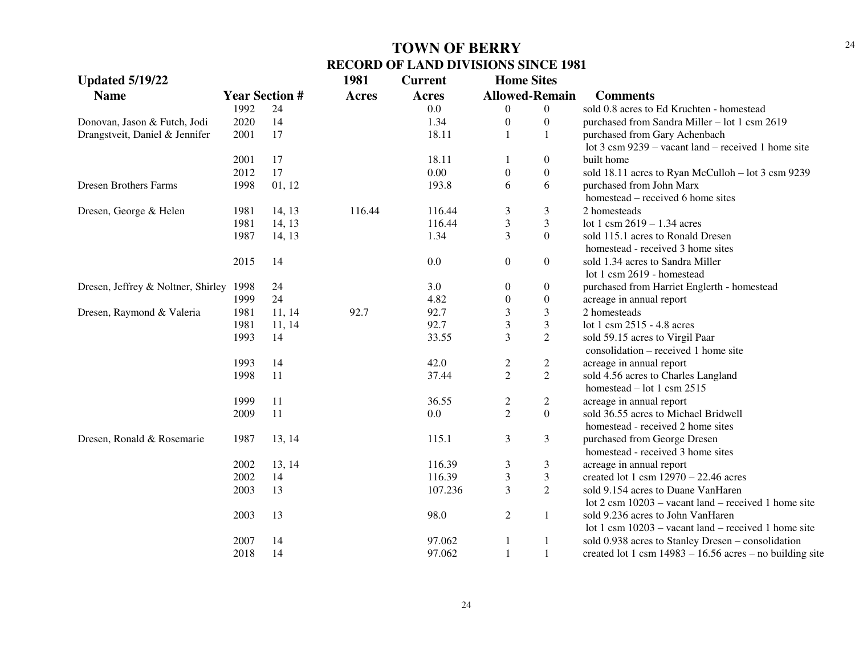| <b>Updated 5/19/22</b>             |      |                       | 1981         | <b>Current</b> | <b>Home Sites</b>       |                       |                                                                |
|------------------------------------|------|-----------------------|--------------|----------------|-------------------------|-----------------------|----------------------------------------------------------------|
| <b>Name</b>                        |      | <b>Year Section #</b> | <b>Acres</b> | Acres          |                         | <b>Allowed-Remain</b> | <b>Comments</b>                                                |
|                                    | 1992 | 24                    |              | 0.0            | 0                       | $\overline{0}$        | sold 0.8 acres to Ed Kruchten - homestead                      |
| Donovan, Jason & Futch, Jodi       | 2020 | 14                    |              | 1.34           | $\theta$                | $\overline{0}$        | purchased from Sandra Miller - lot 1 csm 2619                  |
| Drangstveit, Daniel & Jennifer     | 2001 | 17                    |              | 18.11          |                         | $\mathbf{1}$          | purchased from Gary Achenbach                                  |
|                                    |      |                       |              |                |                         |                       | lot 3 csm $9239$ – vacant land – received 1 home site          |
|                                    | 2001 | 17                    |              | 18.11          |                         | $\boldsymbol{0}$      | built home                                                     |
|                                    | 2012 | 17                    |              | 0.00           | $\boldsymbol{0}$        | $\boldsymbol{0}$      | sold 18.11 acres to Ryan McCulloh - lot 3 csm 9239             |
| <b>Dresen Brothers Farms</b>       | 1998 | 01, 12                |              | 193.8          | 6                       | 6                     | purchased from John Marx                                       |
|                                    |      |                       |              |                |                         |                       | homestead – received 6 home sites                              |
| Dresen, George & Helen             | 1981 | 14, 13                | 116.44       | 116.44         | 3                       | $\mathfrak{Z}$        | 2 homesteads                                                   |
|                                    | 1981 | 14, 13                |              | 116.44         | 3                       | $\mathfrak{Z}$        | lot 1 csm $2619 - 1.34$ acres                                  |
|                                    | 1987 | 14, 13                |              | 1.34           | 3                       | $\Omega$              | sold 115.1 acres to Ronald Dresen                              |
|                                    |      |                       |              |                |                         |                       | homestead - received 3 home sites                              |
|                                    | 2015 | 14                    |              | 0.0            | $\boldsymbol{0}$        | $\overline{0}$        | sold 1.34 acres to Sandra Miller                               |
|                                    |      |                       |              |                |                         |                       | lot 1 csm 2619 - homestead                                     |
| Dresen, Jeffrey & Noltner, Shirley | 1998 | 24                    |              | 3.0            | $\boldsymbol{0}$        | $\boldsymbol{0}$      | purchased from Harriet Englerth - homestead                    |
|                                    | 1999 | 24                    |              | 4.82           | 0                       | $\boldsymbol{0}$      | acreage in annual report                                       |
| Dresen, Raymond & Valeria          | 1981 | 11, 14                | 92.7         | 92.7           | 3                       | 3                     | 2 homesteads                                                   |
|                                    | 1981 | 11, 14                |              | 92.7           | 3                       | 3                     | lot 1 csm 2515 - 4.8 acres                                     |
|                                    | 1993 | 14                    |              | 33.55          | 3                       | $\overline{2}$        | sold 59.15 acres to Virgil Paar                                |
|                                    |      |                       |              |                |                         |                       | consolidation – received 1 home site                           |
|                                    | 1993 | 14                    |              | 42.0           | 2                       | $\overline{c}$        | acreage in annual report                                       |
|                                    | 1998 | 11                    |              | 37.44          | $\overline{2}$          | $\overline{2}$        | sold 4.56 acres to Charles Langland                            |
|                                    |      |                       |              |                |                         |                       | homestead $-$ lot 1 csm 2515                                   |
|                                    | 1999 | 11                    |              | 36.55          | $\overline{\mathbf{c}}$ | $\overline{c}$        | acreage in annual report                                       |
|                                    | 2009 | 11                    |              | 0.0            | $\overline{2}$          | $\overline{0}$        | sold 36.55 acres to Michael Bridwell                           |
|                                    |      |                       |              |                |                         |                       | homestead - received 2 home sites                              |
| Dresen, Ronald & Rosemarie         | 1987 | 13, 14                |              | 115.1          | 3                       | 3                     | purchased from George Dresen                                   |
|                                    |      |                       |              |                |                         |                       | homestead - received 3 home sites                              |
|                                    | 2002 | 13, 14                |              | 116.39         | 3                       | 3                     | acreage in annual report                                       |
|                                    | 2002 | 14                    |              | 116.39         | 3                       | $\mathfrak{Z}$        | created lot 1 csm $12970 - 22.46$ acres                        |
|                                    | 2003 | 13                    |              | 107.236        | 3                       | $\overline{2}$        | sold 9.154 acres to Duane VanHaren                             |
|                                    |      |                       |              |                |                         |                       | lot $2 \text{ cm } 10203$ – vacant land – received 1 home site |
|                                    | 2003 | 13                    |              | 98.0           | $\overline{c}$          | $\mathbf{1}$          | sold 9.236 acres to John VanHaren                              |
|                                    |      |                       |              |                |                         |                       | lot 1 csm $10203$ – vacant land – received 1 home site         |
|                                    | 2007 | 14                    |              | 97.062         |                         | 1                     | sold 0.938 acres to Stanley Dresen - consolidation             |
|                                    | 2018 | 14                    |              | 97.062         |                         | $\mathbf{1}$          | created lot 1 csm $14983 - 16.56$ acres – no building site     |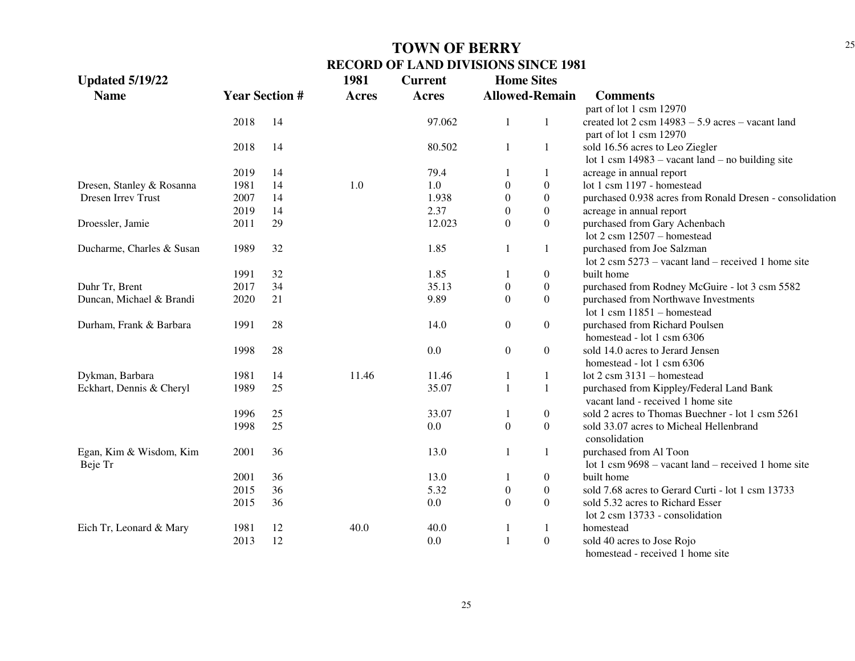| <b>Updated 5/19/22</b>    |      |                       | 1981         | <b>Current</b> |                       | <b>Home Sites</b> |                                                                           |
|---------------------------|------|-----------------------|--------------|----------------|-----------------------|-------------------|---------------------------------------------------------------------------|
| <b>Name</b>               |      | <b>Year Section #</b> | <b>Acres</b> | <b>Acres</b>   | <b>Allowed-Remain</b> |                   | <b>Comments</b>                                                           |
|                           |      |                       |              |                |                       |                   | part of lot 1 csm 12970                                                   |
|                           | 2018 | 14                    |              | 97.062         | 1                     | 1                 | created lot $2 \text{ cm} 14983 - 5.9 \text{ acres} - \text{vacant land}$ |
|                           |      |                       |              |                |                       |                   | part of lot 1 csm 12970                                                   |
|                           | 2018 | 14                    |              | 80.502         | 1                     | 1                 | sold 16.56 acres to Leo Ziegler                                           |
|                           |      |                       |              |                |                       |                   | lot 1 csm $14983 -$ vacant land – no building site                        |
|                           | 2019 | 14                    |              | 79.4           |                       |                   | acreage in annual report                                                  |
| Dresen, Stanley & Rosanna | 1981 | 14                    | 1.0          | 1.0            | $\mathbf{0}$          | $\overline{0}$    | lot 1 csm 1197 - homestead                                                |
| Dresen Irrev Trust        | 2007 | 14                    |              | 1.938          | 0                     | $\boldsymbol{0}$  | purchased 0.938 acres from Ronald Dresen - consolidation                  |
|                           | 2019 | 14                    |              | 2.37           | 0                     | $\boldsymbol{0}$  | acreage in annual report                                                  |
| Droessler, Jamie          | 2011 | 29                    |              | 12.023         | $\theta$              | $\boldsymbol{0}$  | purchased from Gary Achenbach                                             |
|                           |      |                       |              |                |                       |                   | lot $2 \text{ cm}$ 12507 - homestead                                      |
| Ducharme, Charles & Susan | 1989 | 32                    |              | 1.85           | 1                     | $\mathbf{1}$      | purchased from Joe Salzman                                                |
|                           |      |                       |              |                |                       |                   | lot $2 \text{ cm } 5273$ – vacant land – received 1 home site             |
|                           | 1991 | 32                    |              | 1.85           | 1                     | $\boldsymbol{0}$  | built home                                                                |
| Duhr Tr, Brent            | 2017 | 34                    |              | 35.13          | $\boldsymbol{0}$      | $\boldsymbol{0}$  | purchased from Rodney McGuire - lot 3 csm 5582                            |
| Duncan, Michael & Brandi  | 2020 | 21                    |              | 9.89           | $\boldsymbol{0}$      | $\boldsymbol{0}$  | purchased from Northwave Investments                                      |
|                           |      |                       |              |                |                       |                   | lot 1 csm $11851 -$ homestead                                             |
| Durham, Frank & Barbara   | 1991 | 28                    |              | 14.0           | $\boldsymbol{0}$      | $\boldsymbol{0}$  | purchased from Richard Poulsen                                            |
|                           |      |                       |              |                |                       |                   | homestead - lot 1 csm 6306                                                |
|                           | 1998 | 28                    |              | 0.0            | $\boldsymbol{0}$      | $\boldsymbol{0}$  | sold 14.0 acres to Jerard Jensen                                          |
|                           |      |                       |              |                |                       |                   | homestead - lot 1 csm 6306                                                |
| Dykman, Barbara           | 1981 | 14                    | 11.46        | 11.46          | 1                     | 1                 | lot 2 csm 3131 - homestead                                                |
| Eckhart, Dennis & Cheryl  | 1989 | 25                    |              | 35.07          | $\mathbf{1}$          | 1                 | purchased from Kippley/Federal Land Bank                                  |
|                           |      |                       |              |                |                       |                   | vacant land - received 1 home site                                        |
|                           | 1996 | 25                    |              | 33.07          | 1                     | $\boldsymbol{0}$  | sold 2 acres to Thomas Buechner - lot 1 csm 5261                          |
|                           | 1998 | 25                    |              | 0.0            | $\boldsymbol{0}$      | $\boldsymbol{0}$  | sold 33.07 acres to Micheal Hellenbrand                                   |
|                           |      |                       |              |                |                       |                   | consolidation                                                             |
| Egan, Kim & Wisdom, Kim   | 2001 | 36                    |              | 13.0           | 1                     | 1                 | purchased from Al Toon                                                    |
| Beje Tr                   |      |                       |              |                |                       |                   | lot 1 csm $9698 -$ vacant land – received 1 home site                     |
|                           | 2001 | 36                    |              | 13.0           | 1                     | $\boldsymbol{0}$  | built home                                                                |
|                           | 2015 | 36                    |              | 5.32           | $\boldsymbol{0}$      | $\boldsymbol{0}$  | sold 7.68 acres to Gerard Curti - lot 1 csm 13733                         |
|                           | 2015 | 36                    |              | 0.0            | $\theta$              | $\overline{0}$    | sold 5.32 acres to Richard Esser                                          |
|                           |      |                       |              |                |                       |                   | lot 2 csm 13733 - consolidation                                           |
| Eich Tr, Leonard & Mary   | 1981 | 12                    | 40.0         | 40.0           | 1                     | 1                 | homestead                                                                 |
|                           | 2013 | 12                    |              | 0.0            | $\mathbf{1}$          | $\boldsymbol{0}$  | sold 40 acres to Jose Rojo                                                |
|                           |      |                       |              |                |                       |                   | homestead - received 1 home site                                          |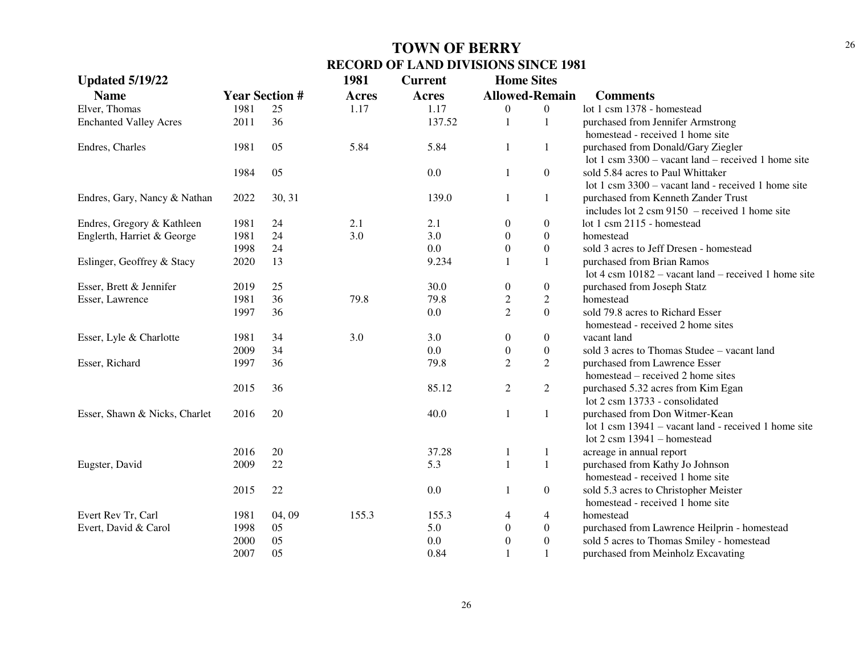| <b>Updated 5/19/22</b>        |      |                       | 1981         | <b>Current</b> | <b>Home Sites</b>     |                  |                                                          |
|-------------------------------|------|-----------------------|--------------|----------------|-----------------------|------------------|----------------------------------------------------------|
| <b>Name</b>                   |      | <b>Year Section #</b> | <b>Acres</b> | <b>Acres</b>   | <b>Allowed-Remain</b> |                  | <b>Comments</b>                                          |
| Elver, Thomas                 | 1981 | 25                    | 1.17         | 1.17           | $\overline{0}$        | $\mathbf{0}$     | lot 1 csm 1378 - homestead                               |
| <b>Enchanted Valley Acres</b> | 2011 | 36                    |              | 137.52         | $\mathbf{1}$          | 1                | purchased from Jennifer Armstrong                        |
|                               |      |                       |              |                |                       |                  | homestead - received 1 home site                         |
| Endres, Charles               | 1981 | 05                    | 5.84         | 5.84           | 1                     | 1                | purchased from Donald/Gary Ziegler                       |
|                               |      |                       |              |                |                       |                  | lot 1 csm $3300 -$ vacant land – received 1 home site    |
|                               | 1984 | 05                    |              | 0.0            | $\mathbf{1}$          | $\boldsymbol{0}$ | sold 5.84 acres to Paul Whittaker                        |
|                               |      |                       |              |                |                       |                  | lot 1 csm $3300 -$ vacant land - received 1 home site    |
| Endres, Gary, Nancy & Nathan  | 2022 | 30, 31                |              | 139.0          | $\mathbf{1}$          | $\mathbf{1}$     | purchased from Kenneth Zander Trust                      |
|                               |      |                       |              |                |                       |                  | includes lot $2 \text{ cm } 9150$ – received 1 home site |
| Endres, Gregory & Kathleen    | 1981 | 24                    | 2.1          | 2.1            | $\overline{0}$        | $\boldsymbol{0}$ | lot 1 csm 2115 - homestead                               |
| Englerth, Harriet & George    | 1981 | 24                    | 3.0          | 3.0            | $\boldsymbol{0}$      | $\boldsymbol{0}$ | homestead                                                |
|                               | 1998 | 24                    |              | 0.0            | $\boldsymbol{0}$      | $\boldsymbol{0}$ | sold 3 acres to Jeff Dresen - homestead                  |
| Eslinger, Geoffrey & Stacy    | 2020 | 13                    |              | 9.234          |                       | 1                | purchased from Brian Ramos                               |
|                               |      |                       |              |                |                       |                  | lot 4 csm $10182$ – vacant land – received 1 home site   |
| Esser, Brett & Jennifer       | 2019 | 25                    |              | 30.0           | $\boldsymbol{0}$      | $\boldsymbol{0}$ | purchased from Joseph Statz                              |
| Esser, Lawrence               | 1981 | 36                    | 79.8         | 79.8           | $\boldsymbol{2}$      | $\overline{c}$   | homestead                                                |
|                               | 1997 | 36                    |              | 0.0            | $\overline{2}$        | $\overline{0}$   | sold 79.8 acres to Richard Esser                         |
|                               |      |                       |              |                |                       |                  | homestead - received 2 home sites                        |
| Esser, Lyle & Charlotte       | 1981 | 34                    | 3.0          | 3.0            | $\boldsymbol{0}$      | $\boldsymbol{0}$ | vacant land                                              |
|                               | 2009 | 34                    |              | 0.0            | $\boldsymbol{0}$      | $\boldsymbol{0}$ | sold 3 acres to Thomas Studee - vacant land              |
| Esser, Richard                | 1997 | 36                    |              | 79.8           | $\overline{2}$        | $\overline{2}$   | purchased from Lawrence Esser                            |
|                               |      |                       |              |                |                       |                  | homestead – received 2 home sites                        |
|                               | 2015 | 36                    |              | 85.12          | 2                     | $\overline{2}$   | purchased 5.32 acres from Kim Egan                       |
|                               |      |                       |              |                |                       |                  | lot 2 csm 13733 - consolidated                           |
| Esser, Shawn & Nicks, Charlet | 2016 | 20                    |              | 40.0           | $\mathbf{1}$          | $\mathbf{1}$     | purchased from Don Witmer-Kean                           |
|                               |      |                       |              |                |                       |                  | lot 1 csm 13941 – vacant land - received 1 home site     |
|                               |      |                       |              |                |                       |                  | lot $2 \text{ csm } 13941 - \text{homested}$             |
|                               | 2016 | 20                    |              | 37.28          | 1                     | 1                | acreage in annual report                                 |
| Eugster, David                | 2009 | 22                    |              | 5.3            | $\mathbf{1}$          | $\mathbf{1}$     | purchased from Kathy Jo Johnson                          |
|                               |      |                       |              |                |                       |                  | homestead - received 1 home site                         |
|                               | 2015 | 22                    |              | 0.0            | $\mathbf{1}$          | $\boldsymbol{0}$ | sold 5.3 acres to Christopher Meister                    |
|                               |      |                       |              |                |                       |                  | homestead - received 1 home site                         |
| Evert Rev Tr, Carl            | 1981 | 04, 09                | 155.3        | 155.3          | 4                     | 4                | homestead                                                |
| Evert, David & Carol          | 1998 | 05                    |              | 5.0            | $\boldsymbol{0}$      | $\boldsymbol{0}$ | purchased from Lawrence Heilprin - homestead             |
|                               | 2000 | 05                    |              | 0.0            | $\boldsymbol{0}$      | $\boldsymbol{0}$ | sold 5 acres to Thomas Smiley - homestead                |
|                               | 2007 | 05                    |              | 0.84           | $\mathbf{1}$          | $\mathbf{1}$     | purchased from Meinholz Excavating                       |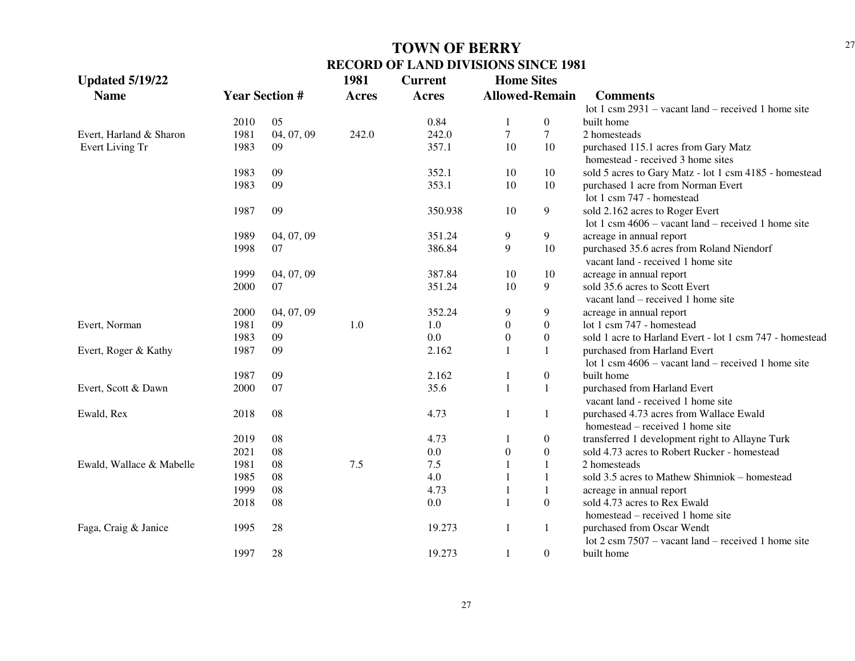| <b>Allowed-Remain</b><br><b>Name</b><br><b>Year Section #</b><br><b>Acres</b><br><b>Acres</b><br><b>Comments</b><br>lot 1 csm $2931$ – vacant land – received 1 home site<br>05<br>0.84<br>2010<br>$\overline{0}$<br>built home<br>1<br>7<br>04, 07, 09<br>242.0<br>$\tau$<br>1981<br>242.0<br>2 homesteads<br>357.1<br>Evert Living Tr<br>1983<br>09<br>10<br>10<br>purchased 115.1 acres from Gary Matz<br>homestead - received 3 home sites<br>09<br>352.1<br>1983<br>10<br>10<br>sold 5 acres to Gary Matz - lot 1 csm 4185 - homestead<br>09<br>353.1<br>10<br>1983<br>10<br>purchased 1 acre from Norman Evert<br>lot 1 csm 747 - homestead<br>09<br>9<br>1987<br>350.938<br>10<br>sold 2.162 acres to Roger Evert<br>lot 1 csm $4606 -$ vacant land – received 1 home site<br>9<br>04, 07, 09<br>351.24<br>9<br>acreage in annual report<br>1989<br>386.84<br>9<br>10<br>1998<br>07<br>purchased 35.6 acres from Roland Niendorf<br>vacant land - received 1 home site<br>387.84<br>10<br>1999<br>04, 07, 09<br>10<br>acreage in annual report<br>351.24<br>10<br>9<br>sold 35.6 acres to Scott Evert<br>2000<br>07<br>vacant land – received 1 home site<br>2000<br>04, 07, 09<br>352.24<br>9<br>9<br>acreage in annual report<br>1981<br>1.0<br>1.0<br>$\boldsymbol{0}$<br>lot 1 csm 747 - homestead<br>09<br>$\overline{0}$<br>0.0<br>1983<br>09<br>$\overline{0}$<br>sold 1 acre to Harland Evert - lot 1 csm 747 - homestead<br>$\overline{0}$<br>09<br>Evert, Roger & Kathy<br>1987<br>2.162<br>$\mathbf{1}$<br>purchased from Harland Evert<br>1<br>lot 1 csm $4606 -$ vacant land – received 1 home site<br>1987<br>09<br>2.162<br>$\overline{0}$<br>built home<br>07<br>35.6<br>2000<br>$\mathbf{1}$<br>purchased from Harland Evert<br>$\mathbf{1}$<br>vacant land - received 1 home site<br>08<br>4.73<br>2018<br>1<br>purchased 4.73 acres from Wallace Ewald<br>1<br>homestead – received 1 home site<br>08<br>4.73<br>2019<br>$\boldsymbol{0}$<br>transferred 1 development right to Allayne Turk<br>08<br>0.0<br>$\theta$<br>$\overline{0}$<br>2021<br>sold 4.73 acres to Robert Rucker - homestead<br>08<br>7.5<br>7.5<br>1981<br>2 homesteads<br>1<br>4.0<br>1985<br>08<br>sold 3.5 acres to Mathew Shimniok – homestead<br>1<br>1999<br>08<br>4.73<br>acreage in annual report<br>1 | <b>Updated 5/19/22</b>   |      |    | 1981 | <b>Current</b> | <b>Home Sites</b> |                |                                                               |
|--------------------------------------------------------------------------------------------------------------------------------------------------------------------------------------------------------------------------------------------------------------------------------------------------------------------------------------------------------------------------------------------------------------------------------------------------------------------------------------------------------------------------------------------------------------------------------------------------------------------------------------------------------------------------------------------------------------------------------------------------------------------------------------------------------------------------------------------------------------------------------------------------------------------------------------------------------------------------------------------------------------------------------------------------------------------------------------------------------------------------------------------------------------------------------------------------------------------------------------------------------------------------------------------------------------------------------------------------------------------------------------------------------------------------------------------------------------------------------------------------------------------------------------------------------------------------------------------------------------------------------------------------------------------------------------------------------------------------------------------------------------------------------------------------------------------------------------------------------------------------------------------------------------------------------------------------------------------------------------------------------------------------------------------------------------------------------------------------------------------------------------------------------------------------------------------------------------------------------------------------------------------------------------------------------------|--------------------------|------|----|------|----------------|-------------------|----------------|---------------------------------------------------------------|
|                                                                                                                                                                                                                                                                                                                                                                                                                                                                                                                                                                                                                                                                                                                                                                                                                                                                                                                                                                                                                                                                                                                                                                                                                                                                                                                                                                                                                                                                                                                                                                                                                                                                                                                                                                                                                                                                                                                                                                                                                                                                                                                                                                                                                                                                                                              |                          |      |    |      |                |                   |                |                                                               |
|                                                                                                                                                                                                                                                                                                                                                                                                                                                                                                                                                                                                                                                                                                                                                                                                                                                                                                                                                                                                                                                                                                                                                                                                                                                                                                                                                                                                                                                                                                                                                                                                                                                                                                                                                                                                                                                                                                                                                                                                                                                                                                                                                                                                                                                                                                              |                          |      |    |      |                |                   |                |                                                               |
|                                                                                                                                                                                                                                                                                                                                                                                                                                                                                                                                                                                                                                                                                                                                                                                                                                                                                                                                                                                                                                                                                                                                                                                                                                                                                                                                                                                                                                                                                                                                                                                                                                                                                                                                                                                                                                                                                                                                                                                                                                                                                                                                                                                                                                                                                                              |                          |      |    |      |                |                   |                |                                                               |
|                                                                                                                                                                                                                                                                                                                                                                                                                                                                                                                                                                                                                                                                                                                                                                                                                                                                                                                                                                                                                                                                                                                                                                                                                                                                                                                                                                                                                                                                                                                                                                                                                                                                                                                                                                                                                                                                                                                                                                                                                                                                                                                                                                                                                                                                                                              | Evert, Harland & Sharon  |      |    |      |                |                   |                |                                                               |
|                                                                                                                                                                                                                                                                                                                                                                                                                                                                                                                                                                                                                                                                                                                                                                                                                                                                                                                                                                                                                                                                                                                                                                                                                                                                                                                                                                                                                                                                                                                                                                                                                                                                                                                                                                                                                                                                                                                                                                                                                                                                                                                                                                                                                                                                                                              |                          |      |    |      |                |                   |                |                                                               |
|                                                                                                                                                                                                                                                                                                                                                                                                                                                                                                                                                                                                                                                                                                                                                                                                                                                                                                                                                                                                                                                                                                                                                                                                                                                                                                                                                                                                                                                                                                                                                                                                                                                                                                                                                                                                                                                                                                                                                                                                                                                                                                                                                                                                                                                                                                              |                          |      |    |      |                |                   |                |                                                               |
|                                                                                                                                                                                                                                                                                                                                                                                                                                                                                                                                                                                                                                                                                                                                                                                                                                                                                                                                                                                                                                                                                                                                                                                                                                                                                                                                                                                                                                                                                                                                                                                                                                                                                                                                                                                                                                                                                                                                                                                                                                                                                                                                                                                                                                                                                                              |                          |      |    |      |                |                   |                |                                                               |
|                                                                                                                                                                                                                                                                                                                                                                                                                                                                                                                                                                                                                                                                                                                                                                                                                                                                                                                                                                                                                                                                                                                                                                                                                                                                                                                                                                                                                                                                                                                                                                                                                                                                                                                                                                                                                                                                                                                                                                                                                                                                                                                                                                                                                                                                                                              |                          |      |    |      |                |                   |                |                                                               |
|                                                                                                                                                                                                                                                                                                                                                                                                                                                                                                                                                                                                                                                                                                                                                                                                                                                                                                                                                                                                                                                                                                                                                                                                                                                                                                                                                                                                                                                                                                                                                                                                                                                                                                                                                                                                                                                                                                                                                                                                                                                                                                                                                                                                                                                                                                              |                          |      |    |      |                |                   |                |                                                               |
|                                                                                                                                                                                                                                                                                                                                                                                                                                                                                                                                                                                                                                                                                                                                                                                                                                                                                                                                                                                                                                                                                                                                                                                                                                                                                                                                                                                                                                                                                                                                                                                                                                                                                                                                                                                                                                                                                                                                                                                                                                                                                                                                                                                                                                                                                                              |                          |      |    |      |                |                   |                |                                                               |
|                                                                                                                                                                                                                                                                                                                                                                                                                                                                                                                                                                                                                                                                                                                                                                                                                                                                                                                                                                                                                                                                                                                                                                                                                                                                                                                                                                                                                                                                                                                                                                                                                                                                                                                                                                                                                                                                                                                                                                                                                                                                                                                                                                                                                                                                                                              |                          |      |    |      |                |                   |                |                                                               |
|                                                                                                                                                                                                                                                                                                                                                                                                                                                                                                                                                                                                                                                                                                                                                                                                                                                                                                                                                                                                                                                                                                                                                                                                                                                                                                                                                                                                                                                                                                                                                                                                                                                                                                                                                                                                                                                                                                                                                                                                                                                                                                                                                                                                                                                                                                              |                          |      |    |      |                |                   |                |                                                               |
|                                                                                                                                                                                                                                                                                                                                                                                                                                                                                                                                                                                                                                                                                                                                                                                                                                                                                                                                                                                                                                                                                                                                                                                                                                                                                                                                                                                                                                                                                                                                                                                                                                                                                                                                                                                                                                                                                                                                                                                                                                                                                                                                                                                                                                                                                                              |                          |      |    |      |                |                   |                |                                                               |
|                                                                                                                                                                                                                                                                                                                                                                                                                                                                                                                                                                                                                                                                                                                                                                                                                                                                                                                                                                                                                                                                                                                                                                                                                                                                                                                                                                                                                                                                                                                                                                                                                                                                                                                                                                                                                                                                                                                                                                                                                                                                                                                                                                                                                                                                                                              |                          |      |    |      |                |                   |                |                                                               |
|                                                                                                                                                                                                                                                                                                                                                                                                                                                                                                                                                                                                                                                                                                                                                                                                                                                                                                                                                                                                                                                                                                                                                                                                                                                                                                                                                                                                                                                                                                                                                                                                                                                                                                                                                                                                                                                                                                                                                                                                                                                                                                                                                                                                                                                                                                              |                          |      |    |      |                |                   |                |                                                               |
|                                                                                                                                                                                                                                                                                                                                                                                                                                                                                                                                                                                                                                                                                                                                                                                                                                                                                                                                                                                                                                                                                                                                                                                                                                                                                                                                                                                                                                                                                                                                                                                                                                                                                                                                                                                                                                                                                                                                                                                                                                                                                                                                                                                                                                                                                                              |                          |      |    |      |                |                   |                |                                                               |
|                                                                                                                                                                                                                                                                                                                                                                                                                                                                                                                                                                                                                                                                                                                                                                                                                                                                                                                                                                                                                                                                                                                                                                                                                                                                                                                                                                                                                                                                                                                                                                                                                                                                                                                                                                                                                                                                                                                                                                                                                                                                                                                                                                                                                                                                                                              |                          |      |    |      |                |                   |                |                                                               |
|                                                                                                                                                                                                                                                                                                                                                                                                                                                                                                                                                                                                                                                                                                                                                                                                                                                                                                                                                                                                                                                                                                                                                                                                                                                                                                                                                                                                                                                                                                                                                                                                                                                                                                                                                                                                                                                                                                                                                                                                                                                                                                                                                                                                                                                                                                              |                          |      |    |      |                |                   |                |                                                               |
|                                                                                                                                                                                                                                                                                                                                                                                                                                                                                                                                                                                                                                                                                                                                                                                                                                                                                                                                                                                                                                                                                                                                                                                                                                                                                                                                                                                                                                                                                                                                                                                                                                                                                                                                                                                                                                                                                                                                                                                                                                                                                                                                                                                                                                                                                                              | Evert, Norman            |      |    |      |                |                   |                |                                                               |
|                                                                                                                                                                                                                                                                                                                                                                                                                                                                                                                                                                                                                                                                                                                                                                                                                                                                                                                                                                                                                                                                                                                                                                                                                                                                                                                                                                                                                                                                                                                                                                                                                                                                                                                                                                                                                                                                                                                                                                                                                                                                                                                                                                                                                                                                                                              |                          |      |    |      |                |                   |                |                                                               |
|                                                                                                                                                                                                                                                                                                                                                                                                                                                                                                                                                                                                                                                                                                                                                                                                                                                                                                                                                                                                                                                                                                                                                                                                                                                                                                                                                                                                                                                                                                                                                                                                                                                                                                                                                                                                                                                                                                                                                                                                                                                                                                                                                                                                                                                                                                              |                          |      |    |      |                |                   |                |                                                               |
|                                                                                                                                                                                                                                                                                                                                                                                                                                                                                                                                                                                                                                                                                                                                                                                                                                                                                                                                                                                                                                                                                                                                                                                                                                                                                                                                                                                                                                                                                                                                                                                                                                                                                                                                                                                                                                                                                                                                                                                                                                                                                                                                                                                                                                                                                                              |                          |      |    |      |                |                   |                |                                                               |
|                                                                                                                                                                                                                                                                                                                                                                                                                                                                                                                                                                                                                                                                                                                                                                                                                                                                                                                                                                                                                                                                                                                                                                                                                                                                                                                                                                                                                                                                                                                                                                                                                                                                                                                                                                                                                                                                                                                                                                                                                                                                                                                                                                                                                                                                                                              |                          |      |    |      |                |                   |                |                                                               |
|                                                                                                                                                                                                                                                                                                                                                                                                                                                                                                                                                                                                                                                                                                                                                                                                                                                                                                                                                                                                                                                                                                                                                                                                                                                                                                                                                                                                                                                                                                                                                                                                                                                                                                                                                                                                                                                                                                                                                                                                                                                                                                                                                                                                                                                                                                              | Evert, Scott & Dawn      |      |    |      |                |                   |                |                                                               |
|                                                                                                                                                                                                                                                                                                                                                                                                                                                                                                                                                                                                                                                                                                                                                                                                                                                                                                                                                                                                                                                                                                                                                                                                                                                                                                                                                                                                                                                                                                                                                                                                                                                                                                                                                                                                                                                                                                                                                                                                                                                                                                                                                                                                                                                                                                              |                          |      |    |      |                |                   |                |                                                               |
|                                                                                                                                                                                                                                                                                                                                                                                                                                                                                                                                                                                                                                                                                                                                                                                                                                                                                                                                                                                                                                                                                                                                                                                                                                                                                                                                                                                                                                                                                                                                                                                                                                                                                                                                                                                                                                                                                                                                                                                                                                                                                                                                                                                                                                                                                                              | Ewald, Rex               |      |    |      |                |                   |                |                                                               |
|                                                                                                                                                                                                                                                                                                                                                                                                                                                                                                                                                                                                                                                                                                                                                                                                                                                                                                                                                                                                                                                                                                                                                                                                                                                                                                                                                                                                                                                                                                                                                                                                                                                                                                                                                                                                                                                                                                                                                                                                                                                                                                                                                                                                                                                                                                              |                          |      |    |      |                |                   |                |                                                               |
|                                                                                                                                                                                                                                                                                                                                                                                                                                                                                                                                                                                                                                                                                                                                                                                                                                                                                                                                                                                                                                                                                                                                                                                                                                                                                                                                                                                                                                                                                                                                                                                                                                                                                                                                                                                                                                                                                                                                                                                                                                                                                                                                                                                                                                                                                                              |                          |      |    |      |                |                   |                |                                                               |
|                                                                                                                                                                                                                                                                                                                                                                                                                                                                                                                                                                                                                                                                                                                                                                                                                                                                                                                                                                                                                                                                                                                                                                                                                                                                                                                                                                                                                                                                                                                                                                                                                                                                                                                                                                                                                                                                                                                                                                                                                                                                                                                                                                                                                                                                                                              |                          |      |    |      |                |                   |                |                                                               |
|                                                                                                                                                                                                                                                                                                                                                                                                                                                                                                                                                                                                                                                                                                                                                                                                                                                                                                                                                                                                                                                                                                                                                                                                                                                                                                                                                                                                                                                                                                                                                                                                                                                                                                                                                                                                                                                                                                                                                                                                                                                                                                                                                                                                                                                                                                              | Ewald, Wallace & Mabelle |      |    |      |                |                   |                |                                                               |
|                                                                                                                                                                                                                                                                                                                                                                                                                                                                                                                                                                                                                                                                                                                                                                                                                                                                                                                                                                                                                                                                                                                                                                                                                                                                                                                                                                                                                                                                                                                                                                                                                                                                                                                                                                                                                                                                                                                                                                                                                                                                                                                                                                                                                                                                                                              |                          |      |    |      |                |                   |                |                                                               |
|                                                                                                                                                                                                                                                                                                                                                                                                                                                                                                                                                                                                                                                                                                                                                                                                                                                                                                                                                                                                                                                                                                                                                                                                                                                                                                                                                                                                                                                                                                                                                                                                                                                                                                                                                                                                                                                                                                                                                                                                                                                                                                                                                                                                                                                                                                              |                          |      |    |      |                |                   |                |                                                               |
|                                                                                                                                                                                                                                                                                                                                                                                                                                                                                                                                                                                                                                                                                                                                                                                                                                                                                                                                                                                                                                                                                                                                                                                                                                                                                                                                                                                                                                                                                                                                                                                                                                                                                                                                                                                                                                                                                                                                                                                                                                                                                                                                                                                                                                                                                                              |                          | 2018 | 08 |      | 0.0            |                   | $\theta$       | sold 4.73 acres to Rex Ewald                                  |
| homestead – received 1 home site                                                                                                                                                                                                                                                                                                                                                                                                                                                                                                                                                                                                                                                                                                                                                                                                                                                                                                                                                                                                                                                                                                                                                                                                                                                                                                                                                                                                                                                                                                                                                                                                                                                                                                                                                                                                                                                                                                                                                                                                                                                                                                                                                                                                                                                                             |                          |      |    |      |                |                   |                |                                                               |
| 1995<br>28<br>19.273<br>purchased from Oscar Wendt<br>1<br>$\mathbf{1}$                                                                                                                                                                                                                                                                                                                                                                                                                                                                                                                                                                                                                                                                                                                                                                                                                                                                                                                                                                                                                                                                                                                                                                                                                                                                                                                                                                                                                                                                                                                                                                                                                                                                                                                                                                                                                                                                                                                                                                                                                                                                                                                                                                                                                                      | Faga, Craig & Janice     |      |    |      |                |                   |                |                                                               |
|                                                                                                                                                                                                                                                                                                                                                                                                                                                                                                                                                                                                                                                                                                                                                                                                                                                                                                                                                                                                                                                                                                                                                                                                                                                                                                                                                                                                                                                                                                                                                                                                                                                                                                                                                                                                                                                                                                                                                                                                                                                                                                                                                                                                                                                                                                              |                          |      |    |      |                |                   |                | lot $2 \text{ cm } 7507$ – vacant land – received 1 home site |
|                                                                                                                                                                                                                                                                                                                                                                                                                                                                                                                                                                                                                                                                                                                                                                                                                                                                                                                                                                                                                                                                                                                                                                                                                                                                                                                                                                                                                                                                                                                                                                                                                                                                                                                                                                                                                                                                                                                                                                                                                                                                                                                                                                                                                                                                                                              |                          | 1997 | 28 |      | 19.273         | $\mathbf{1}$      | $\overline{0}$ | built home                                                    |
|                                                                                                                                                                                                                                                                                                                                                                                                                                                                                                                                                                                                                                                                                                                                                                                                                                                                                                                                                                                                                                                                                                                                                                                                                                                                                                                                                                                                                                                                                                                                                                                                                                                                                                                                                                                                                                                                                                                                                                                                                                                                                                                                                                                                                                                                                                              |                          |      |    |      |                |                   |                |                                                               |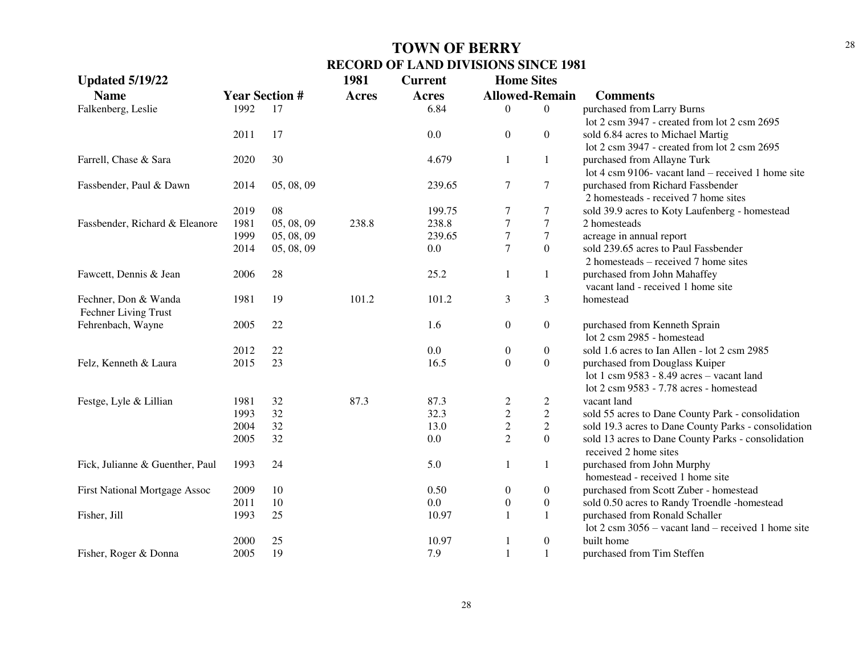| <b>Updated 5/19/22</b>                       |                       |            | 1981         | <b>Current</b> | <b>Home Sites</b>     |                  |                                                               |
|----------------------------------------------|-----------------------|------------|--------------|----------------|-----------------------|------------------|---------------------------------------------------------------|
| <b>Name</b>                                  | <b>Year Section #</b> |            | <b>Acres</b> | <b>Acres</b>   | <b>Allowed-Remain</b> |                  | <b>Comments</b>                                               |
| Falkenberg, Leslie                           | 1992                  | 17         |              | 6.84           | $\Omega$              | $\overline{0}$   | purchased from Larry Burns                                    |
|                                              |                       |            |              |                |                       |                  | lot 2 csm 3947 - created from lot 2 csm 2695                  |
|                                              | 2011                  | 17         |              | 0.0            | $\boldsymbol{0}$      | $\overline{0}$   | sold 6.84 acres to Michael Martig                             |
|                                              |                       |            |              |                |                       |                  | lot 2 csm 3947 - created from lot 2 csm 2695                  |
| Farrell, Chase & Sara                        | 2020                  | 30         |              | 4.679          | $\mathbf{1}$          | 1                | purchased from Allayne Turk                                   |
|                                              |                       |            |              |                |                       |                  | lot 4 csm 9106- vacant land – received 1 home site            |
| Fassbender, Paul & Dawn                      | 2014                  | 05, 08, 09 |              | 239.65         | $\tau$                | 7                | purchased from Richard Fassbender                             |
|                                              |                       |            |              |                |                       |                  | 2 homesteads - received 7 home sites                          |
|                                              | 2019                  | 08         |              | 199.75         | $\tau$                | 7                | sold 39.9 acres to Koty Laufenberg - homestead                |
| Fassbender, Richard & Eleanore               | 1981                  | 05, 08, 09 | 238.8        | 238.8          | $\boldsymbol{7}$      | $\boldsymbol{7}$ | 2 homesteads                                                  |
|                                              | 1999                  | 05, 08, 09 |              | 239.65         | $\sqrt{ }$            | $\boldsymbol{7}$ | acreage in annual report                                      |
|                                              | 2014                  | 05, 08, 09 |              | 0.0            | $\tau$                | $\boldsymbol{0}$ | sold 239.65 acres to Paul Fassbender                          |
|                                              |                       |            |              |                |                       |                  | 2 homesteads – received 7 home sites                          |
| Fawcett, Dennis & Jean                       | 2006                  | 28         |              | 25.2           | $\mathbf{1}$          | 1                | purchased from John Mahaffey                                  |
|                                              |                       |            |              |                |                       |                  | vacant land - received 1 home site                            |
| Fechner, Don & Wanda<br>Fechner Living Trust | 1981                  | 19         | 101.2        | 101.2          | 3                     | 3                | homestead                                                     |
| Fehrenbach, Wayne                            | 2005                  | 22         |              | 1.6            | $\boldsymbol{0}$      | $\boldsymbol{0}$ | purchased from Kenneth Sprain                                 |
|                                              |                       |            |              |                |                       |                  | lot 2 csm 2985 - homestead                                    |
|                                              | 2012                  | 22         |              | 0.0            | $\boldsymbol{0}$      | $\boldsymbol{0}$ | sold 1.6 acres to Ian Allen - lot 2 csm 2985                  |
| Felz, Kenneth & Laura                        | 2015                  | 23         |              | 16.5           | $\boldsymbol{0}$      | $\boldsymbol{0}$ | purchased from Douglass Kuiper                                |
|                                              |                       |            |              |                |                       |                  | lot 1 csm 9583 - 8.49 acres - vacant land                     |
|                                              |                       |            |              |                |                       |                  | lot 2 csm 9583 - 7.78 acres - homestead                       |
| Festge, Lyle & Lillian                       | 1981                  | 32         | 87.3         | 87.3           | $\frac{2}{2}$         | $\overline{c}$   | vacant land                                                   |
|                                              | 1993                  | 32         |              | 32.3           |                       | $\overline{c}$   | sold 55 acres to Dane County Park - consolidation             |
|                                              | 2004                  | 32         |              | 13.0           | $\overline{2}$        | $\overline{2}$   | sold 19.3 acres to Dane County Parks - consolidation          |
|                                              | 2005                  | 32         |              | $0.0\,$        | $\overline{2}$        | $\overline{0}$   | sold 13 acres to Dane County Parks - consolidation            |
|                                              |                       |            |              |                |                       |                  | received 2 home sites                                         |
| Fick, Julianne & Guenther, Paul              | 1993                  | 24         |              | 5.0            | $\mathbf{1}$          | 1                | purchased from John Murphy                                    |
|                                              |                       |            |              |                |                       |                  | homestead - received 1 home site                              |
| First National Mortgage Assoc                | 2009                  | 10         |              | 0.50           | $\boldsymbol{0}$      | $\boldsymbol{0}$ | purchased from Scott Zuber - homestead                        |
|                                              | 2011                  | 10         |              | 0.0            | $\boldsymbol{0}$      | $\boldsymbol{0}$ | sold 0.50 acres to Randy Troendle -homestead                  |
| Fisher, Jill                                 | 1993                  | 25         |              | 10.97          | $\mathbf{1}$          | $\mathbf{1}$     | purchased from Ronald Schaller                                |
|                                              |                       |            |              |                |                       |                  | lot $2 \text{ cm } 3056$ – vacant land – received 1 home site |
|                                              | 2000                  | 25         |              | 10.97          | 1                     | $\boldsymbol{0}$ | built home                                                    |
| Fisher, Roger & Donna                        | 2005                  | 19         |              | 7.9            | $\mathbf{1}$          | $\mathbf{1}$     | purchased from Tim Steffen                                    |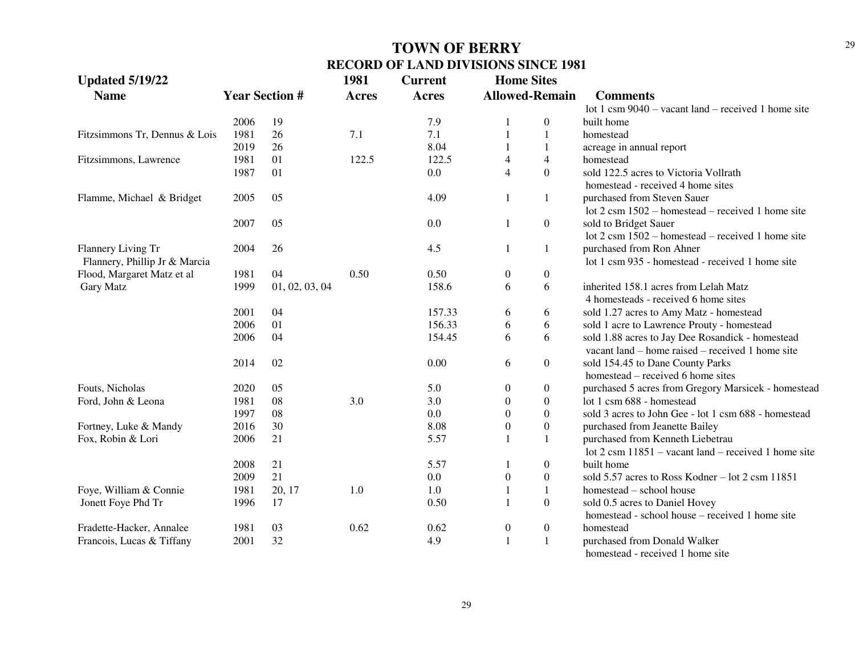| <b>Updated 5/19/22</b>        |      |                       | 1981         | <b>Current</b> | <b>Home Sites</b>     |                  |                                                                                                        |
|-------------------------------|------|-----------------------|--------------|----------------|-----------------------|------------------|--------------------------------------------------------------------------------------------------------|
| <b>Name</b>                   |      | <b>Year Section #</b> | <b>Acres</b> | <b>Acres</b>   | <b>Allowed-Remain</b> |                  | <b>Comments</b>                                                                                        |
|                               |      |                       |              |                |                       |                  | lot 1 csm 9040 - vacant land - received 1 home site                                                    |
|                               | 2006 | 19                    |              | 7.9            |                       | $\boldsymbol{0}$ | built home                                                                                             |
| Fitzsimmons Tr, Dennus & Lois | 1981 | 26                    | 7.1          | 7.1            |                       | $\mathbf{1}$     | homestead                                                                                              |
|                               | 2019 | 26                    |              | 8.04           |                       | 1                | acreage in annual report                                                                               |
| Fitzsimmons, Lawrence         | 1981 | 01                    | 122.5        | 122.5          | 4                     | 4                | homestead                                                                                              |
|                               | 1987 | 01                    |              | 0.0            | $\overline{4}$        | $\overline{0}$   | sold 122.5 acres to Victoria Vollrath<br>homestead - received 4 home sites                             |
| Flamme, Michael & Bridget     | 2005 | 05                    |              | 4.09           | 1                     | 1                | purchased from Steven Sauer                                                                            |
|                               |      |                       |              |                |                       |                  | lot 2 csm 1502 – homestead – received 1 home site                                                      |
|                               | 2007 | 05                    |              | 0.0            | 1                     | $\boldsymbol{0}$ | sold to Bridget Sauer                                                                                  |
|                               |      |                       |              |                |                       |                  | lot $2 \text{ cm } 1502$ – homestead – received 1 home site                                            |
| Flannery Living Tr            | 2004 | 26                    |              | 4.5            | 1                     | $\mathbf{1}$     | purchased from Ron Ahner                                                                               |
| Flannery, Phillip Jr & Marcia |      |                       |              |                |                       |                  | lot 1 csm 935 - homestead - received 1 home site                                                       |
| Flood, Margaret Matz et al    | 1981 | 04                    | 0.50         | 0.50           | $\boldsymbol{0}$      | $\boldsymbol{0}$ |                                                                                                        |
| Gary Matz                     | 1999 | 01, 02, 03, 04        |              | 158.6          | 6                     | 6                | inherited 158.1 acres from Lelah Matz                                                                  |
|                               |      |                       |              |                |                       |                  | 4 homesteads - received 6 home sites                                                                   |
|                               | 2001 | 04                    |              | 157.33         | 6                     | 6                | sold 1.27 acres to Amy Matz - homestead                                                                |
|                               | 2006 | 01                    |              | 156.33         | 6                     | 6                | sold 1 acre to Lawrence Prouty - homestead                                                             |
|                               | 2006 | 04                    |              | 154.45         | 6                     | 6                | sold 1.88 acres to Jay Dee Rosandick - homestead<br>vacant $land$ – home raised – received 1 home site |
|                               | 2014 | 02                    |              | 0.00           | 6                     | $\boldsymbol{0}$ | sold 154.45 to Dane County Parks<br>homestead – received 6 home sites                                  |
| Fouts, Nicholas               | 2020 | 05                    |              | 5.0            | $\mathbf{0}$          | $\boldsymbol{0}$ |                                                                                                        |
| Ford, John & Leona            | 1981 | 08                    | 3.0          | 3.0            | $\overline{0}$        | $\overline{0}$   | purchased 5 acres from Gregory Marsicek - homestead<br>lot 1 csm 688 - homestead                       |
|                               | 1997 | 08                    |              | 0.0            | $\overline{0}$        | $\boldsymbol{0}$ | sold 3 acres to John Gee - lot 1 csm 688 - homestead                                                   |
| Fortney, Luke & Mandy         | 2016 | 30                    |              | 8.08           | $\overline{0}$        | $\overline{0}$   | purchased from Jeanette Bailey                                                                         |
| Fox, Robin & Lori             | 2006 | 21                    |              | 5.57           |                       | $\mathbf{1}$     | purchased from Kenneth Liebetrau                                                                       |
|                               |      |                       |              |                |                       |                  | lot $2 \text{ cm } 11851$ – vacant land – received 1 home site                                         |
|                               | 2008 | 21                    |              | 5.57           |                       | $\boldsymbol{0}$ | built home                                                                                             |
|                               | 2009 | 21                    |              | 0.0            | $\boldsymbol{0}$      | $\boldsymbol{0}$ | sold 5.57 acres to Ross Kodner – lot 2 csm 11851                                                       |
| Foye, William & Connie        | 1981 | 20, 17                | 1.0          | 1.0            |                       | $\mathbf{1}$     | homestead - school house                                                                               |
| Jonett Foye Phd Tr            | 1996 | 17                    |              | 0.50           |                       | $\boldsymbol{0}$ | sold 0.5 acres to Daniel Hovey                                                                         |
|                               |      |                       |              |                |                       |                  | homestead - school house - received 1 home site                                                        |
| Fradette-Hacker, Annalee      | 1981 | 03                    | 0.62         | 0.62           | $\boldsymbol{0}$      | $\boldsymbol{0}$ | homestead                                                                                              |
| Francois, Lucas & Tiffany     | 2001 | 32                    |              | 4.9            |                       | $\mathbf{1}$     | purchased from Donald Walker                                                                           |
|                               |      |                       |              |                |                       |                  | a maanaanaa lagu waxa kaan ah dhamaanaa midaa                                                          |

homestead - received 1 home site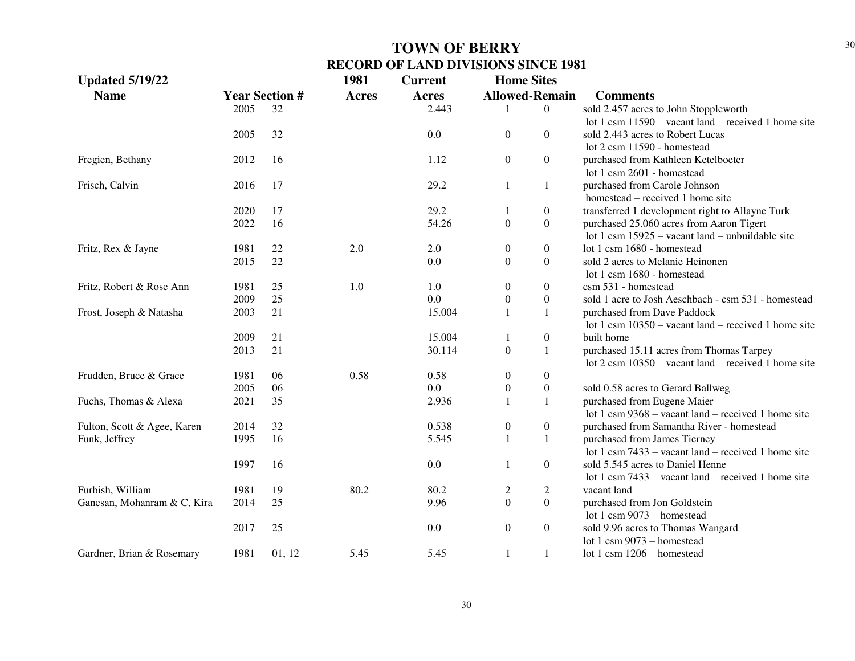| <b>Updated 5/19/22</b>      |      |                       | 1981         | <b>Current</b> | <b>Home Sites</b>     |                  |                                                                |
|-----------------------------|------|-----------------------|--------------|----------------|-----------------------|------------------|----------------------------------------------------------------|
| <b>Name</b>                 |      | <b>Year Section #</b> | <b>Acres</b> | <b>Acres</b>   | <b>Allowed-Remain</b> |                  | <b>Comments</b>                                                |
|                             | 2005 | 32                    |              | 2.443          |                       | $\boldsymbol{0}$ | sold 2.457 acres to John Stoppleworth                          |
|                             |      |                       |              |                |                       |                  | lot 1 csm $11590 -$ vacant land – received 1 home site         |
|                             | 2005 | 32                    |              | 0.0            | $\overline{0}$        | $\Omega$         | sold 2.443 acres to Robert Lucas                               |
|                             |      |                       |              |                |                       |                  | lot 2 csm 11590 - homestead                                    |
| Fregien, Bethany            | 2012 | 16                    |              | 1.12           | $\boldsymbol{0}$      | $\overline{0}$   | purchased from Kathleen Ketelboeter                            |
|                             |      |                       |              |                |                       |                  | lot 1 csm 2601 - homestead                                     |
| Frisch, Calvin              | 2016 | 17                    |              | 29.2           | $\mathbf{1}$          | 1                | purchased from Carole Johnson                                  |
|                             |      |                       |              |                |                       |                  | homestead – received 1 home site                               |
|                             | 2020 | 17                    |              | 29.2           | 1                     | $\boldsymbol{0}$ | transferred 1 development right to Allayne Turk                |
|                             | 2022 | 16                    |              | 54.26          | $\boldsymbol{0}$      | $\boldsymbol{0}$ | purchased 25.060 acres from Aaron Tigert                       |
|                             |      |                       |              |                |                       |                  | lot 1 csm $15925$ – vacant land – unbuildable site             |
| Fritz, Rex & Jayne          | 1981 | 22                    | 2.0          | 2.0            | $\boldsymbol{0}$      | $\overline{0}$   | lot 1 csm 1680 - homestead                                     |
|                             | 2015 | 22                    |              | 0.0            | $\boldsymbol{0}$      | $\mathbf{0}$     | sold 2 acres to Melanie Heinonen                               |
|                             |      |                       |              |                |                       |                  | lot 1 csm 1680 - homestead                                     |
| Fritz, Robert & Rose Ann    | 1981 | 25                    | 1.0          | 1.0            | $\boldsymbol{0}$      | $\theta$         | csm 531 - homestead                                            |
|                             | 2009 | 25                    |              | 0.0            | $\boldsymbol{0}$      | $\boldsymbol{0}$ | sold 1 acre to Josh Aeschbach - csm 531 - homestead            |
| Frost, Joseph & Natasha     | 2003 | 21                    |              | 15.004         |                       | $\mathbf{1}$     | purchased from Dave Paddock                                    |
|                             |      |                       |              |                |                       |                  | lot 1 csm $10350$ – vacant land – received 1 home site         |
|                             | 2009 | 21                    |              | 15.004         |                       | $\boldsymbol{0}$ | built home                                                     |
|                             | 2013 | 21                    |              | 30.114         | $\overline{0}$        | $\mathbf{1}$     | purchased 15.11 acres from Thomas Tarpey                       |
|                             |      |                       |              |                |                       |                  | lot $2 \text{ cm } 10350$ – vacant land – received 1 home site |
| Frudden, Bruce & Grace      | 1981 | 06                    | 0.58         | 0.58           | $\boldsymbol{0}$      | $\boldsymbol{0}$ |                                                                |
|                             | 2005 | 06                    |              | 0.0            | $\boldsymbol{0}$      | $\boldsymbol{0}$ | sold 0.58 acres to Gerard Ballweg                              |
| Fuchs, Thomas & Alexa       | 2021 | 35                    |              | 2.936          | $\mathbf{1}$          | -1               | purchased from Eugene Maier                                    |
|                             |      |                       |              |                |                       |                  | lot 1 csm $9368$ – vacant land – received 1 home site          |
| Fulton, Scott & Agee, Karen | 2014 | 32                    |              | 0.538          | $\boldsymbol{0}$      | $\boldsymbol{0}$ | purchased from Samantha River - homestead                      |
| Funk, Jeffrey               | 1995 | 16                    |              | 5.545          | $\mathbf{1}$          | $\mathbf{1}$     | purchased from James Tierney                                   |
|                             |      |                       |              |                |                       |                  | lot 1 csm $7433$ – vacant land – received 1 home site          |
|                             | 1997 | 16                    |              | 0.0            | 1                     | $\boldsymbol{0}$ | sold 5.545 acres to Daniel Henne                               |
|                             |      |                       |              |                |                       |                  | lot 1 csm $7433 -$ vacant land – received 1 home site          |
| Furbish, William            | 1981 | 19                    | 80.2         | 80.2           | $\overline{c}$        | $\mathfrak{2}$   | vacant land                                                    |
| Ganesan, Mohanram & C, Kira | 2014 | 25                    |              | 9.96           | $\boldsymbol{0}$      | $\boldsymbol{0}$ | purchased from Jon Goldstein                                   |
|                             |      |                       |              |                |                       |                  | lot 1 csm $9073 -$ homestead                                   |
|                             | 2017 | 25                    |              | 0.0            | $\boldsymbol{0}$      | $\boldsymbol{0}$ | sold 9.96 acres to Thomas Wangard                              |
|                             |      |                       |              |                |                       |                  | lot 1 csm $9073$ – homestead                                   |
| Gardner, Brian & Rosemary   | 1981 | 01, 12                | 5.45         | 5.45           | $\mathbf{1}$          | $\mathbf{1}$     | lot 1 csm $1206$ - homestead                                   |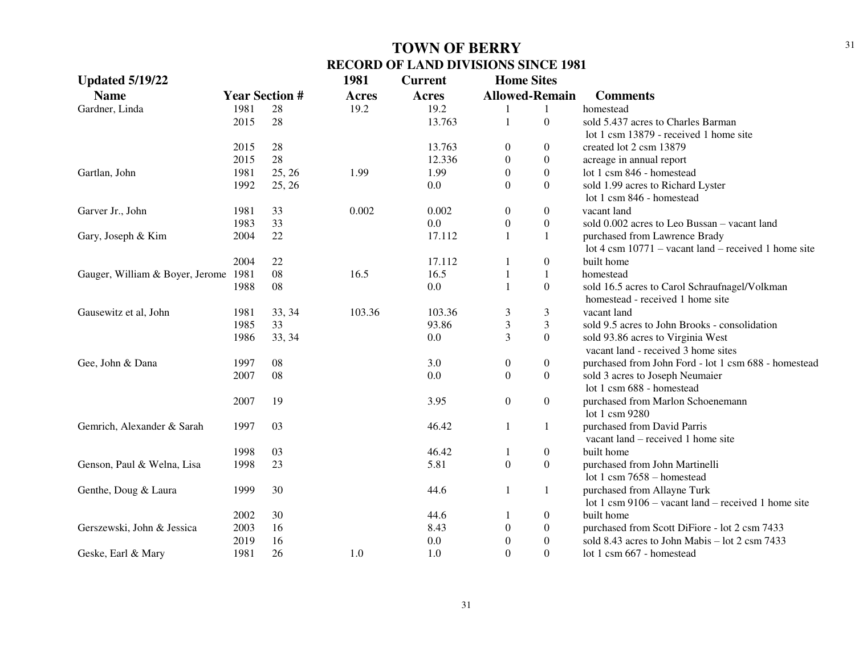| <b>Updated 5/19/22</b>               |      |                       | 1981         | <b>Current</b> | <b>Home Sites</b>     |                  |                                                        |
|--------------------------------------|------|-----------------------|--------------|----------------|-----------------------|------------------|--------------------------------------------------------|
| <b>Name</b>                          |      | <b>Year Section #</b> | <b>Acres</b> | <b>Acres</b>   | <b>Allowed-Remain</b> |                  | <b>Comments</b>                                        |
| Gardner, Linda                       | 1981 | 28                    | 19.2         | 19.2           |                       | 1                | homestead                                              |
|                                      | 2015 | 28                    |              | 13.763         | 1                     | $\overline{0}$   | sold 5.437 acres to Charles Barman                     |
|                                      |      |                       |              |                |                       |                  | lot 1 csm 13879 - received 1 home site                 |
|                                      | 2015 | 28                    |              | 13.763         | $\boldsymbol{0}$      | $\overline{0}$   | created lot 2 csm 13879                                |
|                                      | 2015 | 28                    |              | 12.336         | $\boldsymbol{0}$      | $\overline{0}$   | acreage in annual report                               |
| Gartlan, John                        | 1981 | 25, 26                | 1.99         | 1.99           | $\theta$              | $\overline{0}$   | lot 1 csm 846 - homestead                              |
|                                      | 1992 | 25, 26                |              | 0.0            | $\Omega$              | $\Omega$         | sold 1.99 acres to Richard Lyster                      |
|                                      |      |                       |              |                |                       |                  | lot 1 csm 846 - homestead                              |
| Garver Jr., John                     | 1981 | 33                    | 0.002        | 0.002          | $\boldsymbol{0}$      | $\overline{0}$   | vacant land                                            |
|                                      | 1983 | 33                    |              | $0.0\,$        | $\boldsymbol{0}$      | $\boldsymbol{0}$ | sold 0.002 acres to Leo Bussan - vacant land           |
| Gary, Joseph & Kim                   | 2004 | 22                    |              | 17.112         | $\mathbf{1}$          | $\mathbf{1}$     | purchased from Lawrence Brady                          |
|                                      |      |                       |              |                |                       |                  | lot 4 csm $10771$ – vacant land – received 1 home site |
|                                      | 2004 | 22                    |              | 17.112         | 1                     | $\overline{0}$   | built home                                             |
| Gauger, William & Boyer, Jerome 1981 |      | 08                    | 16.5         | 16.5           | 1                     | $\mathbf{1}$     | homestead                                              |
|                                      | 1988 | 08                    |              | $0.0\,$        | $\mathbf{1}$          | $\boldsymbol{0}$ | sold 16.5 acres to Carol Schraufnagel/Volkman          |
|                                      |      |                       |              |                |                       |                  | homestead - received 1 home site                       |
| Gausewitz et al, John                | 1981 | 33, 34                | 103.36       | 103.36         | 3                     | 3                | vacant land                                            |
|                                      | 1985 | 33                    |              | 93.86          | $\mathfrak{Z}$        | 3                | sold 9.5 acres to John Brooks - consolidation          |
|                                      | 1986 | 33, 34                |              | 0.0            | 3                     | $\mathbf{0}$     | sold 93.86 acres to Virginia West                      |
|                                      |      |                       |              |                |                       |                  | vacant land - received 3 home sites                    |
| Gee, John & Dana                     | 1997 | 08                    |              | 3.0            | $\boldsymbol{0}$      | $\overline{0}$   | purchased from John Ford - lot 1 csm 688 - homestead   |
|                                      | 2007 | 08                    |              | 0.0            | $\boldsymbol{0}$      | $\overline{0}$   | sold 3 acres to Joseph Neumaier                        |
|                                      |      |                       |              |                |                       |                  | lot 1 csm 688 - homestead                              |
|                                      | 2007 | 19                    |              | 3.95           | $\boldsymbol{0}$      | $\boldsymbol{0}$ | purchased from Marlon Schoenemann                      |
|                                      |      |                       |              |                |                       |                  | lot 1 csm 9280                                         |
| Gemrich, Alexander & Sarah           | 1997 | 03                    |              | 46.42          | $\mathbf{1}$          | $\mathbf{1}$     | purchased from David Parris                            |
|                                      |      |                       |              |                |                       |                  | vacant land – received 1 home site                     |
|                                      | 1998 | 03                    |              | 46.42          | 1                     | $\overline{0}$   | built home                                             |
| Genson, Paul & Welna, Lisa           | 1998 | 23                    |              | 5.81           | $\boldsymbol{0}$      | $\mathbf{0}$     | purchased from John Martinelli                         |
|                                      |      |                       |              |                |                       |                  | lot 1 csm $7658 -$ homestead                           |
| Genthe, Doug & Laura                 | 1999 | 30                    |              | 44.6           | $\mathbf{1}$          | $\mathbf{1}$     | purchased from Allayne Turk                            |
|                                      |      |                       |              |                |                       |                  | lot 1 csm $9106 -$ vacant land – received 1 home site  |
|                                      | 2002 | 30                    |              | 44.6           | 1                     | $\overline{0}$   | built home                                             |
| Gerszewski, John & Jessica           | 2003 | 16                    |              | 8.43           | $\boldsymbol{0}$      | $\overline{0}$   | purchased from Scott DiFiore - lot 2 csm 7433          |
|                                      | 2019 | 16                    |              | 0.0            | $\boldsymbol{0}$      | $\boldsymbol{0}$ | sold 8.43 acres to John Mabis - lot 2 csm 7433         |
| Geske, Earl & Mary                   | 1981 | 26                    | 1.0          | 1.0            | $\Omega$              | $\Omega$         | lot 1 csm 667 - homestead                              |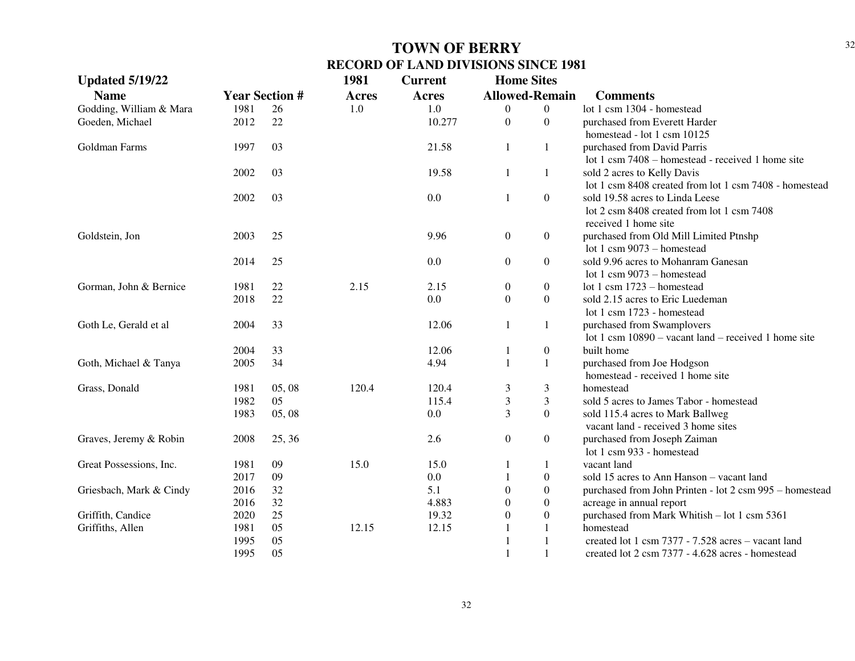| <b>Updated 5/19/22</b>  |                       |        | 1981         | <b>Current</b> | <b>Home Sites</b>     |                  |                                                         |
|-------------------------|-----------------------|--------|--------------|----------------|-----------------------|------------------|---------------------------------------------------------|
| <b>Name</b>             | <b>Year Section #</b> |        | <b>Acres</b> | Acres          | <b>Allowed-Remain</b> |                  | <b>Comments</b>                                         |
| Godding, William & Mara | 1981                  | 26     | 1.0          | 1.0            | $\overline{0}$        | $\Omega$         | lot 1 csm 1304 - homestead                              |
| Goeden, Michael         | 2012                  | 22     |              | 10.277         | $\mathbf{0}$          | $\Omega$         | purchased from Everett Harder                           |
|                         |                       |        |              |                |                       |                  | homestead - lot 1 csm 10125                             |
| Goldman Farms           | 1997                  | 03     |              | 21.58          | 1                     | $\mathbf{1}$     | purchased from David Parris                             |
|                         |                       |        |              |                |                       |                  | lot 1 csm 7408 – homestead - received 1 home site       |
|                         | 2002                  | 03     |              | 19.58          | $\mathbf{1}$          | $\mathbf{1}$     | sold 2 acres to Kelly Davis                             |
|                         |                       |        |              |                |                       |                  | lot 1 csm 8408 created from lot 1 csm 7408 - homestead  |
|                         | 2002                  | 03     |              | 0.0            | 1                     | $\boldsymbol{0}$ | sold 19.58 acres to Linda Leese                         |
|                         |                       |        |              |                |                       |                  | lot 2 csm 8408 created from lot 1 csm 7408              |
|                         |                       |        |              |                |                       |                  | received 1 home site                                    |
| Goldstein, Jon          | 2003                  | 25     |              | 9.96           | $\boldsymbol{0}$      | $\boldsymbol{0}$ | purchased from Old Mill Limited Ptnshp                  |
|                         |                       |        |              |                |                       |                  | lot 1 csm 9073 - homestead                              |
|                         | 2014                  | 25     |              | 0.0            | $\boldsymbol{0}$      | $\boldsymbol{0}$ | sold 9.96 acres to Mohanram Ganesan                     |
|                         |                       |        |              |                |                       |                  | lot 1 csm $9073$ – homestead                            |
| Gorman, John & Bernice  | 1981                  | 22     | 2.15         | 2.15           | $\boldsymbol{0}$      | $\boldsymbol{0}$ | lot 1 csm 1723 - homestead                              |
|                         | 2018                  | 22     |              | 0.0            | $\boldsymbol{0}$      | $\overline{0}$   | sold 2.15 acres to Eric Luedeman                        |
|                         |                       |        |              |                |                       |                  | lot 1 csm 1723 - homestead                              |
| Goth Le, Gerald et al   | 2004                  | 33     |              | 12.06          | 1                     | $\mathbf{1}$     | purchased from Swamplovers                              |
|                         |                       |        |              |                |                       |                  | lot 1 csm $10890 -$ vacant land – received 1 home site  |
|                         | 2004                  | 33     |              | 12.06          | 1                     | $\boldsymbol{0}$ | built home                                              |
| Goth, Michael & Tanya   | 2005                  | 34     |              | 4.94           | 1                     | $\mathbf{1}$     | purchased from Joe Hodgson                              |
|                         |                       |        |              |                |                       |                  | homestead - received 1 home site                        |
| Grass, Donald           | 1981                  | 05, 08 | 120.4        | 120.4          | 3                     | 3                | homestead                                               |
|                         | 1982                  | 05     |              | 115.4          | $\mathfrak{Z}$        | 3                | sold 5 acres to James Tabor - homestead                 |
|                         | 1983                  | 05, 08 |              | 0.0            | 3                     | $\boldsymbol{0}$ | sold 115.4 acres to Mark Ballweg                        |
|                         |                       |        |              |                |                       |                  | vacant land - received 3 home sites                     |
| Graves, Jeremy & Robin  | 2008                  | 25, 36 |              | 2.6            | $\boldsymbol{0}$      | $\boldsymbol{0}$ | purchased from Joseph Zaiman                            |
|                         |                       |        |              |                |                       |                  | lot 1 csm 933 - homestead                               |
| Great Possessions, Inc. | 1981                  | 09     | 15.0         | 15.0           |                       | $\mathbf{1}$     | vacant land                                             |
|                         | 2017                  | 09     |              | 0.0            |                       | $\boldsymbol{0}$ | sold 15 acres to Ann Hanson – vacant land               |
| Griesbach, Mark & Cindy | 2016                  | 32     |              | 5.1            | $\theta$              | $\boldsymbol{0}$ | purchased from John Printen - lot 2 csm 995 - homestead |
|                         | 2016                  | 32     |              | 4.883          | $\overline{0}$        | $\boldsymbol{0}$ | acreage in annual report                                |
| Griffith, Candice       | 2020                  | 25     |              | 19.32          | $\boldsymbol{0}$      | $\boldsymbol{0}$ | purchased from Mark Whitish - lot 1 csm 5361            |
| Griffiths, Allen        | 1981                  | 05     | 12.15        | 12.15          |                       | 1                | homestead                                               |
|                         | 1995                  | 05     |              |                | $\overline{1}$        | 1                | created lot 1 csm 7377 - 7.528 acres - vacant land      |
|                         | 1995                  | 05     |              |                | $\mathbf{1}$          | 1                | created lot 2 csm 7377 - 4.628 acres - homestead        |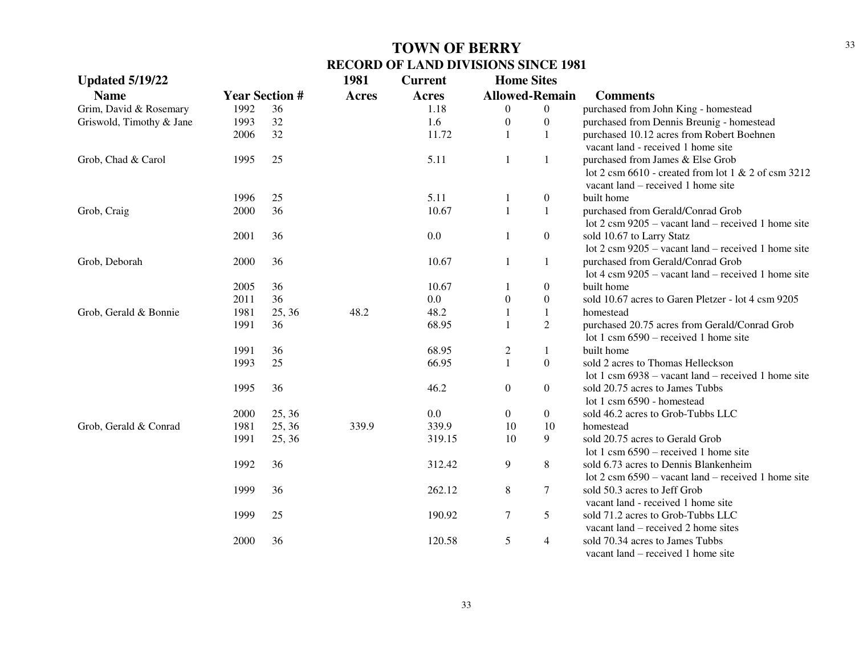| <b>Updated 5/19/22</b>   |      |                       | 1981         | <b>Current</b> | <b>Home Sites</b>     |                  |                                                                                          |
|--------------------------|------|-----------------------|--------------|----------------|-----------------------|------------------|------------------------------------------------------------------------------------------|
| <b>Name</b>              |      | <b>Year Section #</b> | <b>Acres</b> | <b>Acres</b>   | <b>Allowed-Remain</b> |                  | <b>Comments</b>                                                                          |
| Grim, David & Rosemary   | 1992 | 36                    |              | 1.18           | $\theta$              | $\boldsymbol{0}$ | purchased from John King - homestead                                                     |
| Griswold, Timothy & Jane | 1993 | 32                    |              | 1.6            | $\boldsymbol{0}$      | $\boldsymbol{0}$ | purchased from Dennis Breunig - homestead                                                |
|                          | 2006 | 32                    |              | 11.72          | 1                     | 1                | purchased 10.12 acres from Robert Boehnen                                                |
|                          |      |                       |              |                |                       |                  | vacant land - received 1 home site                                                       |
| Grob, Chad & Carol       | 1995 | 25                    |              | 5.11           | -1                    | $\mathbf{1}$     | purchased from James & Else Grob                                                         |
|                          |      |                       |              |                |                       |                  | lot 2 csm $6610$ - created from lot 1 & 2 of csm 3212                                    |
|                          |      |                       |              |                |                       |                  | vacant land – received 1 home site                                                       |
|                          | 1996 | 25                    |              | 5.11           | 1                     | $\boldsymbol{0}$ | built home                                                                               |
| Grob, Craig              | 2000 | 36                    |              | 10.67          | $\mathbf{1}$          | $\mathbf{1}$     | purchased from Gerald/Conrad Grob                                                        |
|                          |      |                       |              |                |                       |                  | lot $2 \text{ cm } 9205$ – vacant land – received 1 home site                            |
|                          | 2001 | 36                    |              | 0.0            | 1                     | $\boldsymbol{0}$ | sold 10.67 to Larry Statz                                                                |
|                          |      |                       |              |                |                       |                  | lot $2 \text{ cm } 9205$ – vacant land – received 1 home site                            |
| Grob, Deborah            | 2000 | 36                    |              | 10.67          | 1                     | 1                | purchased from Gerald/Conrad Grob                                                        |
|                          |      |                       |              |                |                       |                  | lot 4 csm $9205$ – vacant land – received 1 home site                                    |
|                          | 2005 | 36                    |              | 10.67          | 1                     | $\boldsymbol{0}$ | built home                                                                               |
|                          | 2011 | 36                    |              | 0.0            | $\boldsymbol{0}$      | $\boldsymbol{0}$ | sold 10.67 acres to Garen Pletzer - lot 4 csm 9205                                       |
| Grob, Gerald & Bonnie    | 1981 | 25, 36                | 48.2         | 48.2           | $\mathbf{1}$          | $1\,$            | homestead                                                                                |
|                          | 1991 | 36                    |              | 68.95          | $\mathbf{1}$          | $\overline{2}$   | purchased 20.75 acres from Gerald/Conrad Grob<br>lot 1 csm $6590$ – received 1 home site |
|                          | 1991 | 36                    |              | 68.95          | $\overline{2}$        | 1                | built home                                                                               |
|                          | 1993 | 25                    |              | 66.95          | $\mathbf{1}$          | $\boldsymbol{0}$ | sold 2 acres to Thomas Helleckson                                                        |
|                          |      |                       |              |                |                       |                  | lot 1 csm $6938 -$ vacant land – received 1 home site                                    |
|                          | 1995 | 36                    |              | 46.2           | $\overline{0}$        | $\boldsymbol{0}$ | sold 20.75 acres to James Tubbs                                                          |
|                          |      |                       |              |                |                       |                  | lot 1 csm 6590 - homestead                                                               |
|                          | 2000 | 25, 36                |              | 0.0            | $\overline{0}$        | $\boldsymbol{0}$ | sold 46.2 acres to Grob-Tubbs LLC                                                        |
| Grob, Gerald & Conrad    | 1981 | 25, 36                | 339.9        | 339.9          | 10                    | 10               | homestead                                                                                |
|                          | 1991 | 25, 36                |              | 319.15         | 10                    | 9                | sold 20.75 acres to Gerald Grob                                                          |
|                          |      |                       |              |                |                       |                  | lot 1 csm $6590$ – received 1 home site                                                  |
|                          | 1992 | 36                    |              | 312.42         | 9                     | 8                | sold 6.73 acres to Dennis Blankenheim                                                    |
|                          |      |                       |              |                |                       |                  | lot $2 \text{ cm } 6590$ – vacant land – received 1 home site                            |
|                          | 1999 | 36                    |              | 262.12         | 8                     | 7                | sold 50.3 acres to Jeff Grob                                                             |
|                          |      |                       |              |                |                       |                  | vacant land - received 1 home site                                                       |
|                          | 1999 | 25                    |              | 190.92         | $\tau$                | 5                | sold 71.2 acres to Grob-Tubbs LLC                                                        |
|                          |      |                       |              |                |                       |                  | vacant land – received 2 home sites                                                      |
|                          | 2000 | 36                    |              | 120.58         | 5                     | 4                | sold 70.34 acres to James Tubbs                                                          |
|                          |      |                       |              |                |                       |                  | vacant land – received 1 home site                                                       |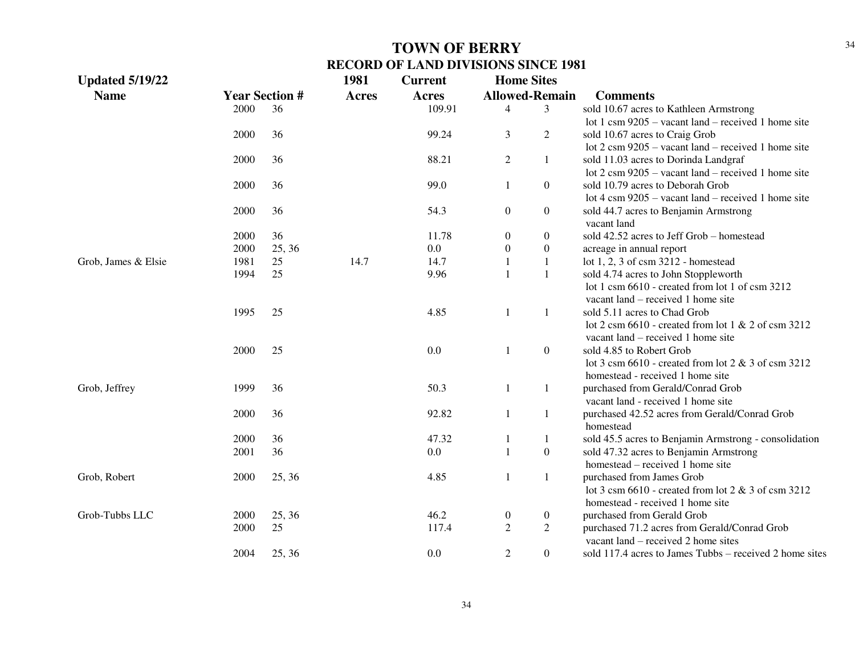| <b>Updated 5/19/22</b> |      |                       | 1981         | <b>Current</b> | <b>Home Sites</b> |                       |                                                                         |
|------------------------|------|-----------------------|--------------|----------------|-------------------|-----------------------|-------------------------------------------------------------------------|
| <b>Name</b>            |      | <b>Year Section #</b> | <b>Acres</b> | Acres          |                   | <b>Allowed-Remain</b> | <b>Comments</b>                                                         |
|                        | 2000 | 36                    |              | 109.91         | 4                 | 3                     | sold 10.67 acres to Kathleen Armstrong                                  |
|                        |      |                       |              |                |                   |                       | lot 1 csm $9205$ – vacant land – received 1 home site                   |
|                        | 2000 | 36                    |              | 99.24          | 3                 | $\overline{2}$        | sold 10.67 acres to Craig Grob                                          |
|                        |      |                       |              |                |                   |                       | lot $2 \text{ cm } 9205$ – vacant land – received 1 home site           |
|                        | 2000 | 36                    |              | 88.21          | $\overline{2}$    | $\mathbf{1}$          | sold 11.03 acres to Dorinda Landgraf                                    |
|                        |      |                       |              |                |                   |                       | lot $2 \text{ cm } 9205$ – vacant land – received 1 home site           |
|                        | 2000 | 36                    |              | 99.0           | $\mathbf{1}$      | $\overline{0}$        | sold 10.79 acres to Deborah Grob                                        |
|                        |      |                       |              |                |                   |                       | lot 4 csm $9205$ – vacant land – received 1 home site                   |
|                        | 2000 | 36                    |              | 54.3           | $\overline{0}$    | $\overline{0}$        | sold 44.7 acres to Benjamin Armstrong                                   |
|                        |      |                       |              |                |                   |                       | vacant land                                                             |
|                        | 2000 | 36                    |              | 11.78          | $\boldsymbol{0}$  | $\boldsymbol{0}$      | sold 42.52 acres to Jeff Grob - homestead                               |
|                        | 2000 | 25, 36                |              | 0.0            | $\overline{0}$    | $\boldsymbol{0}$      | acreage in annual report                                                |
| Grob, James & Elsie    | 1981 | 25                    | 14.7         | 14.7           |                   | $\mathbf{1}$          | lot 1, 2, 3 of csm 3212 - homestead                                     |
|                        | 1994 | 25                    |              | 9.96           |                   | $\mathbf{1}$          | sold 4.74 acres to John Stoppleworth                                    |
|                        |      |                       |              |                |                   |                       | lot 1 csm 6610 - created from lot 1 of csm 3212                         |
|                        |      |                       |              |                |                   |                       | vacant land – received 1 home site                                      |
|                        | 1995 | 25                    |              | 4.85           |                   | 1                     | sold 5.11 acres to Chad Grob                                            |
|                        |      |                       |              |                |                   |                       | lot 2 csm $6610$ - created from lot 1 & 2 of csm 3212                   |
|                        |      |                       |              |                |                   |                       | vacant land – received 1 home site                                      |
|                        | 2000 | 25                    |              | 0.0            |                   | $\overline{0}$        | sold 4.85 to Robert Grob                                                |
|                        |      |                       |              |                |                   |                       | lot 3 csm $6610$ - created from lot 2 & 3 of csm 3212                   |
|                        |      |                       |              |                |                   |                       | homestead - received 1 home site                                        |
| Grob, Jeffrey          | 1999 | 36                    |              | 50.3           | 1                 | $\mathbf{1}$          | purchased from Gerald/Conrad Grob<br>vacant land - received 1 home site |
|                        | 2000 | 36                    |              | 92.82          |                   | $\mathbf{1}$          | purchased 42.52 acres from Gerald/Conrad Grob                           |
|                        |      |                       |              |                |                   |                       | homestead                                                               |
|                        | 2000 | 36                    |              | 47.32          |                   | $\mathbf{1}$          | sold 45.5 acres to Benjamin Armstrong - consolidation                   |
|                        | 2001 | 36                    |              | 0.0            |                   | $\boldsymbol{0}$      | sold 47.32 acres to Benjamin Armstrong                                  |
|                        |      |                       |              |                |                   |                       | homestead – received 1 home site                                        |
| Grob, Robert           | 2000 | 25, 36                |              | 4.85           |                   | $\mathbf{1}$          | purchased from James Grob                                               |
|                        |      |                       |              |                |                   |                       | lot 3 csm $6610$ - created from lot 2 & 3 of csm 3212                   |
|                        |      |                       |              |                |                   |                       | homestead - received 1 home site                                        |
| Grob-Tubbs LLC         | 2000 | 25, 36                |              | 46.2           | $\mathbf{0}$      | $\overline{0}$        | purchased from Gerald Grob                                              |
|                        | 2000 | 25                    |              | 117.4          | $\overline{c}$    | $\boldsymbol{2}$      | purchased 71.2 acres from Gerald/Conrad Grob                            |
|                        |      |                       |              |                |                   |                       | vacant land – received 2 home sites                                     |
|                        | 2004 | 25, 36                |              | 0.0            | 2                 | $\overline{0}$        | sold 117.4 acres to James Tubbs – received 2 home sites                 |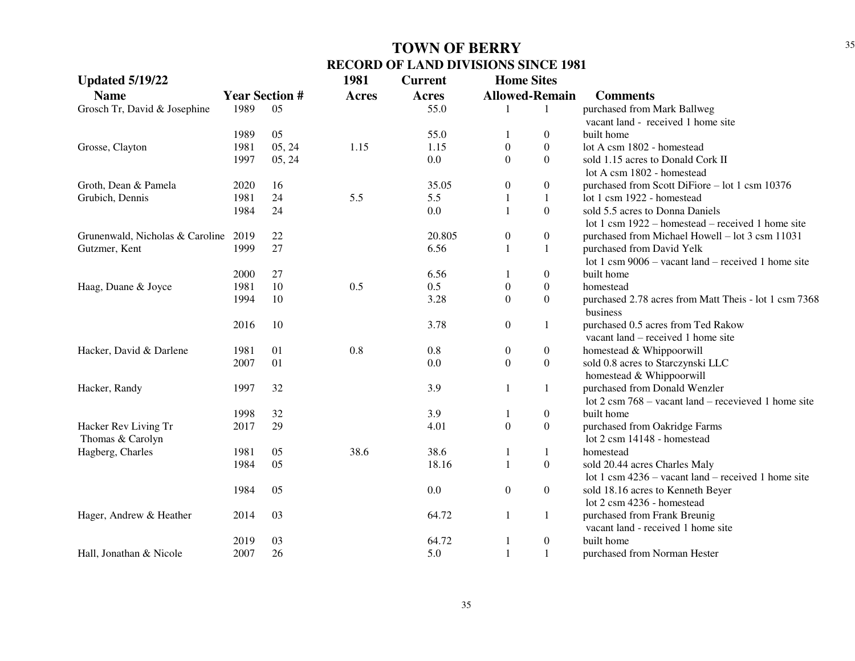| <b>Updated 5/19/22</b>          |      |                       | 1981         | <b>Current</b> | <b>Home Sites</b>     |                  |                                                                   |
|---------------------------------|------|-----------------------|--------------|----------------|-----------------------|------------------|-------------------------------------------------------------------|
| <b>Name</b>                     |      | <b>Year Section #</b> | <b>Acres</b> | <b>Acres</b>   | <b>Allowed-Remain</b> |                  | <b>Comments</b>                                                   |
| Grosch Tr, David & Josephine    | 1989 | 05                    |              | 55.0           | 1                     | -1               | purchased from Mark Ballweg                                       |
|                                 |      |                       |              |                |                       |                  | vacant land - received 1 home site                                |
|                                 | 1989 | 05                    |              | 55.0           | 1                     | $\boldsymbol{0}$ | built home                                                        |
| Grosse, Clayton                 | 1981 | 05, 24                | 1.15         | 1.15           | $\boldsymbol{0}$      | $\boldsymbol{0}$ | lot A csm 1802 - homestead                                        |
|                                 | 1997 | 05, 24                |              | 0.0            | $\mathbf{0}$          | $\mathbf{0}$     | sold 1.15 acres to Donald Cork II                                 |
|                                 |      |                       |              |                |                       |                  | lot A csm 1802 - homestead                                        |
| Groth, Dean & Pamela            | 2020 | 16                    |              | 35.05          | $\boldsymbol{0}$      | $\boldsymbol{0}$ | purchased from Scott DiFiore - lot 1 csm 10376                    |
| Grubich, Dennis                 | 1981 | 24                    | 5.5          | 5.5            | 1                     | 1                | lot 1 csm 1922 - homestead                                        |
|                                 | 1984 | 24                    |              | 0.0            | 1                     | $\boldsymbol{0}$ | sold 5.5 acres to Donna Daniels                                   |
|                                 |      |                       |              |                |                       |                  | lot 1 csm 1922 – homestead – received 1 home site                 |
| Grunenwald, Nicholas & Caroline | 2019 | 22                    |              | 20.805         | $\boldsymbol{0}$      | $\boldsymbol{0}$ | purchased from Michael Howell – lot 3 csm 11031                   |
| Gutzmer, Kent                   | 1999 | 27                    |              | 6.56           | $\mathbf{1}$          | $\mathbf{1}$     | purchased from David Yelk                                         |
|                                 |      |                       |              |                |                       |                  | lot 1 csm $9006 -$ vacant land – received 1 home site             |
|                                 | 2000 | 27                    |              | 6.56           | 1                     | $\boldsymbol{0}$ | built home                                                        |
| Haag, Duane & Joyce             | 1981 | 10                    | 0.5          | 0.5            | $\boldsymbol{0}$      | $\boldsymbol{0}$ | homestead                                                         |
|                                 | 1994 | 10                    |              | 3.28           | $\mathbf{0}$          | $\mathbf{0}$     | purchased 2.78 acres from Matt Theis - lot 1 csm 7368<br>business |
|                                 | 2016 | 10                    |              | 3.78           | $\boldsymbol{0}$      | 1                | purchased 0.5 acres from Ted Rakow                                |
|                                 |      |                       |              |                |                       |                  | vacant land – received 1 home site                                |
| Hacker, David & Darlene         | 1981 | 01                    | 0.8          | 0.8            | $\boldsymbol{0}$      | $\boldsymbol{0}$ | homestead & Whippoorwill                                          |
|                                 | 2007 | 01                    |              | 0.0            | $\boldsymbol{0}$      | $\boldsymbol{0}$ | sold 0.8 acres to Starczynski LLC                                 |
|                                 |      |                       |              |                |                       |                  | homestead & Whippoorwill                                          |
| Hacker, Randy                   | 1997 | 32                    |              | 3.9            | $\mathbf{1}$          | $\mathbf{1}$     | purchased from Donald Wenzler                                     |
|                                 |      |                       |              |                |                       |                  | lot $2 \text{ cm } 768$ – vacant land – recevieved 1 home site    |
|                                 | 1998 | 32                    |              | 3.9            | 1                     | $\boldsymbol{0}$ | built home                                                        |
| Hacker Rev Living Tr            | 2017 | 29                    |              | 4.01           | $\boldsymbol{0}$      | $\boldsymbol{0}$ | purchased from Oakridge Farms                                     |
| Thomas & Carolyn                |      |                       |              |                |                       |                  | lot 2 csm 14148 - homestead                                       |
| Hagberg, Charles                | 1981 | 05                    | 38.6         | 38.6           | $\mathbf{1}$          | $\mathbf{1}$     | homestead                                                         |
|                                 | 1984 | 05                    |              | 18.16          | $\mathbf{1}$          | $\boldsymbol{0}$ | sold 20.44 acres Charles Maly                                     |
|                                 |      |                       |              |                |                       |                  | lot 1 csm $4236 -$ vacant land – received 1 home site             |
|                                 | 1984 | 05                    |              | 0.0            | $\boldsymbol{0}$      | $\boldsymbol{0}$ | sold 18.16 acres to Kenneth Beyer                                 |
|                                 |      |                       |              |                |                       |                  | lot 2 csm 4236 - homestead                                        |
| Hager, Andrew & Heather         | 2014 | 03                    |              | 64.72          | 1                     | 1                | purchased from Frank Breunig                                      |
|                                 |      |                       |              |                |                       |                  | vacant land - received 1 home site                                |
|                                 | 2019 | 03                    |              | 64.72          | 1                     | $\boldsymbol{0}$ | built home                                                        |
| Hall, Jonathan & Nicole         | 2007 | 26                    |              | 5.0            | $\mathbf{1}$          | $\mathbf{1}$     | purchased from Norman Hester                                      |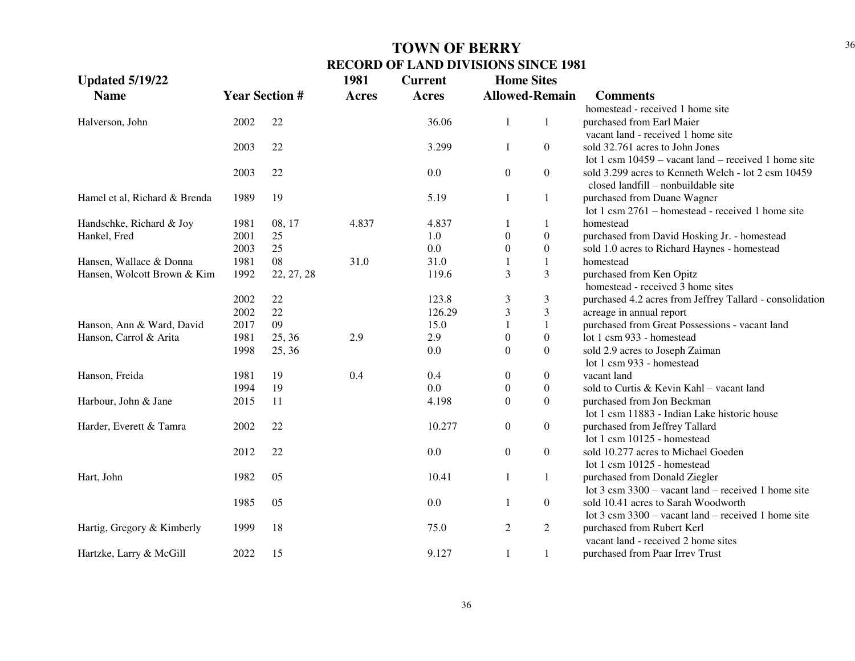| <b>Updated 5/19/22</b>        |      |                       | 1981         | <b>Current</b> | <b>Home Sites</b> |                       |                                                               |
|-------------------------------|------|-----------------------|--------------|----------------|-------------------|-----------------------|---------------------------------------------------------------|
| <b>Name</b>                   |      | <b>Year Section #</b> | <b>Acres</b> | <b>Acres</b>   |                   | <b>Allowed-Remain</b> | <b>Comments</b>                                               |
|                               |      |                       |              |                |                   |                       | homestead - received 1 home site                              |
| Halverson, John               | 2002 | 22                    |              | 36.06          | 1                 | 1                     | purchased from Earl Maier                                     |
|                               |      |                       |              |                |                   |                       | vacant land - received 1 home site                            |
|                               | 2003 | 22                    |              | 3.299          | $\mathbf{1}$      | $\overline{0}$        | sold 32.761 acres to John Jones                               |
|                               |      |                       |              |                |                   |                       | lot 1 csm $10459$ – vacant land – received 1 home site        |
|                               | 2003 | 22                    |              | 0.0            | $\boldsymbol{0}$  | $\overline{0}$        | sold 3.299 acres to Kenneth Welch - lot 2 csm 10459           |
|                               |      |                       |              |                |                   |                       | closed landfill - nonbuildable site                           |
| Hamel et al, Richard & Brenda | 1989 | 19                    |              | 5.19           | $\mathbf{1}$      | 1                     | purchased from Duane Wagner                                   |
|                               |      |                       |              |                |                   |                       | lot 1 csm 2761 – homestead - received 1 home site             |
| Handschke, Richard & Joy      | 1981 | 08, 17                | 4.837        | 4.837          | 1                 | 1                     | homestead                                                     |
| Hankel, Fred                  | 2001 | 25                    |              | 1.0            | $\boldsymbol{0}$  | $\boldsymbol{0}$      | purchased from David Hosking Jr. - homestead                  |
|                               | 2003 | 25                    |              | 0.0            | $\overline{0}$    | $\boldsymbol{0}$      | sold 1.0 acres to Richard Haynes - homestead                  |
| Hansen, Wallace & Donna       | 1981 | 08                    | 31.0         | 31.0           |                   | 1                     | homestead                                                     |
| Hansen, Wolcott Brown & Kim   | 1992 | 22, 27, 28            |              | 119.6          | 3                 | 3                     | purchased from Ken Opitz                                      |
|                               |      |                       |              |                |                   |                       | homestead - received 3 home sites                             |
|                               | 2002 | 22                    |              | 123.8          | $\mathfrak{Z}$    | 3                     | purchased 4.2 acres from Jeffrey Tallard - consolidation      |
|                               | 2002 | 22                    |              | 126.29         | 3                 | 3                     | acreage in annual report                                      |
| Hanson, Ann & Ward, David     | 2017 | 09                    |              | 15.0           | 1                 | $\mathbf{1}$          | purchased from Great Possessions - vacant land                |
| Hanson, Carrol & Arita        | 1981 | 25, 36                | 2.9          | 2.9            | $\mathbf{0}$      | $\boldsymbol{0}$      | lot 1 csm 933 - homestead                                     |
|                               | 1998 | 25, 36                |              | 0.0            | $\boldsymbol{0}$  | $\overline{0}$        | sold 2.9 acres to Joseph Zaiman                               |
|                               |      |                       |              |                |                   |                       | lot 1 csm 933 - homestead                                     |
| Hanson, Freida                | 1981 | 19                    | 0.4          | 0.4            | $\boldsymbol{0}$  | $\boldsymbol{0}$      | vacant land                                                   |
|                               | 1994 | 19                    |              | 0.0            | $\boldsymbol{0}$  | $\boldsymbol{0}$      | sold to Curtis & Kevin Kahl - vacant land                     |
| Harbour, John & Jane          | 2015 | 11                    |              | 4.198          | $\boldsymbol{0}$  | $\boldsymbol{0}$      | purchased from Jon Beckman                                    |
|                               |      |                       |              |                |                   |                       | lot 1 csm 11883 - Indian Lake historic house                  |
| Harder, Everett & Tamra       | 2002 | 22                    |              | 10.277         | $\boldsymbol{0}$  | $\overline{0}$        | purchased from Jeffrey Tallard                                |
|                               |      |                       |              |                |                   |                       | lot 1 csm 10125 - homestead                                   |
|                               | 2012 | 22                    |              | 0.0            | $\boldsymbol{0}$  | $\overline{0}$        | sold 10.277 acres to Michael Goeden                           |
|                               |      |                       |              |                |                   |                       | lot 1 csm 10125 - homestead                                   |
| Hart, John                    | 1982 | 05                    |              | 10.41          | $\mathbf{1}$      | $\mathbf{1}$          | purchased from Donald Ziegler                                 |
|                               |      |                       |              |                |                   |                       | lot $3 \text{ cm } 3300$ – vacant land – received 1 home site |
|                               | 1985 | 05                    |              | 0.0            | 1                 | $\boldsymbol{0}$      | sold 10.41 acres to Sarah Woodworth                           |
|                               |      |                       |              |                |                   |                       | lot $3 \text{ cm } 3300$ – vacant land – received 1 home site |
| Hartig, Gregory & Kimberly    | 1999 | 18                    |              | 75.0           | $\overline{2}$    | $\mathbf{2}$          | purchased from Rubert Kerl                                    |
|                               |      |                       |              |                |                   |                       | vacant land - received 2 home sites                           |
| Hartzke, Larry & McGill       | 2022 | 15                    |              | 9.127          | 1                 | 1                     | purchased from Paar Irrev Trust                               |
|                               |      |                       |              |                |                   |                       |                                                               |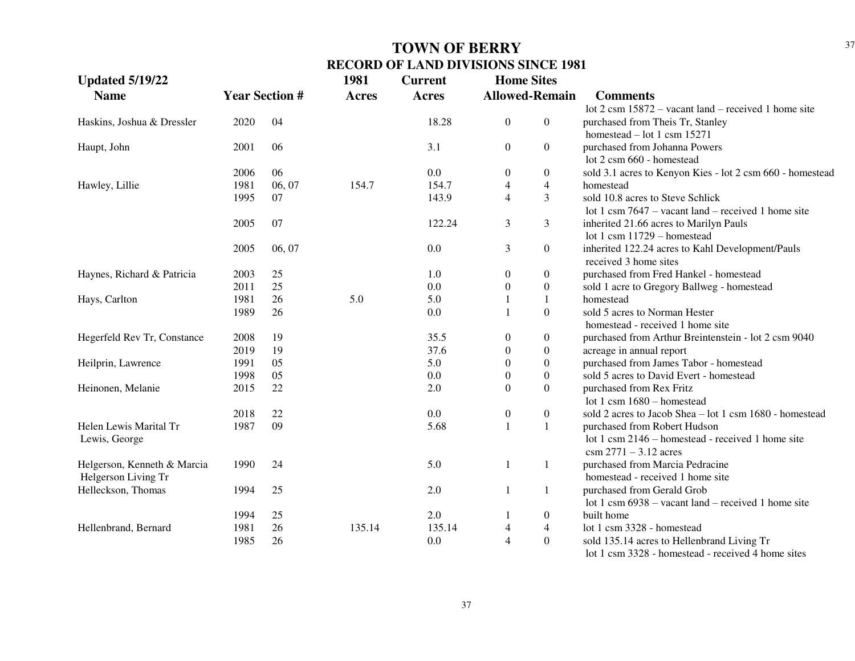| <b>Updated 5/19/22</b>      |      |                       | 1981         | <b>Current</b> | <b>Home Sites</b> |                       |                                                                |
|-----------------------------|------|-----------------------|--------------|----------------|-------------------|-----------------------|----------------------------------------------------------------|
| <b>Name</b>                 |      | <b>Year Section #</b> | <b>Acres</b> | <b>Acres</b>   |                   | <b>Allowed-Remain</b> | <b>Comments</b>                                                |
|                             |      |                       |              |                |                   |                       | lot $2 \text{ cm } 15872$ – vacant land – received 1 home site |
| Haskins, Joshua & Dressler  | 2020 | 04                    |              | 18.28          | $\boldsymbol{0}$  | $\overline{0}$        | purchased from Theis Tr, Stanley                               |
|                             |      |                       |              |                |                   |                       | homestead $-$ lot 1 csm 15271                                  |
| Haupt, John                 | 2001 | 06                    |              | 3.1            | $\boldsymbol{0}$  | $\overline{0}$        | purchased from Johanna Powers                                  |
|                             |      |                       |              |                |                   |                       | lot 2 csm 660 - homestead                                      |
|                             | 2006 | 06                    |              | 0.0            | $\theta$          | $\boldsymbol{0}$      | sold 3.1 acres to Kenyon Kies - lot 2 csm 660 - homestead      |
| Hawley, Lillie              | 1981 | 06, 07                | 154.7        | 154.7          | 4                 | $\overline{4}$        | homestead                                                      |
|                             | 1995 | 07                    |              | 143.9          | 4                 | $\overline{3}$        | sold 10.8 acres to Steve Schlick                               |
|                             |      |                       |              |                |                   |                       | lot 1 csm $7647$ – vacant land – received 1 home site          |
|                             | 2005 | 07                    |              | 122.24         | 3                 | 3                     | inherited 21.66 acres to Marilyn Pauls                         |
|                             |      |                       |              |                |                   |                       | lot 1 csm 11729 - homestead                                    |
|                             | 2005 | 06, 07                |              | 0.0            | 3                 | $\overline{0}$        | inherited 122.24 acres to Kahl Development/Pauls               |
|                             |      |                       |              |                |                   |                       | received 3 home sites                                          |
| Haynes, Richard & Patricia  | 2003 | 25                    |              | 1.0            | $\boldsymbol{0}$  | $\boldsymbol{0}$      | purchased from Fred Hankel - homestead                         |
|                             | 2011 | 25                    |              | 0.0            | $\boldsymbol{0}$  | $\overline{0}$        | sold 1 acre to Gregory Ballweg - homestead                     |
| Hays, Carlton               | 1981 | 26                    | 5.0          | 5.0            | $\mathbf{1}$      | $\mathbf{1}$          | homestead                                                      |
|                             | 1989 | 26                    |              | 0.0            | $\mathbf{1}$      | $\boldsymbol{0}$      | sold 5 acres to Norman Hester                                  |
|                             |      |                       |              |                |                   |                       | homestead - received 1 home site                               |
| Hegerfeld Rev Tr, Constance | 2008 | 19                    |              | 35.5           | $\boldsymbol{0}$  | $\boldsymbol{0}$      | purchased from Arthur Breintenstein - lot 2 csm 9040           |
|                             | 2019 | 19                    |              | 37.6           | 0                 | $\boldsymbol{0}$      | acreage in annual report                                       |
| Heilprin, Lawrence          | 1991 | 05                    |              | 5.0            | 0                 | $\boldsymbol{0}$      | purchased from James Tabor - homestead                         |
|                             | 1998 | 05                    |              | 0.0            | 0                 | $\boldsymbol{0}$      | sold 5 acres to David Evert - homestead                        |
| Heinonen, Melanie           | 2015 | 22                    |              | 2.0            | $\Omega$          | $\boldsymbol{0}$      | purchased from Rex Fritz                                       |
|                             |      |                       |              |                |                   |                       | lot 1 csm $1680 -$ homestead                                   |
|                             | 2018 | 22                    |              | 0.0            | $\boldsymbol{0}$  | $\boldsymbol{0}$      | sold 2 acres to Jacob Shea - lot 1 csm 1680 - homestead        |
| Helen Lewis Marital Tr      | 1987 | 09                    |              | 5.68           | $\mathbf{1}$      | 1                     | purchased from Robert Hudson                                   |
| Lewis, George               |      |                       |              |                |                   |                       | lot 1 csm 2146 – homestead - received 1 home site              |
|                             |      |                       |              |                |                   |                       | $\text{csm } 2771 - 3.12 \text{ acres}$                        |
| Helgerson, Kenneth & Marcia | 1990 | 24                    |              | 5.0            | 1                 | 1                     | purchased from Marcia Pedracine                                |
| Helgerson Living Tr         |      |                       |              |                |                   |                       | homestead - received 1 home site                               |
| Helleckson, Thomas          | 1994 | 25                    |              | 2.0            | $\mathbf{1}$      | $\mathbf{1}$          | purchased from Gerald Grob                                     |
|                             |      |                       |              |                |                   |                       | lot 1 csm $6938 -$ vacant land – received 1 home site          |
|                             | 1994 | 25                    |              | 2.0            | $\mathbf{1}$      | $\boldsymbol{0}$      | built home                                                     |
| Hellenbrand, Bernard        | 1981 | 26                    | 135.14       | 135.14         | $\overline{4}$    | $\overline{4}$        | lot 1 csm 3328 - homestead                                     |
|                             | 1985 | 26                    |              | 0.0            | $\overline{4}$    | $\overline{0}$        | sold 135.14 acres to Hellenbrand Living Tr                     |
|                             |      |                       |              |                |                   |                       | lot 1 csm 3328 - homestead - received 4 home sites             |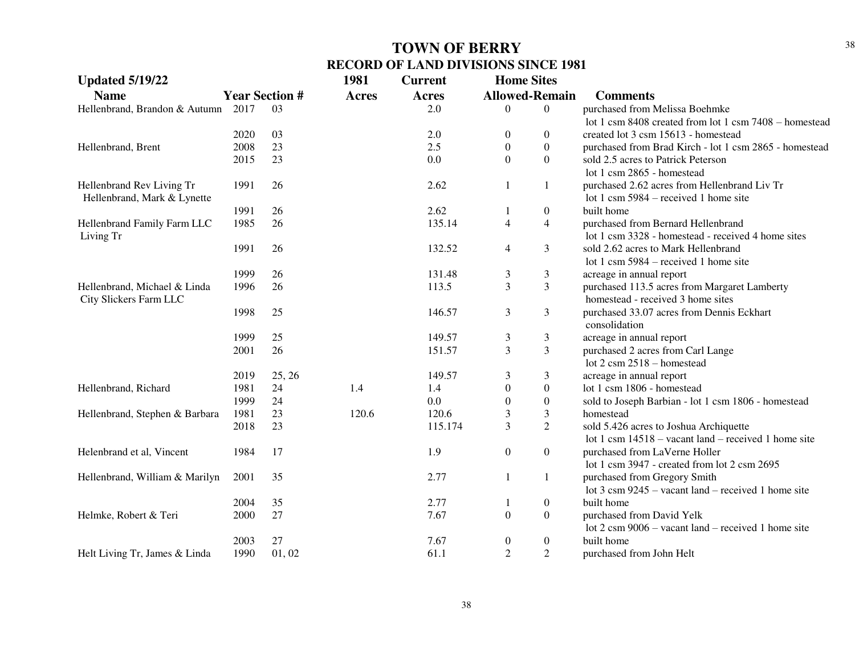| <b>Updated 5/19/22</b>         |                       |        | 1981         | <b>Current</b> | <b>Home Sites</b> |                          |                                                               |
|--------------------------------|-----------------------|--------|--------------|----------------|-------------------|--------------------------|---------------------------------------------------------------|
| <b>Name</b>                    | <b>Year Section #</b> |        | <b>Acres</b> | Acres          |                   | <b>Allowed-Remain</b>    | <b>Comments</b>                                               |
| Hellenbrand, Brandon & Autumn  | 2017                  | 03     |              | 2.0            | $\Omega$          | $\theta$                 | purchased from Melissa Boehmke                                |
|                                |                       |        |              |                |                   |                          | lot 1 csm 8408 created from lot 1 csm 7408 - homestead        |
|                                | 2020                  | 03     |              | 2.0            | $\overline{0}$    | $\overline{0}$           | created lot 3 csm 15613 - homestead                           |
| Hellenbrand, Brent             | 2008                  | 23     |              | 2.5            | $\overline{0}$    | $\overline{0}$           | purchased from Brad Kirch - lot 1 csm 2865 - homestead        |
|                                | 2015                  | 23     |              | 0.0            | $\Omega$          | $\overline{0}$           | sold 2.5 acres to Patrick Peterson                            |
|                                |                       |        |              |                |                   |                          | lot 1 csm 2865 - homestead                                    |
| Hellenbrand Rev Living Tr      | 1991                  | 26     |              | 2.62           | 1                 | 1                        | purchased 2.62 acres from Hellenbrand Liv Tr                  |
| Hellenbrand, Mark & Lynette    |                       |        |              |                |                   |                          | lot 1 csm $5984$ – received 1 home site                       |
|                                | 1991                  | 26     |              | 2.62           |                   | $\boldsymbol{0}$         | built home                                                    |
| Hellenbrand Family Farm LLC    | 1985                  | 26     |              | 135.14         | $\overline{4}$    | $\overline{\mathcal{L}}$ | purchased from Bernard Hellenbrand                            |
| Living Tr                      |                       |        |              |                |                   |                          | lot 1 csm 3328 - homestead - received 4 home sites            |
|                                | 1991                  | 26     |              | 132.52         | $\overline{4}$    | 3                        | sold 2.62 acres to Mark Hellenbrand                           |
|                                |                       |        |              |                |                   |                          | lot 1 csm $5984$ – received 1 home site                       |
|                                | 1999                  | 26     |              | 131.48         | 3                 | 3                        | acreage in annual report                                      |
| Hellenbrand, Michael & Linda   | 1996                  | 26     |              | 113.5          | 3                 | 3                        | purchased 113.5 acres from Margaret Lamberty                  |
| City Slickers Farm LLC         |                       |        |              |                |                   |                          | homestead - received 3 home sites                             |
|                                | 1998                  | 25     |              | 146.57         | 3                 | 3                        | purchased 33.07 acres from Dennis Eckhart                     |
|                                |                       |        |              |                |                   |                          | consolidation                                                 |
|                                | 1999                  | 25     |              | 149.57         | $\mathfrak{Z}$    | 3                        | acreage in annual report                                      |
|                                | 2001                  | 26     |              | 151.57         | 3                 | 3                        | purchased 2 acres from Carl Lange                             |
|                                |                       |        |              |                |                   |                          | lot $2 \text{ cm } 2518$ - homestead                          |
|                                | 2019                  | 25, 26 |              | 149.57         | 3                 | 3                        | acreage in annual report                                      |
| Hellenbrand, Richard           | 1981                  | 24     | 1.4          | 1.4            | $\boldsymbol{0}$  | $\boldsymbol{0}$         | lot 1 csm 1806 - homestead                                    |
|                                | 1999                  | 24     |              | 0.0            | $\overline{0}$    | $\boldsymbol{0}$         | sold to Joseph Barbian - lot 1 csm 1806 - homestead           |
| Hellenbrand, Stephen & Barbara | 1981                  | 23     | 120.6        | 120.6          | 3                 | 3                        | homestead                                                     |
|                                | 2018                  | 23     |              | 115.174        | 3                 | $\overline{c}$           | sold 5.426 acres to Joshua Archiquette                        |
|                                |                       |        |              |                |                   |                          | lot 1 csm $14518 -$ vacant land – received 1 home site        |
| Helenbrand et al, Vincent      | 1984                  | 17     |              | 1.9            | $\boldsymbol{0}$  | $\boldsymbol{0}$         | purchased from LaVerne Holler                                 |
|                                |                       |        |              |                |                   |                          | lot 1 csm $3947$ - created from lot 2 csm $2695$              |
| Hellenbrand, William & Marilyn | 2001                  | 35     |              | 2.77           | $\mathbf{1}$      | $\mathbf{1}$             | purchased from Gregory Smith                                  |
|                                |                       |        |              |                |                   |                          | lot $3 \text{ cm } 9245$ – vacant land – received 1 home site |
|                                | 2004                  | 35     |              | 2.77           | -1                | $\boldsymbol{0}$         | built home                                                    |
| Helmke, Robert & Teri          | 2000                  | 27     |              | 7.67           | $\boldsymbol{0}$  | $\boldsymbol{0}$         | purchased from David Yelk                                     |
|                                |                       |        |              |                |                   |                          | lot $2 \text{ cm } 9006$ – vacant land – received 1 home site |
|                                | 2003                  | 27     |              | 7.67           | $\boldsymbol{0}$  | $\boldsymbol{0}$         | built home                                                    |
| Helt Living Tr, James & Linda  | 1990                  | 01,02  |              | 61.1           | $\overline{2}$    | $\overline{c}$           | purchased from John Helt                                      |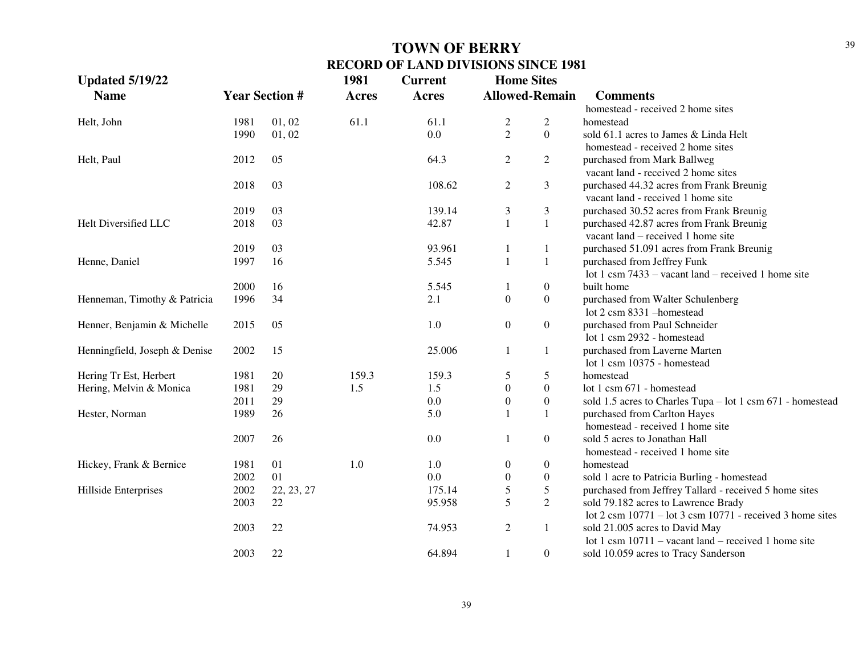| <b>Updated 5/19/22</b>        |                       |            | 1981         | <b>Current</b> |                  | <b>Home Sites</b>     |                                                                                     |
|-------------------------------|-----------------------|------------|--------------|----------------|------------------|-----------------------|-------------------------------------------------------------------------------------|
| <b>Name</b>                   | <b>Year Section #</b> |            | <b>Acres</b> | Acres          |                  | <b>Allowed-Remain</b> | <b>Comments</b>                                                                     |
|                               |                       |            |              |                |                  |                       | homestead - received 2 home sites                                                   |
| Helt, John                    | 1981                  | 01, 02     | 61.1         | 61.1           | $\overline{c}$   | $\overline{2}$        | homestead                                                                           |
|                               | 1990                  | 01, 02     |              | 0.0            | $\overline{c}$   | $\overline{0}$        | sold 61.1 acres to James & Linda Helt                                               |
|                               |                       |            |              |                |                  |                       | homestead - received 2 home sites                                                   |
| Helt, Paul                    | 2012                  | 05         |              | 64.3           | $\overline{2}$   | $\overline{2}$        | purchased from Mark Ballweg                                                         |
|                               |                       |            |              |                |                  |                       | vacant land - received 2 home sites                                                 |
|                               | 2018                  | 03         |              | 108.62         | $\overline{2}$   | 3                     | purchased 44.32 acres from Frank Breunig                                            |
|                               |                       |            |              |                |                  |                       | vacant land - received 1 home site                                                  |
|                               | 2019                  | 03         |              | 139.14         | 3                | 3                     | purchased 30.52 acres from Frank Breunig                                            |
| Helt Diversified LLC          | 2018                  | 03         |              | 42.87          | $\mathbf{1}$     | $1\,$                 | purchased 42.87 acres from Frank Breunig                                            |
|                               |                       |            |              |                |                  |                       | vacant land – received 1 home site                                                  |
|                               | 2019                  | 03         |              | 93.961         | 1                | 1                     | purchased 51.091 acres from Frank Breunig                                           |
| Henne, Daniel                 | 1997                  | 16         |              | 5.545          | $\mathbf{1}$     | $\mathbf{1}$          | purchased from Jeffrey Funk                                                         |
|                               |                       |            |              |                |                  |                       | lot 1 csm $7433 -$ vacant land – received 1 home site                               |
|                               | 2000                  | 16         |              | 5.545          | 1                | $\boldsymbol{0}$      | built home                                                                          |
| Henneman, Timothy & Patricia  | 1996                  | 34         |              | 2.1            | $\boldsymbol{0}$ | $\boldsymbol{0}$      | purchased from Walter Schulenberg                                                   |
|                               |                       |            |              |                |                  |                       | lot 2 csm 8331 - homestead                                                          |
| Henner, Benjamin & Michelle   | 2015                  | 05         |              | 1.0            | $\boldsymbol{0}$ | $\boldsymbol{0}$      | purchased from Paul Schneider                                                       |
|                               |                       |            |              |                |                  |                       | lot 1 csm 2932 - homestead                                                          |
| Henningfield, Joseph & Denise | 2002                  | 15         |              | 25.006         | 1                | $\mathbf{1}$          | purchased from Laverne Marten                                                       |
|                               |                       |            |              |                |                  |                       | lot 1 csm 10375 - homestead                                                         |
| Hering Tr Est, Herbert        | 1981                  | 20         | 159.3        | 159.3          | 5                | 5                     | homestead                                                                           |
| Hering, Melvin & Monica       | 1981                  | 29         | 1.5          | 1.5            | $\boldsymbol{0}$ | $\boldsymbol{0}$      | lot 1 csm 671 - homestead                                                           |
|                               | 2011                  | 29         |              | 0.0            | $\boldsymbol{0}$ | $\boldsymbol{0}$      | sold 1.5 acres to Charles Tupa - lot 1 csm 671 - homestead                          |
| Hester, Norman                | 1989                  | 26         |              | 5.0            |                  | $\mathbf{1}$          | purchased from Carlton Hayes                                                        |
|                               |                       |            |              |                |                  |                       | homestead - received 1 home site                                                    |
|                               | 2007                  | 26         |              | 0.0            | $\mathbf{1}$     | $\boldsymbol{0}$      | sold 5 acres to Jonathan Hall                                                       |
|                               |                       |            |              |                |                  |                       | homestead - received 1 home site                                                    |
| Hickey, Frank & Bernice       | 1981                  | 01         | 1.0          | 1.0            | $\boldsymbol{0}$ | $\boldsymbol{0}$      | homestead                                                                           |
|                               | 2002                  | 01         |              | 0.0            | $\boldsymbol{0}$ | $\boldsymbol{0}$      | sold 1 acre to Patricia Burling - homestead                                         |
| Hillside Enterprises          | 2002                  | 22, 23, 27 |              | 175.14         | 5                | 5                     | purchased from Jeffrey Tallard - received 5 home sites                              |
|                               | 2003                  | 22         |              | 95.958         | 5                | $\overline{2}$        | sold 79.182 acres to Lawrence Brady                                                 |
|                               |                       |            |              |                |                  |                       | lot $2 \text{ cm } 10771 - \text{lot } 3 \text{ cm } 10771$ - received 3 home sites |
|                               | 2003                  | 22         |              | 74.953         | $\overline{c}$   | $\mathbf{1}$          | sold 21.005 acres to David May                                                      |
|                               |                       |            |              |                |                  |                       | lot 1 csm $10711$ – vacant land – received 1 home site                              |
|                               | 2003                  | 22         |              | 64.894         | 1                | $\boldsymbol{0}$      | sold 10.059 acres to Tracy Sanderson                                                |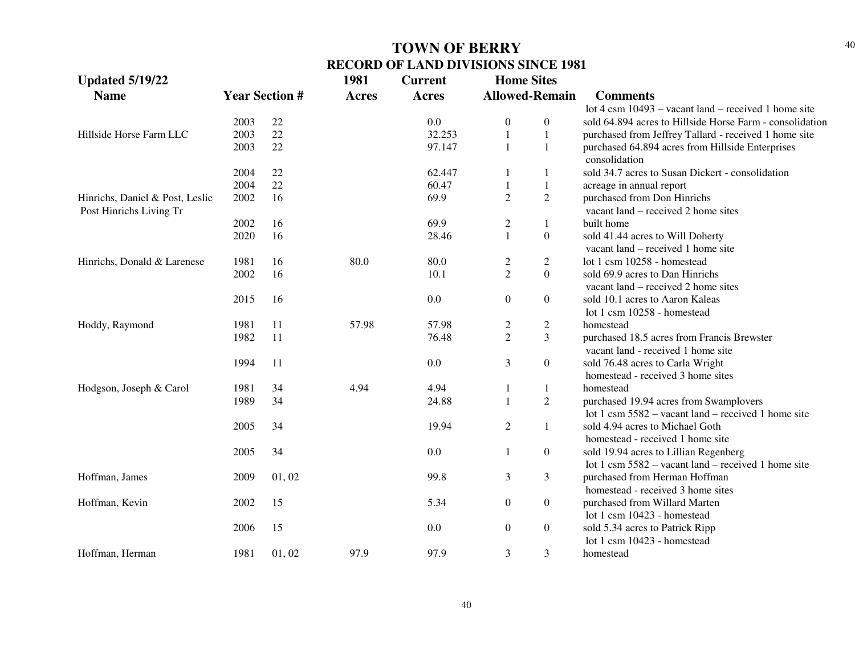| <b>Updated 5/19/22</b>                                     |                       |       | 1981         | <b>Current</b> | <b>Home Sites</b>     |                  |                                                                                                                             |
|------------------------------------------------------------|-----------------------|-------|--------------|----------------|-----------------------|------------------|-----------------------------------------------------------------------------------------------------------------------------|
| <b>Name</b>                                                | <b>Year Section #</b> |       | <b>Acres</b> | Acres          | <b>Allowed-Remain</b> |                  | <b>Comments</b>                                                                                                             |
|                                                            |                       |       |              |                |                       |                  | lot $4 \text{ cm } 10493$ – vacant land – received 1 home site                                                              |
|                                                            | 2003                  | 22    |              | 0.0            | $\boldsymbol{0}$      | $\boldsymbol{0}$ | sold 64.894 acres to Hillside Horse Farm - consolidation                                                                    |
| Hillside Horse Farm LLC                                    | 2003                  | 22    |              | 32.253         | 1                     | $\mathbf{1}$     | purchased from Jeffrey Tallard - received 1 home site                                                                       |
|                                                            | 2003                  | 22    |              | 97.147         | 1                     | $\mathbf{1}$     | purchased 64.894 acres from Hillside Enterprises<br>consolidation                                                           |
|                                                            | 2004                  | 22    |              | 62.447         | -1                    | 1                | sold 34.7 acres to Susan Dickert - consolidation                                                                            |
|                                                            | 2004                  | 22    |              | 60.47          | 1                     | $\mathbf{1}$     | acreage in annual report                                                                                                    |
| Hinrichs, Daniel & Post, Leslie<br>Post Hinrichs Living Tr | 2002                  | 16    |              | 69.9           | $\overline{2}$        | $\overline{2}$   | purchased from Don Hinrichs<br>vacant land – received 2 home sites                                                          |
|                                                            | 2002                  | 16    |              | 69.9           | $\overline{2}$        | $\mathbf{1}$     | built home                                                                                                                  |
|                                                            | 2020                  | 16    |              | 28.46          | $\mathbf{1}$          | $\boldsymbol{0}$ | sold 41.44 acres to Will Doherty<br>vacant land – received 1 home site                                                      |
| Hinrichs, Donald & Larenese                                | 1981                  | 16    | 80.0         | 80.0           | $\overline{c}$        | $\overline{c}$   | lot 1 csm 10258 - homestead                                                                                                 |
|                                                            | 2002                  | 16    |              | 10.1           | $\overline{2}$        | $\Omega$         | sold 69.9 acres to Dan Hinrichs<br>vacant land – received 2 home sites                                                      |
|                                                            | 2015                  | 16    |              | 0.0            | $\boldsymbol{0}$      | $\boldsymbol{0}$ | sold 10.1 acres to Aaron Kaleas                                                                                             |
|                                                            |                       |       |              |                |                       |                  | lot 1 csm 10258 - homestead                                                                                                 |
| Hoddy, Raymond                                             | 1981                  | 11    | 57.98        | 57.98          | $\overline{2}$        | $\overline{c}$   | homestead                                                                                                                   |
|                                                            | 1982                  | 11    |              | 76.48          | $\overline{2}$        | 3                | purchased 18.5 acres from Francis Brewster<br>vacant land - received 1 home site                                            |
|                                                            | 1994                  | 11    |              | 0.0            | 3                     | $\boldsymbol{0}$ | sold 76.48 acres to Carla Wright<br>homestead - received 3 home sites                                                       |
| Hodgson, Joseph & Carol                                    | 1981                  | 34    | 4.94         | 4.94           | -1                    | $\mathbf{1}$     | homestead                                                                                                                   |
|                                                            | 1989                  | 34    |              | 24.88          | $\mathbf{1}$          | $\overline{c}$   | purchased 19.94 acres from Swamplovers<br>lot 1 csm $5582 -$ vacant land – received 1 home site                             |
|                                                            | 2005                  | 34    |              | 19.94          | $\mathfrak{2}$        | $\mathbf{1}$     | sold 4.94 acres to Michael Goth<br>homestead - received 1 home site                                                         |
|                                                            | 2005                  | 34    |              | 0.0            | 1                     | $\boldsymbol{0}$ | sold 19.94 acres to Lillian Regenberg                                                                                       |
| Hoffman, James                                             | 2009                  | 01,02 |              | 99.8           | 3                     | 3                | lot 1 csm $5582 -$ vacant land – received 1 home site<br>purchased from Herman Hoffman<br>homestead - received 3 home sites |
| Hoffman, Kevin                                             | 2002                  | 15    |              | 5.34           | $\boldsymbol{0}$      | $\boldsymbol{0}$ | purchased from Willard Marten<br>lot 1 csm 10423 - homestead                                                                |
|                                                            | 2006                  | 15    |              | 0.0            | $\boldsymbol{0}$      | $\boldsymbol{0}$ | sold 5.34 acres to Patrick Ripp<br>lot 1 csm 10423 - homestead                                                              |
| Hoffman, Herman                                            | 1981                  | 01,02 | 97.9         | 97.9           | 3                     | 3                | homestead                                                                                                                   |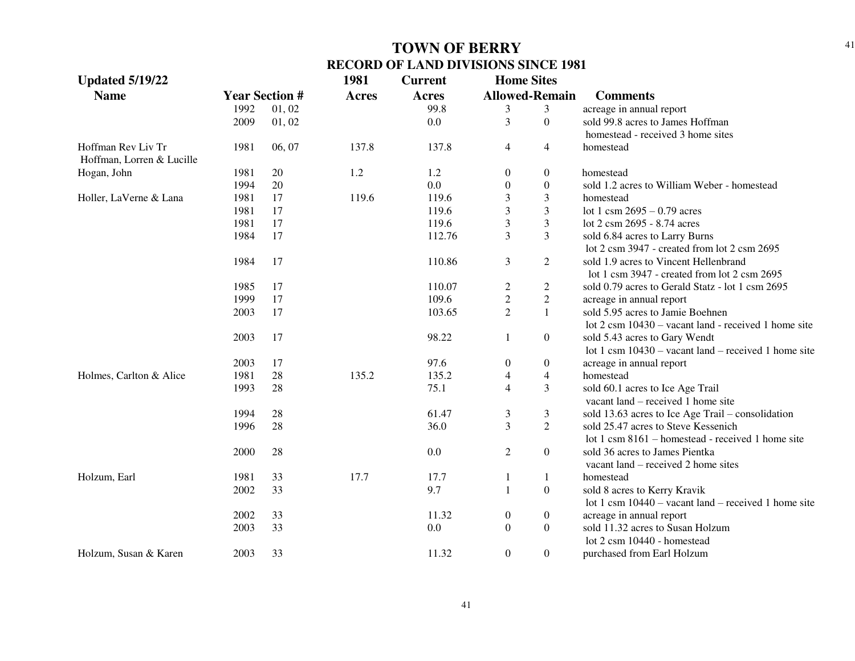| <b>Updated 5/19/22</b>    |                       |        | 1981                  | <b>Current</b> | <b>Home Sites</b>       |                  |                                                                |
|---------------------------|-----------------------|--------|-----------------------|----------------|-------------------------|------------------|----------------------------------------------------------------|
| <b>Name</b>               | <b>Year Section #</b> |        | <b>Acres</b><br>Acres |                | <b>Allowed-Remain</b>   |                  | <b>Comments</b>                                                |
|                           | 1992                  | 01, 02 |                       | 99.8           | 3                       | 3                | acreage in annual report                                       |
|                           | 2009                  | 01, 02 |                       | 0.0            | 3                       | $\boldsymbol{0}$ | sold 99.8 acres to James Hoffman                               |
|                           |                       |        |                       |                |                         |                  | homestead - received 3 home sites                              |
| Hoffman Rev Liv Tr        | 1981                  | 06, 07 | 137.8                 | 137.8          | $\overline{4}$          | $\overline{4}$   | homestead                                                      |
| Hoffman, Lorren & Lucille |                       |        |                       |                |                         |                  |                                                                |
| Hogan, John               | 1981                  | 20     | 1.2                   | 1.2            | $\boldsymbol{0}$        | $\overline{0}$   | homestead                                                      |
|                           | 1994                  | 20     |                       | 0.0            | $\boldsymbol{0}$        | $\overline{0}$   | sold 1.2 acres to William Weber - homestead                    |
| Holler, LaVerne & Lana    | 1981                  | 17     | 119.6                 | 119.6          | 3                       | $\mathfrak{Z}$   | homestead                                                      |
|                           | 1981                  | 17     |                       | 119.6          | 3                       | $\mathfrak{Z}$   | lot 1 csm $2695 - 0.79$ acres                                  |
|                           | 1981                  | 17     |                       | 119.6          | 3                       | $\mathfrak{Z}$   | lot 2 csm 2695 - 8.74 acres                                    |
|                           | 1984                  | 17     |                       | 112.76         | 3                       | 3                | sold 6.84 acres to Larry Burns                                 |
|                           |                       |        |                       |                |                         |                  | lot 2 csm 3947 - created from lot 2 csm 2695                   |
|                           | 1984                  | 17     |                       | 110.86         | 3                       | $\overline{2}$   | sold 1.9 acres to Vincent Hellenbrand                          |
|                           |                       |        |                       |                |                         |                  | lot 1 csm 3947 - created from lot 2 csm 2695                   |
|                           | 1985                  | 17     |                       | 110.07         | $\overline{\mathbf{c}}$ | $\overline{c}$   | sold 0.79 acres to Gerald Statz - lot 1 csm 2695               |
|                           | 1999                  | 17     |                       | 109.6          | $\overline{c}$          | $\sqrt{2}$       | acreage in annual report                                       |
|                           | 2003                  | 17     |                       | 103.65         | $\overline{2}$          | $\mathbf{1}$     | sold 5.95 acres to Jamie Boehnen                               |
|                           |                       |        |                       |                |                         |                  | lot $2 \text{ cm } 10430$ – vacant land - received 1 home site |
|                           | 2003                  | 17     |                       | 98.22          | 1                       | $\boldsymbol{0}$ | sold 5.43 acres to Gary Wendt                                  |
|                           |                       |        |                       |                |                         |                  | lot 1 csm $10430$ – vacant land – received 1 home site         |
|                           | 2003                  | 17     |                       | 97.6           | $\boldsymbol{0}$        | $\overline{0}$   | acreage in annual report                                       |
| Holmes, Carlton & Alice   | 1981                  | 28     | 135.2                 | 135.2          | 4                       | $\overline{4}$   | homestead                                                      |
|                           | 1993                  | 28     |                       | 75.1           | $\overline{4}$          | 3                | sold 60.1 acres to Ice Age Trail                               |
|                           |                       |        |                       |                |                         |                  | vacant land – received 1 home site                             |
|                           | 1994                  | 28     |                       | 61.47          | $\mathfrak{Z}$          | $\mathfrak{Z}$   | sold 13.63 acres to Ice Age Trail – consolidation              |
|                           | 1996                  | 28     |                       | 36.0           | $\overline{3}$          | $\overline{2}$   | sold 25.47 acres to Steve Kessenich                            |
|                           |                       |        |                       |                |                         |                  | lot 1 csm 8161 – homestead - received 1 home site              |
|                           | 2000                  | 28     |                       | 0.0            | $\mathbf{2}$            | $\mathbf{0}$     | sold 36 acres to James Pientka                                 |
|                           |                       |        |                       |                |                         |                  | vacant land – received 2 home sites                            |
| Holzum, Earl              | 1981                  | 33     | 17.7                  | 17.7           | 1                       | -1               | homestead                                                      |
|                           | 2002                  | 33     |                       | 9.7            | $\mathbf{1}$            | $\boldsymbol{0}$ | sold 8 acres to Kerry Kravik                                   |
|                           |                       |        |                       |                |                         |                  | lot 1 csm $10440 -$ vacant land – received 1 home site         |
|                           | 2002                  | 33     |                       | 11.32          | $\boldsymbol{0}$        | $\mathbf{0}$     | acreage in annual report                                       |
|                           | 2003                  | 33     |                       | 0.0            | $\mathbf{0}$            | $\mathbf{0}$     | sold 11.32 acres to Susan Holzum                               |
|                           |                       |        |                       |                |                         |                  | lot 2 csm 10440 - homestead                                    |
| Holzum, Susan & Karen     | 2003                  | 33     |                       | 11.32          | $\mathbf{0}$            | $\overline{0}$   | purchased from Earl Holzum                                     |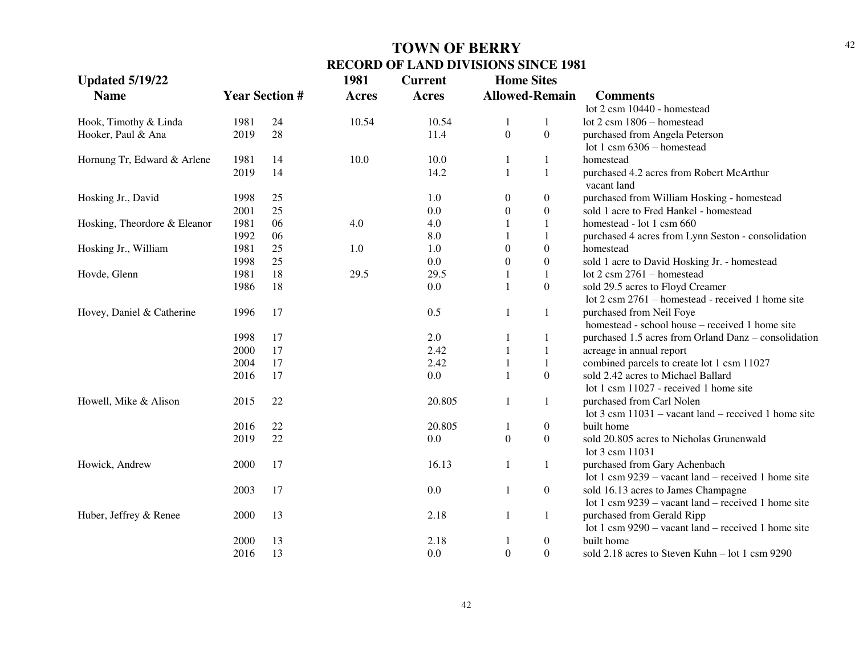| <b>Updated 5/19/22</b>       |      |                       | 1981         | <b>Current</b> | <b>Home Sites</b>     |                  |                                                                |
|------------------------------|------|-----------------------|--------------|----------------|-----------------------|------------------|----------------------------------------------------------------|
| <b>Name</b>                  |      | <b>Year Section #</b> | <b>Acres</b> | <b>Acres</b>   | <b>Allowed-Remain</b> |                  | <b>Comments</b>                                                |
|                              |      |                       |              |                |                       |                  | lot 2 csm 10440 - homestead                                    |
| Hook, Timothy & Linda        | 1981 | 24                    | 10.54        | 10.54          | 1                     | 1                | lot $2 \text{ csm } 1806$ - homestead                          |
| Hooker, Paul & Ana           | 2019 | 28                    |              | 11.4           | $\boldsymbol{0}$      | $\boldsymbol{0}$ | purchased from Angela Peterson                                 |
|                              |      |                       |              |                |                       |                  | lot 1 csm $6306$ – homestead                                   |
| Hornung Tr, Edward & Arlene  | 1981 | 14                    | 10.0         | 10.0           | 1                     | 1                | homestead                                                      |
|                              | 2019 | 14                    |              | 14.2           | $\mathbf{1}$          | $\mathbf{1}$     | purchased 4.2 acres from Robert McArthur                       |
|                              |      |                       |              |                |                       |                  | vacant land                                                    |
| Hosking Jr., David           | 1998 | 25                    |              | 1.0            | $\overline{0}$        | $\boldsymbol{0}$ | purchased from William Hosking - homestead                     |
|                              | 2001 | 25                    |              | 0.0            | $\boldsymbol{0}$      | $\boldsymbol{0}$ | sold 1 acre to Fred Hankel - homestead                         |
| Hosking, Theordore & Eleanor | 1981 | 06                    | 4.0          | 4.0            | 1                     | 1                | homestead - lot 1 csm 660                                      |
|                              | 1992 | 06                    |              | 8.0            |                       | $1\,$            | purchased 4 acres from Lynn Seston - consolidation             |
| Hosking Jr., William         | 1981 | 25                    | 1.0          | 1.0            | $\boldsymbol{0}$      | $\boldsymbol{0}$ | homestead                                                      |
|                              | 1998 | 25                    |              | 0.0            | $\boldsymbol{0}$      | $\boldsymbol{0}$ | sold 1 acre to David Hosking Jr. - homestead                   |
| Hovde, Glenn                 | 1981 | 18                    | 29.5         | 29.5           | 1                     | $\mathbf{1}$     | lot $2 \text{ cm } 2761 - \text{homestead}$                    |
|                              | 1986 | 18                    |              | 0.0            | 1                     | $\boldsymbol{0}$ | sold 29.5 acres to Floyd Creamer                               |
|                              |      |                       |              |                |                       |                  | lot 2 csm 2761 – homestead - received 1 home site              |
| Hovey, Daniel & Catherine    | 1996 | 17                    |              | 0.5            | 1                     | 1                | purchased from Neil Foye                                       |
|                              |      |                       |              |                |                       |                  | homestead - school house - received 1 home site                |
|                              | 1998 | 17                    |              | 2.0            | 1                     | 1                | purchased 1.5 acres from Orland Danz – consolidation           |
|                              | 2000 | 17                    |              | 2.42           | $\mathbf{1}$          | $\mathbf{1}$     | acreage in annual report                                       |
|                              | 2004 | 17                    |              | 2.42           | 1                     | 1                | combined parcels to create lot 1 csm 11027                     |
|                              | 2016 | 17                    |              | 0.0            | $\mathbf{1}$          | $\boldsymbol{0}$ | sold 2.42 acres to Michael Ballard                             |
|                              |      |                       |              |                |                       |                  | lot 1 csm 11027 - received 1 home site                         |
| Howell, Mike & Alison        | 2015 | 22                    |              | 20.805         | $\mathbf{1}$          | $\mathbf{1}$     | purchased from Carl Nolen                                      |
|                              |      |                       |              |                |                       |                  | lot $3 \text{ cm } 11031$ – vacant land – received 1 home site |
|                              | 2016 | 22                    |              | 20.805         | 1                     | $\overline{0}$   | built home                                                     |
|                              | 2019 | 22                    |              | 0.0            | $\boldsymbol{0}$      | $\mathbf{0}$     | sold 20.805 acres to Nicholas Grunenwald                       |
|                              |      |                       |              |                |                       |                  | lot 3 csm 11031                                                |
| Howick, Andrew               | 2000 | 17                    |              | 16.13          | $\mathbf{1}$          | 1                | purchased from Gary Achenbach                                  |
|                              |      |                       |              |                |                       |                  | lot 1 csm $9239$ – vacant land – received 1 home site          |
|                              | 2003 | 17                    |              | 0.0            | 1                     | $\overline{0}$   | sold 16.13 acres to James Champagne                            |
|                              |      |                       |              |                |                       |                  | lot 1 csm $9239$ – vacant land – received 1 home site          |
| Huber, Jeffrey & Renee       | 2000 | 13                    |              | 2.18           | $\mathbf{1}$          | 1                | purchased from Gerald Ripp                                     |
|                              |      |                       |              |                |                       |                  | lot 1 csm $9290 -$ vacant land – received 1 home site          |
|                              | 2000 | 13                    |              | 2.18           | 1                     | $\boldsymbol{0}$ | built home                                                     |
|                              | 2016 | 13                    |              | 0.0            | $\mathbf{0}$          | $\boldsymbol{0}$ | sold 2.18 acres to Steven Kuhn - lot 1 csm 9290                |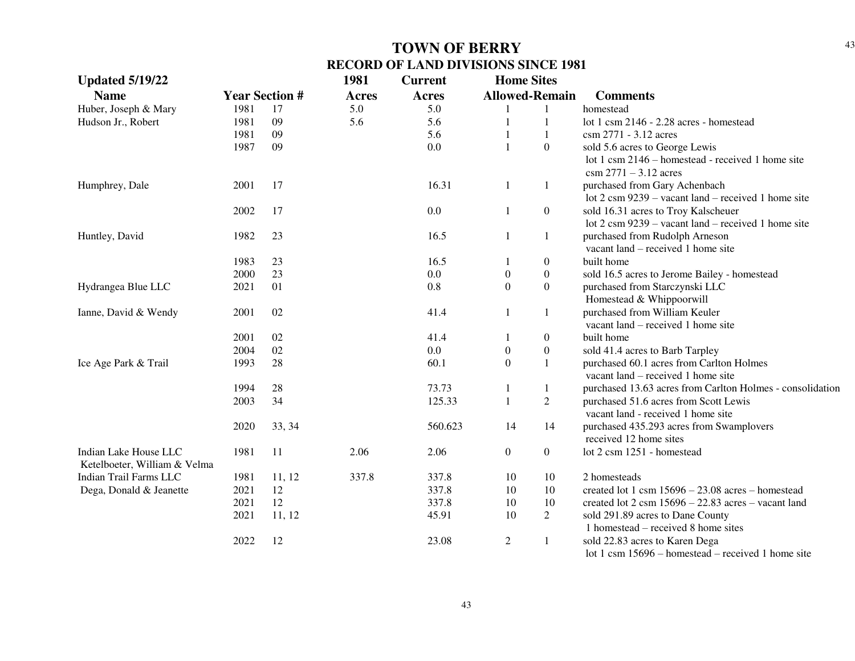| <b>Updated 5/19/22</b>       |                       |          | 1981         | <b>Current</b> | <b>Home Sites</b>     |                  |                                                                                              |
|------------------------------|-----------------------|----------|--------------|----------------|-----------------------|------------------|----------------------------------------------------------------------------------------------|
| <b>Name</b>                  | <b>Year Section #</b> |          | <b>Acres</b> | <b>Acres</b>   | <b>Allowed-Remain</b> |                  | <b>Comments</b>                                                                              |
| Huber, Joseph & Mary         | 1981                  | 17       | 5.0          | 5.0            | $\mathbf{1}$          | $\mathbf{1}$     | homestead                                                                                    |
| Hudson Jr., Robert           | 1981                  | 09       | 5.6          | 5.6            | $\mathbf{1}$          | $\mathbf{1}$     | lot 1 csm 2146 - 2.28 acres - homestead                                                      |
|                              | 1981                  | 09       |              | 5.6            | $\mathbf{1}$          | $\mathbf{1}$     | csm 2771 - 3.12 acres                                                                        |
|                              | 1987                  | 09       |              | 0.0            | $\mathbf{1}$          | $\boldsymbol{0}$ | sold 5.6 acres to George Lewis                                                               |
|                              |                       |          |              |                |                       |                  | lot 1 csm 2146 – homestead - received 1 home site<br>$\text{csm } 2771 - 3.12 \text{ acres}$ |
| Humphrey, Dale               | 2001                  | 17       |              | 16.31          | 1                     | $\mathbf{1}$     | purchased from Gary Achenbach                                                                |
|                              |                       |          |              |                |                       |                  | lot $2 \text{ cm } 9239$ – vacant land – received 1 home site                                |
|                              | 2002                  | 17       |              | 0.0            | 1                     | $\overline{0}$   | sold 16.31 acres to Troy Kalscheuer                                                          |
|                              |                       |          |              |                |                       |                  |                                                                                              |
|                              |                       |          |              | 16.5           |                       |                  | lot $2 \text{ cm } 9239$ – vacant land – received 1 home site                                |
| Huntley, David               | 1982                  | 23       |              |                | 1                     | $\mathbf{1}$     | purchased from Rudolph Arneson<br>vacant land – received 1 home site                         |
|                              | 1983                  |          |              | 16.5           |                       |                  | built home                                                                                   |
|                              |                       | 23<br>23 |              | 0.0            | 1                     | $\boldsymbol{0}$ |                                                                                              |
|                              | 2000                  |          |              |                | $\boldsymbol{0}$      | $\boldsymbol{0}$ | sold 16.5 acres to Jerome Bailey - homestead                                                 |
| Hydrangea Blue LLC           | 2021                  | 01       |              | 0.8            | $\boldsymbol{0}$      | $\boldsymbol{0}$ | purchased from Starczynski LLC                                                               |
|                              |                       |          |              |                |                       |                  | Homestead & Whippoorwill                                                                     |
| Ianne, David & Wendy         | 2001                  | 02       |              | 41.4           | $\mathbf{1}$          | $\mathbf{1}$     | purchased from William Keuler                                                                |
|                              |                       |          |              |                |                       |                  | vacant land – received 1 home site                                                           |
|                              | 2001                  | 02       |              | 41.4           | $\mathbf{1}$          | $\boldsymbol{0}$ | built home                                                                                   |
|                              | 2004                  | 02       |              | 0.0            | $\boldsymbol{0}$      | $\boldsymbol{0}$ | sold 41.4 acres to Barb Tarpley                                                              |
| Ice Age Park & Trail         | 1993                  | 28       |              | 60.1           | $\boldsymbol{0}$      | $\mathbf{1}$     | purchased 60.1 acres from Carlton Holmes                                                     |
|                              |                       |          |              |                |                       |                  | vacant land – received 1 home site                                                           |
|                              | 1994                  | 28       |              | 73.73          | $\mathbf{1}$          | 1                | purchased 13.63 acres from Carlton Holmes - consolidation                                    |
|                              | 2003                  | 34       |              | 125.33         | $\mathbf{1}$          | $\overline{2}$   | purchased 51.6 acres from Scott Lewis                                                        |
|                              |                       |          |              |                |                       |                  | vacant land - received 1 home site                                                           |
|                              | 2020                  | 33, 34   |              | 560.623        | 14                    | 14               | purchased 435.293 acres from Swamplovers                                                     |
|                              |                       |          |              |                |                       |                  | received 12 home sites                                                                       |
| Indian Lake House LLC        | 1981                  | 11       | 2.06         | 2.06           | $\overline{0}$        | $\overline{0}$   | lot 2 csm 1251 - homestead                                                                   |
| Ketelboeter, William & Velma |                       |          |              |                |                       |                  |                                                                                              |
| Indian Trail Farms LLC       | 1981                  | 11, 12   | 337.8        | 337.8          | 10                    | 10               | 2 homesteads                                                                                 |
| Dega, Donald & Jeanette      | 2021                  | 12       |              | 337.8          | 10                    | 10               | created lot 1 csm $15696 - 23.08$ acres - homestead                                          |
|                              | 2021                  | 12       |              | 337.8          | 10                    | 10               | created lot $2 \text{ csm } 15696 - 22.83 \text{ acres} - \text{vacant land}$                |
|                              | 2021                  | 11, 12   |              | 45.91          | 10                    | $\overline{c}$   | sold 291.89 acres to Dane County                                                             |
|                              |                       |          |              |                |                       |                  | 1 homestead $-$ received 8 home sites                                                        |
|                              | 2022                  | 12       |              | 23.08          | $\overline{2}$        | $\mathbf{1}$     | sold 22.83 acres to Karen Dega                                                               |
|                              |                       |          |              |                |                       |                  | lot 1 csm 15696 - homestead - received 1 home site                                           |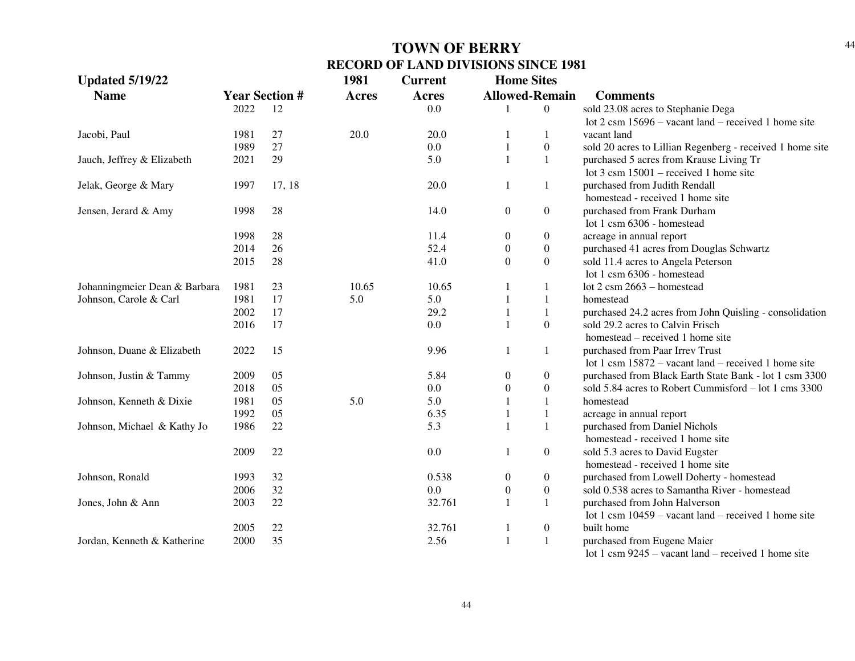| <b>Updated 5/19/22</b>        |                       |        | 1981         | <b>Current</b> | <b>Home Sites</b>     |                  |                                                                |
|-------------------------------|-----------------------|--------|--------------|----------------|-----------------------|------------------|----------------------------------------------------------------|
| <b>Name</b>                   | <b>Year Section #</b> |        | <b>Acres</b> | <b>Acres</b>   | <b>Allowed-Remain</b> |                  | <b>Comments</b>                                                |
|                               | 2022                  | 12     |              | 0.0            |                       | $\boldsymbol{0}$ | sold 23.08 acres to Stephanie Dega                             |
|                               |                       |        |              |                |                       |                  | lot $2 \text{ cm } 15696$ – vacant land – received 1 home site |
| Jacobi, Paul                  | 1981                  | 27     | 20.0         | 20.0           |                       | 1                | vacant land                                                    |
|                               | 1989                  | 27     |              | 0.0            |                       | $\boldsymbol{0}$ | sold 20 acres to Lillian Regenberg - received 1 home site      |
| Jauch, Jeffrey & Elizabeth    | 2021                  | 29     |              | 5.0            | $\mathbf{1}$          | $\mathbf{1}$     | purchased 5 acres from Krause Living Tr                        |
|                               |                       |        |              |                |                       |                  | lot $3 \text{ cm } 15001$ – received 1 home site               |
| Jelak, George & Mary          | 1997                  | 17, 18 |              | 20.0           | -1                    | 1                | purchased from Judith Rendall                                  |
|                               |                       |        |              |                |                       |                  | homestead - received 1 home site                               |
| Jensen, Jerard & Amy          | 1998                  | 28     |              | 14.0           | $\boldsymbol{0}$      | $\boldsymbol{0}$ | purchased from Frank Durham                                    |
|                               |                       |        |              |                |                       |                  | lot 1 csm 6306 - homestead                                     |
|                               | 1998                  | 28     |              | 11.4           | $\overline{0}$        | $\boldsymbol{0}$ | acreage in annual report                                       |
|                               | 2014                  | 26     |              | 52.4           | $\overline{0}$        | $\boldsymbol{0}$ | purchased 41 acres from Douglas Schwartz                       |
|                               | 2015                  | 28     |              | 41.0           | $\overline{0}$        | $\boldsymbol{0}$ | sold 11.4 acres to Angela Peterson                             |
|                               |                       |        |              |                |                       |                  | lot 1 csm 6306 - homestead                                     |
| Johanningmeier Dean & Barbara | 1981                  | 23     | 10.65        | 10.65          |                       | 1                | lot 2 csm 2663 - homestead                                     |
| Johnson, Carole & Carl        | 1981                  | 17     | 5.0          | 5.0            |                       | $\mathbf{1}$     | homestead                                                      |
|                               | 2002                  | 17     |              | 29.2           |                       | $\mathbf{1}$     | purchased 24.2 acres from John Quisling - consolidation        |
|                               | 2016                  | 17     |              | 0.0            |                       | $\boldsymbol{0}$ | sold 29.2 acres to Calvin Frisch                               |
|                               |                       |        |              |                |                       |                  | homestead – received 1 home site                               |
| Johnson, Duane & Elizabeth    | 2022                  | 15     |              | 9.96           | -1                    | 1                | purchased from Paar Irrev Trust                                |
|                               |                       |        |              |                |                       |                  | lot 1 csm $15872$ – vacant land – received 1 home site         |
| Johnson, Justin & Tammy       | 2009                  | 05     |              | 5.84           | $\boldsymbol{0}$      | $\boldsymbol{0}$ | purchased from Black Earth State Bank - lot 1 csm 3300         |
|                               | 2018                  | 05     |              | 0.0            | $\boldsymbol{0}$      | $\boldsymbol{0}$ | sold 5.84 acres to Robert Cummisford – lot 1 cms 3300          |
| Johnson, Kenneth & Dixie      | 1981                  | 05     | 5.0          | 5.0            |                       | 1                | homestead                                                      |
|                               | 1992                  | 05     |              | 6.35           |                       | 1                | acreage in annual report                                       |
| Johnson, Michael & Kathy Jo   | 1986                  | 22     |              | 5.3            | $\mathbf{1}$          | 1                | purchased from Daniel Nichols                                  |
|                               |                       |        |              |                |                       |                  | homestead - received 1 home site                               |
|                               | 2009                  | 22     |              | 0.0            | -1                    | $\boldsymbol{0}$ | sold 5.3 acres to David Eugster                                |
|                               |                       |        |              |                |                       |                  | homestead - received 1 home site                               |
| Johnson, Ronald               | 1993                  | 32     |              | 0.538          | $\boldsymbol{0}$      | $\boldsymbol{0}$ | purchased from Lowell Doherty - homestead                      |
|                               | 2006                  | 32     |              | 0.0            | $\boldsymbol{0}$      | $\boldsymbol{0}$ | sold 0.538 acres to Samantha River - homestead                 |
| Jones, John & Ann             | 2003                  | 22     |              | 32.761         | 1                     | 1                | purchased from John Halverson                                  |
|                               |                       |        |              |                |                       |                  | lot 1 csm $10459$ – vacant land – received 1 home site         |
|                               | 2005                  | 22     |              | 32.761         | 1                     | $\boldsymbol{0}$ | built home                                                     |
| Jordan, Kenneth & Katherine   | 2000                  | 35     |              | 2.56           | $\mathbf{1}$          | 1                | purchased from Eugene Maier                                    |
|                               |                       |        |              |                |                       |                  | lot 1 csm $9245$ – vacant land – received 1 home site          |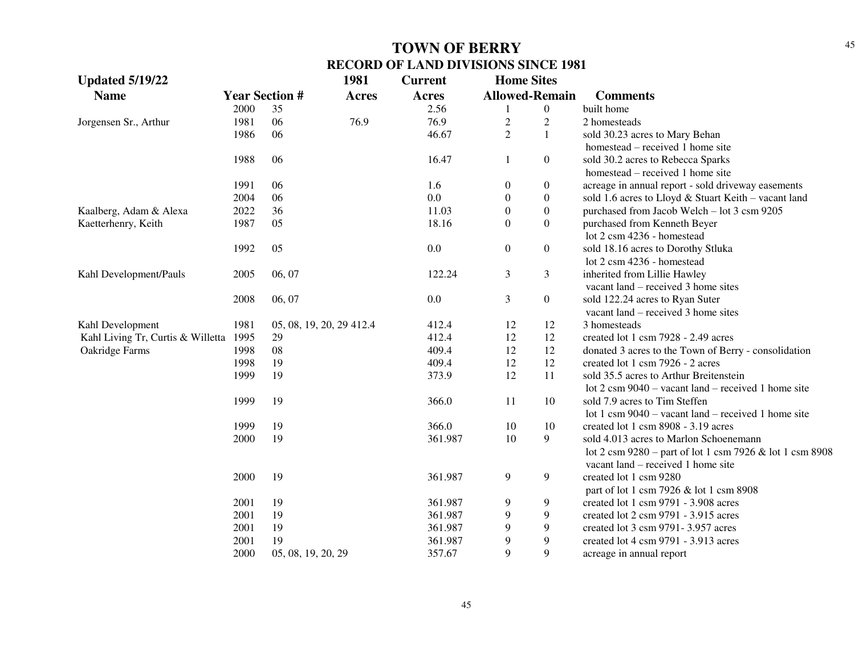| <b>Updated 5/19/22</b>            |                       |                          | 1981         | <b>Current</b> | <b>Home Sites</b>     |                  |                                                               |
|-----------------------------------|-----------------------|--------------------------|--------------|----------------|-----------------------|------------------|---------------------------------------------------------------|
| <b>Name</b>                       | <b>Year Section #</b> |                          | <b>Acres</b> | Acres          | <b>Allowed-Remain</b> |                  | <b>Comments</b>                                               |
|                                   | 2000                  | 35                       |              | 2.56           |                       | $\boldsymbol{0}$ | built home                                                    |
| Jorgensen Sr., Arthur             | 1981                  | 06                       | 76.9         | 76.9           | $\overline{2}$        | $\overline{2}$   | 2 homesteads                                                  |
|                                   | 1986                  | 06                       |              | 46.67          | $\overline{2}$        | $\mathbf{1}$     | sold 30.23 acres to Mary Behan                                |
|                                   |                       |                          |              |                |                       |                  | homestead – received 1 home site                              |
|                                   | 1988                  | 06                       |              | 16.47          | 1                     | $\boldsymbol{0}$ | sold 30.2 acres to Rebecca Sparks                             |
|                                   |                       |                          |              |                |                       |                  | homestead – received 1 home site                              |
|                                   | 1991                  | 06                       |              | 1.6            | $\boldsymbol{0}$      | $\boldsymbol{0}$ | acreage in annual report - sold driveway easements            |
|                                   | 2004                  | 06                       |              | 0.0            | $\overline{0}$        | $\boldsymbol{0}$ | sold 1.6 acres to Lloyd & Stuart Keith - vacant land          |
| Kaalberg, Adam & Alexa            | 2022                  | 36                       |              | 11.03          | $\theta$              | $\boldsymbol{0}$ | purchased from Jacob Welch - lot 3 csm 9205                   |
| Kaetterhenry, Keith               | 1987                  | 05                       |              | 18.16          | $\boldsymbol{0}$      | $\boldsymbol{0}$ | purchased from Kenneth Beyer                                  |
|                                   |                       |                          |              |                |                       |                  | lot 2 csm 4236 - homestead                                    |
|                                   | 1992                  | 05                       |              | 0.0            | $\boldsymbol{0}$      | $\boldsymbol{0}$ | sold 18.16 acres to Dorothy Stluka                            |
|                                   |                       |                          |              |                |                       |                  | lot 2 csm 4236 - homestead                                    |
| Kahl Development/Pauls            | 2005                  | 06, 07                   |              | 122.24         | 3                     | 3                | inherited from Lillie Hawley                                  |
|                                   |                       |                          |              |                |                       |                  | vacant land – received 3 home sites                           |
|                                   | 2008                  | 06, 07                   |              | 0.0            | 3                     | $\boldsymbol{0}$ | sold 122.24 acres to Ryan Suter                               |
|                                   |                       |                          |              |                |                       |                  | vacant land – received 3 home sites                           |
| Kahl Development                  | 1981                  | 05, 08, 19, 20, 29 412.4 |              | 412.4          | 12                    | 12               | 3 homesteads                                                  |
| Kahl Living Tr, Curtis & Willetta | 1995                  | 29                       |              | 412.4          | 12                    | 12               | created lot 1 csm 7928 - 2.49 acres                           |
| Oakridge Farms                    | 1998                  | 08                       |              | 409.4          | 12                    | 12               | donated 3 acres to the Town of Berry - consolidation          |
|                                   | 1998                  | 19                       |              | 409.4          | 12                    | 12               | created lot 1 csm 7926 - 2 acres                              |
|                                   | 1999                  | 19                       |              | 373.9          | 12                    | 11               | sold 35.5 acres to Arthur Breitenstein                        |
|                                   |                       |                          |              |                |                       |                  | lot $2 \text{ cm } 9040$ – vacant land – received 1 home site |
|                                   | 1999                  | 19                       |              | 366.0          | 11                    | 10               | sold 7.9 acres to Tim Steffen                                 |
|                                   |                       |                          |              |                |                       |                  | lot 1 csm $9040$ – vacant land – received 1 home site         |
|                                   | 1999                  | 19                       |              | 366.0          | 10                    | 10               | created lot 1 csm 8908 - 3.19 acres                           |
|                                   | 2000                  | 19                       |              | 361.987        | 10                    | 9                | sold 4.013 acres to Marlon Schoenemann                        |
|                                   |                       |                          |              |                |                       |                  | lot 2 csm 9280 – part of lot 1 csm 7926 & lot 1 csm 8908      |
|                                   |                       |                          |              |                |                       |                  | vacant land – received 1 home site                            |
|                                   | 2000                  | 19                       |              | 361.987        | $\mathbf{9}$          | 9                | created lot 1 csm 9280                                        |
|                                   |                       |                          |              |                |                       |                  | part of lot 1 csm 7926 & lot 1 csm 8908                       |
|                                   | 2001                  | 19                       |              | 361.987        | 9                     | 9                | created lot 1 csm 9791 - 3.908 acres                          |
|                                   | 2001                  | 19                       |              | 361.987        | 9                     | 9                | created lot 2 csm 9791 - 3.915 acres                          |
|                                   | 2001                  | 19                       |              | 361.987        | 9                     | 9                | created lot 3 csm 9791-3.957 acres                            |
|                                   | 2001                  | 19                       |              | 361.987        | 9                     | 9                | created lot 4 csm 9791 - 3.913 acres                          |
|                                   | 2000                  | 05, 08, 19, 20, 29       |              | 357.67         | 9                     | 9                | acreage in annual report                                      |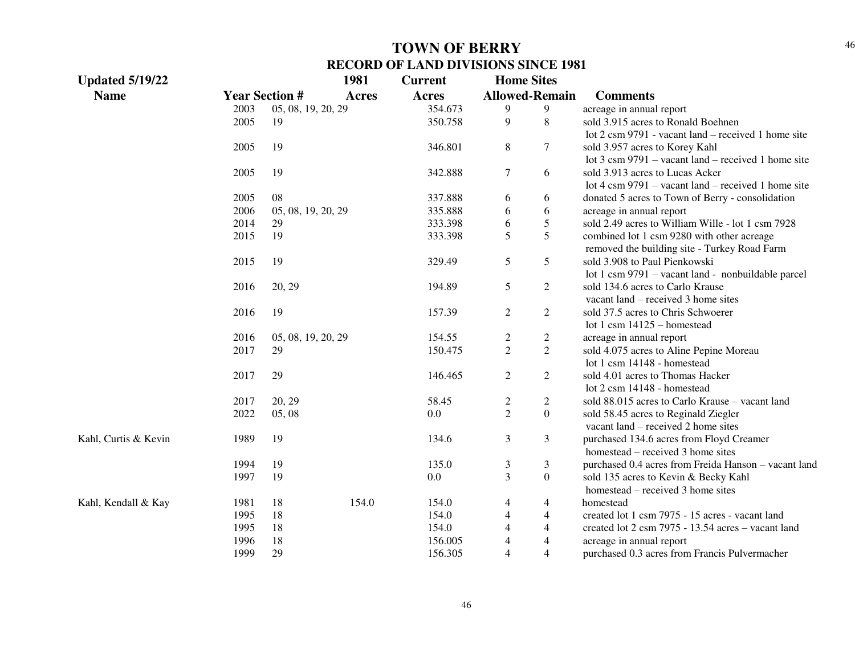| <b>Updated 5/19/22</b> |      |                       | 1981         | <b>Current</b> | <b>Home Sites</b>       |                       |                                                               |
|------------------------|------|-----------------------|--------------|----------------|-------------------------|-----------------------|---------------------------------------------------------------|
| <b>Name</b>            |      | <b>Year Section #</b> | <b>Acres</b> | <b>Acres</b>   |                         | <b>Allowed-Remain</b> | <b>Comments</b>                                               |
|                        | 2003 | 05, 08, 19, 20, 29    |              | 354.673        | 9                       | $\overline{9}$        | acreage in annual report                                      |
|                        | 2005 | 19                    |              | 350.758        | 9                       | 8                     | sold 3.915 acres to Ronald Boehnen                            |
|                        |      |                       |              |                |                         |                       | lot 2 csm 9791 - vacant land – received 1 home site           |
|                        | 2005 | 19                    |              | 346.801        | 8                       | $\overline{7}$        | sold 3.957 acres to Korey Kahl                                |
|                        |      |                       |              |                |                         |                       | lot $3 \text{ cm } 9791$ – vacant land – received 1 home site |
|                        | 2005 | 19                    |              | 342.888        | $\tau$                  | 6                     | sold 3.913 acres to Lucas Acker                               |
|                        |      |                       |              |                |                         |                       | lot 4 csm $9791 -$ vacant land – received 1 home site         |
|                        | 2005 | 08                    |              | 337.888        | 6                       | 6                     | donated 5 acres to Town of Berry - consolidation              |
|                        | 2006 | 05, 08, 19, 20, 29    |              | 335.888        | 6                       | 6                     | acreage in annual report                                      |
|                        | 2014 | 29                    |              | 333.398        | 6                       | 5                     | sold 2.49 acres to William Wille - lot 1 csm 7928             |
|                        | 2015 | 19                    |              | 333.398        | 5                       | 5                     | combined lot 1 csm 9280 with other acreage                    |
|                        |      |                       |              |                |                         |                       | removed the building site - Turkey Road Farm                  |
|                        | 2015 | 19                    |              | 329.49         | 5                       | 5                     | sold 3.908 to Paul Pienkowski                                 |
|                        |      |                       |              |                |                         |                       | lot 1 csm 9791 - vacant land - nonbuildable parcel            |
|                        | 2016 | 20, 29                |              | 194.89         | 5                       | 2                     | sold 134.6 acres to Carlo Krause                              |
|                        |      |                       |              |                |                         |                       | vacant land – received 3 home sites                           |
|                        | 2016 | 19                    |              | 157.39         | $\sqrt{2}$              | $\overline{2}$        | sold 37.5 acres to Chris Schwoerer                            |
|                        |      |                       |              |                |                         |                       | lot 1 csm $14125 -$ homestead                                 |
|                        | 2016 | 05, 08, 19, 20, 29    |              | 154.55         | $\overline{\mathbf{c}}$ | $\overline{c}$        | acreage in annual report                                      |
|                        | 2017 | 29                    |              | 150.475        | $\overline{2}$          | $\overline{2}$        | sold 4.075 acres to Aline Pepine Moreau                       |
|                        |      |                       |              |                |                         |                       | lot 1 csm 14148 - homestead                                   |
|                        | 2017 | 29                    |              | 146.465        | $\overline{c}$          | $\overline{2}$        | sold 4.01 acres to Thomas Hacker                              |
|                        |      |                       |              |                |                         |                       | lot 2 csm 14148 - homestead                                   |
|                        | 2017 | 20, 29                |              | 58.45          | $\overline{c}$          | $\overline{c}$        | sold 88.015 acres to Carlo Krause - vacant land               |
|                        | 2022 | 05, 08                |              | 0.0            | $\overline{2}$          | $\overline{0}$        | sold 58.45 acres to Reginald Ziegler                          |
|                        |      |                       |              |                |                         |                       | vacant land – received 2 home sites                           |
| Kahl, Curtis & Kevin   | 1989 | 19                    |              | 134.6          | 3                       | 3                     | purchased 134.6 acres from Floyd Creamer                      |
|                        |      |                       |              |                |                         |                       | homestead – received 3 home sites                             |
|                        | 1994 | 19                    |              | 135.0          | 3                       | 3                     | purchased 0.4 acres from Freida Hanson - vacant land          |
|                        | 1997 | 19                    |              | $0.0\,$        | $\overline{3}$          | $\overline{0}$        | sold 135 acres to Kevin & Becky Kahl                          |
|                        |      |                       |              |                |                         |                       | homestead – received 3 home sites                             |
| Kahl, Kendall & Kay    | 1981 | 18                    | 154.0        | 154.0          | $\overline{4}$          | $\overline{4}$        | homestead                                                     |
|                        | 1995 | 18                    |              | 154.0          | $\overline{4}$          | $\overline{4}$        | created lot 1 csm 7975 - 15 acres - vacant land               |
|                        | 1995 | 18                    |              | 154.0          | 4                       | 4                     | created lot 2 csm 7975 - 13.54 acres - vacant land            |
|                        | 1996 | 18                    |              | 156.005        | 4                       | 4                     | acreage in annual report                                      |
|                        | 1999 | 29                    |              | 156.305        | $\overline{4}$          | $\overline{4}$        | purchased 0.3 acres from Francis Pulvermacher                 |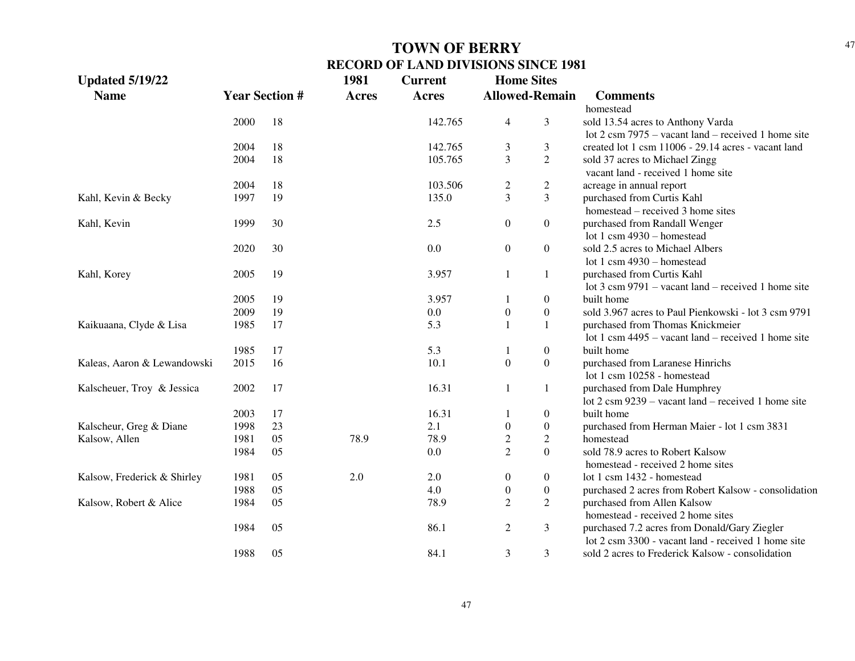| <b>Updated 5/19/22</b>      |      |                       | 1981         | <b>Current</b> | <b>Home Sites</b> |                       |                                                               |
|-----------------------------|------|-----------------------|--------------|----------------|-------------------|-----------------------|---------------------------------------------------------------|
| <b>Name</b>                 |      | <b>Year Section #</b> | <b>Acres</b> | <b>Acres</b>   |                   | <b>Allowed-Remain</b> | <b>Comments</b>                                               |
|                             |      |                       |              |                |                   |                       | homestead                                                     |
|                             | 2000 | 18                    |              | 142.765        | $\overline{4}$    | 3                     | sold 13.54 acres to Anthony Varda                             |
|                             |      |                       |              |                |                   |                       | lot $2 \text{ cm } 7975$ – vacant land – received 1 home site |
|                             | 2004 | 18                    |              | 142.765        | 3                 | 3                     | created lot 1 csm 11006 - 29.14 acres - vacant land           |
|                             | 2004 | 18                    |              | 105.765        | 3                 | $\overline{2}$        | sold 37 acres to Michael Zingg                                |
|                             |      |                       |              |                |                   |                       | vacant land - received 1 home site                            |
|                             | 2004 | 18                    |              | 103.506        | $\overline{c}$    | $\overline{c}$        | acreage in annual report                                      |
| Kahl, Kevin & Becky         | 1997 | 19                    |              | 135.0          | $\overline{3}$    | 3                     | purchased from Curtis Kahl                                    |
|                             |      |                       |              |                |                   |                       | homestead – received 3 home sites                             |
| Kahl, Kevin                 | 1999 | 30                    |              | 2.5            | $\boldsymbol{0}$  | $\boldsymbol{0}$      | purchased from Randall Wenger                                 |
|                             |      |                       |              |                |                   |                       | lot 1 csm 4930 - homestead                                    |
|                             | 2020 | 30                    |              | 0.0            | $\boldsymbol{0}$  | $\boldsymbol{0}$      | sold 2.5 acres to Michael Albers                              |
|                             |      |                       |              |                |                   |                       | lot 1 csm 4930 - homestead                                    |
| Kahl, Korey                 | 2005 | 19                    |              | 3.957          | $\mathbf{1}$      | 1                     | purchased from Curtis Kahl                                    |
|                             |      |                       |              |                |                   |                       | lot $3 \text{ cm } 9791$ – vacant land – received 1 home site |
|                             | 2005 | 19                    |              | 3.957          | $\mathbf{1}$      | $\boldsymbol{0}$      | built home                                                    |
|                             | 2009 | 19                    |              | 0.0            | $\boldsymbol{0}$  | $\boldsymbol{0}$      | sold 3.967 acres to Paul Pienkowski - lot 3 csm 9791          |
| Kaikuaana, Clyde & Lisa     | 1985 | 17                    |              | 5.3            | $\mathbf{1}$      | 1                     | purchased from Thomas Knickmeier                              |
|                             |      |                       |              |                |                   |                       | lot 1 csm $4495 -$ vacant land – received 1 home site         |
|                             | 1985 | 17                    |              | 5.3            | 1                 | $\boldsymbol{0}$      | built home                                                    |
| Kaleas, Aaron & Lewandowski | 2015 | 16                    |              | 10.1           | $\overline{0}$    | $\boldsymbol{0}$      | purchased from Laranese Hinrichs                              |
|                             |      |                       |              |                |                   |                       | lot 1 csm 10258 - homestead                                   |
| Kalscheuer, Troy & Jessica  | 2002 | 17                    |              | 16.31          | $\mathbf{1}$      | $\mathbf{1}$          | purchased from Dale Humphrey                                  |
|                             |      |                       |              |                |                   |                       | lot $2 \text{ cm } 9239$ – vacant land – received 1 home site |
|                             | 2003 | 17                    |              | 16.31          | 1                 | $\boldsymbol{0}$      | built home                                                    |
| Kalscheur, Greg & Diane     | 1998 | 23                    |              | 2.1            | $\boldsymbol{0}$  | $\boldsymbol{0}$      | purchased from Herman Maier - lot 1 csm 3831                  |
| Kalsow, Allen               | 1981 | 05                    | 78.9         | 78.9           | $\sqrt{2}$        | $\overline{c}$        | homestead                                                     |
|                             | 1984 | 05                    |              | $0.0\,$        | $\overline{2}$    | $\overline{0}$        | sold 78.9 acres to Robert Kalsow                              |
|                             |      |                       |              |                |                   |                       | homestead - received 2 home sites                             |
| Kalsow, Frederick & Shirley | 1981 | 05                    | 2.0          | 2.0            | $\boldsymbol{0}$  | $\boldsymbol{0}$      | lot 1 csm 1432 - homestead                                    |
|                             | 1988 | 05                    |              | 4.0            | $\boldsymbol{0}$  | $\boldsymbol{0}$      | purchased 2 acres from Robert Kalsow - consolidation          |
| Kalsow, Robert & Alice      | 1984 | 05                    |              | 78.9           | $\overline{2}$    | $\overline{2}$        | purchased from Allen Kalsow                                   |
|                             |      |                       |              |                |                   |                       | homestead - received 2 home sites                             |
|                             | 1984 | 05                    |              | 86.1           | $\overline{2}$    | 3                     | purchased 7.2 acres from Donald/Gary Ziegler                  |
|                             |      |                       |              |                |                   |                       | lot 2 csm 3300 - vacant land - received 1 home site           |
|                             | 1988 | 05                    |              | 84.1           | 3                 | 3                     | sold 2 acres to Frederick Kalsow - consolidation              |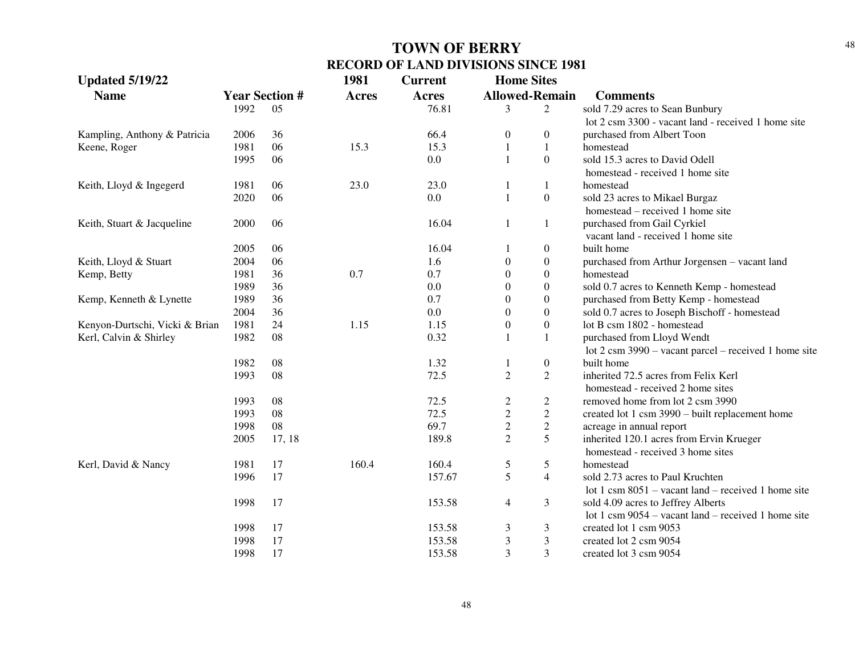| <b>Updated 5/19/22</b>         |      |                       | 1981         | <b>Current</b> | <b>Home Sites</b>     |                  |                                                                 |
|--------------------------------|------|-----------------------|--------------|----------------|-----------------------|------------------|-----------------------------------------------------------------|
| <b>Name</b>                    |      | <b>Year Section #</b> | <b>Acres</b> | <b>Acres</b>   | <b>Allowed-Remain</b> |                  | <b>Comments</b>                                                 |
|                                | 1992 | 05                    |              | 76.81          | 3                     | 2                | sold 7.29 acres to Sean Bunbury                                 |
|                                |      |                       |              |                |                       |                  | lot 2 csm 3300 - vacant land - received 1 home site             |
| Kampling, Anthony & Patricia   | 2006 | 36                    |              | 66.4           | $\boldsymbol{0}$      | $\overline{0}$   | purchased from Albert Toon                                      |
| Keene, Roger                   | 1981 | 06                    | 15.3         | 15.3           | 1                     | $\mathbf{1}$     | homestead                                                       |
|                                | 1995 | 06                    |              | 0.0            | $\mathbf{1}$          | $\boldsymbol{0}$ | sold 15.3 acres to David Odell                                  |
|                                |      |                       |              |                |                       |                  | homestead - received 1 home site                                |
| Keith, Lloyd & Ingegerd        | 1981 | 06                    | 23.0         | 23.0           | 1                     | 1                | homestead                                                       |
|                                | 2020 | 06                    |              | 0.0            | $\mathbf{1}$          | $\boldsymbol{0}$ | sold 23 acres to Mikael Burgaz                                  |
|                                |      |                       |              |                |                       |                  | homestead – received 1 home site                                |
| Keith, Stuart & Jacqueline     | 2000 | 06                    |              | 16.04          | 1                     | 1                | purchased from Gail Cyrkiel                                     |
|                                |      |                       |              |                |                       |                  | vacant land - received 1 home site                              |
|                                | 2005 | 06                    |              | 16.04          |                       | $\boldsymbol{0}$ | built home                                                      |
| Keith, Lloyd & Stuart          | 2004 | 06                    |              | 1.6            | $\boldsymbol{0}$      | $\boldsymbol{0}$ | purchased from Arthur Jorgensen - vacant land                   |
| Kemp, Betty                    | 1981 | 36                    | 0.7          | 0.7            | $\boldsymbol{0}$      | $\boldsymbol{0}$ | homestead                                                       |
|                                | 1989 | 36                    |              | 0.0            | $\boldsymbol{0}$      | $\boldsymbol{0}$ | sold 0.7 acres to Kenneth Kemp - homestead                      |
| Kemp, Kenneth & Lynette        | 1989 | 36                    |              | 0.7            | $\boldsymbol{0}$      | $\boldsymbol{0}$ | purchased from Betty Kemp - homestead                           |
|                                | 2004 | 36                    |              | 0.0            | $\Omega$              | $\overline{0}$   | sold 0.7 acres to Joseph Bischoff - homestead                   |
| Kenyon-Durtschi, Vicki & Brian | 1981 | 24                    | 1.15         | 1.15           | $\boldsymbol{0}$      | $\overline{0}$   | lot B csm 1802 - homestead                                      |
| Kerl, Calvin & Shirley         | 1982 | 08                    |              | 0.32           |                       | 1                | purchased from Lloyd Wendt                                      |
|                                |      |                       |              |                |                       |                  | lot $2 \text{ cm } 3990$ – vacant parcel – received 1 home site |
|                                | 1982 | 08                    |              | 1.32           | 1                     | $\overline{0}$   | built home                                                      |
|                                | 1993 | 08                    |              | 72.5           | $\overline{2}$        | $\overline{2}$   | inherited 72.5 acres from Felix Kerl                            |
|                                |      |                       |              |                |                       |                  | homestead - received 2 home sites                               |
|                                | 1993 | 08                    |              | 72.5           | $\overline{c}$        | $\mathbf{2}$     | removed home from lot 2 csm 3990                                |
|                                | 1993 | 08                    |              | 72.5           | $\boldsymbol{2}$      | $\sqrt{2}$       | created lot 1 csm 3990 – built replacement home                 |
|                                | 1998 | 08                    |              | 69.7           | $\sqrt{2}$            | $\sqrt{2}$       | acreage in annual report                                        |
|                                | 2005 | 17, 18                |              | 189.8          | $\overline{2}$        | 5                | inherited 120.1 acres from Ervin Krueger                        |
|                                |      |                       |              |                |                       |                  | homestead - received 3 home sites                               |
| Kerl, David & Nancy            | 1981 | 17                    | 160.4        | 160.4          | 5                     | 5                | homestead                                                       |
|                                | 1996 | 17                    |              | 157.67         | 5                     | $\overline{4}$   | sold 2.73 acres to Paul Kruchten                                |
|                                |      |                       |              |                |                       |                  | lot 1 csm $8051$ – vacant land – received 1 home site           |
|                                | 1998 | 17                    |              | 153.58         | $\overline{4}$        | $\mathfrak{Z}$   | sold 4.09 acres to Jeffrey Alberts                              |
|                                |      |                       |              |                |                       |                  | lot 1 csm $9054$ – vacant land – received 1 home site           |
|                                | 1998 | 17                    |              | 153.58         | 3                     | 3                | created lot 1 csm 9053                                          |
|                                | 1998 | 17                    |              | 153.58         | 3                     | 3                | created lot 2 csm 9054                                          |
|                                | 1998 | 17                    |              | 153.58         | 3                     | 3                | created lot 3 csm 9054                                          |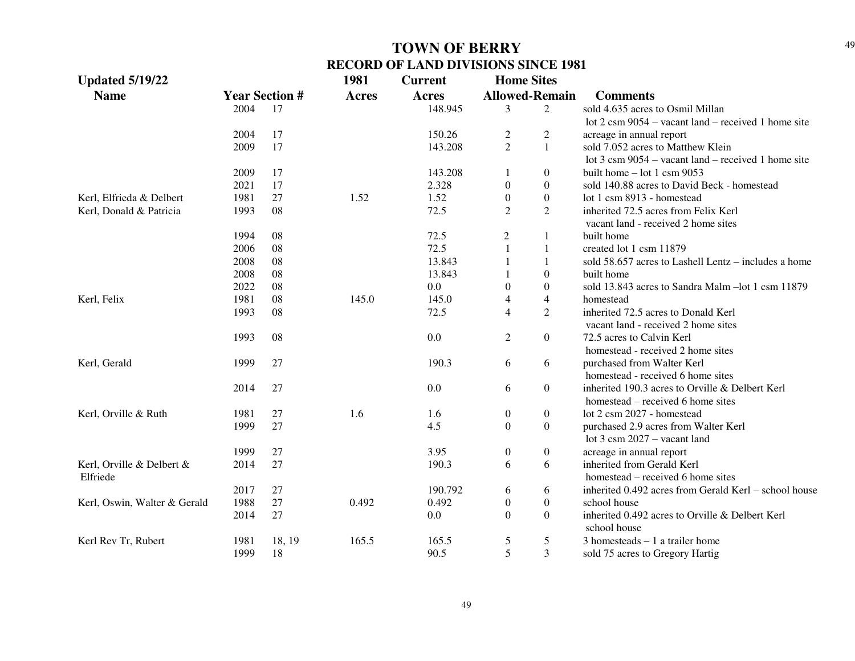| <b>Updated 5/19/22</b>       |                       |        | 1981         | <b>Current</b> | <b>Home Sites</b> |                       |                                                               |
|------------------------------|-----------------------|--------|--------------|----------------|-------------------|-----------------------|---------------------------------------------------------------|
| <b>Name</b>                  | <b>Year Section #</b> |        | <b>Acres</b> | <b>Acres</b>   |                   | <b>Allowed-Remain</b> | <b>Comments</b>                                               |
|                              | 2004                  | 17     |              | 148.945        | 3                 | $\overline{2}$        | sold 4.635 acres to Osmil Millan                              |
|                              |                       |        |              |                |                   |                       | lot $2 \text{ cm } 9054$ – vacant land – received 1 home site |
|                              | 2004                  | 17     |              | 150.26         | $\overline{2}$    | $\overline{c}$        | acreage in annual report                                      |
|                              | 2009                  | 17     |              | 143.208        | $\overline{2}$    | $\mathbf{1}$          | sold 7.052 acres to Matthew Klein                             |
|                              |                       |        |              |                |                   |                       | lot $3 \text{ cm } 9054$ – vacant land – received 1 home site |
|                              | 2009                  | 17     |              | 143.208        | 1                 | $\overline{0}$        | built home $-$ lot 1 csm 9053                                 |
|                              | 2021                  | 17     |              | 2.328          | $\mathbf{0}$      | $\overline{0}$        | sold 140.88 acres to David Beck - homestead                   |
| Kerl, Elfrieda & Delbert     | 1981                  | 27     | 1.52         | 1.52           | $\mathbf{0}$      | $\boldsymbol{0}$      | lot 1 csm 8913 - homestead                                    |
| Kerl, Donald & Patricia      | 1993                  | 08     |              | 72.5           | $\overline{2}$    | $\overline{2}$        | inherited 72.5 acres from Felix Kerl                          |
|                              |                       |        |              |                |                   |                       | vacant land - received 2 home sites                           |
|                              | 1994                  | 08     |              | 72.5           | $\overline{c}$    | 1                     | built home                                                    |
|                              | 2006                  | 08     |              | 72.5           | $\mathbf{1}$      | $\mathbf{1}$          | created lot 1 csm 11879                                       |
|                              | 2008                  | 08     |              | 13.843         | 1                 | $\mathbf{1}$          | sold 58.657 acres to Lashell Lentz – includes a home          |
|                              | 2008                  | 08     |              | 13.843         |                   | $\overline{0}$        | built home                                                    |
|                              | 2022                  | 08     |              | 0.0            | $\boldsymbol{0}$  | $\overline{0}$        | sold 13.843 acres to Sandra Malm - lot 1 csm 11879            |
| Kerl, Felix                  | 1981                  | 08     | 145.0        | 145.0          | $\overline{4}$    | $\overline{4}$        | homestead                                                     |
|                              | 1993                  | 08     |              | 72.5           | $\overline{4}$    | $\overline{2}$        | inherited 72.5 acres to Donald Kerl                           |
|                              |                       |        |              |                |                   |                       | vacant land - received 2 home sites                           |
|                              | 1993                  | 08     |              | 0.0            | $\overline{2}$    | $\boldsymbol{0}$      | 72.5 acres to Calvin Kerl                                     |
|                              |                       |        |              |                |                   |                       | homestead - received 2 home sites                             |
| Kerl, Gerald                 | 1999                  | 27     |              | 190.3          | 6                 | 6                     | purchased from Walter Kerl                                    |
|                              |                       |        |              |                |                   |                       | homestead - received 6 home sites                             |
|                              | 2014                  | 27     |              | 0.0            | 6                 | $\boldsymbol{0}$      | inherited 190.3 acres to Orville & Delbert Kerl               |
|                              |                       |        |              |                |                   |                       | homestead – received 6 home sites                             |
| Kerl, Orville & Ruth         | 1981                  | 27     | 1.6          | 1.6            | $\boldsymbol{0}$  | $\boldsymbol{0}$      | lot 2 csm 2027 - homestead                                    |
|                              | 1999                  | 27     |              | 4.5            | $\theta$          | $\Omega$              | purchased 2.9 acres from Walter Kerl                          |
|                              |                       |        |              |                |                   |                       | lot $3 \text{ csm } 2027 - \text{vacant land}$                |
|                              | 1999                  | 27     |              | 3.95           | $\boldsymbol{0}$  | $\boldsymbol{0}$      | acreage in annual report                                      |
| Kerl, Orville & Delbert &    | 2014                  | 27     |              | 190.3          | 6                 | 6                     | inherited from Gerald Kerl                                    |
| Elfriede                     |                       |        |              |                |                   |                       | homestead – received 6 home sites                             |
|                              | 2017                  | 27     |              | 190.792        | 6                 | 6                     | inherited 0.492 acres from Gerald Kerl – school house         |
| Kerl, Oswin, Walter & Gerald | 1988                  | 27     | 0.492        | 0.492          | $\boldsymbol{0}$  | $\boldsymbol{0}$      | school house                                                  |
|                              | 2014                  | 27     |              | 0.0            | $\Omega$          | $\Omega$              | inherited 0.492 acres to Orville & Delbert Kerl               |
|                              |                       |        |              |                |                   |                       | school house                                                  |
| Kerl Rev Tr, Rubert          | 1981                  | 18, 19 | 165.5        | 165.5          | 5                 | 5                     | $3$ homesteads $-1$ a trailer home                            |
|                              | 1999                  | 18     |              | 90.5           | 5                 | 3                     | sold 75 acres to Gregory Hartig                               |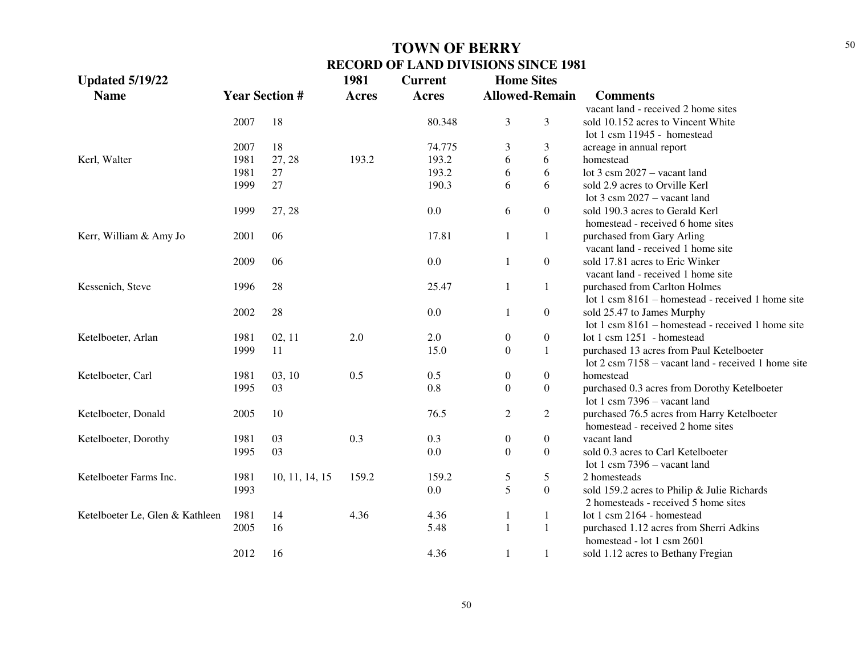| <b>Updated 5/19/22</b>          |                       |                | 1981         | <b>Current</b> | <b>Home Sites</b> |                       |                                                     |
|---------------------------------|-----------------------|----------------|--------------|----------------|-------------------|-----------------------|-----------------------------------------------------|
| <b>Name</b>                     | <b>Year Section #</b> |                | <b>Acres</b> | <b>Acres</b>   |                   | <b>Allowed-Remain</b> | <b>Comments</b>                                     |
|                                 |                       |                |              |                |                   |                       | vacant land - received 2 home sites                 |
|                                 | 2007                  | 18             |              | 80.348         | 3                 | 3                     | sold 10.152 acres to Vincent White                  |
|                                 |                       |                |              |                |                   |                       | lot 1 csm 11945 - homestead                         |
|                                 | 2007                  | 18             |              | 74.775         | 3                 | 3                     | acreage in annual report                            |
| Kerl, Walter                    | 1981                  | 27, 28         | 193.2        | 193.2          | 6                 | 6                     | homestead                                           |
|                                 | 1981                  | 27             |              | 193.2          | 6                 | 6                     | lot $3 \text{ csm } 2027 - \text{vacant land}$      |
|                                 | 1999                  | 27             |              | 190.3          | 6                 | 6                     | sold 2.9 acres to Orville Kerl                      |
|                                 |                       |                |              |                |                   |                       | lot $3 \text{ csm } 2027 - \text{vacant land}$      |
|                                 | 1999                  | 27, 28         |              | 0.0            | 6                 | $\boldsymbol{0}$      | sold 190.3 acres to Gerald Kerl                     |
|                                 |                       |                |              |                |                   |                       | homestead - received 6 home sites                   |
| Kerr, William & Amy Jo          | 2001                  | 06             |              | 17.81          | $\mathbf{1}$      | 1                     | purchased from Gary Arling                          |
|                                 |                       |                |              |                |                   |                       | vacant land - received 1 home site                  |
|                                 | 2009                  | 06             |              | 0.0            | 1                 | $\boldsymbol{0}$      | sold 17.81 acres to Eric Winker                     |
|                                 |                       |                |              |                |                   |                       | vacant land - received 1 home site                  |
| Kessenich, Steve                | 1996                  | 28             |              | 25.47          | 1                 | 1                     | purchased from Carlton Holmes                       |
|                                 |                       |                |              |                |                   |                       | lot 1 csm 8161 – homestead - received 1 home site   |
|                                 | 2002                  | 28             |              | 0.0            | 1                 | $\boldsymbol{0}$      | sold 25.47 to James Murphy                          |
|                                 |                       |                |              |                |                   |                       | lot 1 csm 8161 – homestead - received 1 home site   |
| Ketelboeter, Arlan              | 1981                  | 02, 11         | 2.0          | 2.0            | 0                 | $\boldsymbol{0}$      | lot 1 csm 1251 - homestead                          |
|                                 | 1999                  | 11             |              | 15.0           | $\overline{0}$    | $\mathbf{1}$          | purchased 13 acres from Paul Ketelboeter            |
|                                 |                       |                |              |                |                   |                       | lot 2 csm 7158 – vacant land - received 1 home site |
| Ketelboeter, Carl               | 1981                  | 03, 10         | 0.5          | 0.5            | 0                 | $\boldsymbol{0}$      | homestead                                           |
|                                 | 1995                  | 03             |              | 0.8            | $\boldsymbol{0}$  | $\boldsymbol{0}$      | purchased 0.3 acres from Dorothy Ketelboeter        |
|                                 |                       |                |              |                |                   |                       | lot 1 csm $7396 -$ vacant land                      |
| Ketelboeter, Donald             | 2005                  | 10             |              | 76.5           | $\mathbf{2}$      | $\overline{c}$        | purchased 76.5 acres from Harry Ketelboeter         |
|                                 |                       |                |              |                |                   |                       | homestead - received 2 home sites                   |
| Ketelboeter, Dorothy            | 1981                  | 03             | 0.3          | 0.3            | $\boldsymbol{0}$  | $\boldsymbol{0}$      | vacant land                                         |
|                                 | 1995                  | 03             |              | 0.0            | $\boldsymbol{0}$  | $\boldsymbol{0}$      | sold 0.3 acres to Carl Ketelboeter                  |
|                                 |                       |                |              |                |                   |                       | lot 1 csm $7396 -$ vacant land                      |
| Ketelboeter Farms Inc.          | 1981                  | 10, 11, 14, 15 | 159.2        | 159.2          | 5                 | 5                     | 2 homesteads                                        |
|                                 | 1993                  |                |              | 0.0            | 5                 | $\boldsymbol{0}$      | sold 159.2 acres to Philip & Julie Richards         |
|                                 |                       |                |              |                |                   |                       | 2 homesteads - received 5 home sites                |
| Ketelboeter Le, Glen & Kathleen | 1981                  | 14             | 4.36         | 4.36           | 1                 | 1                     | lot 1 csm 2164 - homestead                          |
|                                 | 2005                  | 16             |              | 5.48           | $\mathbf{1}$      | 1                     | purchased 1.12 acres from Sherri Adkins             |
|                                 |                       |                |              |                |                   |                       | homestead - lot 1 csm 2601                          |
|                                 | 2012                  | 16             |              | 4.36           | 1                 | 1                     | sold 1.12 acres to Bethany Fregian                  |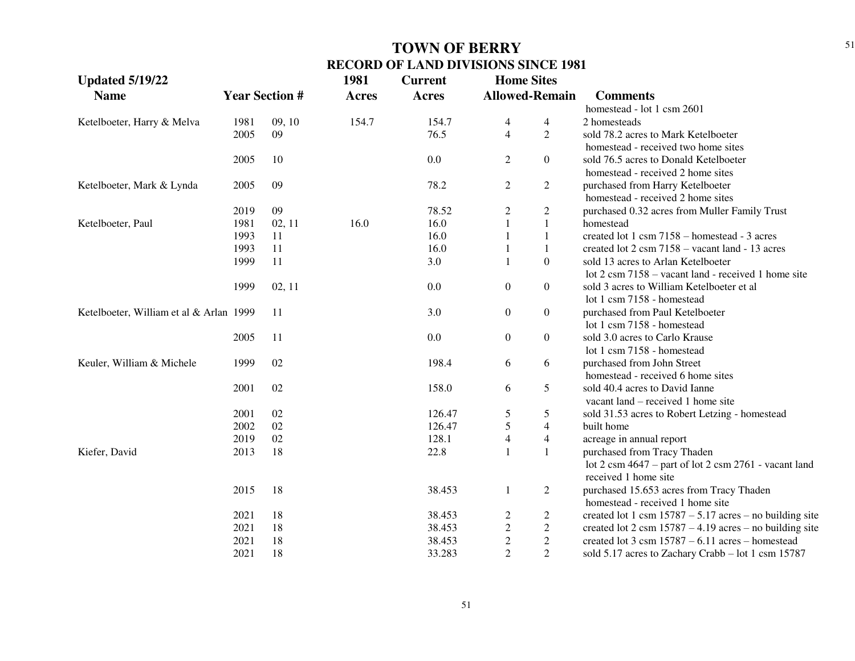| <b>Updated 5/19/22</b>                  |      |                       | 1981         | <b>Current</b> | <b>Home Sites</b> |                       |                                                                                  |
|-----------------------------------------|------|-----------------------|--------------|----------------|-------------------|-----------------------|----------------------------------------------------------------------------------|
| <b>Name</b>                             |      | <b>Year Section #</b> | <b>Acres</b> | <b>Acres</b>   |                   | <b>Allowed-Remain</b> | <b>Comments</b>                                                                  |
|                                         |      |                       |              |                |                   |                       | homestead - lot 1 csm 2601                                                       |
| Ketelboeter, Harry & Melva              | 1981 | 09, 10                | 154.7        | 154.7          | 4                 | 4                     | 2 homesteads                                                                     |
|                                         | 2005 | 09                    |              | 76.5           | $\overline{4}$    | $\overline{2}$        | sold 78.2 acres to Mark Ketelboeter                                              |
|                                         |      |                       |              |                |                   |                       | homestead - received two home sites                                              |
|                                         | 2005 | 10                    |              | 0.0            | $\overline{c}$    | $\mathbf{0}$          | sold 76.5 acres to Donald Ketelboeter                                            |
|                                         |      |                       |              |                |                   |                       | homestead - received 2 home sites                                                |
| Ketelboeter, Mark & Lynda               | 2005 | 09                    |              | 78.2           | $\overline{c}$    | $\overline{c}$        | purchased from Harry Ketelboeter                                                 |
|                                         |      |                       |              |                |                   |                       | homestead - received 2 home sites                                                |
|                                         | 2019 | 09                    |              | 78.52          | $\overline{c}$    | $\mathbf{2}$          | purchased 0.32 acres from Muller Family Trust                                    |
| Ketelboeter, Paul                       | 1981 | 02, 11                | 16.0         | 16.0           |                   | $\mathbf{1}$          | homestead                                                                        |
|                                         | 1993 | 11                    |              | 16.0           |                   | $\mathbf{1}$          | created lot 1 csm 7158 - homestead - 3 acres                                     |
|                                         | 1993 | 11                    |              | 16.0           |                   | $\mathbf{1}$          | created lot 2 csm 7158 – vacant land - 13 acres                                  |
|                                         | 1999 | 11                    |              | 3.0            |                   | $\boldsymbol{0}$      | sold 13 acres to Arlan Ketelboeter                                               |
|                                         |      |                       |              |                |                   |                       | lot $2 \text{ cm } 7158$ – vacant land - received 1 home site                    |
|                                         | 1999 | 02, 11                |              | $0.0\,$        | $\boldsymbol{0}$  | $\boldsymbol{0}$      | sold 3 acres to William Ketelboeter et al.                                       |
|                                         |      |                       |              |                |                   |                       | lot 1 csm 7158 - homestead                                                       |
| Ketelboeter, William et al & Arlan 1999 |      | 11                    |              | 3.0            | $\boldsymbol{0}$  | $\boldsymbol{0}$      | purchased from Paul Ketelboeter                                                  |
|                                         |      |                       |              |                |                   |                       | lot 1 csm 7158 - homestead                                                       |
|                                         | 2005 | 11                    |              | 0.0            | $\boldsymbol{0}$  | $\boldsymbol{0}$      | sold 3.0 acres to Carlo Krause                                                   |
|                                         |      |                       |              |                |                   |                       | lot 1 csm 7158 - homestead                                                       |
| Keuler, William & Michele               | 1999 | 02                    |              | 198.4          | 6                 | 6                     | purchased from John Street                                                       |
|                                         |      |                       |              |                |                   |                       | homestead - received 6 home sites                                                |
|                                         | 2001 | 02                    |              | 158.0          | 6                 | 5                     | sold 40.4 acres to David Ianne                                                   |
|                                         |      |                       |              |                |                   |                       | vacant land – received 1 home site                                               |
|                                         | 2001 | 02                    |              | 126.47         | 5                 | 5                     | sold 31.53 acres to Robert Letzing - homestead                                   |
|                                         | 2002 | 02                    |              | 126.47         | $\mathfrak s$     | $\overline{4}$        | built home                                                                       |
|                                         | 2019 | 02                    |              | 128.1          | $\overline{4}$    | $\overline{4}$        | acreage in annual report                                                         |
| Kiefer, David                           | 2013 | 18                    |              | 22.8           |                   | $\mathbf{1}$          | purchased from Tracy Thaden                                                      |
|                                         |      |                       |              |                |                   |                       | lot $2 \text{ cm } 4647$ – part of lot $2 \text{ cm } 2761$ - vacant land        |
|                                         |      |                       |              |                |                   |                       | received 1 home site                                                             |
|                                         | 2015 | 18                    |              | 38.453         | $\mathbf{1}$      | $\overline{c}$        | purchased 15.653 acres from Tracy Thaden                                         |
|                                         |      |                       |              |                |                   |                       | homestead - received 1 home site                                                 |
|                                         | 2021 | 18                    |              | 38.453         | $\overline{c}$    | $\overline{c}$        | created lot 1 csm $15787 - 5.17$ acres – no building site                        |
|                                         | 2021 | 18                    |              | 38.453         | $\sqrt{2}$        | $\overline{c}$        | created lot $2 \text{ cm } 15787 - 4.19 \text{ acres} - \text{no building site}$ |
|                                         | 2021 | 18                    |              | 38.453         | $\sqrt{2}$        | $\sqrt{2}$            | created lot $3 \text{ cm} 15787 - 6.11 \text{ acres} - \text{homested}$          |
|                                         | 2021 | 18                    |              | 33.283         | $\overline{2}$    | $\overline{2}$        | sold 5.17 acres to Zachary Crabb – lot 1 csm 15787                               |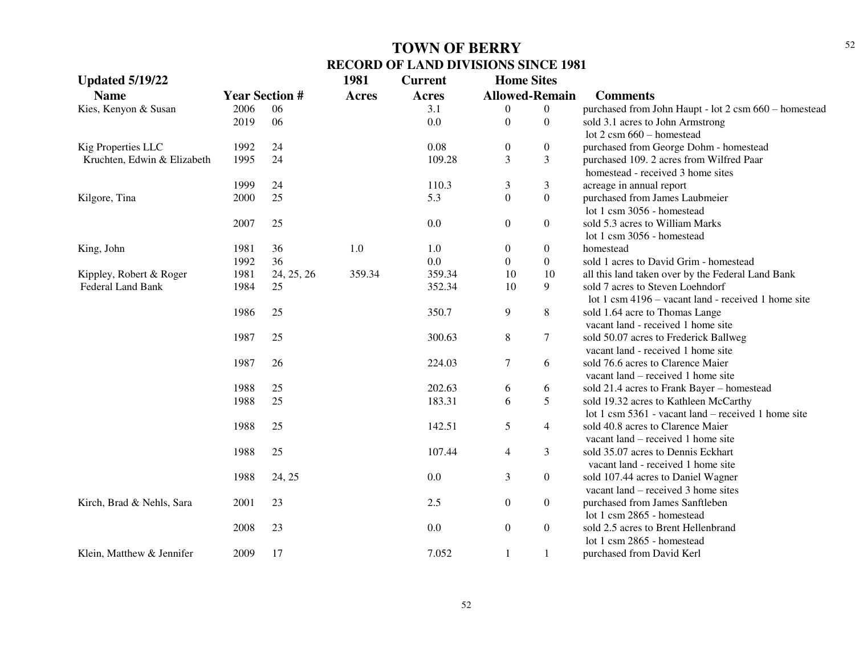| <b>Updated 5/19/22</b>      |      |                       | 1981         | <b>Current</b> | <b>Home Sites</b> |                       |                                                       |
|-----------------------------|------|-----------------------|--------------|----------------|-------------------|-----------------------|-------------------------------------------------------|
| <b>Name</b>                 |      | <b>Year Section #</b> | <b>Acres</b> | <b>Acres</b>   |                   | <b>Allowed-Remain</b> | <b>Comments</b>                                       |
| Kies, Kenyon & Susan        | 2006 | 06                    |              | 3.1            | 0                 | $\overline{0}$        | purchased from John Haupt - lot 2 csm 660 - homestead |
|                             | 2019 | 06                    |              | 0.0            | $\overline{0}$    | $\overline{0}$        | sold 3.1 acres to John Armstrong                      |
|                             |      |                       |              |                |                   |                       | lot $2 \text{ cm } 660$ - homestead                   |
| Kig Properties LLC          | 1992 | 24                    |              | 0.08           | $\overline{0}$    | $\overline{0}$        | purchased from George Dohm - homestead                |
| Kruchten, Edwin & Elizabeth | 1995 | 24                    |              | 109.28         | 3                 | 3                     | purchased 109. 2 acres from Wilfred Paar              |
|                             |      |                       |              |                |                   |                       | homestead - received 3 home sites                     |
|                             | 1999 | 24                    |              | 110.3          | 3                 | 3                     | acreage in annual report                              |
| Kilgore, Tina               | 2000 | 25                    |              | 5.3            | $\overline{0}$    | $\Omega$              | purchased from James Laubmeier                        |
|                             |      |                       |              |                |                   |                       | lot 1 csm 3056 - homestead                            |
|                             | 2007 | 25                    |              | 0.0            | $\overline{0}$    | $\boldsymbol{0}$      | sold 5.3 acres to William Marks                       |
|                             |      |                       |              |                |                   |                       | lot 1 csm 3056 - homestead                            |
| King, John                  | 1981 | 36                    | 1.0          | 1.0            | $\overline{0}$    | $\overline{0}$        | homestead                                             |
|                             | 1992 | 36                    |              | 0.0            | $\overline{0}$    | $\boldsymbol{0}$      | sold 1 acres to David Grim - homestead                |
| Kippley, Robert & Roger     | 1981 | 24, 25, 26            | 359.34       | 359.34         | 10                | 10                    | all this land taken over by the Federal Land Bank     |
| Federal Land Bank           | 1984 | 25                    |              | 352.34         | 10                | 9                     | sold 7 acres to Steven Loehndorf                      |
|                             |      |                       |              |                |                   |                       | lot 1 csm 4196 – vacant land - received 1 home site   |
|                             | 1986 | 25                    |              | 350.7          | 9                 | 8                     | sold 1.64 acre to Thomas Lange                        |
|                             |      |                       |              |                |                   |                       | vacant land - received 1 home site                    |
|                             | 1987 | 25                    |              | 300.63         | 8                 | 7                     | sold 50.07 acres to Frederick Ballweg                 |
|                             |      |                       |              |                |                   |                       | vacant land - received 1 home site                    |
|                             | 1987 | 26                    |              | 224.03         | $\tau$            | 6                     | sold 76.6 acres to Clarence Maier                     |
|                             |      |                       |              |                |                   |                       | vacant land – received 1 home site                    |
|                             | 1988 | 25                    |              | 202.63         | 6                 | 6                     | sold 21.4 acres to Frank Bayer - homestead            |
|                             | 1988 | 25                    |              | 183.31         | 6                 | 5                     | sold 19.32 acres to Kathleen McCarthy                 |
|                             |      |                       |              |                |                   |                       | lot 1 csm $5361$ - vacant land – received 1 home site |
|                             | 1988 | 25                    |              | 142.51         | 5                 | 4                     | sold 40.8 acres to Clarence Maier                     |
|                             |      |                       |              |                |                   |                       | vacant $land - received 1$ home site                  |
|                             | 1988 | 25                    |              | 107.44         | $\overline{4}$    | 3                     | sold 35.07 acres to Dennis Eckhart                    |
|                             |      |                       |              |                |                   |                       | vacant land - received 1 home site                    |
|                             | 1988 | 24, 25                |              | 0.0            | 3                 | $\boldsymbol{0}$      | sold 107.44 acres to Daniel Wagner                    |
|                             |      |                       |              |                |                   |                       | vacant $land - received 3 home sites$                 |
| Kirch, Brad & Nehls, Sara   | 2001 | 23                    |              | 2.5            | $\overline{0}$    | $\overline{0}$        | purchased from James Sanftleben                       |
|                             |      |                       |              |                |                   |                       | lot 1 csm 2865 - homestead                            |
|                             | 2008 | 23                    |              | 0.0            | $\overline{0}$    | $\overline{0}$        | sold 2.5 acres to Brent Hellenbrand                   |
|                             |      |                       |              |                |                   |                       | lot 1 csm 2865 - homestead                            |
| Klein, Matthew & Jennifer   | 2009 | 17                    |              | 7.052          | 1                 | 1                     | purchased from David Kerl                             |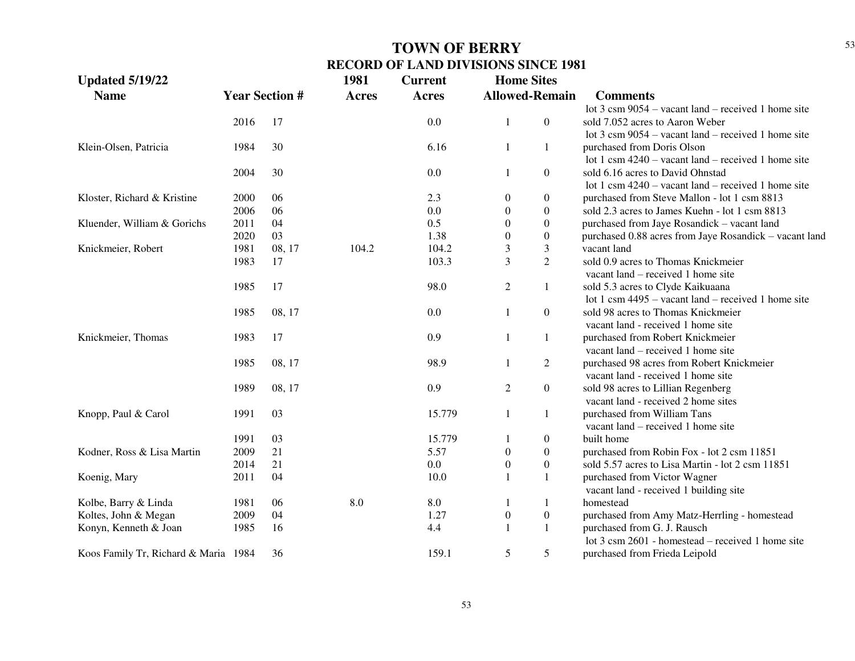| <b>Updated 5/19/22</b>               |      |                       | 1981         | <b>Current</b> | <b>Home Sites</b> |                       |                                                               |
|--------------------------------------|------|-----------------------|--------------|----------------|-------------------|-----------------------|---------------------------------------------------------------|
| <b>Name</b>                          |      | <b>Year Section #</b> | <b>Acres</b> | <b>Acres</b>   |                   | <b>Allowed-Remain</b> | <b>Comments</b>                                               |
|                                      |      |                       |              |                |                   |                       | lot $3 \text{ cm } 9054$ – vacant land – received 1 home site |
|                                      | 2016 | 17                    |              | 0.0            | $\mathbf{1}$      | $\overline{0}$        | sold 7.052 acres to Aaron Weber                               |
|                                      |      |                       |              |                |                   |                       | lot $3 \text{ cm } 9054$ – vacant land – received 1 home site |
| Klein-Olsen, Patricia                | 1984 | 30                    |              | 6.16           | $\mathbf{1}$      | $\mathbf{1}$          | purchased from Doris Olson                                    |
|                                      |      |                       |              |                |                   |                       | lot 1 csm $4240 -$ vacant land – received 1 home site         |
|                                      | 2004 | 30                    |              | 0.0            | 1                 | $\boldsymbol{0}$      | sold 6.16 acres to David Ohnstad                              |
|                                      |      |                       |              |                |                   |                       | lot 1 csm $4240 -$ vacant land – received 1 home site         |
| Kloster, Richard & Kristine          | 2000 | 06                    |              | 2.3            | $\boldsymbol{0}$  | $\boldsymbol{0}$      | purchased from Steve Mallon - lot 1 csm 8813                  |
|                                      | 2006 | 06                    |              | 0.0            | $\theta$          | $\boldsymbol{0}$      | sold 2.3 acres to James Kuehn - lot 1 csm 8813                |
| Kluender, William & Gorichs          | 2011 | 04                    |              | 0.5            | $\theta$          | $\boldsymbol{0}$      | purchased from Jaye Rosandick - vacant land                   |
|                                      | 2020 | 03                    |              | 1.38           | $\mathbf{0}$      | $\boldsymbol{0}$      | purchased 0.88 acres from Jaye Rosandick - vacant land        |
| Knickmeier, Robert                   | 1981 | 08, 17                | 104.2        | 104.2          | 3                 | 3                     | vacant land                                                   |
|                                      | 1983 | 17                    |              | 103.3          | 3                 | $\overline{2}$        | sold 0.9 acres to Thomas Knickmeier                           |
|                                      |      |                       |              |                |                   |                       | vacant land – received 1 home site                            |
|                                      | 1985 | 17                    |              | 98.0           | 2                 | 1                     | sold 5.3 acres to Clyde Kaikuaana                             |
|                                      |      |                       |              |                |                   |                       | lot 1 csm $4495 -$ vacant land – received 1 home site         |
|                                      | 1985 | 08, 17                |              | 0.0            | $\mathbf{1}$      | $\overline{0}$        | sold 98 acres to Thomas Knickmeier                            |
|                                      |      |                       |              |                |                   |                       | vacant land - received 1 home site                            |
| Knickmeier, Thomas                   | 1983 | 17                    |              | 0.9            | $\mathbf{1}$      | 1                     | purchased from Robert Knickmeier                              |
|                                      |      |                       |              |                |                   |                       | vacant land – received 1 home site                            |
|                                      | 1985 | 08, 17                |              | 98.9           | $\mathbf{1}$      | $\overline{c}$        | purchased 98 acres from Robert Knickmeier                     |
|                                      |      |                       |              |                |                   |                       | vacant land - received 1 home site                            |
|                                      | 1989 | 08, 17                |              | 0.9            | $\overline{c}$    | $\boldsymbol{0}$      | sold 98 acres to Lillian Regenberg                            |
|                                      |      |                       |              |                |                   |                       | vacant land - received 2 home sites                           |
| Knopp, Paul & Carol                  | 1991 | 03                    |              | 15.779         | $\mathbf{1}$      | $\mathbf{1}$          | purchased from William Tans                                   |
|                                      |      |                       |              |                |                   |                       | vacant land – received 1 home site                            |
|                                      | 1991 | 03                    |              | 15.779         |                   | $\boldsymbol{0}$      | built home                                                    |
| Kodner, Ross & Lisa Martin           | 2009 | 21                    |              | 5.57           | $\boldsymbol{0}$  | $\boldsymbol{0}$      | purchased from Robin Fox - lot 2 csm 11851                    |
|                                      | 2014 | 21                    |              | 0.0            | $\overline{0}$    | $\boldsymbol{0}$      | sold 5.57 acres to Lisa Martin - lot 2 csm 11851              |
| Koenig, Mary                         | 2011 | 04                    |              | 10.0           | $\mathbf{1}$      | $\mathbf{1}$          | purchased from Victor Wagner                                  |
|                                      |      |                       |              |                |                   |                       | vacant land - received 1 building site                        |
| Kolbe, Barry & Linda                 | 1981 | 06                    | 8.0          | 8.0            | 1                 | 1                     | homestead                                                     |
| Koltes, John & Megan                 | 2009 | 04                    |              | 1.27           | $\boldsymbol{0}$  | $\boldsymbol{0}$      | purchased from Amy Matz-Herrling - homestead                  |
| Konyn, Kenneth & Joan                | 1985 | 16                    |              | 4.4            | 1                 | 1                     | purchased from G. J. Rausch                                   |
|                                      |      |                       |              |                |                   |                       | lot $3 \text{ cm } 2601$ - homestead – received 1 home site   |
| Koos Family Tr, Richard & Maria 1984 |      | 36                    |              | 159.1          | 5                 | 5                     | purchased from Frieda Leipold                                 |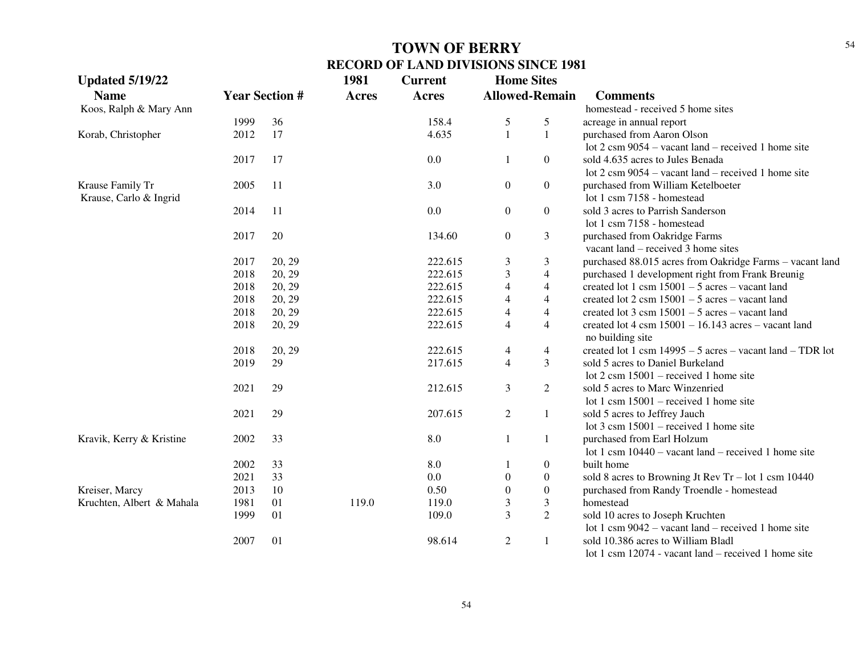| <b>Updated 5/19/22</b>    |      |                       | 1981         | <b>Current</b> | <b>Home Sites</b>       |                       |                                                                               |
|---------------------------|------|-----------------------|--------------|----------------|-------------------------|-----------------------|-------------------------------------------------------------------------------|
| <b>Name</b>               |      | <b>Year Section #</b> | <b>Acres</b> | <b>Acres</b>   |                         | <b>Allowed-Remain</b> | <b>Comments</b>                                                               |
| Koos, Ralph & Mary Ann    |      |                       |              |                |                         |                       | homestead - received 5 home sites                                             |
|                           | 1999 | 36                    |              | 158.4          | 5                       | 5                     | acreage in annual report                                                      |
| Korab, Christopher        | 2012 | 17                    |              | 4.635          | $\mathbf{1}$            | $\mathbf{1}$          | purchased from Aaron Olson                                                    |
|                           |      |                       |              |                |                         |                       | lot $2 \text{ cm } 9054$ – vacant land – received 1 home site                 |
|                           | 2017 | 17                    |              | 0.0            | 1                       | $\overline{0}$        | sold 4.635 acres to Jules Benada                                              |
|                           |      |                       |              |                |                         |                       | lot $2 \text{ cm } 9054$ – vacant land – received 1 home site                 |
| Krause Family Tr          | 2005 | 11                    |              | 3.0            | $\boldsymbol{0}$        | $\overline{0}$        | purchased from William Ketelboeter                                            |
| Krause, Carlo & Ingrid    |      |                       |              |                |                         |                       | lot 1 csm 7158 - homestead                                                    |
|                           | 2014 | 11                    |              | 0.0            | $\boldsymbol{0}$        | $\overline{0}$        | sold 3 acres to Parrish Sanderson                                             |
|                           |      |                       |              |                |                         |                       | lot 1 csm 7158 - homestead                                                    |
|                           | 2017 | $20\,$                |              | 134.60         | $\boldsymbol{0}$        | 3                     | purchased from Oakridge Farms                                                 |
|                           |      |                       |              |                |                         |                       | vacant land – received 3 home sites                                           |
|                           | 2017 | 20, 29                |              | 222.615        | $\mathfrak{Z}$          | 3                     | purchased 88.015 acres from Oakridge Farms - vacant land                      |
|                           | 2018 | 20, 29                |              | 222.615        | $\mathfrak{Z}$          | 4                     | purchased 1 development right from Frank Breunig                              |
|                           | 2018 | 20, 29                |              | 222.615        | $\overline{4}$          | 4                     | created lot 1 csm $15001 - 5$ acres - vacant land                             |
|                           | 2018 | 20, 29                |              | 222.615        | $\overline{4}$          | 4                     | created lot $2 \text{ csm } 15001 - 5 \text{ acres} - \text{vacant land}$     |
|                           | 2018 | 20, 29                |              | 222.615        | $\overline{4}$          | 4                     | created lot $3 \text{ cm} 15001 - 5 \text{ acres} - \text{vacant land}$       |
|                           | 2018 | 20, 29                |              | 222.615        | $\overline{4}$          | 4                     | created lot $4 \text{ cm } 15001 - 16.143 \text{ acres} - \text{vacant land}$ |
|                           |      |                       |              |                |                         |                       | no building site                                                              |
|                           | 2018 | 20, 29                |              | 222.615        | $\overline{4}$          | 4                     | created lot 1 csm $14995 - 5$ acres – vacant land – TDR lot                   |
|                           | 2019 | 29                    |              | 217.615        | $\overline{4}$          | 3                     | sold 5 acres to Daniel Burkeland                                              |
|                           |      |                       |              |                |                         |                       | lot $2 \text{ cm } 15001$ – received 1 home site                              |
|                           | 2021 | 29                    |              | 212.615        | 3                       | $\overline{2}$        | sold 5 acres to Marc Winzenried                                               |
|                           |      |                       |              |                |                         |                       | lot 1 csm $15001$ – received 1 home site                                      |
|                           | 2021 | 29                    |              | 207.615        | $\overline{2}$          | $\mathbf{1}$          | sold 5 acres to Jeffrey Jauch                                                 |
|                           |      |                       |              |                |                         |                       | lot $3 \text{ cm } 15001$ – received 1 home site                              |
| Kravik, Kerry & Kristine  | 2002 | 33                    |              | 8.0            | 1                       | $\mathbf{1}$          | purchased from Earl Holzum                                                    |
|                           |      |                       |              |                |                         |                       | lot 1 csm $10440$ – vacant land – received 1 home site                        |
|                           | 2002 | 33                    |              | 8.0            | 1                       | $\boldsymbol{0}$      | built home                                                                    |
|                           | 2021 | 33                    |              | 0.0            | $\overline{0}$          | $\boldsymbol{0}$      | sold 8 acres to Browning Jt Rev Tr – lot 1 csm $10440$                        |
| Kreiser, Marcy            | 2013 | 10                    |              | 0.50           | $\overline{0}$          | $\boldsymbol{0}$      | purchased from Randy Troendle - homestead                                     |
| Kruchten, Albert & Mahala | 1981 | 01                    | 119.0        | 119.0          | 3                       | 3                     | homestead                                                                     |
|                           | 1999 | 01                    |              | 109.0          | $\overline{\mathbf{3}}$ | $\overline{2}$        | sold 10 acres to Joseph Kruchten                                              |
|                           |      |                       |              |                |                         |                       | lot 1 csm $9042$ – vacant land – received 1 home site                         |
|                           | 2007 | 01                    |              | 98.614         | $\overline{2}$          | $\mathbf{1}$          | sold 10.386 acres to William Bladl                                            |
|                           |      |                       |              |                |                         |                       | lot 1 csm 12074 - vacant land – received 1 home site                          |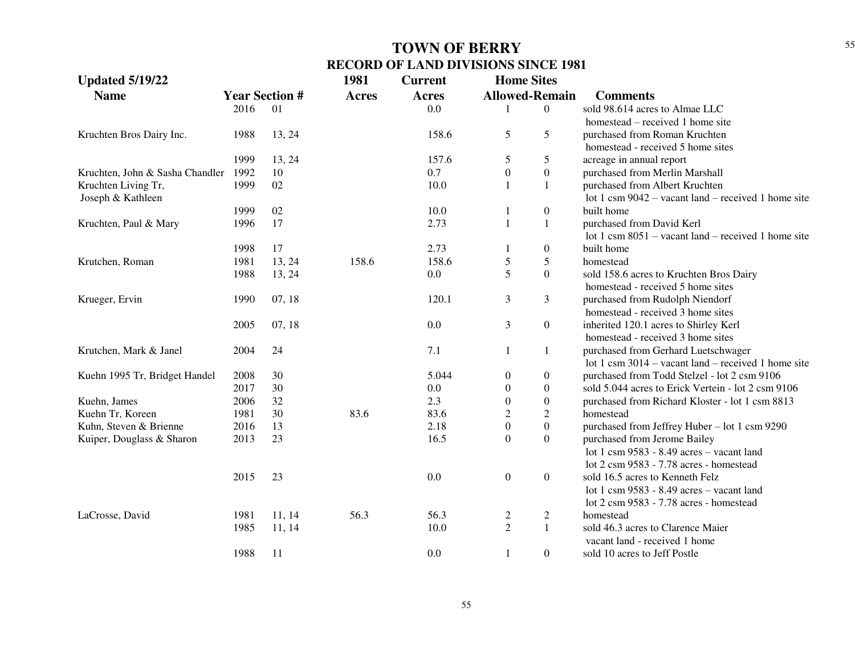| <b>Updated 5/19/22</b>          |      |                       | 1981         | <b>Current</b> | <b>Home Sites</b>     |                  |                                                       |
|---------------------------------|------|-----------------------|--------------|----------------|-----------------------|------------------|-------------------------------------------------------|
| <b>Name</b>                     |      | <b>Year Section #</b> | <b>Acres</b> | <b>Acres</b>   | <b>Allowed-Remain</b> |                  | <b>Comments</b>                                       |
|                                 | 2016 | 01                    |              | 0.0            |                       | $\overline{0}$   | sold 98.614 acres to Almae LLC                        |
|                                 |      |                       |              |                |                       |                  | homestead – received 1 home site                      |
| Kruchten Bros Dairy Inc.        | 1988 | 13, 24                |              | 158.6          | 5                     | 5                | purchased from Roman Kruchten                         |
|                                 |      |                       |              |                |                       |                  | homestead - received 5 home sites                     |
|                                 | 1999 | 13, 24                |              | 157.6          | 5                     | 5                | acreage in annual report                              |
| Kruchten, John & Sasha Chandler | 1992 | 10                    |              | 0.7            | $\boldsymbol{0}$      | $\boldsymbol{0}$ | purchased from Merlin Marshall                        |
| Kruchten Living Tr,             | 1999 | 02                    |              | 10.0           | $\mathbf{1}$          | $\mathbf{1}$     | purchased from Albert Kruchten                        |
| Joseph & Kathleen               |      |                       |              |                |                       |                  | lot 1 csm $9042$ – vacant land – received 1 home site |
|                                 | 1999 | 02                    |              | 10.0           |                       | $\boldsymbol{0}$ | built home                                            |
| Kruchten, Paul & Mary           | 1996 | 17                    |              | 2.73           | $\mathbf{1}$          | $1\,$            | purchased from David Kerl                             |
|                                 |      |                       |              |                |                       |                  | lot 1 csm $8051$ – vacant land – received 1 home site |
|                                 | 1998 | 17                    |              | 2.73           | -1                    | $\boldsymbol{0}$ | built home                                            |
| Krutchen, Roman                 | 1981 | 13, 24                | 158.6        | 158.6          | 5                     | $\mathfrak s$    | homestead                                             |
|                                 | 1988 | 13, 24                |              | 0.0            | 5                     | $\boldsymbol{0}$ | sold 158.6 acres to Kruchten Bros Dairy               |
|                                 |      |                       |              |                |                       |                  | homestead - received 5 home sites                     |
| Krueger, Ervin                  | 1990 | 07, 18                |              | 120.1          | $\mathfrak{Z}$        | 3                | purchased from Rudolph Niendorf                       |
|                                 |      |                       |              |                |                       |                  | homestead - received 3 home sites                     |
|                                 | 2005 | 07, 18                |              | 0.0            | 3                     | $\boldsymbol{0}$ | inherited 120.1 acres to Shirley Kerl                 |
|                                 |      |                       |              |                |                       |                  | homestead - received 3 home sites                     |
| Krutchen, Mark & Janel          | 2004 | 24                    |              | 7.1            | $\mathbf{1}$          | 1                | purchased from Gerhard Luetschwager                   |
|                                 |      |                       |              |                |                       |                  | lot 1 csm $3014$ – vacant land – received 1 home site |
| Kuehn 1995 Tr, Bridget Handel   | 2008 | 30                    |              | 5.044          | $\boldsymbol{0}$      | $\boldsymbol{0}$ | purchased from Todd Stelzel - lot 2 csm 9106          |
|                                 | 2017 | 30                    |              | 0.0            | $\boldsymbol{0}$      | $\boldsymbol{0}$ | sold 5.044 acres to Erick Vertein - lot 2 csm 9106    |
| Kuehn, James                    | 2006 | 32                    |              | 2.3            | $\boldsymbol{0}$      | $\boldsymbol{0}$ | purchased from Richard Kloster - lot 1 csm 8813       |
| Kuehn Tr, Koreen                | 1981 | 30                    | 83.6         | 83.6           | $\sqrt{2}$            | $\boldsymbol{2}$ | homestead                                             |
| Kuhn, Steven & Brienne          | 2016 | 13                    |              | 2.18           | $\boldsymbol{0}$      | $\boldsymbol{0}$ | purchased from Jeffrey Huber - lot 1 csm 9290         |
| Kuiper, Douglass & Sharon       | 2013 | 23                    |              | 16.5           | $\mathbf{0}$          | $\boldsymbol{0}$ | purchased from Jerome Bailey                          |
|                                 |      |                       |              |                |                       |                  | lot 1 csm 9583 - 8.49 acres - vacant land             |
|                                 |      |                       |              |                |                       |                  | lot 2 csm 9583 - 7.78 acres - homestead               |
|                                 | 2015 | 23                    |              | 0.0            | $\boldsymbol{0}$      | $\boldsymbol{0}$ | sold 16.5 acres to Kenneth Felz                       |
|                                 |      |                       |              |                |                       |                  | lot 1 csm 9583 - 8.49 acres - vacant land             |
|                                 |      |                       |              |                |                       |                  | lot 2 csm 9583 - 7.78 acres - homestead               |
| LaCrosse, David                 | 1981 | 11, 14                | 56.3         | 56.3           | $\overline{2}$        | $\overline{c}$   | homestead                                             |
|                                 | 1985 | 11, 14                |              | 10.0           | $\overline{2}$        | $\mathbf{1}$     | sold 46.3 acres to Clarence Maier                     |
|                                 |      |                       |              |                |                       |                  | vacant land - received 1 home                         |
|                                 | 1988 | 11                    |              | 0.0            | $\mathbf{1}$          | $\overline{0}$   | sold 10 acres to Jeff Postle                          |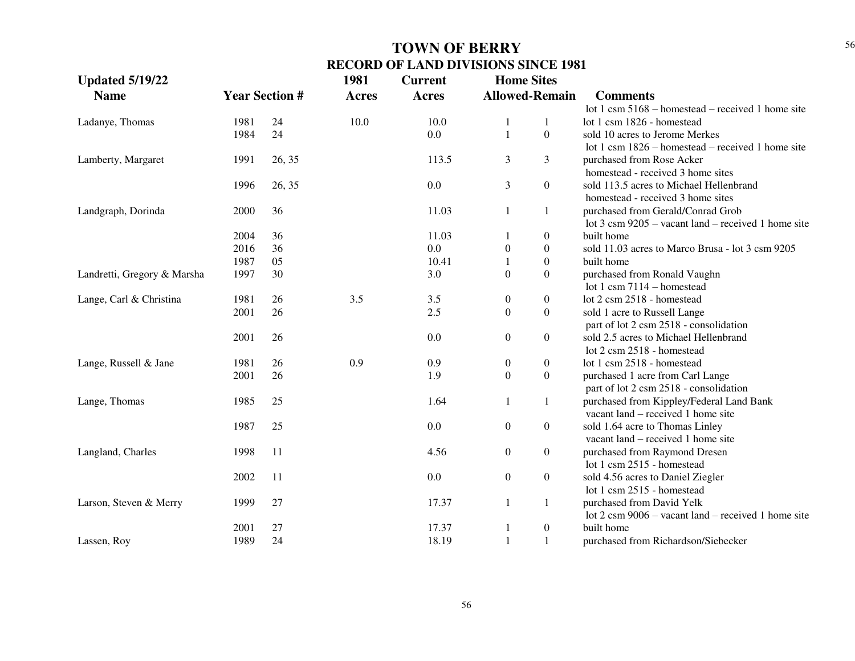| <b>Updated 5/19/22</b>      |      |                       | 1981         | <b>Current</b> | <b>Home Sites</b>     |                  |                                                               |
|-----------------------------|------|-----------------------|--------------|----------------|-----------------------|------------------|---------------------------------------------------------------|
| <b>Name</b>                 |      | <b>Year Section #</b> | <b>Acres</b> | <b>Acres</b>   | <b>Allowed-Remain</b> |                  | <b>Comments</b>                                               |
|                             |      |                       |              |                |                       |                  | lot 1 csm 5168 - homestead - received 1 home site             |
| Ladanye, Thomas             | 1981 | 24                    | 10.0         | 10.0           | $\mathbf{1}$          | 1                | lot 1 csm 1826 - homestead                                    |
|                             | 1984 | 24                    |              | $0.0\,$        | $\mathbf{1}$          | $\overline{0}$   | sold 10 acres to Jerome Merkes                                |
|                             |      |                       |              |                |                       |                  | lot 1 csm $1826$ – homestead – received 1 home site           |
| Lamberty, Margaret          | 1991 | 26, 35                |              | 113.5          | 3                     | 3                | purchased from Rose Acker                                     |
|                             |      |                       |              |                |                       |                  | homestead - received 3 home sites                             |
|                             | 1996 | 26, 35                |              | 0.0            | 3                     | $\boldsymbol{0}$ | sold 113.5 acres to Michael Hellenbrand                       |
|                             |      |                       |              |                |                       |                  | homestead - received 3 home sites                             |
| Landgraph, Dorinda          | 2000 | 36                    |              | 11.03          | $\mathbf{1}$          | $\mathbf{1}$     | purchased from Gerald/Conrad Grob                             |
|                             |      |                       |              |                |                       |                  | lot $3 \text{ cm } 9205$ – vacant land – received 1 home site |
|                             | 2004 | 36                    |              | 11.03          | 1                     | $\boldsymbol{0}$ | built home                                                    |
|                             | 2016 | 36                    |              | $0.0\,$        | $\boldsymbol{0}$      | $\boldsymbol{0}$ | sold 11.03 acres to Marco Brusa - lot 3 csm 9205              |
|                             | 1987 | 05                    |              | 10.41          | 1                     | $\boldsymbol{0}$ | built home                                                    |
| Landretti, Gregory & Marsha | 1997 | 30                    |              | 3.0            | $\boldsymbol{0}$      | $\boldsymbol{0}$ | purchased from Ronald Vaughn                                  |
|                             |      |                       |              |                |                       |                  | lot 1 csm $7114$ – homestead                                  |
| Lange, Carl & Christina     | 1981 | 26                    | 3.5          | 3.5            | $\boldsymbol{0}$      | $\boldsymbol{0}$ | lot 2 csm 2518 - homestead                                    |
|                             | 2001 | 26                    |              | 2.5            | $\boldsymbol{0}$      | $\boldsymbol{0}$ | sold 1 acre to Russell Lange                                  |
|                             |      |                       |              |                |                       |                  | part of lot 2 csm 2518 - consolidation                        |
|                             | 2001 | 26                    |              | 0.0            | $\overline{0}$        | $\boldsymbol{0}$ | sold 2.5 acres to Michael Hellenbrand                         |
|                             |      |                       |              |                |                       |                  | lot 2 csm 2518 - homestead                                    |
| Lange, Russell & Jane       | 1981 | 26                    | 0.9          | 0.9            | $\boldsymbol{0}$      | $\boldsymbol{0}$ | lot 1 csm 2518 - homestead                                    |
|                             | 2001 | 26                    |              | 1.9            | $\boldsymbol{0}$      | $\boldsymbol{0}$ | purchased 1 acre from Carl Lange                              |
|                             |      |                       |              |                |                       |                  | part of lot 2 csm 2518 - consolidation                        |
| Lange, Thomas               | 1985 | 25                    |              | 1.64           | 1                     | 1                | purchased from Kippley/Federal Land Bank                      |
|                             |      |                       |              |                |                       |                  | vacant land – received 1 home site                            |
|                             | 1987 | 25                    |              | 0.0            | $\boldsymbol{0}$      | $\boldsymbol{0}$ | sold 1.64 acre to Thomas Linley                               |
|                             |      |                       |              |                |                       |                  | vacant land – received 1 home site                            |
| Langland, Charles           | 1998 | 11                    |              | 4.56           | $\overline{0}$        | $\boldsymbol{0}$ | purchased from Raymond Dresen                                 |
|                             |      |                       |              |                |                       |                  | lot 1 csm 2515 - homestead                                    |
|                             | 2002 | 11                    |              | $0.0\,$        | $\boldsymbol{0}$      | $\boldsymbol{0}$ | sold 4.56 acres to Daniel Ziegler                             |
|                             |      |                       |              |                |                       |                  | lot 1 csm 2515 - homestead                                    |
| Larson, Steven & Merry      | 1999 | 27                    |              | 17.37          | 1                     | 1                | purchased from David Yelk                                     |
|                             |      |                       |              |                |                       |                  | lot $2 \text{ cm } 9006$ – vacant land – received 1 home site |
|                             | 2001 | 27                    |              | 17.37          | 1                     | $\boldsymbol{0}$ | built home                                                    |
| Lassen, Roy                 | 1989 | 24                    |              | 18.19          | $\mathbf{1}$          | $\mathbf{1}$     | purchased from Richardson/Siebecker                           |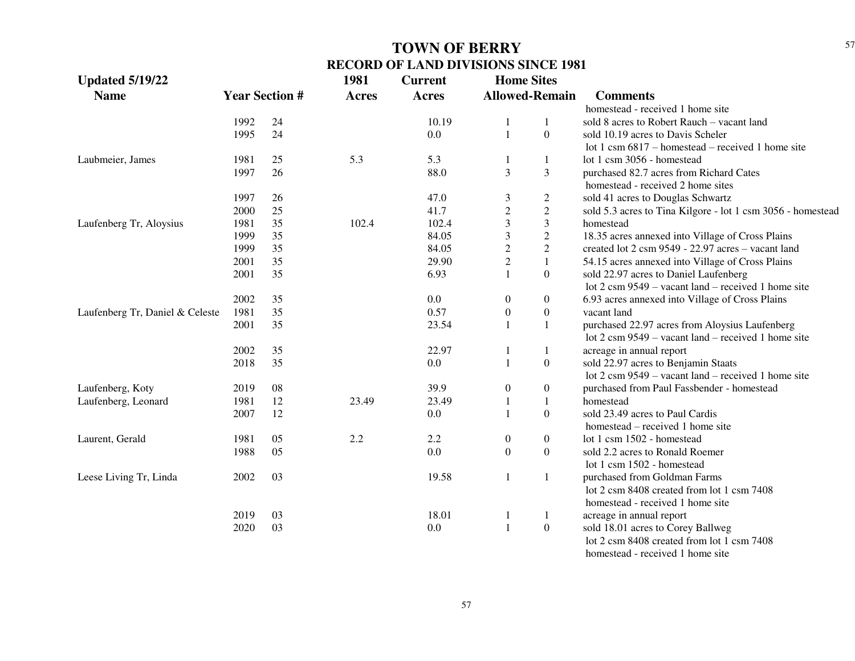| <b>Updated 5/19/22</b>          |      |                       | 1981         | <b>Current</b> | <b>Home Sites</b>     |                  |                                                               |
|---------------------------------|------|-----------------------|--------------|----------------|-----------------------|------------------|---------------------------------------------------------------|
| <b>Name</b>                     |      | <b>Year Section #</b> | <b>Acres</b> | <b>Acres</b>   | <b>Allowed-Remain</b> |                  | <b>Comments</b>                                               |
|                                 |      |                       |              |                |                       |                  | homestead - received 1 home site                              |
|                                 | 1992 | 24                    |              | 10.19          | 1                     |                  | sold 8 acres to Robert Rauch - vacant land                    |
|                                 | 1995 | 24                    |              | 0.0            | $\mathbf{1}$          | $\Omega$         | sold 10.19 acres to Davis Scheler                             |
|                                 |      |                       |              |                |                       |                  | lot 1 csm $6817$ – homestead – received 1 home site           |
| Laubmeier, James                | 1981 | 25                    | 5.3          | 5.3            |                       | 1                | lot 1 csm 3056 - homestead                                    |
|                                 | 1997 | 26                    |              | 88.0           | 3                     | 3                | purchased 82.7 acres from Richard Cates                       |
|                                 |      |                       |              |                |                       |                  | homestead - received 2 home sites                             |
|                                 | 1997 | 26                    |              | 47.0           | 3                     | $\boldsymbol{2}$ | sold 41 acres to Douglas Schwartz                             |
|                                 | 2000 | 25                    |              | 41.7           | $\sqrt{2}$            | $\sqrt{2}$       | sold 5.3 acres to Tina Kilgore - lot 1 csm 3056 - homestead   |
| Laufenberg Tr, Aloysius         | 1981 | 35                    | 102.4        | 102.4          | 3                     | $\overline{3}$   | homestead                                                     |
|                                 | 1999 | 35                    |              | 84.05          | $\mathfrak{Z}$        | $\sqrt{2}$       | 18.35 acres annexed into Village of Cross Plains              |
|                                 | 1999 | 35                    |              | 84.05          | $\overline{2}$        | $\sqrt{2}$       | created lot 2 csm 9549 - 22.97 acres - vacant land            |
|                                 | 2001 | 35                    |              | 29.90          | $\sqrt{2}$            | $\mathbf{1}$     | 54.15 acres annexed into Village of Cross Plains              |
|                                 | 2001 | 35                    |              | 6.93           | $\mathbf{1}$          | $\Omega$         | sold 22.97 acres to Daniel Laufenberg                         |
|                                 |      |                       |              |                |                       |                  | lot $2 \text{ cm } 9549$ – vacant land – received 1 home site |
|                                 | 2002 | 35                    |              | 0.0            | $\overline{0}$        | 0                | 6.93 acres annexed into Village of Cross Plains               |
| Laufenberg Tr, Daniel & Celeste | 1981 | 35                    |              | 0.57           | $\boldsymbol{0}$      | $\boldsymbol{0}$ | vacant land                                                   |
|                                 | 2001 | 35                    |              | 23.54          | $\mathbf{1}$          | 1                | purchased 22.97 acres from Aloysius Laufenberg                |
|                                 |      |                       |              |                |                       |                  | lot $2 \text{ cm } 9549$ – vacant land – received 1 home site |
|                                 | 2002 | 35                    |              | 22.97          | 1                     | 1                | acreage in annual report                                      |
|                                 | 2018 | 35                    |              | 0.0            | 1                     | $\boldsymbol{0}$ | sold 22.97 acres to Benjamin Staats                           |
|                                 |      |                       |              |                |                       |                  | lot 2 csm 9549 – vacant land – received 1 home site           |
| Laufenberg, Koty                | 2019 | 08                    |              | 39.9           | $\boldsymbol{0}$      | $\boldsymbol{0}$ | purchased from Paul Fassbender - homestead                    |
| Laufenberg, Leonard             | 1981 | 12                    | 23.49        | 23.49          | 1                     | $\mathbf{1}$     | homestead                                                     |
|                                 | 2007 | 12                    |              | 0.0            | 1                     | $\Omega$         | sold 23.49 acres to Paul Cardis                               |
|                                 |      |                       |              |                |                       |                  | homestead – received 1 home site                              |
| Laurent, Gerald                 | 1981 | 05                    | 2.2          | 2.2            | $\boldsymbol{0}$      | $\overline{0}$   | lot 1 csm 1502 - homestead                                    |
|                                 | 1988 | 05                    |              | 0.0            | $\boldsymbol{0}$      | $\overline{0}$   | sold 2.2 acres to Ronald Roemer                               |
|                                 |      |                       |              |                |                       |                  | lot 1 csm 1502 - homestead                                    |
| Leese Living Tr, Linda          | 2002 | 03                    |              | 19.58          | $\mathbf{1}$          | 1                | purchased from Goldman Farms                                  |
|                                 |      |                       |              |                |                       |                  | lot 2 csm 8408 created from lot 1 csm 7408                    |
|                                 |      |                       |              |                |                       |                  | homestead - received 1 home site                              |
|                                 | 2019 | 03                    |              | 18.01          | $\mathbf{1}$          | $\mathbf{1}$     | acreage in annual report                                      |
|                                 | 2020 | 03                    |              | 0.0            | $\mathbf{1}$          | $\boldsymbol{0}$ | sold 18.01 acres to Corey Ballweg                             |
|                                 |      |                       |              |                |                       |                  | lot 2 csm 8408 created from lot 1 csm 7408                    |
|                                 |      |                       |              |                |                       |                  | homography mooding 1 home gita                                |

homestead - received 1 home site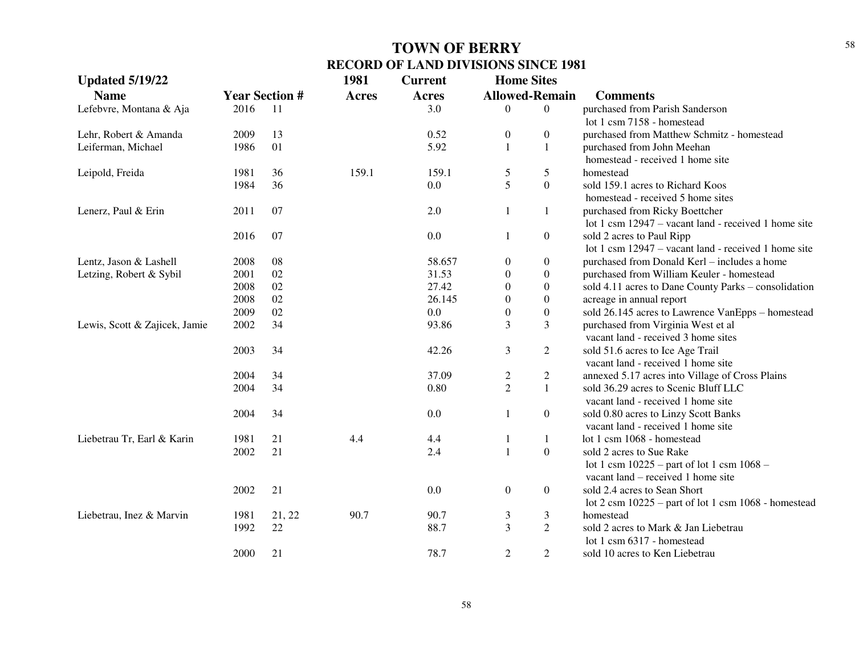| <b>Updated 5/19/22</b>        |      |                       | 1981         | <b>Current</b> | <b>Home Sites</b>     |                  |                                                                          |
|-------------------------------|------|-----------------------|--------------|----------------|-----------------------|------------------|--------------------------------------------------------------------------|
| <b>Name</b>                   |      | <b>Year Section #</b> | <b>Acres</b> | Acres          | <b>Allowed-Remain</b> |                  | <b>Comments</b>                                                          |
| Lefebvre, Montana & Aja       | 2016 | 11                    |              | 3.0            | $\theta$              | $\theta$         | purchased from Parish Sanderson                                          |
|                               |      |                       |              |                |                       |                  | lot 1 csm 7158 - homestead                                               |
| Lehr, Robert & Amanda         | 2009 | 13                    |              | 0.52           | $\boldsymbol{0}$      | $\boldsymbol{0}$ | purchased from Matthew Schmitz - homestead                               |
| Leiferman, Michael            | 1986 | 01                    |              | 5.92           | $\mathbf{1}$          | $\mathbf{1}$     | purchased from John Meehan                                               |
|                               |      |                       |              |                |                       |                  | homestead - received 1 home site                                         |
| Leipold, Freida               | 1981 | 36                    | 159.1        | 159.1          | $\mathfrak s$         | 5                | homestead                                                                |
|                               | 1984 | 36                    |              | 0.0            | 5                     | $\boldsymbol{0}$ | sold 159.1 acres to Richard Koos                                         |
|                               |      |                       |              |                |                       |                  | homestead - received 5 home sites                                        |
| Lenerz, Paul & Erin           | 2011 | 07                    |              | 2.0            | $\mathbf{1}$          | $\mathbf{1}$     | purchased from Ricky Boettcher                                           |
|                               |      |                       |              |                |                       |                  | lot 1 csm 12947 – vacant land - received 1 home site                     |
|                               | 2016 | 07                    |              | 0.0            | $\mathbf{1}$          | $\boldsymbol{0}$ | sold 2 acres to Paul Ripp                                                |
|                               |      |                       |              |                |                       |                  | lot 1 csm 12947 – vacant land - received 1 home site                     |
| Lentz, Jason & Lashell        | 2008 | 08                    |              | 58.657         | $\boldsymbol{0}$      | $\boldsymbol{0}$ | purchased from Donald Kerl - includes a home                             |
| Letzing, Robert & Sybil       | 2001 | 02                    |              | 31.53          | $\boldsymbol{0}$      | $\boldsymbol{0}$ | purchased from William Keuler - homestead                                |
|                               | 2008 | $02\,$                |              | 27.42          | $\boldsymbol{0}$      | $\boldsymbol{0}$ | sold 4.11 acres to Dane County Parks - consolidation                     |
|                               | 2008 | 02                    |              | 26.145         | $\boldsymbol{0}$      | $\boldsymbol{0}$ | acreage in annual report                                                 |
|                               | 2009 | 02                    |              | 0.0            | $\boldsymbol{0}$      | $\boldsymbol{0}$ | sold 26.145 acres to Lawrence VanEpps - homestead                        |
| Lewis, Scott & Zajicek, Jamie | 2002 | 34                    |              | 93.86          | 3                     | 3                | purchased from Virginia West et al                                       |
|                               |      |                       |              |                |                       |                  | vacant land - received 3 home sites                                      |
|                               | 2003 | 34                    |              | 42.26          | 3                     | $\mathfrak{2}$   | sold 51.6 acres to Ice Age Trail                                         |
|                               |      |                       |              |                |                       |                  | vacant land - received 1 home site                                       |
|                               | 2004 | 34                    |              | 37.09          | $\overline{c}$        | $\mathfrak{2}$   | annexed 5.17 acres into Village of Cross Plains                          |
|                               | 2004 | 34                    |              | 0.80           | $\overline{2}$        | $\mathbf{1}$     | sold 36.29 acres to Scenic Bluff LLC                                     |
|                               |      |                       |              |                |                       |                  | vacant land - received 1 home site                                       |
|                               | 2004 | 34                    |              | 0.0            | $\mathbf{1}$          | $\boldsymbol{0}$ | sold 0.80 acres to Linzy Scott Banks                                     |
|                               |      |                       |              |                |                       |                  | vacant land - received 1 home site                                       |
| Liebetrau Tr, Earl & Karin    | 1981 | 21                    | 4.4          | 4.4            | 1                     | $\mathbf{1}$     | lot 1 csm 1068 - homestead                                               |
|                               | 2002 | 21                    |              | 2.4            | $\mathbf{1}$          | $\boldsymbol{0}$ | sold 2 acres to Sue Rake                                                 |
|                               |      |                       |              |                |                       |                  | lot 1 csm 10225 – part of lot 1 csm 1068 –                               |
|                               |      |                       |              |                |                       |                  | vacant land – received 1 home site                                       |
|                               | 2002 | 21                    |              | 0.0            | $\boldsymbol{0}$      | $\boldsymbol{0}$ | sold 2.4 acres to Sean Short                                             |
|                               |      |                       |              |                |                       |                  | lot $2 \text{ cm } 10225$ – part of lot $1 \text{ cm } 1068$ - homestead |
| Liebetrau, Inez & Marvin      | 1981 | 21, 22                | 90.7         | 90.7           | 3                     | 3                | homestead                                                                |
|                               | 1992 | 22                    |              | 88.7           | 3                     | $\overline{2}$   | sold 2 acres to Mark & Jan Liebetrau                                     |
|                               |      |                       |              |                |                       |                  | lot 1 csm 6317 - homestead                                               |
|                               | 2000 | 21                    |              | 78.7           | $\overline{2}$        | $\mathfrak{2}$   | sold 10 acres to Ken Liebetrau                                           |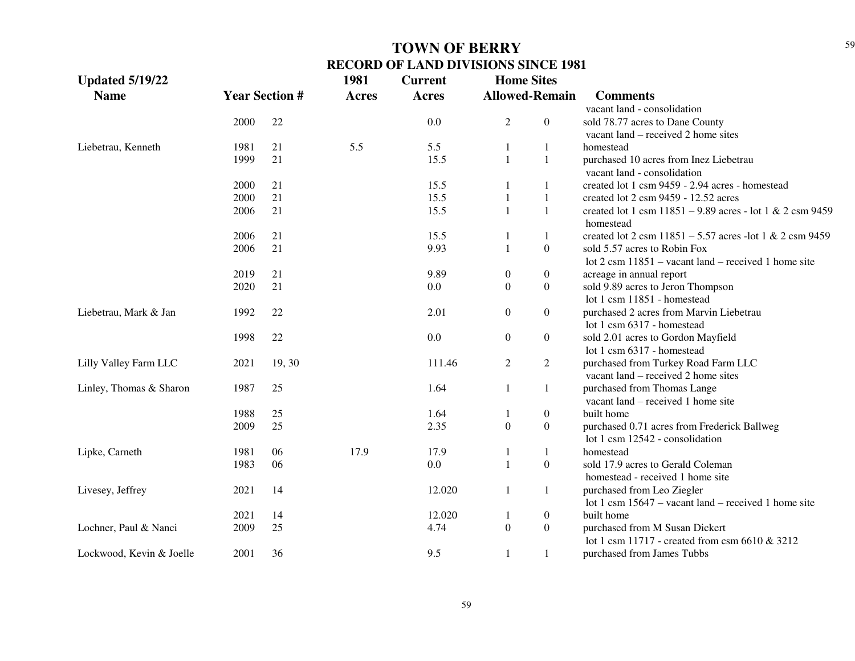| <b>Updated 5/19/22</b>   |                       |        | 1981         | <b>Current</b> | <b>Home Sites</b> |                       |                                                                          |
|--------------------------|-----------------------|--------|--------------|----------------|-------------------|-----------------------|--------------------------------------------------------------------------|
| <b>Name</b>              | <b>Year Section #</b> |        | <b>Acres</b> | <b>Acres</b>   |                   | <b>Allowed-Remain</b> | <b>Comments</b>                                                          |
|                          |                       |        |              |                |                   |                       | vacant land - consolidation                                              |
|                          | 2000                  | 22     |              | 0.0            | $\overline{2}$    | $\boldsymbol{0}$      | sold 78.77 acres to Dane County                                          |
|                          |                       |        |              |                |                   |                       | vacant land – received 2 home sites                                      |
| Liebetrau, Kenneth       | 1981                  | 21     | 5.5          | 5.5            | $\mathbf{1}$      | $\mathbf{1}$          | homestead                                                                |
|                          | 1999                  | 21     |              | 15.5           | $\mathbf{1}$      | $\mathbf{1}$          | purchased 10 acres from Inez Liebetrau                                   |
|                          |                       |        |              |                |                   |                       | vacant land - consolidation                                              |
|                          | 2000                  | 21     |              | 15.5           | -1                | 1                     | created lot 1 csm 9459 - 2.94 acres - homestead                          |
|                          | 2000                  | 21     |              | 15.5           | 1                 | $\mathbf{1}$          | created lot 2 csm 9459 - 12.52 acres                                     |
|                          | 2006                  | 21     |              | 15.5           | $\mathbf{1}$      | $\mathbf{1}$          | created lot 1 csm $11851 - 9.89$ acres - lot 1 & 2 csm 9459<br>homestead |
|                          | 2006                  | 21     |              | 15.5           | 1                 | $\mathbf{1}$          | created lot 2 csm $11851 - 5.57$ acres -lot 1 & 2 csm 9459               |
|                          | 2006                  | 21     |              | 9.93           | $\mathbf{1}$      | $\boldsymbol{0}$      | sold 5.57 acres to Robin Fox                                             |
|                          |                       |        |              |                |                   |                       | lot $2 \text{ cm } 11851$ – vacant land – received 1 home site           |
|                          | 2019                  | 21     |              | 9.89           | $\boldsymbol{0}$  | $\boldsymbol{0}$      | acreage in annual report                                                 |
|                          | 2020                  | 21     |              | 0.0            | $\boldsymbol{0}$  | $\boldsymbol{0}$      | sold 9.89 acres to Jeron Thompson                                        |
|                          |                       |        |              |                |                   |                       | lot 1 csm 11851 - homestead                                              |
| Liebetrau, Mark & Jan    | 1992                  | 22     |              | 2.01           | $\boldsymbol{0}$  | $\boldsymbol{0}$      | purchased 2 acres from Marvin Liebetrau                                  |
|                          |                       |        |              |                |                   |                       | lot 1 csm 6317 - homestead                                               |
|                          | 1998                  | 22     |              | 0.0            | $\boldsymbol{0}$  | $\boldsymbol{0}$      | sold 2.01 acres to Gordon Mayfield                                       |
|                          |                       |        |              |                |                   |                       | lot 1 csm 6317 - homestead                                               |
| Lilly Valley Farm LLC    | 2021                  | 19, 30 |              | 111.46         | $\mathfrak{2}$    | $\overline{2}$        | purchased from Turkey Road Farm LLC                                      |
|                          |                       |        |              |                |                   |                       | vacant land – received 2 home sites                                      |
| Linley, Thomas & Sharon  | 1987                  | 25     |              | 1.64           | 1                 | 1                     | purchased from Thomas Lange                                              |
|                          |                       |        |              |                |                   |                       | vacant land – received 1 home site                                       |
|                          | 1988                  | 25     |              | 1.64           | 1                 | $\boldsymbol{0}$      | built home                                                               |
|                          | 2009                  | 25     |              | 2.35           | $\boldsymbol{0}$  | $\boldsymbol{0}$      | purchased 0.71 acres from Frederick Ballweg                              |
|                          |                       |        |              |                |                   |                       | lot 1 csm 12542 - consolidation                                          |
| Lipke, Carneth           | 1981                  | 06     | 17.9         | 17.9           | 1                 | $\mathbf{1}$          | homestead                                                                |
|                          | 1983                  | 06     |              | 0.0            | $\mathbf{1}$      | $\boldsymbol{0}$      | sold 17.9 acres to Gerald Coleman                                        |
|                          |                       |        |              |                |                   |                       | homestead - received 1 home site                                         |
| Livesey, Jeffrey         | 2021                  | 14     |              | 12.020         | 1                 | $\mathbf{1}$          | purchased from Leo Ziegler                                               |
|                          |                       |        |              |                |                   |                       | lot 1 csm $15647$ – vacant land – received 1 home site                   |
|                          | 2021                  | 14     |              | 12.020         | 1                 | $\boldsymbol{0}$      | built home                                                               |
| Lochner, Paul & Nanci    | 2009                  | 25     |              | 4.74           | $\boldsymbol{0}$  | $\boldsymbol{0}$      | purchased from M Susan Dickert                                           |
|                          |                       |        |              |                |                   |                       | lot 1 csm 11717 - created from csm 6610 & 3212                           |
| Lockwood, Kevin & Joelle | 2001                  | 36     |              | 9.5            | 1                 | 1                     | purchased from James Tubbs                                               |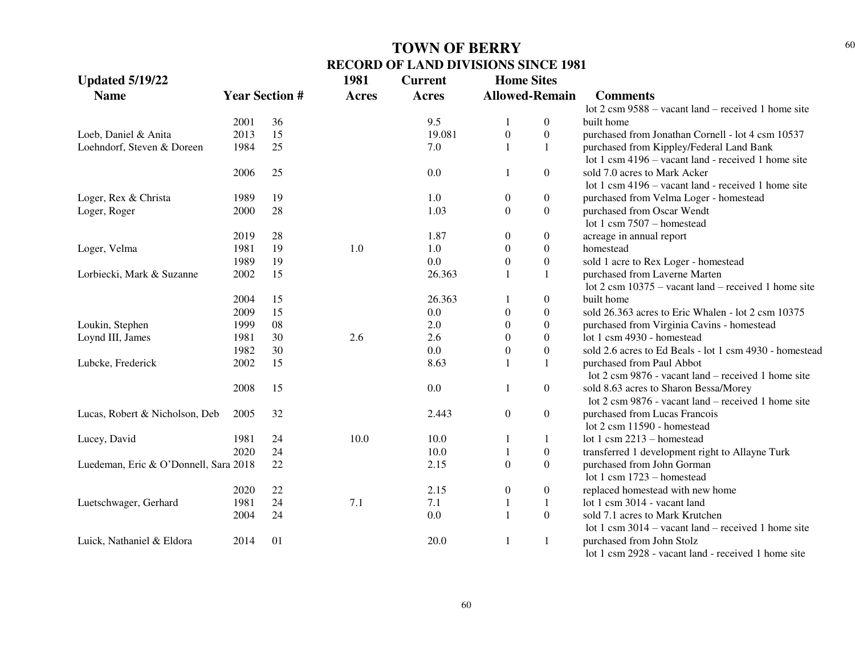| <b>Updated 5/19/22</b>                |      |                       | 1981         | <b>Current</b> | <b>Home Sites</b>     |                  |                                                                |
|---------------------------------------|------|-----------------------|--------------|----------------|-----------------------|------------------|----------------------------------------------------------------|
| <b>Name</b>                           |      | <b>Year Section #</b> | <b>Acres</b> | <b>Acres</b>   | <b>Allowed-Remain</b> |                  | <b>Comments</b>                                                |
|                                       |      |                       |              |                |                       |                  | lot $2 \text{ cm } 9588$ – vacant land – received 1 home site  |
|                                       | 2001 | 36                    |              | 9.5            |                       | $\overline{0}$   | built home                                                     |
| Loeb, Daniel & Anita                  | 2013 | 15                    |              | 19.081         | $\boldsymbol{0}$      | $\boldsymbol{0}$ | purchased from Jonathan Cornell - lot 4 csm 10537              |
| Loehndorf, Steven & Doreen            | 1984 | 25                    |              | 7.0            | $\mathbf{1}$          | $\mathbf{1}$     | purchased from Kippley/Federal Land Bank                       |
|                                       |      |                       |              |                |                       |                  | lot 1 csm 4196 – vacant land - received 1 home site            |
|                                       | 2006 | 25                    |              | 0.0            | 1                     | $\overline{0}$   | sold 7.0 acres to Mark Acker                                   |
|                                       |      |                       |              |                |                       |                  | lot 1 csm 4196 – vacant land - received 1 home site            |
| Loger, Rex & Christa                  | 1989 | 19                    |              | 1.0            | $\boldsymbol{0}$      | $\boldsymbol{0}$ | purchased from Velma Loger - homestead                         |
| Loger, Roger                          | 2000 | 28                    |              | 1.03           | $\boldsymbol{0}$      | $\overline{0}$   | purchased from Oscar Wendt                                     |
|                                       |      |                       |              |                |                       |                  | lot 1 csm $7507$ – homestead                                   |
|                                       | 2019 | 28                    |              | 1.87           | $\boldsymbol{0}$      | $\mathbf{0}$     | acreage in annual report                                       |
| Loger, Velma                          | 1981 | 19                    | 1.0          | 1.0            | $\mathbf{0}$          | $\boldsymbol{0}$ | homestead                                                      |
|                                       | 1989 | 19                    |              | 0.0            | $\boldsymbol{0}$      | $\boldsymbol{0}$ | sold 1 acre to Rex Loger - homestead                           |
| Lorbiecki, Mark & Suzanne             | 2002 | 15                    |              | 26.363         |                       | 1                | purchased from Laverne Marten                                  |
|                                       |      |                       |              |                |                       |                  | lot $2 \text{ cm } 10375$ – vacant land – received 1 home site |
|                                       | 2004 | 15                    |              | 26.363         | 1                     | $\boldsymbol{0}$ | built home                                                     |
|                                       | 2009 | 15                    |              | 0.0            | $\boldsymbol{0}$      | $\overline{0}$   | sold 26.363 acres to Eric Whalen - lot 2 csm 10375             |
| Loukin, Stephen                       | 1999 | 08                    |              | 2.0            | $\boldsymbol{0}$      | $\boldsymbol{0}$ | purchased from Virginia Cavins - homestead                     |
| Loynd III, James                      | 1981 | 30                    | 2.6          | 2.6            | $\boldsymbol{0}$      | $\boldsymbol{0}$ | lot 1 csm 4930 - homestead                                     |
|                                       | 1982 | 30                    |              | 0.0            | $\boldsymbol{0}$      | $\theta$         | sold 2.6 acres to Ed Beals - lot 1 csm 4930 - homestead        |
| Lubcke, Frederick                     | 2002 | 15                    |              | 8.63           | 1                     | $\mathbf{1}$     | purchased from Paul Abbot                                      |
|                                       |      |                       |              |                |                       |                  | lot 2 csm 9876 - vacant land – received 1 home site            |
|                                       | 2008 | 15                    |              | 0.0            | 1                     | $\overline{0}$   | sold 8.63 acres to Sharon Bessa/Morey                          |
|                                       |      |                       |              |                |                       |                  | lot 2 csm 9876 - vacant land – received 1 home site            |
| Lucas, Robert & Nicholson, Deb        | 2005 | 32                    |              | 2.443          | $\boldsymbol{0}$      | $\overline{0}$   | purchased from Lucas Francois                                  |
|                                       |      |                       |              |                |                       |                  | lot 2 csm 11590 - homestead                                    |
| Lucey, David                          | 1981 | 24                    | 10.0         | 10.0           | 1                     | $\mathbf{1}$     | lot 1 csm $2213$ – homestead                                   |
|                                       | 2020 | 24                    |              | 10.0           |                       | $\overline{0}$   | transferred 1 development right to Allayne Turk                |
| Luedeman, Eric & O'Donnell, Sara 2018 |      | 22                    |              | 2.15           | $\Omega$              | $\Omega$         | purchased from John Gorman                                     |
|                                       |      |                       |              |                |                       |                  | lot 1 csm $1723 -$ homestead                                   |
|                                       | 2020 | 22                    |              | 2.15           | $\overline{0}$        | $\overline{0}$   | replaced homestead with new home                               |
| Luetschwager, Gerhard                 | 1981 | 24                    | 7.1          | 7.1            | 1                     | 1                | lot 1 csm 3014 - vacant land                                   |
|                                       | 2004 | 24                    |              | 0.0            | $\mathbf{1}$          | $\Omega$         | sold 7.1 acres to Mark Krutchen                                |
|                                       |      |                       |              |                |                       |                  | lot 1 csm $3014 -$ vacant land – received 1 home site          |
| Luick, Nathaniel & Eldora             | 2014 | 01                    |              | 20.0           | 1                     | $\mathbf{1}$     | purchased from John Stolz                                      |
|                                       |      |                       |              |                |                       |                  | lot 1 csm 2928 - vacant land - received 1 home site            |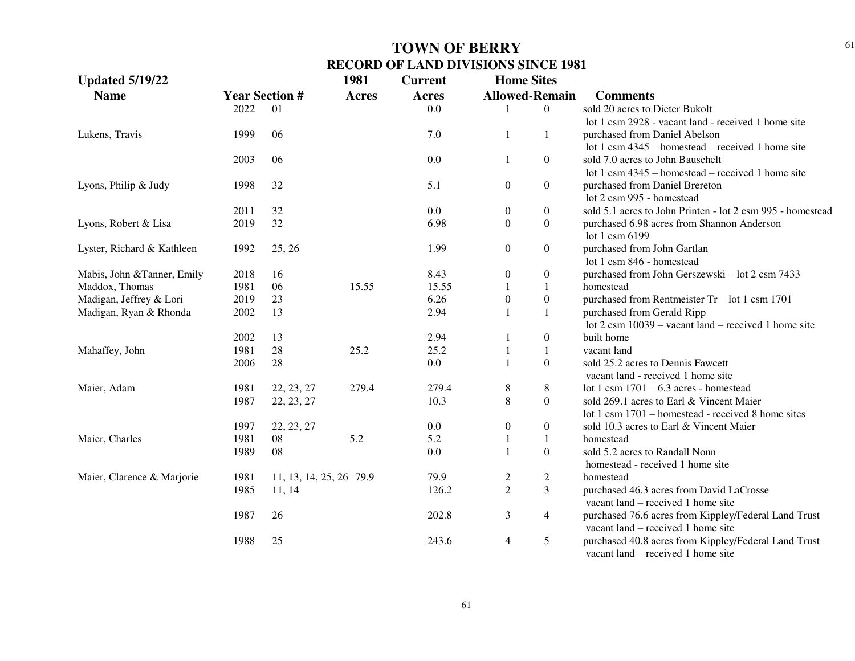| <b>Updated 5/19/22</b>      |      |                          | 1981         | <b>Current</b> | <b>Home Sites</b> |                       |                                                                                            |
|-----------------------------|------|--------------------------|--------------|----------------|-------------------|-----------------------|--------------------------------------------------------------------------------------------|
| <b>Name</b>                 |      | <b>Year Section #</b>    | <b>Acres</b> | <b>Acres</b>   |                   | <b>Allowed-Remain</b> | <b>Comments</b>                                                                            |
|                             | 2022 | 01                       |              | 0.0            |                   | $\overline{0}$        | sold 20 acres to Dieter Bukolt                                                             |
|                             |      |                          |              |                |                   |                       | lot 1 csm 2928 - vacant land - received 1 home site                                        |
| Lukens, Travis              | 1999 | 06                       |              | 7.0            | $\mathbf{1}$      | $\mathbf{1}$          | purchased from Daniel Abelson                                                              |
|                             |      |                          |              |                |                   |                       | lot 1 csm $4345$ – homestead – received 1 home site                                        |
|                             | 2003 | 06                       |              | 0.0            | 1                 | $\boldsymbol{0}$      | sold 7.0 acres to John Bauschelt                                                           |
|                             |      |                          |              |                |                   |                       | lot 1 csm $4345$ – homestead – received 1 home site                                        |
| Lyons, Philip & Judy        | 1998 | 32                       |              | 5.1            | $\boldsymbol{0}$  | $\boldsymbol{0}$      | purchased from Daniel Brereton                                                             |
|                             |      |                          |              |                |                   |                       | lot 2 csm 995 - homestead                                                                  |
|                             | 2011 | 32                       |              | 0.0            | $\mathbf{0}$      | $\boldsymbol{0}$      | sold 5.1 acres to John Printen - lot 2 csm 995 - homestead                                 |
| Lyons, Robert & Lisa        | 2019 | 32                       |              | 6.98           | $\overline{0}$    | $\mathbf{0}$          | purchased 6.98 acres from Shannon Anderson                                                 |
|                             |      |                          |              |                |                   |                       | lot 1 csm 6199                                                                             |
| Lyster, Richard & Kathleen  | 1992 | 25, 26                   |              | 1.99           | $\boldsymbol{0}$  | $\boldsymbol{0}$      | purchased from John Gartlan                                                                |
|                             |      |                          |              |                |                   |                       | lot 1 csm 846 - homestead                                                                  |
| Mabis, John & Tanner, Emily | 2018 | 16                       |              | 8.43           | $\boldsymbol{0}$  | $\boldsymbol{0}$      | purchased from John Gerszewski - lot 2 csm 7433                                            |
| Maddox, Thomas              | 1981 | 06                       | 15.55        | 15.55          | 1                 | $\mathbf{1}$          | homestead                                                                                  |
| Madigan, Jeffrey & Lori     | 2019 | 23                       |              | 6.26           | $\boldsymbol{0}$  | $\boldsymbol{0}$      | purchased from Rentmeister $Tr - lot 1$ csm 1701                                           |
| Madigan, Ryan & Rhonda      | 2002 | 13                       |              | 2.94           | $\mathbf{1}$      | $\mathbf{1}$          | purchased from Gerald Ripp                                                                 |
|                             |      |                          |              |                |                   |                       | lot $2 \text{ cm } 10039$ – vacant land – received 1 home site                             |
|                             | 2002 | 13                       |              | 2.94           | 1                 | $\boldsymbol{0}$      | built home                                                                                 |
| Mahaffey, John              | 1981 | 28                       | 25.2         | 25.2           | 1                 | $\mathbf{1}$          | vacant land                                                                                |
|                             | 2006 | 28                       |              | 0.0            | $\mathbf{1}$      | $\boldsymbol{0}$      | sold 25.2 acres to Dennis Fawcett                                                          |
|                             |      |                          |              |                |                   |                       | vacant land - received 1 home site                                                         |
| Maier, Adam                 | 1981 | 22, 23, 27               | 279.4        | 279.4          | $\,8\,$           | 8                     | lot 1 csm $1701 - 6.3$ acres - homestead                                                   |
|                             | 1987 | 22, 23, 27               |              | 10.3           | $\,8\,$           | $\overline{0}$        | sold 269.1 acres to Earl & Vincent Maier                                                   |
|                             |      |                          |              |                |                   |                       | lot 1 csm 1701 – homestead - received 8 home sites                                         |
|                             | 1997 | 22, 23, 27               |              | 0.0            | $\boldsymbol{0}$  | $\boldsymbol{0}$      | sold 10.3 acres to Earl & Vincent Maier                                                    |
| Maier, Charles              | 1981 | 08                       | 5.2          | 5.2            | 1                 | $\mathbf{1}$          | homestead                                                                                  |
|                             | 1989 | 08                       |              | 0.0            | $\mathbf{1}$      | $\boldsymbol{0}$      | sold 5.2 acres to Randall Nonn                                                             |
|                             |      |                          |              |                |                   |                       | homestead - received 1 home site                                                           |
| Maier, Clarence & Marjorie  | 1981 | 11, 13, 14, 25, 26, 79.9 |              | 79.9           | $\overline{c}$    | $\overline{2}$        | homestead                                                                                  |
|                             | 1985 | 11, 14                   |              | 126.2          | $\overline{2}$    | 3                     | purchased 46.3 acres from David LaCrosse                                                   |
|                             |      |                          |              |                |                   |                       | vacant land – received 1 home site                                                         |
|                             | 1987 | 26                       |              | 202.8          | 3                 | $\overline{4}$        | purchased 76.6 acres from Kippley/Federal Land Trust                                       |
|                             |      |                          |              |                |                   |                       | vacant land – received 1 home site                                                         |
|                             | 1988 | 25                       |              | 243.6          | $\overline{4}$    | 5                     | purchased 40.8 acres from Kippley/Federal Land Trust<br>vacant land – received 1 home site |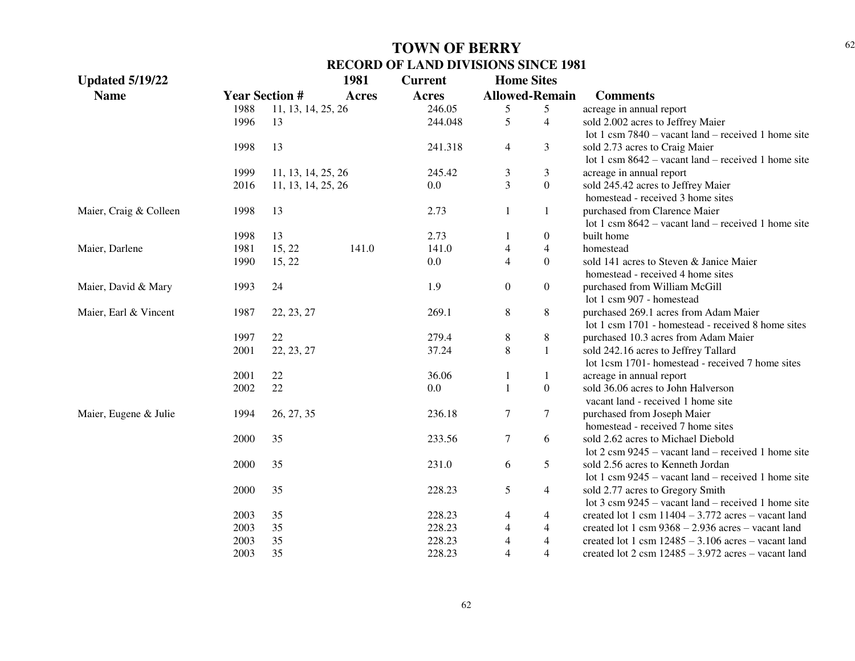| <b>Updated 5/19/22</b> |      |                       | 1981         | <b>Current</b> | <b>Home Sites</b>     |                  |                                                                             |
|------------------------|------|-----------------------|--------------|----------------|-----------------------|------------------|-----------------------------------------------------------------------------|
| <b>Name</b>            |      | <b>Year Section #</b> | <b>Acres</b> | Acres          | <b>Allowed-Remain</b> |                  | <b>Comments</b>                                                             |
|                        | 1988 | 11, 13, 14, 25, 26    |              | 246.05         | 5                     | 5                | acreage in annual report                                                    |
|                        | 1996 | 13                    |              | 244.048        | 5                     | $\overline{4}$   | sold 2.002 acres to Jeffrey Maier                                           |
|                        |      |                       |              |                |                       |                  | lot 1 csm $7840 -$ vacant land – received 1 home site                       |
|                        | 1998 | 13                    |              | 241.318        | $\overline{4}$        | 3                | sold 2.73 acres to Craig Maier                                              |
|                        |      |                       |              |                |                       |                  | lot 1 csm $8642$ – vacant land – received 1 home site                       |
|                        | 1999 | 11, 13, 14, 25, 26    |              | 245.42         | 3                     | 3                | acreage in annual report                                                    |
|                        | 2016 | 11, 13, 14, 25, 26    |              | 0.0            | $\overline{3}$        | $\overline{0}$   | sold 245.42 acres to Jeffrey Maier                                          |
|                        |      |                       |              |                |                       |                  | homestead - received 3 home sites                                           |
| Maier, Craig & Colleen | 1998 | 13                    |              | 2.73           | 1                     | 1                | purchased from Clarence Maier                                               |
|                        |      |                       |              |                |                       |                  | lot 1 csm $8642$ – vacant land – received 1 home site                       |
|                        | 1998 | 13                    |              | 2.73           | 1                     | $\boldsymbol{0}$ | built home                                                                  |
| Maier, Darlene         | 1981 | 15, 22                | 141.0        | 141.0          | $\overline{4}$        | $\overline{4}$   | homestead                                                                   |
|                        | 1990 | 15, 22                |              | 0.0            | $\overline{4}$        | $\overline{0}$   | sold 141 acres to Steven & Janice Maier                                     |
|                        |      |                       |              |                |                       |                  | homestead - received 4 home sites                                           |
| Maier, David & Mary    | 1993 | 24                    |              | 1.9            | $\boldsymbol{0}$      | $\overline{0}$   | purchased from William McGill                                               |
|                        |      |                       |              |                |                       |                  | lot 1 csm 907 - homestead                                                   |
| Maier, Earl & Vincent  | 1987 | 22, 23, 27            |              | 269.1          | $8\,$                 | $\,8\,$          | purchased 269.1 acres from Adam Maier                                       |
|                        |      |                       |              |                |                       |                  | lot 1 csm 1701 - homestead - received 8 home sites                          |
|                        | 1997 | 22                    |              | 279.4          | 8                     | 8                | purchased 10.3 acres from Adam Maier                                        |
|                        | 2001 | 22, 23, 27            |              | 37.24          | 8                     | $\mathbf{1}$     | sold 242.16 acres to Jeffrey Tallard                                        |
|                        |      |                       |              |                |                       |                  | lot 1csm 1701- homestead - received 7 home sites                            |
|                        | 2001 | 22                    |              | 36.06          | 1                     | $\mathbf{1}$     | acreage in annual report                                                    |
|                        | 2002 | 22                    |              | 0.0            | 1                     | $\boldsymbol{0}$ | sold 36.06 acres to John Halverson                                          |
|                        |      |                       |              |                |                       |                  | vacant land - received 1 home site                                          |
| Maier, Eugene & Julie  | 1994 | 26, 27, 35            |              | 236.18         | 7                     | $\overline{7}$   | purchased from Joseph Maier                                                 |
|                        |      |                       |              |                |                       |                  | homestead - received 7 home sites                                           |
|                        | 2000 | 35                    |              | 233.56         | $\tau$                | 6                | sold 2.62 acres to Michael Diebold                                          |
|                        |      |                       |              |                |                       |                  | lot $2 \text{ cm } 9245$ – vacant land – received 1 home site               |
|                        | 2000 | 35                    |              | 231.0          | 6                     | 5                | sold 2.56 acres to Kenneth Jordan                                           |
|                        |      |                       |              |                |                       |                  | lot 1 csm $9245$ – vacant land – received 1 home site                       |
|                        | 2000 | 35                    |              | 228.23         | 5                     | 4                | sold 2.77 acres to Gregory Smith                                            |
|                        |      |                       |              |                |                       |                  | lot $3 \text{ cm } 9245$ – vacant land – received 1 home site               |
|                        | 2003 | 35                    |              | 228.23         | 4                     | 4                | created lot 1 csm $11404 - 3.772$ acres – vacant land                       |
|                        | 2003 | 35                    |              | 228.23         | $\overline{4}$        | $\overline{4}$   | created lot 1 csm $9368 - 2.936$ acres – vacant land                        |
|                        | 2003 | 35                    |              | 228.23         | $\overline{4}$        | $\overline{4}$   | created lot 1 csm $12485 - 3.106$ acres – vacant land                       |
|                        | 2003 | 35                    |              | 228.23         | $\overline{4}$        | $\overline{4}$   | created lot $2 \text{ cm} 12485 - 3.972 \text{ acres} - \text{vacant land}$ |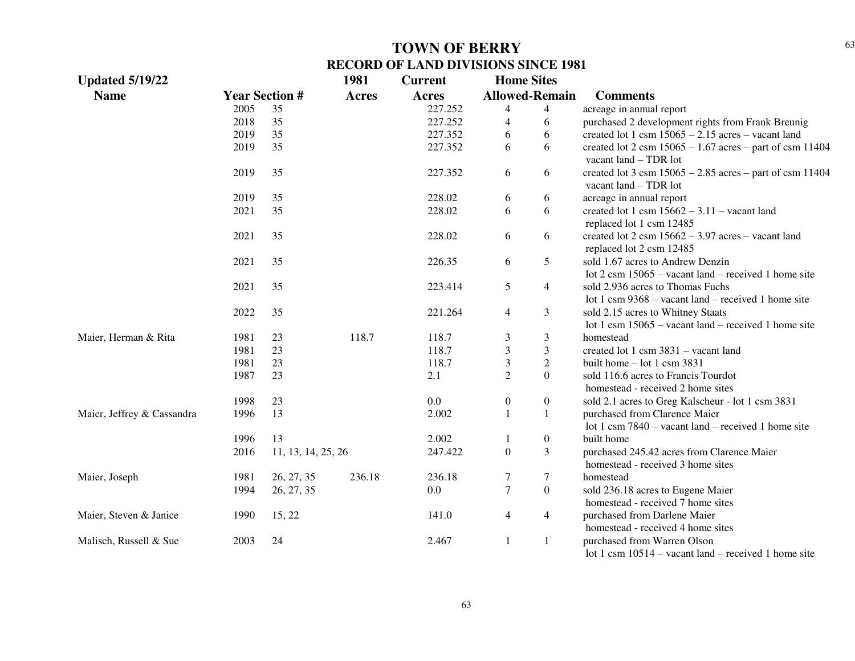| <b>Updated 5/19/22</b>     |      |                       | 1981         | <b>Current</b> | <b>Home Sites</b> |                       |                                                                                                          |
|----------------------------|------|-----------------------|--------------|----------------|-------------------|-----------------------|----------------------------------------------------------------------------------------------------------|
| <b>Name</b>                |      | <b>Year Section #</b> | <b>Acres</b> | Acres          |                   | <b>Allowed-Remain</b> | <b>Comments</b>                                                                                          |
|                            | 2005 | 35                    |              | 227.252        | 4                 | $\overline{4}$        | acreage in annual report                                                                                 |
|                            | 2018 | 35                    |              | 227.252        | 4                 | 6                     | purchased 2 development rights from Frank Breunig                                                        |
|                            | 2019 | 35                    |              | 227.352        | 6                 | 6                     | created lot 1 csm $15065 - 2.15$ acres - vacant land                                                     |
|                            | 2019 | 35                    |              | 227.352        | 6                 | 6                     | created lot 2 csm $15065 - 1.67$ acres – part of csm 11404<br>vacant $land - TDR$ lot                    |
|                            | 2019 | 35                    |              | 227.352        | 6                 | 6                     | created lot 3 csm $15065 - 2.85$ acres – part of csm 11404<br>vacant $land - TDR$ lot                    |
|                            | 2019 | 35                    |              | 228.02         | 6                 | 6                     | acreage in annual report                                                                                 |
|                            | 2021 | 35                    |              | 228.02         | 6                 | 6                     | created lot 1 csm $15662 - 3.11$ – vacant land<br>replaced lot 1 csm 12485                               |
|                            | 2021 | 35                    |              | 228.02         | 6                 | 6                     | created lot $2 \text{ csm } 15662 - 3.97 \text{ acres} - \text{vacant land}$<br>replaced lot 2 csm 12485 |
|                            | 2021 | 35                    |              | 226.35         | 6                 | 5                     | sold 1.67 acres to Andrew Denzin<br>lot $2 \text{ cm } 15065$ – vacant land – received 1 home site       |
|                            | 2021 | 35                    |              | 223.414        | 5                 | $\overline{4}$        | sold 2.936 acres to Thomas Fuchs<br>lot 1 csm $9368 -$ vacant land – received 1 home site                |
|                            | 2022 | 35                    |              | 221.264        | 4                 | 3                     | sold 2.15 acres to Whitney Staats<br>lot 1 csm $15065$ – vacant land – received 1 home site              |
| Maier, Herman & Rita       | 1981 | 23                    | 118.7        | 118.7          | 3                 | $\mathfrak{Z}$        | homestead                                                                                                |
|                            | 1981 | 23                    |              | 118.7          | 3                 | 3                     | created lot 1 csm 3831 - vacant land                                                                     |
|                            | 1981 | 23                    |              | 118.7          | 3                 | $\overline{2}$        | built home $-$ lot 1 csm 3831                                                                            |
|                            | 1987 | 23                    |              | 2.1            | $\overline{2}$    | $\Omega$              | sold 116.6 acres to Francis Tourdot<br>homestead - received 2 home sites                                 |
|                            | 1998 | 23                    |              | 0.0            | $\overline{0}$    | $\boldsymbol{0}$      | sold 2.1 acres to Greg Kalscheur - lot 1 csm 3831                                                        |
| Maier, Jeffrey & Cassandra | 1996 | 13                    |              | 2.002          |                   | $\mathbf{1}$          | purchased from Clarence Maier                                                                            |
|                            |      |                       |              |                |                   |                       | lot 1 csm $7840 -$ vacant land – received 1 home site                                                    |
|                            | 1996 | 13                    |              | 2.002          |                   | $\boldsymbol{0}$      | built home                                                                                               |
|                            | 2016 | 11, 13, 14, 25, 26    |              | 247.422        | $\overline{0}$    | 3                     | purchased 245.42 acres from Clarence Maier<br>homestead - received 3 home sites                          |
| Maier, Joseph              | 1981 | 26, 27, 35            | 236.18       | 236.18         | 7                 | 7                     | homestead                                                                                                |
|                            | 1994 | 26, 27, 35            |              | 0.0            | $\tau$            | $\boldsymbol{0}$      | sold 236.18 acres to Eugene Maier                                                                        |
|                            |      |                       |              |                |                   |                       | homestead - received 7 home sites                                                                        |
| Maier, Steven & Janice     | 1990 | 15, 22                |              | 141.0          | $\overline{4}$    | $\overline{4}$        | purchased from Darlene Maier                                                                             |
|                            |      |                       |              |                |                   |                       | homestead - received 4 home sites                                                                        |
| Malisch, Russell & Sue     | 2003 | 24                    |              | 2.467          | 1                 | 1                     | purchased from Warren Olson<br>lot 1 csm $10514$ – vacant land – received 1 home site                    |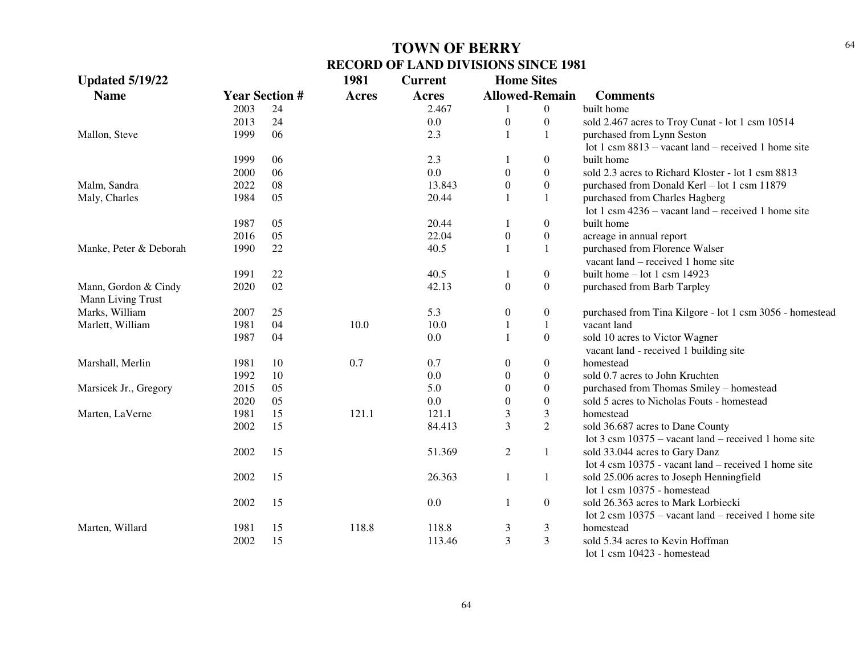| <b>Updated 5/19/22</b> |      |                       | 1981         | <b>Current</b> | <b>Home Sites</b> |                       |                                                                |
|------------------------|------|-----------------------|--------------|----------------|-------------------|-----------------------|----------------------------------------------------------------|
| <b>Name</b>            |      | <b>Year Section #</b> | <b>Acres</b> | <b>Acres</b>   |                   | <b>Allowed-Remain</b> | <b>Comments</b>                                                |
|                        | 2003 | 24                    |              | 2.467          | -1                | $\overline{0}$        | built home                                                     |
|                        | 2013 | 24                    |              | 0.0            | $\boldsymbol{0}$  | $\boldsymbol{0}$      | sold 2.467 acres to Troy Cunat - lot 1 csm 10514               |
| Mallon, Steve          | 1999 | 06                    |              | 2.3            | $\mathbf{1}$      | $\mathbf{1}$          | purchased from Lynn Seston                                     |
|                        |      |                       |              |                |                   |                       | lot 1 csm $8813$ – vacant land – received 1 home site          |
|                        | 1999 | 06                    |              | 2.3            |                   | $\overline{0}$        | built home                                                     |
|                        | 2000 | 06                    |              | 0.0            | $\boldsymbol{0}$  | $\overline{0}$        | sold 2.3 acres to Richard Kloster - lot 1 csm 8813             |
| Malm, Sandra           | 2022 | 08                    |              | 13.843         | $\theta$          | $\overline{0}$        | purchased from Donald Kerl - lot 1 csm 11879                   |
| Maly, Charles          | 1984 | 05                    |              | 20.44          | 1                 | $\mathbf{1}$          | purchased from Charles Hagberg                                 |
|                        |      |                       |              |                |                   |                       | lot 1 csm $4236 -$ vacant land – received 1 home site          |
|                        | 1987 | 05                    |              | 20.44          | 1                 | $\overline{0}$        | built home                                                     |
|                        | 2016 | 05                    |              | 22.04          | $\boldsymbol{0}$  | $\boldsymbol{0}$      | acreage in annual report                                       |
| Manke, Peter & Deborah | 1990 | 22                    |              | 40.5           | 1                 | $\mathbf{1}$          | purchased from Florence Walser                                 |
|                        |      |                       |              |                |                   |                       | vacant land – received 1 home site                             |
|                        | 1991 | 22                    |              | 40.5           | 1                 | $\boldsymbol{0}$      | built home $-$ lot 1 csm 14923                                 |
| Mann, Gordon & Cindy   | 2020 | 02                    |              | 42.13          | $\boldsymbol{0}$  | $\overline{0}$        | purchased from Barb Tarpley                                    |
| Mann Living Trust      |      |                       |              |                |                   |                       |                                                                |
| Marks, William         | 2007 | 25                    |              | 5.3            | $\boldsymbol{0}$  | $\boldsymbol{0}$      | purchased from Tina Kilgore - lot 1 csm 3056 - homestead       |
| Marlett, William       | 1981 | 04                    | 10.0         | 10.0           | $\mathbf{1}$      | $\mathbf{1}$          | vacant land                                                    |
|                        | 1987 | 04                    |              | 0.0            | $\mathbf{1}$      | $\boldsymbol{0}$      | sold 10 acres to Victor Wagner                                 |
|                        |      |                       |              |                |                   |                       | vacant land - received 1 building site                         |
| Marshall, Merlin       | 1981 | 10                    | 0.7          | 0.7            | $\boldsymbol{0}$  | $\boldsymbol{0}$      | homestead                                                      |
|                        | 1992 | 10                    |              | 0.0            | $\theta$          | $\boldsymbol{0}$      | sold 0.7 acres to John Kruchten                                |
| Marsicek Jr., Gregory  | 2015 | 05                    |              | 5.0            | $\theta$          | $\boldsymbol{0}$      | purchased from Thomas Smiley - homestead                       |
|                        | 2020 | 05                    |              | 0.0            | $\theta$          | $\boldsymbol{0}$      | sold 5 acres to Nicholas Fouts - homestead                     |
| Marten, LaVerne        | 1981 | 15                    | 121.1        | 121.1          | 3                 | 3                     | homestead                                                      |
|                        | 2002 | 15                    |              | 84.413         | 3                 | $\overline{2}$        | sold 36.687 acres to Dane County                               |
|                        |      |                       |              |                |                   |                       | lot $3 \text{ cm } 10375$ – vacant land – received 1 home site |
|                        | 2002 | 15                    |              | 51.369         | $\overline{2}$    | 1                     | sold 33.044 acres to Gary Danz                                 |
|                        |      |                       |              |                |                   |                       | lot 4 csm 10375 - vacant land – received 1 home site           |
|                        | 2002 | 15                    |              | 26.363         | 1                 | 1                     | sold 25.006 acres to Joseph Henningfield                       |
|                        |      |                       |              |                |                   |                       | lot 1 csm 10375 - homestead                                    |
|                        | 2002 | 15                    |              | 0.0            | 1                 | $\overline{0}$        | sold 26.363 acres to Mark Lorbiecki                            |
|                        |      |                       |              |                |                   |                       | lot $2 \text{ cm } 10375$ – vacant land – received 1 home site |
| Marten, Willard        | 1981 | 15                    | 118.8        | 118.8          | 3                 | 3                     | homestead                                                      |
|                        | 2002 | 15                    |              | 113.46         | 3                 | $\overline{3}$        | sold 5.34 acres to Kevin Hoffman                               |
|                        |      |                       |              |                |                   |                       | lot 1 csm 10423 - homestead                                    |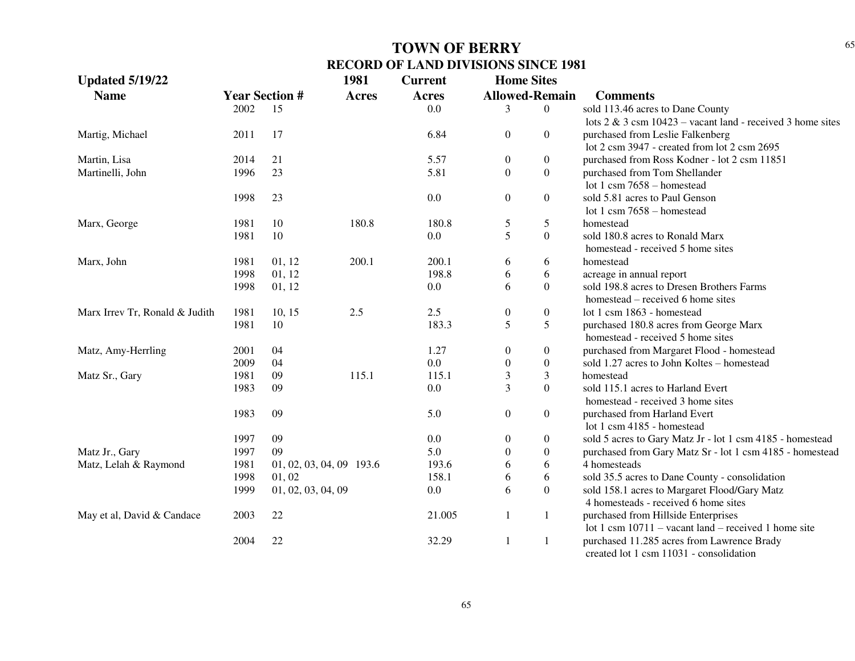| <b>Updated 5/19/22</b>         |      |                          | 1981         | <b>Current</b> | <b>Home Sites</b> |                       |                                                                       |
|--------------------------------|------|--------------------------|--------------|----------------|-------------------|-----------------------|-----------------------------------------------------------------------|
| <b>Name</b>                    |      | <b>Year Section #</b>    | <b>Acres</b> | <b>Acres</b>   |                   | <b>Allowed-Remain</b> | <b>Comments</b>                                                       |
|                                | 2002 | 15                       |              | 0.0            | 3                 | $\theta$              | sold 113.46 acres to Dane County                                      |
|                                |      |                          |              |                |                   |                       | lots $2 \& 3 \text{ cm } 10423$ – vacant land - received 3 home sites |
| Martig, Michael                | 2011 | 17                       |              | 6.84           | $\boldsymbol{0}$  | $\Omega$              | purchased from Leslie Falkenberg                                      |
|                                |      |                          |              |                |                   |                       | lot 2 csm 3947 - created from lot 2 csm 2695                          |
| Martin, Lisa                   | 2014 | 21                       |              | 5.57           | $\boldsymbol{0}$  | $\overline{0}$        | purchased from Ross Kodner - lot 2 csm 11851                          |
| Martinelli, John               | 1996 | 23                       |              | 5.81           | $\Omega$          | $\Omega$              | purchased from Tom Shellander                                         |
|                                |      |                          |              |                |                   |                       | lot 1 csm $7658 -$ homestead                                          |
|                                | 1998 | 23                       |              | 0.0            | $\overline{0}$    | $\overline{0}$        | sold 5.81 acres to Paul Genson                                        |
|                                |      |                          |              |                |                   |                       | lot 1 csm $7658 -$ homestead                                          |
| Marx, George                   | 1981 | 10                       | 180.8        | 180.8          | 5                 | 5                     | homestead                                                             |
|                                | 1981 | 10                       |              | 0.0            | 5                 | $\overline{0}$        | sold 180.8 acres to Ronald Marx                                       |
|                                |      |                          |              |                |                   |                       | homestead - received 5 home sites                                     |
| Marx, John                     | 1981 | 01, 12                   | 200.1        | 200.1          | 6                 | 6                     | homestead                                                             |
|                                | 1998 | 01, 12                   |              | 198.8          | 6                 | 6                     | acreage in annual report                                              |
|                                | 1998 | 01, 12                   |              | 0.0            | 6                 | $\overline{0}$        | sold 198.8 acres to Dresen Brothers Farms                             |
|                                |      |                          |              |                |                   |                       | homestead – received 6 home sites                                     |
| Marx Irrev Tr, Ronald & Judith | 1981 | 10, 15                   | 2.5          | 2.5            | $\boldsymbol{0}$  | $\overline{0}$        | lot 1 csm 1863 - homestead                                            |
|                                | 1981 | 10                       |              | 183.3          | 5                 | 5                     | purchased 180.8 acres from George Marx                                |
|                                |      |                          |              |                |                   |                       | homestead - received 5 home sites                                     |
| Matz, Amy-Herrling             | 2001 | 04                       |              | 1.27           | $\overline{0}$    | $\overline{0}$        | purchased from Margaret Flood - homestead                             |
|                                | 2009 | 04                       |              | 0.0            | $\boldsymbol{0}$  | $\overline{0}$        | sold 1.27 acres to John Koltes - homestead                            |
| Matz Sr., Gary                 | 1981 | 09                       | 115.1        | 115.1          | 3                 | 3                     | homestead                                                             |
|                                | 1983 | 09                       |              | 0.0            | 3                 | $\Omega$              | sold 115.1 acres to Harland Evert                                     |
|                                |      |                          |              |                |                   |                       | homestead - received 3 home sites                                     |
|                                | 1983 | 09                       |              | 5.0            | $\overline{0}$    | $\overline{0}$        | purchased from Harland Evert                                          |
|                                |      |                          |              |                |                   |                       | lot 1 csm 4185 - homestead                                            |
|                                | 1997 | 09                       |              | 0.0            | 0                 | $\boldsymbol{0}$      | sold 5 acres to Gary Matz Jr - lot 1 csm 4185 - homestead             |
| Matz Jr., Gary                 | 1997 | 09                       |              | 5.0            | $\theta$          | $\overline{0}$        | purchased from Gary Matz Sr - lot 1 csm 4185 - homestead              |
| Matz, Lelah & Raymond          | 1981 | 01, 02, 03, 04, 09 193.6 |              | 193.6          | 6                 | 6                     | 4 homesteads                                                          |
|                                | 1998 | 01, 02                   |              | 158.1          | 6                 | 6                     | sold 35.5 acres to Dane County - consolidation                        |
|                                | 1999 | 01, 02, 03, 04, 09       |              | 0.0            | 6                 | $\overline{0}$        | sold 158.1 acres to Margaret Flood/Gary Matz                          |
|                                |      |                          |              |                |                   |                       | 4 homesteads - received 6 home sites                                  |
| May et al, David & Candace     | 2003 | 22                       |              | 21.005         | $\mathbf{1}$      | 1                     | purchased from Hillside Enterprises                                   |
|                                |      |                          |              |                |                   |                       | lot 1 csm $10711$ – vacant land – received 1 home site                |
|                                | 2004 | 22                       |              | 32.29          | -1                | $\mathbf{1}$          | purchased 11.285 acres from Lawrence Brady                            |
|                                |      |                          |              |                |                   |                       | created lot 1 csm 11031 - consolidation                               |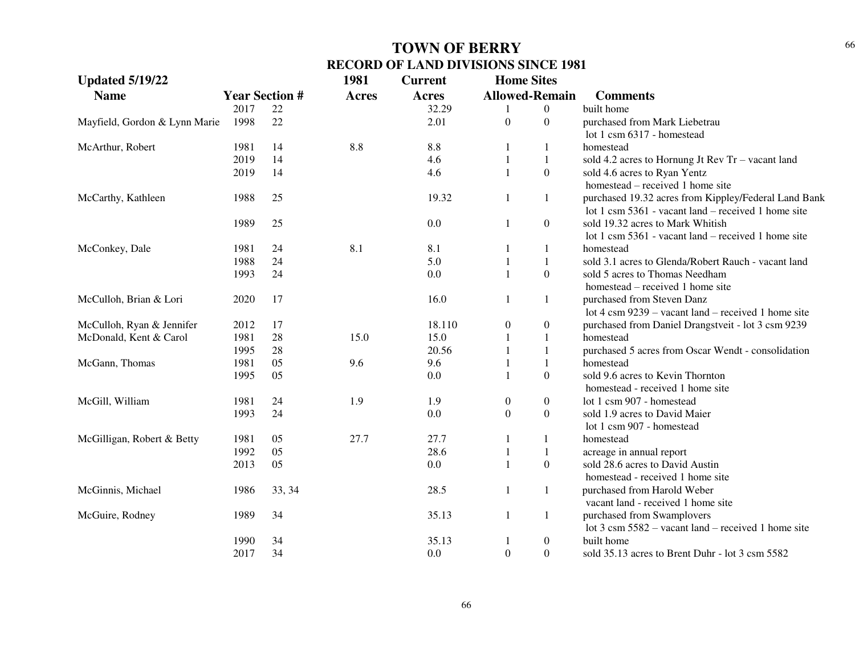| <b>Updated 5/19/22</b>        |      |                       | 1981         | <b>Current</b> | <b>Home Sites</b> |                       |                                                               |
|-------------------------------|------|-----------------------|--------------|----------------|-------------------|-----------------------|---------------------------------------------------------------|
| <b>Name</b>                   |      | <b>Year Section #</b> | <b>Acres</b> | Acres          |                   | <b>Allowed-Remain</b> | <b>Comments</b>                                               |
|                               | 2017 | 22                    |              | 32.29          |                   | $\boldsymbol{0}$      | built home                                                    |
| Mayfield, Gordon & Lynn Marie | 1998 | 22                    |              | 2.01           | $\boldsymbol{0}$  | $\overline{0}$        | purchased from Mark Liebetrau                                 |
|                               |      |                       |              |                |                   |                       | lot 1 csm 6317 - homestead                                    |
| McArthur, Robert              | 1981 | 14                    | 8.8          | 8.8            |                   |                       | homestead                                                     |
|                               | 2019 | 14                    |              | 4.6            |                   | 1                     | sold 4.2 acres to Hornung Jt Rev Tr - vacant land             |
|                               | 2019 | 14                    |              | 4.6            | $\mathbf{1}$      | $\Omega$              | sold 4.6 acres to Ryan Yentz                                  |
|                               |      |                       |              |                |                   |                       | homestead – received 1 home site                              |
| McCarthy, Kathleen            | 1988 | 25                    |              | 19.32          | 1                 | 1                     | purchased 19.32 acres from Kippley/Federal Land Bank          |
|                               |      |                       |              |                |                   |                       | lot 1 csm $5361$ - vacant land – received 1 home site         |
|                               | 1989 | 25                    |              | 0.0            | 1                 | $\boldsymbol{0}$      | sold 19.32 acres to Mark Whitish                              |
|                               |      |                       |              |                |                   |                       | lot 1 csm 5361 - vacant land – received 1 home site           |
| McConkey, Dale                | 1981 | 24                    | 8.1          | 8.1            |                   | 1                     | homestead                                                     |
|                               | 1988 | 24                    |              | 5.0            |                   | 1                     | sold 3.1 acres to Glenda/Robert Rauch - vacant land           |
|                               | 1993 | 24                    |              | 0.0            | $\mathbf{1}$      | $\mathbf{0}$          | sold 5 acres to Thomas Needham                                |
|                               |      |                       |              |                |                   |                       | homestead – received 1 home site                              |
| McCulloh, Brian & Lori        | 2020 | 17                    |              | 16.0           | 1                 | 1                     | purchased from Steven Danz                                    |
|                               |      |                       |              |                |                   |                       | lot $4 \text{ cm } 9239$ – vacant land – received 1 home site |
| McCulloh, Ryan & Jennifer     | 2012 | 17                    |              | 18.110         | $\mathbf{0}$      | 0                     | purchased from Daniel Drangstveit - lot 3 csm 9239            |
| McDonald, Kent & Carol        | 1981 | 28                    | 15.0         | 15.0           |                   |                       | homestead                                                     |
|                               | 1995 | 28                    |              | 20.56          |                   |                       | purchased 5 acres from Oscar Wendt - consolidation            |
| McGann, Thomas                | 1981 | 05                    | 9.6          | 9.6            |                   | $\mathbf{1}$          | homestead                                                     |
|                               | 1995 | 05                    |              | 0.0            | $\mathbf{1}$      | $\Omega$              | sold 9.6 acres to Kevin Thornton                              |
|                               |      |                       |              |                |                   |                       | homestead - received 1 home site                              |
| McGill, William               | 1981 | 24                    | 1.9          | 1.9            | 0                 | $\boldsymbol{0}$      | lot 1 csm 907 - homestead                                     |
|                               | 1993 | 24                    |              | 0.0            | $\boldsymbol{0}$  | $\boldsymbol{0}$      | sold 1.9 acres to David Maier                                 |
|                               |      |                       |              |                |                   |                       | lot 1 csm 907 - homestead                                     |
| McGilligan, Robert & Betty    | 1981 | 05                    | 27.7         | 27.7           |                   | 1                     | homestead                                                     |
|                               | 1992 | 05                    |              | 28.6           |                   | 1                     | acreage in annual report                                      |
|                               | 2013 | 05                    |              | 0.0            | $\mathbf{1}$      | $\mathbf{0}$          | sold 28.6 acres to David Austin                               |
|                               |      |                       |              |                |                   |                       | homestead - received 1 home site                              |
| McGinnis, Michael             | 1986 | 33, 34                |              | 28.5           | 1                 | 1                     | purchased from Harold Weber                                   |
|                               |      |                       |              |                |                   |                       | vacant land - received 1 home site                            |
| McGuire, Rodney               | 1989 | 34                    |              | 35.13          | $\mathbf{1}$      | $\mathbf{1}$          | purchased from Swamplovers                                    |
|                               |      |                       |              |                |                   |                       | lot $3 \text{ cm } 5582$ – vacant land – received 1 home site |
|                               | 1990 | 34                    |              | 35.13          | 1                 | $\boldsymbol{0}$      | built home                                                    |
|                               | 2017 | 34                    |              | 0.0            | $\boldsymbol{0}$  | $\boldsymbol{0}$      | sold 35.13 acres to Brent Duhr - lot 3 csm 5582               |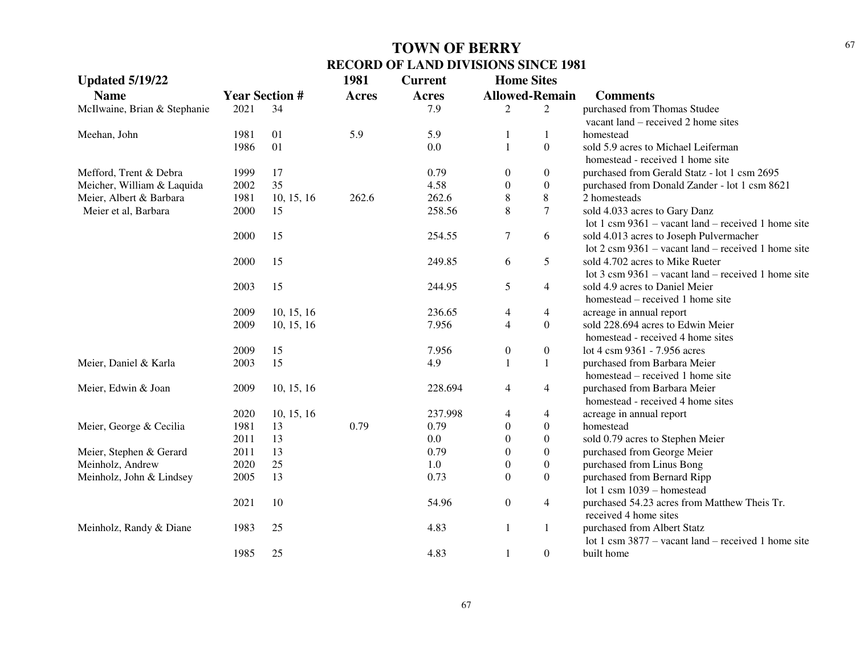| <b>Updated 5/19/22</b>       |                       |            | 1981         | <b>Current</b> | <b>Home Sites</b>     |                  |                                                               |
|------------------------------|-----------------------|------------|--------------|----------------|-----------------------|------------------|---------------------------------------------------------------|
| <b>Name</b>                  | <b>Year Section #</b> |            | <b>Acres</b> | <b>Acres</b>   | <b>Allowed-Remain</b> |                  | <b>Comments</b>                                               |
| McIlwaine, Brian & Stephanie | 2021                  | 34         |              | 7.9            | 2                     | 2                | purchased from Thomas Studee                                  |
|                              |                       |            |              |                |                       |                  | vacant land – received 2 home sites                           |
| Meehan, John                 | 1981                  | 01         | 5.9          | 5.9            | 1                     | 1                | homestead                                                     |
|                              | 1986                  | 01         |              | 0.0            | $\mathbf{1}$          | $\boldsymbol{0}$ | sold 5.9 acres to Michael Leiferman                           |
|                              |                       |            |              |                |                       |                  | homestead - received 1 home site                              |
| Mefford, Trent & Debra       | 1999                  | 17         |              | 0.79           | $\boldsymbol{0}$      | $\boldsymbol{0}$ | purchased from Gerald Statz - lot 1 csm 2695                  |
| Meicher, William & Laquida   | 2002                  | 35         |              | 4.58           | $\boldsymbol{0}$      | $\boldsymbol{0}$ | purchased from Donald Zander - lot 1 csm 8621                 |
| Meier, Albert & Barbara      | 1981                  | 10, 15, 16 | 262.6        | 262.6          | $\,8\,$               | $\,$ $\,$        | 2 homesteads                                                  |
| Meier et al, Barbara         | 2000                  | 15         |              | 258.56         | 8                     | $\overline{7}$   | sold 4.033 acres to Gary Danz                                 |
|                              |                       |            |              |                |                       |                  | lot 1 csm $9361 -$ vacant land – received 1 home site         |
|                              | 2000                  | 15         |              | 254.55         | $\tau$                | 6                | sold 4.013 acres to Joseph Pulvermacher                       |
|                              |                       |            |              |                |                       |                  | lot $2 \text{ cm } 9361$ – vacant land – received 1 home site |
|                              | 2000                  | 15         |              | 249.85         | 6                     | 5                | sold 4.702 acres to Mike Rueter                               |
|                              |                       |            |              |                |                       |                  | lot $3 \text{ cm } 9361$ – vacant land – received 1 home site |
|                              | 2003                  | 15         |              | 244.95         | 5                     | $\overline{4}$   | sold 4.9 acres to Daniel Meier                                |
|                              |                       |            |              |                |                       |                  | homestead – received 1 home site                              |
|                              | 2009                  | 10, 15, 16 |              | 236.65         | 4                     | $\overline{4}$   | acreage in annual report                                      |
|                              | 2009                  | 10, 15, 16 |              | 7.956          | $\overline{4}$        | $\boldsymbol{0}$ | sold 228.694 acres to Edwin Meier                             |
|                              |                       |            |              |                |                       |                  | homestead - received 4 home sites                             |
|                              | 2009                  | 15         |              | 7.956          | $\boldsymbol{0}$      | $\boldsymbol{0}$ | lot 4 csm 9361 - 7.956 acres                                  |
| Meier, Daniel & Karla        | 2003                  | 15         |              | 4.9            | $\mathbf{1}$          | $\mathbf{1}$     | purchased from Barbara Meier                                  |
|                              |                       |            |              |                |                       |                  | homestead – received 1 home site                              |
| Meier, Edwin & Joan          | 2009                  | 10, 15, 16 |              | 228.694        | $\overline{4}$        | $\overline{4}$   | purchased from Barbara Meier                                  |
|                              |                       |            |              |                |                       |                  | homestead - received 4 home sites                             |
|                              | 2020                  | 10, 15, 16 |              | 237.998        | 4                     | 4                | acreage in annual report                                      |
| Meier, George & Cecilia      | 1981                  | 13         | 0.79         | 0.79           | $\mathbf{0}$          | $\boldsymbol{0}$ | homestead                                                     |
|                              | 2011                  | 13         |              | 0.0            | $\boldsymbol{0}$      | $\boldsymbol{0}$ | sold 0.79 acres to Stephen Meier                              |
| Meier, Stephen & Gerard      | 2011                  | 13         |              | 0.79           | $\boldsymbol{0}$      | $\boldsymbol{0}$ | purchased from George Meier                                   |
| Meinholz, Andrew             | 2020                  | 25         |              | 1.0            | $\boldsymbol{0}$      | $\boldsymbol{0}$ | purchased from Linus Bong                                     |
| Meinholz, John & Lindsey     | 2005                  | 13         |              | 0.73           | $\mathbf{0}$          | $\boldsymbol{0}$ | purchased from Bernard Ripp                                   |
|                              |                       |            |              |                |                       |                  | lot 1 csm $1039 -$ homestead                                  |
|                              | 2021                  | 10         |              | 54.96          | $\boldsymbol{0}$      | $\overline{4}$   | purchased 54.23 acres from Matthew Theis Tr.                  |
|                              |                       |            |              |                |                       |                  | received 4 home sites                                         |
| Meinholz, Randy & Diane      | 1983                  | 25         |              | 4.83           | $\mathbf{1}$          | $\mathbf{1}$     | purchased from Albert Statz                                   |
|                              |                       |            |              |                |                       |                  | lot 1 csm $3877$ – vacant land – received 1 home site         |
|                              | 1985                  | 25         |              | 4.83           | $\mathbf{1}$          | $\boldsymbol{0}$ | built home                                                    |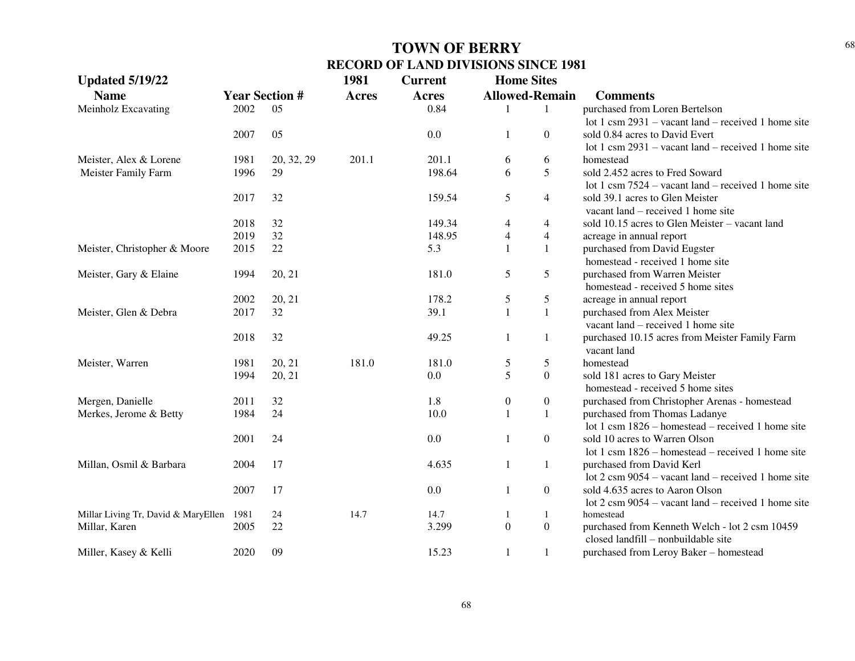| <b>Updated 5/19/22</b>              |                       |            | 1981         | <b>Current</b> | <b>Home Sites</b>     |                  |                                                                       |
|-------------------------------------|-----------------------|------------|--------------|----------------|-----------------------|------------------|-----------------------------------------------------------------------|
| <b>Name</b>                         | <b>Year Section #</b> |            | <b>Acres</b> | Acres          | <b>Allowed-Remain</b> |                  | <b>Comments</b>                                                       |
| Meinholz Excavating                 | 2002                  | 05         |              | 0.84           | $\mathbf{1}$          | $\mathbf{1}$     | purchased from Loren Bertelson                                        |
|                                     |                       |            |              |                |                       |                  | lot 1 csm 2931 – vacant land – received 1 home site                   |
|                                     | 2007                  | 05         |              | $0.0\,$        | 1                     | $\boldsymbol{0}$ | sold 0.84 acres to David Evert                                        |
|                                     |                       |            |              |                |                       |                  | lot 1 csm $2931$ – vacant land – received 1 home site                 |
| Meister, Alex & Lorene              | 1981                  | 20, 32, 29 | 201.1        | 201.1          | 6                     | 6                | homestead                                                             |
| Meister Family Farm                 | 1996                  | 29         |              | 198.64         | 6                     | 5                | sold 2.452 acres to Fred Soward                                       |
|                                     |                       |            |              |                |                       |                  | lot 1 csm $7524$ – vacant land – received 1 home site                 |
|                                     | 2017                  | 32         |              | 159.54         | 5                     | $\overline{4}$   | sold 39.1 acres to Glen Meister<br>vacant land – received 1 home site |
|                                     | 2018                  | 32         |              | 149.34         | $\overline{4}$        | 4                | sold 10.15 acres to Glen Meister – vacant land                        |
|                                     | 2019                  | 32         |              | 148.95         | $\overline{4}$        | $\overline{4}$   | acreage in annual report                                              |
| Meister, Christopher & Moore        | 2015                  | 22         |              | 5.3            | $\mathbf{1}$          | $\mathbf{1}$     | purchased from David Eugster                                          |
|                                     |                       |            |              |                |                       |                  | homestead - received 1 home site                                      |
| Meister, Gary & Elaine              | 1994                  | 20, 21     |              | 181.0          | 5                     | 5                | purchased from Warren Meister                                         |
|                                     |                       |            |              |                |                       |                  | homestead - received 5 home sites                                     |
|                                     | 2002                  | 20, 21     |              | 178.2          | $\mathfrak s$         | $\sqrt{5}$       | acreage in annual report                                              |
| Meister, Glen & Debra               | 2017                  | 32         |              | 39.1           | $\mathbf{1}$          | $\mathbf{1}$     | purchased from Alex Meister                                           |
|                                     |                       |            |              |                |                       |                  | vacant land – received 1 home site                                    |
|                                     | 2018                  | 32         |              | 49.25          | 1                     | 1                | purchased 10.15 acres from Meister Family Farm<br>vacant land         |
| Meister, Warren                     | 1981                  | 20, 21     | 181.0        | 181.0          | $\sqrt{5}$            | 5                | homestead                                                             |
|                                     | 1994                  | 20, 21     |              | 0.0            | 5                     | $\boldsymbol{0}$ | sold 181 acres to Gary Meister                                        |
|                                     |                       |            |              |                |                       |                  | homestead - received 5 home sites                                     |
| Mergen, Danielle                    | 2011                  | 32         |              | 1.8            | $\boldsymbol{0}$      | $\boldsymbol{0}$ | purchased from Christopher Arenas - homestead                         |
| Merkes, Jerome & Betty              | 1984                  | 24         |              | 10.0           | $\mathbf{1}$          | $\mathbf{1}$     | purchased from Thomas Ladanye                                         |
|                                     |                       |            |              |                |                       |                  | lot 1 csm $1826$ – homestead – received 1 home site                   |
|                                     | 2001                  | 24         |              | 0.0            | 1                     | $\boldsymbol{0}$ | sold 10 acres to Warren Olson                                         |
|                                     |                       |            |              |                |                       |                  | lot 1 csm $1826$ – homestead – received 1 home site                   |
| Millan, Osmil & Barbara             | 2004                  | 17         |              | 4.635          | $\mathbf{1}$          | $\mathbf{1}$     | purchased from David Kerl                                             |
|                                     |                       |            |              |                |                       |                  | lot $2 \text{ cm } 9054$ – vacant land – received 1 home site         |
|                                     | 2007                  | 17         |              | 0.0            | 1                     | $\boldsymbol{0}$ | sold 4.635 acres to Aaron Olson                                       |
|                                     |                       |            |              |                |                       |                  | lot $2 \text{ cm } 9054$ – vacant land – received 1 home site         |
| Millar Living Tr, David & MaryEllen | 1981                  | 24         | 14.7         | 14.7           | $\mathbf{1}$          | 1                | homestead                                                             |
| Millar, Karen                       | 2005                  | 22         |              | 3.299          | $\boldsymbol{0}$      | $\boldsymbol{0}$ | purchased from Kenneth Welch - lot 2 csm 10459                        |
|                                     |                       |            |              |                |                       |                  | closed landfill – nonbuildable site                                   |
| Miller, Kasey & Kelli               | 2020                  | 09         |              | 15.23          | 1                     | $\mathbf{1}$     | purchased from Leroy Baker - homestead                                |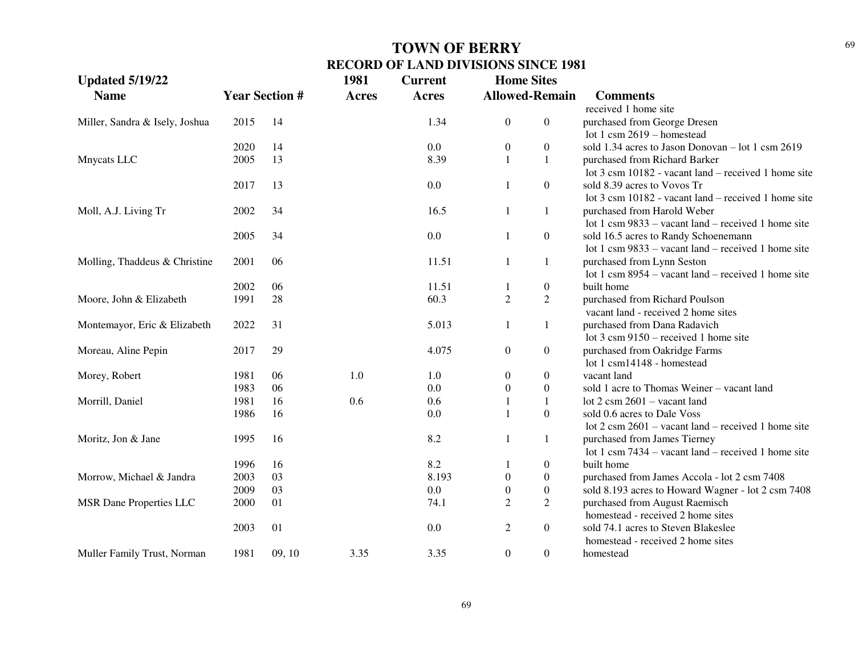| <b>Updated 5/19/22</b>         |      |                       | 1981         | <b>Current</b> | <b>Home Sites</b>                    |                                                               |
|--------------------------------|------|-----------------------|--------------|----------------|--------------------------------------|---------------------------------------------------------------|
| <b>Name</b>                    |      | <b>Year Section #</b> | <b>Acres</b> | <b>Acres</b>   | <b>Allowed-Remain</b>                | <b>Comments</b>                                               |
|                                |      |                       |              |                |                                      | received 1 home site                                          |
| Miller, Sandra & Isely, Joshua | 2015 | 14                    |              | 1.34           | $\boldsymbol{0}$<br>$\boldsymbol{0}$ | purchased from George Dresen                                  |
|                                |      |                       |              |                |                                      | lot 1 csm $2619$ – homestead                                  |
|                                | 2020 | 14                    |              | 0.0            | $\boldsymbol{0}$<br>$\boldsymbol{0}$ | sold 1.34 acres to Jason Donovan - lot 1 csm 2619             |
| Mnycats LLC                    | 2005 | 13                    |              | 8.39           | $\mathbf{1}$<br>$\mathbf{1}$         | purchased from Richard Barker                                 |
|                                |      |                       |              |                |                                      | lot 3 csm 10182 - vacant land – received 1 home site          |
|                                | 2017 | 13                    |              | 0.0            | $\boldsymbol{0}$<br>1                | sold 8.39 acres to Vovos Tr                                   |
|                                |      |                       |              |                |                                      | lot 3 csm 10182 - vacant land – received 1 home site          |
| Moll, A.J. Living Tr           | 2002 | 34                    |              | 16.5           | $\mathbf{1}$<br>$\mathbf{1}$         | purchased from Harold Weber                                   |
|                                |      |                       |              |                |                                      | lot 1 csm $9833$ – vacant land – received 1 home site         |
|                                | 2005 | 34                    |              | 0.0            | $\boldsymbol{0}$<br>-1               | sold 16.5 acres to Randy Schoenemann                          |
|                                |      |                       |              |                |                                      | lot 1 csm 9833 – vacant land – received 1 home site           |
| Molling, Thaddeus & Christine  | 2001 | 06                    |              | 11.51          | $\mathbf{1}$<br>1                    | purchased from Lynn Seston                                    |
|                                |      |                       |              |                |                                      | lot 1 csm $8954$ – vacant land – received 1 home site         |
|                                | 2002 | 06                    |              | 11.51          | $\boldsymbol{0}$<br>$\mathbf{1}$     | built home                                                    |
| Moore, John & Elizabeth        | 1991 | 28                    |              | 60.3           | $\overline{2}$<br>$\overline{2}$     | purchased from Richard Poulson                                |
|                                |      |                       |              |                |                                      | vacant land - received 2 home sites                           |
| Montemayor, Eric & Elizabeth   | 2022 | 31                    |              | 5.013          | $1\,$<br>1                           | purchased from Dana Radavich                                  |
|                                |      |                       |              |                |                                      | lot $3 \text{ cm } 9150$ – received 1 home site               |
| Moreau, Aline Pepin            | 2017 | 29                    |              | 4.075          | $\boldsymbol{0}$<br>$\boldsymbol{0}$ | purchased from Oakridge Farms                                 |
|                                |      |                       |              |                |                                      | lot 1 csm14148 - homestead                                    |
| Morey, Robert                  | 1981 | 06                    | 1.0          | 1.0            | $\boldsymbol{0}$<br>$\boldsymbol{0}$ | vacant land                                                   |
|                                | 1983 | 06                    |              | $0.0\,$        | $\boldsymbol{0}$<br>$\boldsymbol{0}$ | sold 1 acre to Thomas Weiner - vacant land                    |
| Morrill, Daniel                | 1981 | 16                    | 0.6          | 0.6            | $\mathbf{1}$<br>$\mathbf{1}$         | lot $2 \text{ csm } 2601 - \text{vacant land}$                |
|                                | 1986 | 16                    |              | 0.0            | $\boldsymbol{0}$<br>$\mathbf{1}$     | sold 0.6 acres to Dale Voss                                   |
|                                |      |                       |              |                |                                      | lot $2 \text{ cm } 2601$ – vacant land – received 1 home site |
| Moritz, Jon & Jane             | 1995 | 16                    |              | 8.2            | 1<br>1                               | purchased from James Tierney                                  |
|                                |      |                       |              |                |                                      | lot 1 csm $7434 -$ vacant land – received 1 home site         |
|                                | 1996 | 16                    |              | 8.2            | $\boldsymbol{0}$                     | built home                                                    |
| Morrow, Michael & Jandra       | 2003 | 03                    |              | 8.193          | $\boldsymbol{0}$<br>$\boldsymbol{0}$ | purchased from James Accola - lot 2 csm 7408                  |
|                                | 2009 | 03                    |              | $0.0\,$        | $\boldsymbol{0}$<br>$\boldsymbol{0}$ | sold 8.193 acres to Howard Wagner - lot 2 csm 7408            |
| <b>MSR Dane Properties LLC</b> | 2000 | 01                    |              | 74.1           | $\overline{2}$<br>$\overline{2}$     | purchased from August Raemisch                                |
|                                |      |                       |              |                |                                      | homestead - received 2 home sites                             |
|                                | 2003 | 01                    |              | 0.0            | $\mathbf{2}$<br>$\boldsymbol{0}$     | sold 74.1 acres to Steven Blakeslee                           |
|                                |      |                       |              |                |                                      | homestead - received 2 home sites                             |
| Muller Family Trust, Norman    | 1981 | 09, 10                | 3.35         | 3.35           | $\boldsymbol{0}$<br>$\boldsymbol{0}$ | homestead                                                     |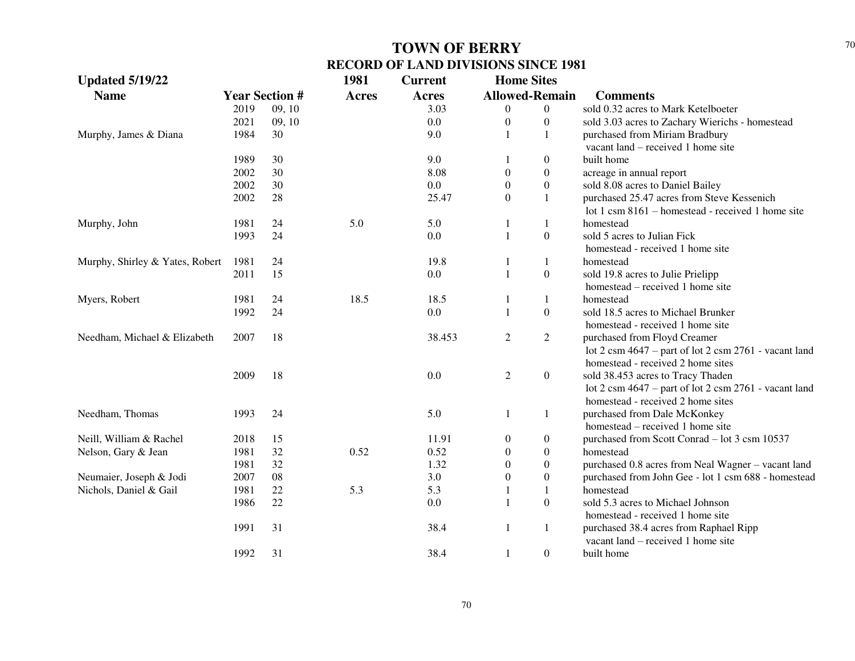| <b>Updated 5/19/22</b>          |      |                       | 1981         | <b>Current</b> | <b>Home Sites</b>     |                  |                                                                                                 |
|---------------------------------|------|-----------------------|--------------|----------------|-----------------------|------------------|-------------------------------------------------------------------------------------------------|
| <b>Name</b>                     |      | <b>Year Section #</b> | <b>Acres</b> | <b>Acres</b>   | <b>Allowed-Remain</b> |                  | <b>Comments</b>                                                                                 |
|                                 | 2019 | 09, 10                |              | 3.03           | $\theta$              | $\boldsymbol{0}$ | sold 0.32 acres to Mark Ketelboeter                                                             |
|                                 | 2021 | 09, 10                |              | 0.0            | $\boldsymbol{0}$      | $\boldsymbol{0}$ | sold 3.03 acres to Zachary Wierichs - homestead                                                 |
| Murphy, James & Diana           | 1984 | 30                    |              | 9.0            |                       | 1                | purchased from Miriam Bradbury                                                                  |
|                                 |      |                       |              |                |                       |                  | vacant land – received 1 home site                                                              |
|                                 | 1989 | 30                    |              | 9.0            |                       | $\boldsymbol{0}$ | built home                                                                                      |
|                                 | 2002 | 30                    |              | 8.08           | $\theta$              | $\overline{0}$   | acreage in annual report                                                                        |
|                                 | 2002 | 30                    |              | 0.0            | $\Omega$              | $\boldsymbol{0}$ | sold 8.08 acres to Daniel Bailey                                                                |
|                                 | 2002 | 28                    |              | 25.47          | $\Omega$              | 1                | purchased 25.47 acres from Steve Kessenich<br>lot 1 csm 8161 – homestead - received 1 home site |
| Murphy, John                    | 1981 | 24                    | 5.0          | 5.0            | 1                     | 1                | homestead                                                                                       |
|                                 | 1993 | 24                    |              | 0.0            | $\mathbf{1}$          | $\boldsymbol{0}$ | sold 5 acres to Julian Fick                                                                     |
|                                 |      |                       |              |                |                       |                  | homestead - received 1 home site                                                                |
| Murphy, Shirley & Yates, Robert | 1981 | 24                    |              | 19.8           | 1                     | 1                | homestead                                                                                       |
|                                 | 2011 | 15                    |              | 0.0            | $\mathbf{1}$          | $\boldsymbol{0}$ | sold 19.8 acres to Julie Prielipp                                                               |
|                                 |      |                       |              |                |                       |                  | homestead – received 1 home site                                                                |
| Myers, Robert                   | 1981 | 24                    | 18.5         | 18.5           | $\mathbf{1}$          | 1                | homestead                                                                                       |
|                                 | 1992 | 24                    |              | 0.0            | $\mathbf{1}$          | $\boldsymbol{0}$ | sold 18.5 acres to Michael Brunker                                                              |
|                                 |      |                       |              |                |                       |                  | homestead - received 1 home site                                                                |
| Needham, Michael & Elizabeth    | 2007 | 18                    |              | 38.453         | $\mathfrak{2}$        | $\overline{2}$   | purchased from Floyd Creamer                                                                    |
|                                 |      |                       |              |                |                       |                  | lot $2 \text{ cm } 4647$ – part of lot $2 \text{ cm } 2761$ - vacant land                       |
|                                 |      |                       |              |                |                       |                  | homestead - received 2 home sites                                                               |
|                                 | 2009 | 18                    |              | 0.0            | $\sqrt{2}$            | $\boldsymbol{0}$ | sold 38.453 acres to Tracy Thaden                                                               |
|                                 |      |                       |              |                |                       |                  | lot 2 csm 4647 - part of lot 2 csm 2761 - vacant land                                           |
|                                 |      |                       |              |                |                       |                  | homestead - received 2 home sites                                                               |
| Needham, Thomas                 | 1993 | 24                    |              | 5.0            | 1                     | 1                | purchased from Dale McKonkey                                                                    |
|                                 |      |                       |              |                |                       |                  | homestead – received 1 home site                                                                |
| Neill, William & Rachel         | 2018 | 15                    |              | 11.91          | $\boldsymbol{0}$      | $\boldsymbol{0}$ | purchased from Scott Conrad - lot 3 csm 10537                                                   |
| Nelson, Gary & Jean             | 1981 | 32                    | 0.52         | 0.52           | $\boldsymbol{0}$      | $\boldsymbol{0}$ | homestead                                                                                       |
|                                 | 1981 | 32                    |              | 1.32           | $\boldsymbol{0}$      | $\boldsymbol{0}$ | purchased 0.8 acres from Neal Wagner - vacant land                                              |
| Neumaier, Joseph & Jodi         | 2007 | 08                    |              | 3.0            | $\boldsymbol{0}$      | $\boldsymbol{0}$ | purchased from John Gee - lot 1 csm 688 - homestead                                             |
| Nichols, Daniel & Gail          | 1981 | 22                    | 5.3          | 5.3            | 1                     | 1                | homestead                                                                                       |
|                                 | 1986 | 22                    |              | $0.0\,$        | $\mathbf{1}$          | $\boldsymbol{0}$ | sold 5.3 acres to Michael Johnson                                                               |
|                                 |      |                       |              |                |                       |                  | homestead - received 1 home site                                                                |
|                                 | 1991 | 31                    |              | 38.4           | $\mathbf{1}$          | $\mathbf{1}$     | purchased 38.4 acres from Raphael Ripp                                                          |
|                                 |      |                       |              |                |                       |                  | vacant land – received 1 home site                                                              |
|                                 | 1992 | 31                    |              | 38.4           | 1                     | $\boldsymbol{0}$ | built home                                                                                      |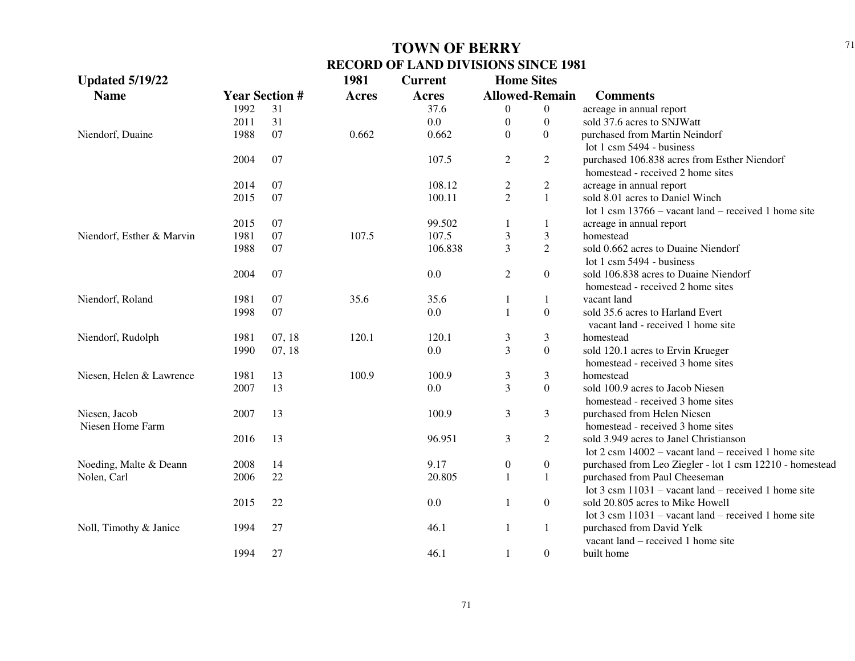| <b>Updated 5/19/22</b>            |      |                       | 1981         | <b>Current</b> | <b>Home Sites</b> |                       |                                                                                                          |
|-----------------------------------|------|-----------------------|--------------|----------------|-------------------|-----------------------|----------------------------------------------------------------------------------------------------------|
| <b>Name</b>                       |      | <b>Year Section #</b> | <b>Acres</b> | Acres          |                   | <b>Allowed-Remain</b> | <b>Comments</b>                                                                                          |
|                                   | 1992 | 31                    |              | 37.6           | 0                 | $\overline{0}$        | acreage in annual report                                                                                 |
|                                   | 2011 | 31                    |              | 0.0            | $\boldsymbol{0}$  | $\overline{0}$        | sold 37.6 acres to SNJWatt                                                                               |
| Niendorf, Duaine                  | 1988 | 07                    | 0.662        | 0.662          | $\boldsymbol{0}$  | $\overline{0}$        | purchased from Martin Neindorf                                                                           |
|                                   |      |                       |              |                |                   |                       | lot $1 \text{ cm}$ 5494 - business                                                                       |
|                                   | 2004 | 07                    |              | 107.5          | $\overline{c}$    | $\overline{2}$        | purchased 106.838 acres from Esther Niendorf<br>homestead - received 2 home sites                        |
|                                   | 2014 | 07                    |              | 108.12         | $\overline{c}$    | $\overline{c}$        | acreage in annual report                                                                                 |
|                                   | 2015 | 07                    |              | 100.11         | $\overline{2}$    | $\mathbf{1}$          | sold 8.01 acres to Daniel Winch<br>lot 1 csm $13766$ – vacant land – received 1 home site                |
|                                   | 2015 | 07                    |              | 99.502         | 1                 | 1                     | acreage in annual report                                                                                 |
| Niendorf, Esther & Marvin         | 1981 | 07                    | 107.5        | 107.5          | 3                 | $\mathfrak{Z}$        | homestead                                                                                                |
|                                   | 1988 | 07                    |              | 106.838        | 3                 | $\overline{2}$        | sold 0.662 acres to Duaine Niendorf<br>lot $1 \text{ cm}$ 5494 - business                                |
|                                   | 2004 | 07                    |              | 0.0            | $\mathfrak{2}$    | $\boldsymbol{0}$      | sold 106.838 acres to Duaine Niendorf<br>homestead - received 2 home sites                               |
| Niendorf, Roland                  | 1981 | 07                    | 35.6         | 35.6           | 1                 | 1                     | vacant land                                                                                              |
|                                   | 1998 | 07                    |              | 0.0            | $\mathbf{1}$      | $\overline{0}$        | sold 35.6 acres to Harland Evert<br>vacant land - received 1 home site                                   |
| Niendorf, Rudolph                 | 1981 | 07, 18                | 120.1        | 120.1          | 3                 | 3                     | homestead                                                                                                |
|                                   | 1990 | 07, 18                |              | 0.0            | 3                 | $\boldsymbol{0}$      | sold 120.1 acres to Ervin Krueger<br>homestead - received 3 home sites                                   |
| Niesen, Helen & Lawrence          | 1981 | 13                    | 100.9        | 100.9          | 3                 | $\mathfrak{Z}$        | homestead                                                                                                |
|                                   | 2007 | 13                    |              | 0.0            | 3                 | $\overline{0}$        | sold 100.9 acres to Jacob Niesen<br>homestead - received 3 home sites                                    |
| Niesen, Jacob<br>Niesen Home Farm | 2007 | 13                    |              | 100.9          | $\mathfrak{Z}$    | 3                     | purchased from Helen Niesen<br>homestead - received 3 home sites                                         |
|                                   | 2016 | 13                    |              | 96.951         | $\mathfrak{Z}$    | $\overline{2}$        | sold 3.949 acres to Janel Christianson<br>lot $2 \text{ cm } 14002$ – vacant land – received 1 home site |
| Noeding, Malte & Deann            | 2008 | 14                    |              | 9.17           | $\boldsymbol{0}$  | $\boldsymbol{0}$      | purchased from Leo Ziegler - lot 1 csm 12210 - homestead                                                 |
| Nolen, Carl                       | 2006 | 22                    |              | 20.805         | 1                 | $\mathbf{1}$          | purchased from Paul Cheeseman<br>lot $3 \text{ cm } 11031$ – vacant land – received 1 home site          |
|                                   | 2015 | 22                    |              | 0.0            | $\mathbf{1}$      | $\boldsymbol{0}$      | sold 20.805 acres to Mike Howell<br>lot $3 \text{ cm } 11031$ – vacant land – received 1 home site       |
| Noll, Timothy & Janice            | 1994 | 27                    |              | 46.1           | $\mathbf{1}$      | $1\,$                 | purchased from David Yelk<br>vacant land – received 1 home site                                          |
|                                   | 1994 | 27                    |              | 46.1           | 1                 | $\overline{0}$        | built home                                                                                               |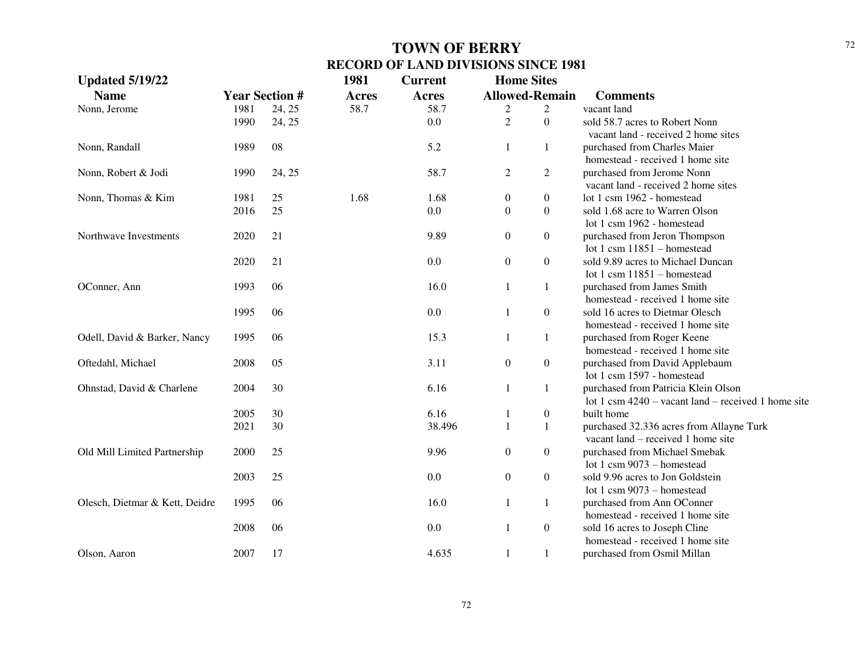| <b>Updated 5/19/22</b>         |      |                       | 1981         | <b>Current</b> | <b>Home Sites</b>     |                  |                                                                     |
|--------------------------------|------|-----------------------|--------------|----------------|-----------------------|------------------|---------------------------------------------------------------------|
| <b>Name</b>                    |      | <b>Year Section #</b> | <b>Acres</b> | <b>Acres</b>   | <b>Allowed-Remain</b> |                  | <b>Comments</b>                                                     |
| Nonn, Jerome                   | 1981 | 24, 25                | 58.7         | 58.7           | 2                     | $\overline{c}$   | vacant land                                                         |
|                                | 1990 | 24, 25                |              | 0.0            | $\overline{2}$        | $\boldsymbol{0}$ | sold 58.7 acres to Robert Nonn                                      |
|                                |      |                       |              |                |                       |                  | vacant land - received 2 home sites                                 |
| Nonn, Randall                  | 1989 | 08                    |              | 5.2            | 1                     | 1                | purchased from Charles Maier                                        |
|                                |      |                       |              |                |                       |                  | homestead - received 1 home site                                    |
| Nonn, Robert & Jodi            | 1990 | 24, 25                |              | 58.7           | $\overline{c}$        | $\overline{2}$   | purchased from Jerome Nonn                                          |
|                                |      |                       |              |                |                       |                  | vacant land - received 2 home sites                                 |
| Nonn, Thomas & Kim             | 1981 | 25                    | 1.68         | 1.68           | $\boldsymbol{0}$      | $\boldsymbol{0}$ | lot 1 csm 1962 - homestead                                          |
|                                | 2016 | 25                    |              | 0.0            | $\Omega$              | $\boldsymbol{0}$ | sold 1.68 acre to Warren Olson                                      |
|                                |      |                       |              |                |                       |                  | lot 1 csm 1962 - homestead                                          |
| Northwave Investments          | 2020 | 21                    |              | 9.89           | $\overline{0}$        | $\boldsymbol{0}$ | purchased from Jeron Thompson                                       |
|                                |      |                       |              |                |                       |                  | lot 1 csm $11851 -$ homestead                                       |
|                                | 2020 | 21                    |              | 0.0            | $\overline{0}$        | $\boldsymbol{0}$ | sold 9.89 acres to Michael Duncan                                   |
|                                |      |                       |              |                |                       |                  | lot 1 csm $11851 -$ homestead                                       |
| OConner, Ann                   | 1993 | 06                    |              | 16.0           | 1                     | 1                | purchased from James Smith                                          |
|                                |      |                       |              |                |                       |                  | homestead - received 1 home site                                    |
|                                | 1995 | 06                    |              | 0.0            | 1                     | $\boldsymbol{0}$ | sold 16 acres to Dietmar Olesch<br>homestead - received 1 home site |
|                                |      | 06                    |              | 15.3           |                       |                  |                                                                     |
| Odell, David & Barker, Nancy   | 1995 |                       |              |                | 1                     | $\mathbf{1}$     | purchased from Roger Keene<br>homestead - received 1 home site      |
| Oftedahl, Michael              | 2008 | 05                    |              | 3.11           | $\boldsymbol{0}$      | $\boldsymbol{0}$ | purchased from David Applebaum                                      |
|                                |      |                       |              |                |                       |                  | lot 1 csm 1597 - homestead                                          |
| Ohnstad, David & Charlene      | 2004 | 30                    |              | 6.16           | $\mathbf{1}$          | $\mathbf{1}$     | purchased from Patricia Klein Olson                                 |
|                                |      |                       |              |                |                       |                  | lot 1 csm $4240 -$ vacant land – received 1 home site               |
|                                | 2005 | 30                    |              | 6.16           | 1                     | $\boldsymbol{0}$ | built home                                                          |
|                                | 2021 | 30                    |              | 38.496         | $\mathbf{1}$          | $\mathbf{1}$     | purchased 32.336 acres from Allayne Turk                            |
|                                |      |                       |              |                |                       |                  | vacant land – received 1 home site                                  |
| Old Mill Limited Partnership   | 2000 | 25                    |              | 9.96           | $\boldsymbol{0}$      | $\boldsymbol{0}$ | purchased from Michael Smebak                                       |
|                                |      |                       |              |                |                       |                  | lot 1 csm $9073$ – homestead                                        |
|                                | 2003 | 25                    |              | 0.0            | $\boldsymbol{0}$      | $\boldsymbol{0}$ | sold 9.96 acres to Jon Goldstein                                    |
|                                |      |                       |              |                |                       |                  | lot 1 csm $9073$ – homestead                                        |
| Olesch, Dietmar & Kett, Deidre | 1995 | 06                    |              | 16.0           | $\mathbf{1}$          | $\mathbf{1}$     | purchased from Ann OConner                                          |
|                                |      |                       |              |                |                       |                  | homestead - received 1 home site                                    |
|                                | 2008 | 06                    |              | 0.0            | 1                     | $\boldsymbol{0}$ | sold 16 acres to Joseph Cline                                       |
|                                |      |                       |              |                |                       |                  | homestead - received 1 home site                                    |
| Olson, Aaron                   | 2007 | 17                    |              | 4.635          | 1                     | $\mathbf{1}$     | purchased from Osmil Millan                                         |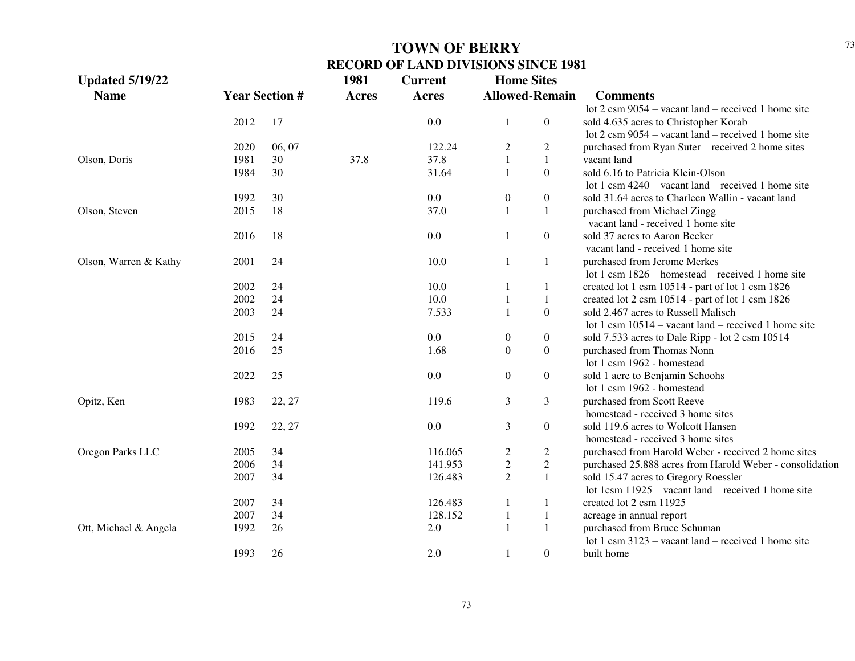| <b>Updated 5/19/22</b> |      |                       | 1981         | <b>Current</b> | <b>Home Sites</b> |                       |                                                               |
|------------------------|------|-----------------------|--------------|----------------|-------------------|-----------------------|---------------------------------------------------------------|
| <b>Name</b>            |      | <b>Year Section #</b> | <b>Acres</b> | <b>Acres</b>   |                   | <b>Allowed-Remain</b> | <b>Comments</b>                                               |
|                        |      |                       |              |                |                   |                       | lot $2 \text{ cm } 9054$ – vacant land – received 1 home site |
|                        | 2012 | 17                    |              | 0.0            | 1                 | $\overline{0}$        | sold 4.635 acres to Christopher Korab                         |
|                        |      |                       |              |                |                   |                       | lot $2 \text{ cm } 9054$ – vacant land – received 1 home site |
|                        | 2020 | 06, 07                |              | 122.24         | $\overline{c}$    | $\overline{c}$        | purchased from Ryan Suter – received 2 home sites             |
| Olson, Doris           | 1981 | 30                    | 37.8         | 37.8           | $\mathbf{1}$      | $\mathbf{1}$          | vacant land                                                   |
|                        | 1984 | 30                    |              | 31.64          | $\mathbf{1}$      | $\overline{0}$        | sold 6.16 to Patricia Klein-Olson                             |
|                        |      |                       |              |                |                   |                       | lot 1 csm $4240 -$ vacant land – received 1 home site         |
|                        | 1992 | 30                    |              | 0.0            | $\boldsymbol{0}$  | $\boldsymbol{0}$      | sold 31.64 acres to Charleen Wallin - vacant land             |
| Olson, Steven          | 2015 | 18                    |              | 37.0           | $\mathbf{1}$      | $\mathbf{1}$          | purchased from Michael Zingg                                  |
|                        |      |                       |              |                |                   |                       | vacant land - received 1 home site                            |
|                        | 2016 | 18                    |              | 0.0            | 1                 | $\overline{0}$        | sold 37 acres to Aaron Becker                                 |
|                        |      |                       |              |                |                   |                       | vacant land - received 1 home site                            |
| Olson, Warren & Kathy  | 2001 | 24                    |              | 10.0           | 1                 | 1                     | purchased from Jerome Merkes                                  |
|                        |      |                       |              |                |                   |                       | lot 1 csm 1826 – homestead – received 1 home site             |
|                        | 2002 | 24                    |              | 10.0           | 1                 | 1                     | created lot 1 csm 10514 - part of lot 1 csm 1826              |
|                        | 2002 | 24                    |              | 10.0           | $\mathbf{1}$      | $\mathbf{1}$          | created lot 2 csm 10514 - part of lot 1 csm 1826              |
|                        | 2003 | 24                    |              | 7.533          | 1                 | $\boldsymbol{0}$      | sold 2.467 acres to Russell Malisch                           |
|                        |      |                       |              |                |                   |                       | lot 1 csm $10514$ – vacant land – received 1 home site        |
|                        | 2015 | 24                    |              | 0.0            | $\boldsymbol{0}$  | $\boldsymbol{0}$      | sold 7.533 acres to Dale Ripp - lot 2 csm 10514               |
|                        | 2016 | 25                    |              | 1.68           | $\boldsymbol{0}$  | $\boldsymbol{0}$      | purchased from Thomas Nonn                                    |
|                        |      |                       |              |                |                   |                       | lot 1 csm 1962 - homestead                                    |
|                        | 2022 | 25                    |              | 0.0            | $\boldsymbol{0}$  | $\overline{0}$        | sold 1 acre to Benjamin Schools                               |
|                        |      |                       |              |                |                   |                       | lot 1 csm 1962 - homestead                                    |
| Opitz, Ken             | 1983 | 22, 27                |              | 119.6          | $\mathfrak{Z}$    | 3                     | purchased from Scott Reeve                                    |
|                        |      |                       |              |                |                   |                       | homestead - received 3 home sites                             |
|                        | 1992 | 22, 27                |              | 0.0            | $\mathfrak{Z}$    | $\boldsymbol{0}$      | sold 119.6 acres to Wolcott Hansen                            |
|                        |      |                       |              |                |                   |                       | homestead - received 3 home sites                             |
| Oregon Parks LLC       | 2005 | 34                    |              | 116.065        | $\overline{c}$    | $\overline{c}$        | purchased from Harold Weber - received 2 home sites           |
|                        | 2006 | 34                    |              | 141.953        | $\mathbf{2}$      | $\overline{c}$        | purchased 25.888 acres from Harold Weber - consolidation      |
|                        | 2007 | 34                    |              | 126.483        | $\overline{2}$    | $\mathbf{1}$          | sold 15.47 acres to Gregory Roessler                          |
|                        |      |                       |              |                |                   |                       | lot 1csm $11925$ – vacant land – received 1 home site         |
|                        | 2007 | 34                    |              | 126.483        | 1                 | 1                     | created lot 2 csm 11925                                       |
|                        | 2007 | 34                    |              | 128.152        | $\mathbf{1}$      | $\mathbf{1}$          | acreage in annual report                                      |
| Ott, Michael & Angela  | 1992 | 26                    |              | 2.0            | $\mathbf{1}$      | $\mathbf{1}$          | purchased from Bruce Schuman                                  |
|                        |      |                       |              |                |                   |                       | lot 1 csm $3123$ – vacant land – received 1 home site         |
|                        | 1993 | 26                    |              | 2.0            | 1                 | $\overline{0}$        | built home                                                    |
|                        |      |                       |              |                |                   |                       |                                                               |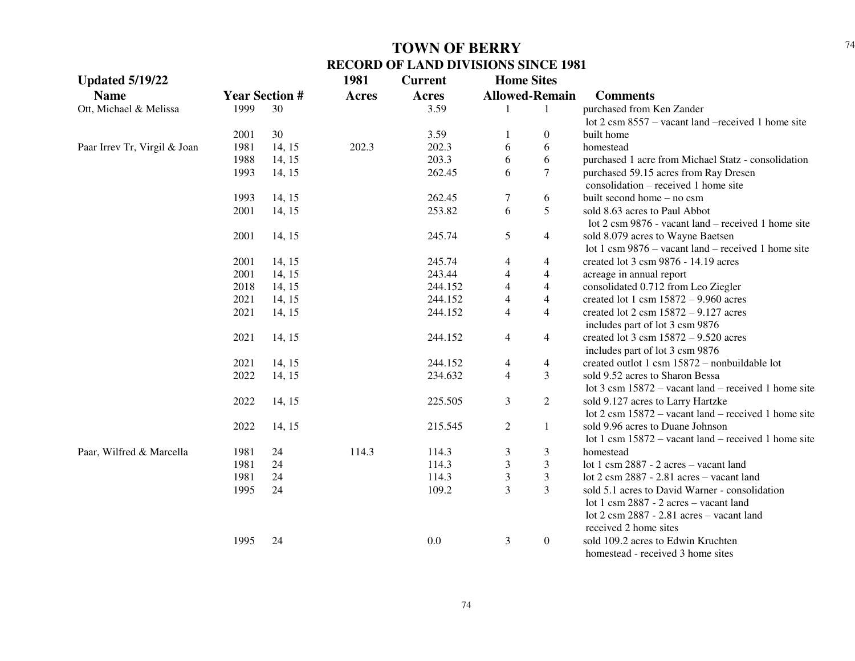| <b>Updated 5/19/22</b>       |                       |        | 1981         | <b>Current</b> | <b>Home Sites</b> |                       |                                                                     |
|------------------------------|-----------------------|--------|--------------|----------------|-------------------|-----------------------|---------------------------------------------------------------------|
| <b>Name</b>                  | <b>Year Section #</b> |        | <b>Acres</b> | <b>Acres</b>   |                   | <b>Allowed-Remain</b> | <b>Comments</b>                                                     |
| Ott, Michael & Melissa       | 1999                  | 30     |              | 3.59           |                   | -1                    | purchased from Ken Zander                                           |
|                              |                       |        |              |                |                   |                       | lot $2 \text{ cm } 8557$ – vacant land –received 1 home site        |
|                              | 2001                  | 30     |              | 3.59           |                   | $\overline{0}$        | built home                                                          |
| Paar Irrev Tr, Virgil & Joan | 1981                  | 14, 15 | 202.3        | 202.3          | 6                 | 6                     | homestead                                                           |
|                              | 1988                  | 14, 15 |              | 203.3          | 6                 | 6                     | purchased 1 acre from Michael Statz - consolidation                 |
|                              | 1993                  | 14, 15 |              | 262.45         | 6                 | $\tau$                | purchased 59.15 acres from Ray Dresen                               |
|                              |                       |        |              |                |                   |                       | $consolidation - received 1 home site$                              |
|                              | 1993                  | 14, 15 |              | 262.45         | 7                 | 6                     | built second home – no csm                                          |
|                              | 2001                  | 14, 15 |              | 253.82         | 6                 | 5                     | sold 8.63 acres to Paul Abbot                                       |
|                              |                       |        |              |                |                   |                       | lot 2 csm 9876 - vacant land – received 1 home site                 |
|                              | 2001                  | 14, 15 |              | 245.74         | 5                 | $\overline{4}$        | sold 8.079 acres to Wayne Baetsen                                   |
|                              |                       |        |              |                |                   |                       | lot 1 csm $9876$ – vacant land – received 1 home site               |
|                              | 2001                  | 14, 15 |              | 245.74         | 4                 | 4                     | created lot 3 csm 9876 - 14.19 acres                                |
|                              | 2001                  | 14, 15 |              | 243.44         | 4                 | $\overline{4}$        | acreage in annual report                                            |
|                              | 2018                  | 14, 15 |              | 244.152        | $\overline{4}$    | $\overline{4}$        | consolidated 0.712 from Leo Ziegler                                 |
|                              | 2021                  | 14, 15 |              | 244.152        | 4                 | 4                     | created lot 1 csm $15872 - 9.960$ acres                             |
|                              | 2021                  | 14, 15 |              | 244.152        | 4                 | 4                     | created lot $2 \text{ cm} 15872 - 9.127 \text{ acres}$              |
|                              |                       |        |              |                |                   |                       | includes part of lot 3 csm 9876                                     |
|                              | 2021                  | 14, 15 |              | 244.152        | $\overline{4}$    | $\overline{4}$        | created lot $3 \text{ cm} 15872 - 9.520 \text{ acres}$              |
|                              |                       |        |              |                |                   |                       | includes part of lot 3 csm 9876                                     |
|                              | 2021                  | 14, 15 |              | 244.152        | $\overline{4}$    | $\overline{4}$        | created outlot 1 csm 15872 - nonbuildable lot                       |
|                              | 2022                  | 14, 15 |              | 234.632        | $\overline{4}$    | 3                     | sold 9.52 acres to Sharon Bessa                                     |
|                              |                       |        |              |                |                   |                       | lot $3 \text{ cm } 15872$ – vacant land – received 1 home site      |
|                              | 2022                  | 14, 15 |              | 225.505        | 3                 | $\overline{2}$        | sold 9.127 acres to Larry Hartzke                                   |
|                              |                       |        |              |                |                   |                       | lot $2 \text{ cm } 15872$ – vacant land – received 1 home site      |
|                              | 2022                  | 14, 15 |              | 215.545        | $\overline{2}$    | $\mathbf{1}$          | sold 9.96 acres to Duane Johnson                                    |
|                              |                       |        |              |                |                   |                       | lot 1 csm $15872$ – vacant land – received 1 home site              |
| Paar, Wilfred & Marcella     | 1981                  | 24     | 114.3        | 114.3          | 3                 | 3                     | homestead                                                           |
|                              | 1981                  | 24     |              | 114.3          | 3                 | 3                     | lot 1 csm 2887 - 2 acres - vacant land                              |
|                              | 1981                  | 24     |              | 114.3          | 3                 | 3                     | lot $2 \text{ csm } 2887 - 2.81 \text{ acres} - \text{vacant land}$ |
|                              | 1995                  | 24     |              | 109.2          | 3                 | 3                     | sold 5.1 acres to David Warner - consolidation                      |
|                              |                       |        |              |                |                   |                       | lot 1 csm 2887 - 2 acres - vacant land                              |
|                              |                       |        |              |                |                   |                       | lot 2 csm 2887 - 2.81 acres - vacant land                           |
|                              |                       |        |              |                |                   |                       | received 2 home sites                                               |
|                              | 1995                  | 24     |              | 0.0            | 3                 | $\boldsymbol{0}$      | sold 109.2 acres to Edwin Kruchten                                  |
|                              |                       |        |              |                |                   |                       | homestead - received 3 home sites                                   |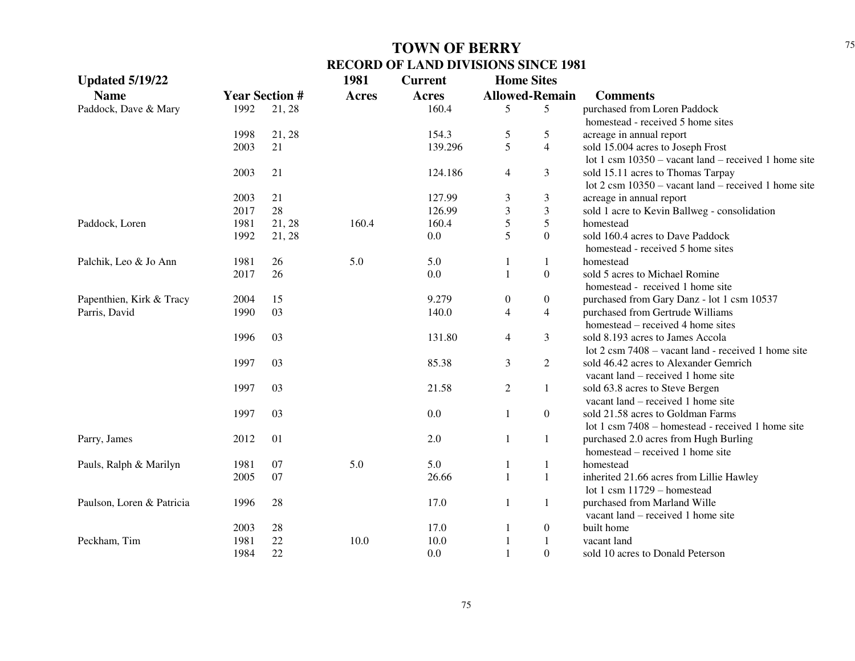| <b>Updated 5/19/22</b>    |                       |        | 1981         | <b>Current</b> | <b>Home Sites</b>       |                       |                                                                |
|---------------------------|-----------------------|--------|--------------|----------------|-------------------------|-----------------------|----------------------------------------------------------------|
| <b>Name</b>               | <b>Year Section #</b> |        | <b>Acres</b> | <b>Acres</b>   |                         | <b>Allowed-Remain</b> | <b>Comments</b>                                                |
| Paddock, Dave & Mary      | 1992                  | 21, 28 |              | 160.4          | 5                       | 5                     | purchased from Loren Paddock                                   |
|                           |                       |        |              |                |                         |                       | homestead - received 5 home sites                              |
|                           | 1998                  | 21, 28 |              | 154.3          | 5                       | 5                     | acreage in annual report                                       |
|                           | 2003                  | 21     |              | 139.296        | 5                       | $\overline{4}$        | sold 15.004 acres to Joseph Frost                              |
|                           |                       |        |              |                |                         |                       | lot 1 csm $10350$ – vacant land – received 1 home site         |
|                           | 2003                  | 21     |              | 124.186        | $\overline{4}$          | 3                     | sold 15.11 acres to Thomas Tarpay                              |
|                           |                       |        |              |                |                         |                       | lot $2 \text{ cm } 10350$ – vacant land – received 1 home site |
|                           | 2003                  | 21     |              | 127.99         | $\mathfrak{Z}$          | 3                     | acreage in annual report                                       |
|                           | 2017                  | 28     |              | 126.99         | $\overline{\mathbf{3}}$ | $\mathfrak{Z}$        | sold 1 acre to Kevin Ballweg - consolidation                   |
| Paddock, Loren            | 1981                  | 21, 28 | 160.4        | 160.4          | 5                       | $\sqrt{5}$            | homestead                                                      |
|                           | 1992                  | 21, 28 |              | 0.0            | 5                       | $\overline{0}$        | sold 160.4 acres to Dave Paddock                               |
|                           |                       |        |              |                |                         |                       | homestead - received 5 home sites                              |
| Palchik, Leo & Jo Ann     | 1981                  | 26     | 5.0          | 5.0            | 1                       | 1                     | homestead                                                      |
|                           | 2017                  | 26     |              | 0.0            | $\mathbf{1}$            | $\boldsymbol{0}$      | sold 5 acres to Michael Romine                                 |
|                           |                       |        |              |                |                         |                       | homestead - received 1 home site                               |
| Papenthien, Kirk & Tracy  | 2004                  | 15     |              | 9.279          | $\boldsymbol{0}$        | $\boldsymbol{0}$      | purchased from Gary Danz - lot 1 csm 10537                     |
| Parris, David             | 1990                  | 03     |              | 140.0          | $\overline{4}$          | $\overline{4}$        | purchased from Gertrude Williams                               |
|                           |                       |        |              |                |                         |                       | homestead – received 4 home sites                              |
|                           | 1996                  | 03     |              | 131.80         | $\overline{4}$          | 3                     | sold 8.193 acres to James Accola                               |
|                           |                       |        |              |                |                         |                       | lot 2 csm 7408 – vacant land - received 1 home site            |
|                           | 1997                  | 03     |              | 85.38          | 3                       | $\overline{2}$        | sold 46.42 acres to Alexander Gemrich                          |
|                           |                       |        |              |                |                         |                       | vacant land – received 1 home site                             |
|                           | 1997                  | 03     |              | 21.58          | $\mathfrak{2}$          | 1                     | sold 63.8 acres to Steve Bergen                                |
|                           |                       |        |              |                |                         |                       | vacant land – received 1 home site                             |
|                           | 1997                  | 03     |              | 0.0            | 1                       | $\boldsymbol{0}$      | sold 21.58 acres to Goldman Farms                              |
|                           |                       |        |              |                |                         |                       | lot 1 csm 7408 – homestead - received 1 home site              |
| Parry, James              | 2012                  | 01     |              | 2.0            | $\mathbf{1}$            | 1                     | purchased 2.0 acres from Hugh Burling                          |
|                           |                       |        |              |                |                         |                       | homestead – received 1 home site                               |
| Pauls, Ralph & Marilyn    | 1981                  | 07     | 5.0          | 5.0            | 1                       | $\mathbf{1}$          | homestead                                                      |
|                           | 2005                  | 07     |              | 26.66          | $\mathbf{1}$            | $\mathbf{1}$          | inherited 21.66 acres from Lillie Hawley                       |
|                           |                       |        |              |                |                         |                       | lot 1 csm $11729$ – homestead                                  |
| Paulson, Loren & Patricia | 1996                  | 28     |              | 17.0           | 1                       | 1                     | purchased from Marland Wille                                   |
|                           |                       |        |              |                |                         |                       | vacant land – received 1 home site                             |
|                           | 2003                  | 28     |              | 17.0           | 1                       | $\boldsymbol{0}$      | built home                                                     |
| Peckham, Tim              | 1981                  | 22     | 10.0         | 10.0           | $\mathbf{1}$            | $\mathbf{1}$          | vacant land                                                    |
|                           | 1984                  | 22     |              | 0.0            | $\mathbf{1}$            | $\Omega$              | sold 10 acres to Donald Peterson                               |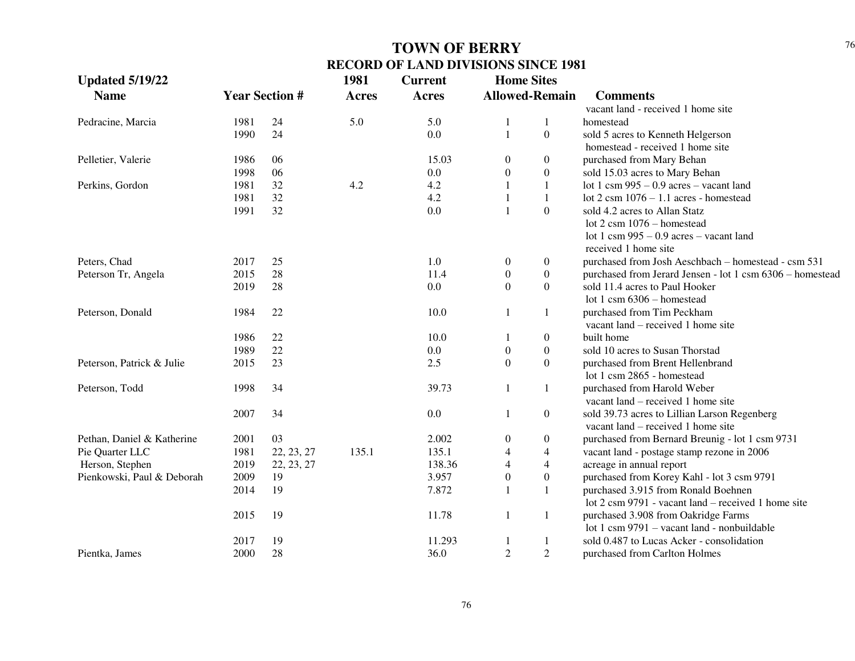| <b>Updated 5/19/22</b>     |      |                       | 1981         | <b>Current</b> | <b>Home Sites</b> |                          |                                                               |
|----------------------------|------|-----------------------|--------------|----------------|-------------------|--------------------------|---------------------------------------------------------------|
| <b>Name</b>                |      | <b>Year Section #</b> | <b>Acres</b> | <b>Acres</b>   |                   | <b>Allowed-Remain</b>    | <b>Comments</b>                                               |
|                            |      |                       |              |                |                   |                          | vacant land - received 1 home site                            |
| Pedracine, Marcia          | 1981 | 24                    | 5.0          | 5.0            | 1                 | $\mathbf{1}$             | homestead                                                     |
|                            | 1990 | 24                    |              | 0.0            | $\mathbf{1}$      | $\boldsymbol{0}$         | sold 5 acres to Kenneth Helgerson                             |
|                            |      |                       |              |                |                   |                          | homestead - received 1 home site                              |
| Pelletier, Valerie         | 1986 | 06                    |              | 15.03          | $\boldsymbol{0}$  | 0                        | purchased from Mary Behan                                     |
|                            | 1998 | 06                    |              | 0.0            | $\boldsymbol{0}$  | $\boldsymbol{0}$         | sold 15.03 acres to Mary Behan                                |
| Perkins, Gordon            | 1981 | 32                    | 4.2          | 4.2            | $\mathbf{1}$      | $\mathbf{1}$             | lot 1 csm $995 - 0.9$ acres – vacant land                     |
|                            | 1981 | 32                    |              | 4.2            | $\mathbf{1}$      | $\mathbf{1}$             | lot $2 \text{ cm } 1076 - 1.1$ acres - homestead              |
|                            | 1991 | 32                    |              | 0.0            | $\mathbf{1}$      | $\boldsymbol{0}$         | sold 4.2 acres to Allan Statz                                 |
|                            |      |                       |              |                |                   |                          | lot $2 \text{ csm } 1076$ - homestead                         |
|                            |      |                       |              |                |                   |                          | lot 1 csm $995 - 0.9$ acres – vacant land                     |
|                            |      |                       |              |                |                   |                          | received 1 home site                                          |
| Peters, Chad               | 2017 | 25                    |              | $1.0\,$        | $\boldsymbol{0}$  | $\boldsymbol{0}$         | purchased from Josh Aeschbach - homestead - csm 531           |
| Peterson Tr, Angela        | 2015 | 28                    |              | 11.4           | $\boldsymbol{0}$  | $\boldsymbol{0}$         | purchased from Jerard Jensen - lot 1 csm 6306 - homestead     |
|                            | 2019 | 28                    |              | 0.0            | $\boldsymbol{0}$  | $\boldsymbol{0}$         | sold 11.4 acres to Paul Hooker                                |
|                            |      |                       |              |                |                   |                          | lot 1 csm $6306$ – homestead                                  |
| Peterson, Donald           | 1984 | 22                    |              | 10.0           | 1                 | $\mathbf{1}$             | purchased from Tim Peckham                                    |
|                            |      |                       |              |                |                   |                          | vacant land – received 1 home site                            |
|                            | 1986 | 22                    |              | 10.0           | 1                 | $\boldsymbol{0}$         | built home                                                    |
|                            | 1989 | 22                    |              | $0.0\,$        | $\boldsymbol{0}$  | $\boldsymbol{0}$         | sold 10 acres to Susan Thorstad                               |
| Peterson, Patrick & Julie  | 2015 | 23                    |              | 2.5            | $\boldsymbol{0}$  | $\overline{0}$           | purchased from Brent Hellenbrand                              |
|                            |      |                       |              |                |                   |                          | lot 1 csm 2865 - homestead                                    |
| Peterson, Todd             | 1998 | 34                    |              | 39.73          | $\mathbf{1}$      | $\mathbf{1}$             | purchased from Harold Weber                                   |
|                            |      |                       |              |                |                   |                          | vacant land – received 1 home site                            |
|                            | 2007 | 34                    |              | 0.0            | $\mathbf{1}$      | $\boldsymbol{0}$         | sold 39.73 acres to Lillian Larson Regenberg                  |
|                            |      |                       |              |                |                   |                          | vacant land – received 1 home site                            |
| Pethan, Daniel & Katherine | 2001 | 03                    |              | 2.002          | 0                 | 0                        | purchased from Bernard Breunig - lot 1 csm 9731               |
| Pie Quarter LLC            | 1981 | 22, 23, 27            | 135.1        | 135.1          | $\overline{4}$    | $\overline{\mathcal{L}}$ | vacant land - postage stamp rezone in 2006                    |
| Herson, Stephen            | 2019 | 22, 23, 27            |              | 138.36         | 4                 | $\overline{\mathcal{L}}$ | acreage in annual report                                      |
| Pienkowski, Paul & Deborah | 2009 | 19                    |              | 3.957          | $\boldsymbol{0}$  | $\boldsymbol{0}$         | purchased from Korey Kahl - lot 3 csm 9791                    |
|                            | 2014 | 19                    |              | 7.872          | 1                 | $\mathbf{1}$             | purchased 3.915 from Ronald Boehnen                           |
|                            |      |                       |              |                |                   |                          | lot $2 \text{ cm } 9791$ - vacant land – received 1 home site |
|                            | 2015 | 19                    |              | 11.78          | 1                 | 1                        | purchased 3.908 from Oakridge Farms                           |
|                            |      |                       |              |                |                   |                          | lot 1 csm 9791 – vacant land - nonbuildable                   |
|                            | 2017 | 19                    |              | 11.293         | $\mathbf{1}$      | 1                        | sold 0.487 to Lucas Acker - consolidation                     |
| Pientka, James             | 2000 | 28                    |              | 36.0           | $\overline{2}$    | $\overline{2}$           | purchased from Carlton Holmes                                 |
|                            |      |                       |              |                |                   |                          |                                                               |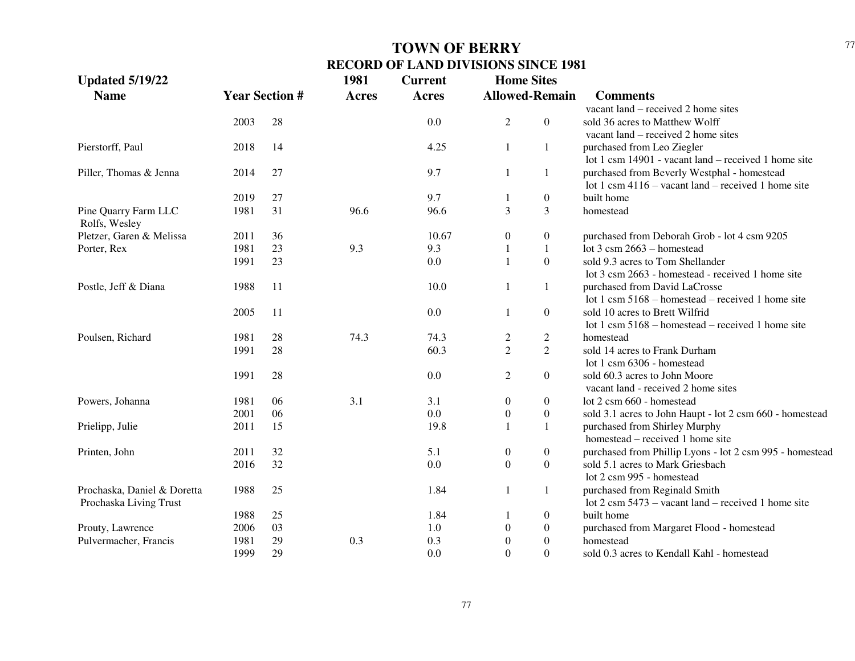| <b>Allowed-Remain</b><br><b>Year Section #</b><br><b>Name</b><br><b>Acres</b><br><b>Acres</b><br><b>Comments</b><br>vacant land – received 2 home sites<br>$\overline{2}$<br>$\boldsymbol{0}$<br>2003<br>28<br>0.0<br>sold 36 acres to Matthew Wolff<br>vacant land – received 2 home sites<br>Pierstorff, Paul<br>14<br>4.25<br>$\mathbf{1}$<br>purchased from Leo Ziegler<br>2018<br>1<br>lot 1 csm 14901 - vacant land – received 1 home site<br>27<br>9.7<br>$\mathbf{1}$<br>purchased from Beverly Westphal - homestead<br>Piller, Thomas & Jenna<br>2014<br>1<br>lot 1 csm $4116 -$ vacant land – received 1 home site<br>9.7<br>27<br>$\boldsymbol{0}$<br>built home<br>2019<br>-1 | <b>Updated 5/19/22</b> |      |    | 1981 | <b>Current</b> | <b>Home Sites</b> |   |                                                          |
|-------------------------------------------------------------------------------------------------------------------------------------------------------------------------------------------------------------------------------------------------------------------------------------------------------------------------------------------------------------------------------------------------------------------------------------------------------------------------------------------------------------------------------------------------------------------------------------------------------------------------------------------------------------------------------------------|------------------------|------|----|------|----------------|-------------------|---|----------------------------------------------------------|
|                                                                                                                                                                                                                                                                                                                                                                                                                                                                                                                                                                                                                                                                                           |                        |      |    |      |                |                   |   |                                                          |
|                                                                                                                                                                                                                                                                                                                                                                                                                                                                                                                                                                                                                                                                                           |                        |      |    |      |                |                   |   |                                                          |
|                                                                                                                                                                                                                                                                                                                                                                                                                                                                                                                                                                                                                                                                                           |                        |      |    |      |                |                   |   |                                                          |
|                                                                                                                                                                                                                                                                                                                                                                                                                                                                                                                                                                                                                                                                                           |                        |      |    |      |                |                   |   |                                                          |
|                                                                                                                                                                                                                                                                                                                                                                                                                                                                                                                                                                                                                                                                                           |                        |      |    |      |                |                   |   |                                                          |
|                                                                                                                                                                                                                                                                                                                                                                                                                                                                                                                                                                                                                                                                                           |                        |      |    |      |                |                   |   |                                                          |
|                                                                                                                                                                                                                                                                                                                                                                                                                                                                                                                                                                                                                                                                                           |                        |      |    |      |                |                   |   |                                                          |
|                                                                                                                                                                                                                                                                                                                                                                                                                                                                                                                                                                                                                                                                                           |                        |      |    |      |                |                   |   |                                                          |
|                                                                                                                                                                                                                                                                                                                                                                                                                                                                                                                                                                                                                                                                                           |                        |      |    |      |                |                   |   |                                                          |
|                                                                                                                                                                                                                                                                                                                                                                                                                                                                                                                                                                                                                                                                                           | Pine Quarry Farm LLC   | 1981 | 31 | 96.6 | 96.6           | 3                 | 3 | homestead                                                |
| Rolfs, Wesley                                                                                                                                                                                                                                                                                                                                                                                                                                                                                                                                                                                                                                                                             |                        |      |    |      |                |                   |   |                                                          |
| $\boldsymbol{0}$<br>Pletzer, Garen & Melissa<br>36<br>10.67<br>$\boldsymbol{0}$<br>2011<br>purchased from Deborah Grob - lot 4 csm 9205                                                                                                                                                                                                                                                                                                                                                                                                                                                                                                                                                   |                        |      |    |      |                |                   |   |                                                          |
| 1981<br>23<br>9.3<br>9.3<br>$\mathbf{1}$<br>lot $3 \text{ cm}$ 2663 – homestead<br>Porter, Rex<br>1                                                                                                                                                                                                                                                                                                                                                                                                                                                                                                                                                                                       |                        |      |    |      |                |                   |   |                                                          |
| $\boldsymbol{0}$<br>23<br>1991<br>0.0<br>sold 9.3 acres to Tom Shellander                                                                                                                                                                                                                                                                                                                                                                                                                                                                                                                                                                                                                 |                        |      |    |      |                |                   |   |                                                          |
| lot 3 csm 2663 - homestead - received 1 home site                                                                                                                                                                                                                                                                                                                                                                                                                                                                                                                                                                                                                                         |                        |      |    |      |                |                   |   |                                                          |
| 10.0<br>Postle, Jeff & Diana<br>1988<br>11<br>purchased from David LaCrosse<br>1<br>1                                                                                                                                                                                                                                                                                                                                                                                                                                                                                                                                                                                                     |                        |      |    |      |                |                   |   |                                                          |
| lot 1 csm $5168$ – homestead – received 1 home site                                                                                                                                                                                                                                                                                                                                                                                                                                                                                                                                                                                                                                       |                        |      |    |      |                |                   |   |                                                          |
| 2005<br>11<br>0.0<br>$\overline{0}$<br>sold 10 acres to Brett Wilfrid<br>1                                                                                                                                                                                                                                                                                                                                                                                                                                                                                                                                                                                                                |                        |      |    |      |                |                   |   |                                                          |
| lot 1 csm $5168$ – homestead – received 1 home site                                                                                                                                                                                                                                                                                                                                                                                                                                                                                                                                                                                                                                       |                        |      |    |      |                |                   |   |                                                          |
| Poulsen, Richard<br>74.3<br>1981<br>28<br>74.3<br>$\overline{c}$<br>homestead<br>$\overline{c}$                                                                                                                                                                                                                                                                                                                                                                                                                                                                                                                                                                                           |                        |      |    |      |                |                   |   |                                                          |
| $\overline{2}$<br>$\overline{2}$<br>1991<br>28<br>60.3<br>sold 14 acres to Frank Durham                                                                                                                                                                                                                                                                                                                                                                                                                                                                                                                                                                                                   |                        |      |    |      |                |                   |   |                                                          |
| lot 1 csm 6306 - homestead                                                                                                                                                                                                                                                                                                                                                                                                                                                                                                                                                                                                                                                                |                        |      |    |      |                |                   |   |                                                          |
| 1991<br>28<br>0.0<br>$\overline{2}$<br>$\boldsymbol{0}$<br>sold 60.3 acres to John Moore                                                                                                                                                                                                                                                                                                                                                                                                                                                                                                                                                                                                  |                        |      |    |      |                |                   |   |                                                          |
| vacant land - received 2 home sites                                                                                                                                                                                                                                                                                                                                                                                                                                                                                                                                                                                                                                                       |                        |      |    |      |                |                   |   |                                                          |
| 3.1<br>Powers, Johanna<br>1981<br>06<br>3.1<br>$\boldsymbol{0}$<br>lot 2 csm 660 - homestead<br>$\boldsymbol{0}$                                                                                                                                                                                                                                                                                                                                                                                                                                                                                                                                                                          |                        |      |    |      |                |                   |   |                                                          |
| 0.0<br>06<br>2001<br>$\boldsymbol{0}$<br>$\boldsymbol{0}$<br>sold 3.1 acres to John Haupt - lot 2 csm 660 - homestead                                                                                                                                                                                                                                                                                                                                                                                                                                                                                                                                                                     |                        |      |    |      |                |                   |   |                                                          |
| 15<br>19.8<br>$\mathbf{1}$<br>Prielipp, Julie<br>2011<br>purchased from Shirley Murphy<br>$\mathbf{1}$                                                                                                                                                                                                                                                                                                                                                                                                                                                                                                                                                                                    |                        |      |    |      |                |                   |   |                                                          |
| homestead – received 1 home site                                                                                                                                                                                                                                                                                                                                                                                                                                                                                                                                                                                                                                                          |                        |      |    |      |                |                   |   |                                                          |
| 5.1<br>32<br>$\boldsymbol{0}$<br>Printen, John<br>2011<br>$\boldsymbol{0}$                                                                                                                                                                                                                                                                                                                                                                                                                                                                                                                                                                                                                |                        |      |    |      |                |                   |   | purchased from Phillip Lyons - lot 2 csm 995 - homestead |
| $\boldsymbol{0}$<br>32<br>0.0<br>$\boldsymbol{0}$<br>sold 5.1 acres to Mark Griesbach<br>2016                                                                                                                                                                                                                                                                                                                                                                                                                                                                                                                                                                                             |                        |      |    |      |                |                   |   |                                                          |
| lot 2 csm 995 - homestead                                                                                                                                                                                                                                                                                                                                                                                                                                                                                                                                                                                                                                                                 |                        |      |    |      |                |                   |   |                                                          |
| 1988<br>25<br>1.84<br>Prochaska, Daniel & Doretta<br>$\mathbf{1}$<br>purchased from Reginald Smith<br>1                                                                                                                                                                                                                                                                                                                                                                                                                                                                                                                                                                                   |                        |      |    |      |                |                   |   |                                                          |
| lot $2 \text{ cm } 5473$ – vacant land – received 1 home site<br>Prochaska Living Trust                                                                                                                                                                                                                                                                                                                                                                                                                                                                                                                                                                                                   |                        |      |    |      |                |                   |   |                                                          |
| 1988<br>25<br>1.84<br>$\boldsymbol{0}$<br>built home                                                                                                                                                                                                                                                                                                                                                                                                                                                                                                                                                                                                                                      |                        |      |    |      |                |                   |   |                                                          |
| 03<br>2006<br>1.0<br>$\boldsymbol{0}$<br>purchased from Margaret Flood - homestead<br>Prouty, Lawrence<br>$\theta$                                                                                                                                                                                                                                                                                                                                                                                                                                                                                                                                                                        |                        |      |    |      |                |                   |   |                                                          |
| 29<br>0.3<br>0.3<br>$\boldsymbol{0}$<br>Pulvermacher, Francis<br>1981<br>$\theta$<br>homestead                                                                                                                                                                                                                                                                                                                                                                                                                                                                                                                                                                                            |                        |      |    |      |                |                   |   |                                                          |
| 1999<br>29<br>0.0<br>$\theta$<br>$\Omega$<br>sold 0.3 acres to Kendall Kahl - homestead                                                                                                                                                                                                                                                                                                                                                                                                                                                                                                                                                                                                   |                        |      |    |      |                |                   |   |                                                          |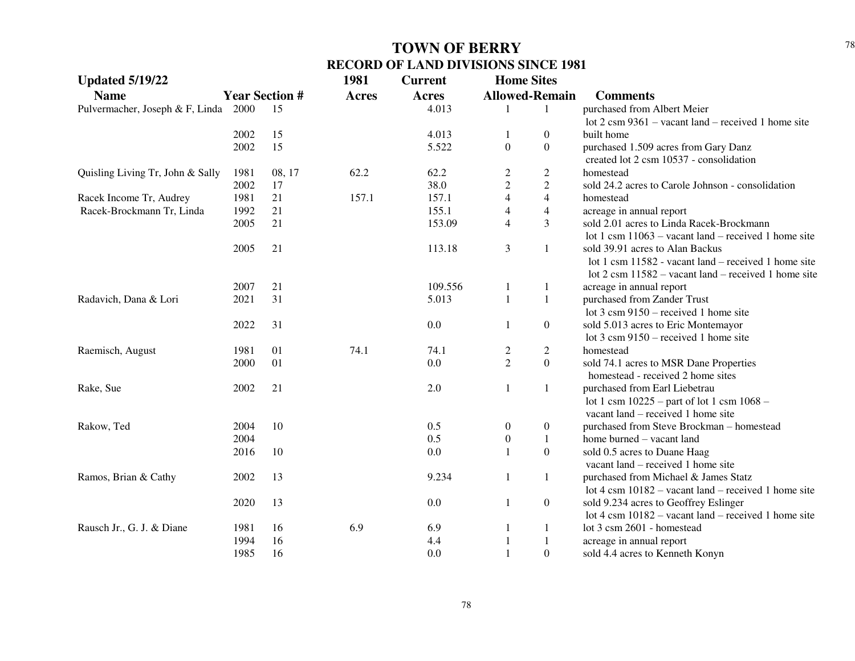| <b>Updated 5/19/22</b>           |      |                       | 1981         | <b>Current</b> | <b>Home Sites</b> |                          |                                                                |
|----------------------------------|------|-----------------------|--------------|----------------|-------------------|--------------------------|----------------------------------------------------------------|
| <b>Name</b>                      |      | <b>Year Section #</b> | <b>Acres</b> | <b>Acres</b>   |                   | <b>Allowed-Remain</b>    | <b>Comments</b>                                                |
| Pulvermacher, Joseph & F, Linda  | 2000 | 15                    |              | 4.013          | 1                 | 1                        | purchased from Albert Meier                                    |
|                                  |      |                       |              |                |                   |                          | lot $2 \text{ cm } 9361$ – vacant land – received 1 home site  |
|                                  | 2002 | 15                    |              | 4.013          | 1                 | $\overline{0}$           | built home                                                     |
|                                  | 2002 | 15                    |              | 5.522          | $\boldsymbol{0}$  | $\overline{0}$           | purchased 1.509 acres from Gary Danz                           |
|                                  |      |                       |              |                |                   |                          | created lot 2 csm 10537 - consolidation                        |
| Quisling Living Tr, John & Sally | 1981 | 08, 17                | 62.2         | 62.2           | $\overline{c}$    | $\overline{c}$           | homestead                                                      |
|                                  | 2002 | 17                    |              | 38.0           | $\overline{c}$    | $\overline{2}$           | sold 24.2 acres to Carole Johnson - consolidation              |
| Racek Income Tr, Audrey          | 1981 | 21                    | 157.1        | 157.1          | $\overline{4}$    | $\overline{4}$           | homestead                                                      |
| Racek-Brockmann Tr, Linda        | 1992 | 21                    |              | 155.1          | $\overline{4}$    | $\overline{\mathcal{L}}$ | acreage in annual report                                       |
|                                  | 2005 | 21                    |              | 153.09         | $\overline{4}$    | 3                        | sold 2.01 acres to Linda Racek-Brockmann                       |
|                                  |      |                       |              |                |                   |                          | lot 1 csm $11063$ – vacant land – received 1 home site         |
|                                  | 2005 | 21                    |              | 113.18         | $\mathfrak{Z}$    | $\mathbf{1}$             | sold 39.91 acres to Alan Backus                                |
|                                  |      |                       |              |                |                   |                          | lot 1 csm 11582 - vacant land – received 1 home site           |
|                                  |      |                       |              |                |                   |                          | lot $2 \text{ cm } 11582$ – vacant land – received 1 home site |
|                                  | 2007 | 21                    |              | 109.556        | $\mathbf{1}$      | 1                        | acreage in annual report                                       |
| Radavich, Dana & Lori            | 2021 | 31                    |              | 5.013          | $\mathbf{1}$      | $\mathbf{1}$             | purchased from Zander Trust                                    |
|                                  |      |                       |              |                |                   |                          | lot $3 \text{ cm } 9150$ – received 1 home site                |
|                                  | 2022 | 31                    |              | 0.0            | 1                 | $\boldsymbol{0}$         | sold 5.013 acres to Eric Montemayor                            |
|                                  |      |                       |              |                |                   |                          | lot $3 \text{ cm } 9150$ – received 1 home site                |
| Raemisch, August                 | 1981 | 01                    | 74.1         | 74.1           | $\overline{c}$    | $\overline{c}$           | homestead                                                      |
|                                  | 2000 | 01                    |              | 0.0            | $\overline{2}$    | $\overline{0}$           | sold 74.1 acres to MSR Dane Properties                         |
|                                  |      |                       |              |                |                   |                          | homestead - received 2 home sites                              |
| Rake, Sue                        | 2002 | 21                    |              | 2.0            | $\mathbf{1}$      | $\mathbf{1}$             | purchased from Earl Liebetrau                                  |
|                                  |      |                       |              |                |                   |                          | lot 1 csm $10225 -$ part of lot 1 csm $1068 -$                 |
|                                  |      |                       |              |                |                   |                          | vacant $land - received 1 home site$                           |
| Rakow, Ted                       | 2004 | 10                    |              | 0.5            | $\boldsymbol{0}$  | 0                        | purchased from Steve Brockman - homestead                      |
|                                  | 2004 |                       |              | 0.5            | $\boldsymbol{0}$  | $\mathbf{1}$             | home burned - vacant land                                      |
|                                  | 2016 | 10                    |              | 0.0            | $\mathbf{1}$      | $\overline{0}$           | sold 0.5 acres to Duane Haag                                   |
|                                  |      |                       |              |                |                   |                          | vacant land – received 1 home site                             |
| Ramos, Brian & Cathy             | 2002 | 13                    |              | 9.234          | $\mathbf{1}$      | $\mathbf{1}$             | purchased from Michael & James Statz                           |
|                                  |      |                       |              |                |                   |                          | lot 4 csm $10182$ – vacant land – received 1 home site         |
|                                  | 2020 | 13                    |              | 0.0            | $\mathbf{1}$      | $\boldsymbol{0}$         | sold 9.234 acres to Geoffrey Eslinger                          |
|                                  |      |                       |              |                |                   |                          | lot 4 csm $10182$ – vacant land – received 1 home site         |
| Rausch Jr., G. J. & Diane        | 1981 | 16                    | 6.9          | 6.9            | $\mathbf{1}$      | 1                        | lot 3 csm 2601 - homestead                                     |
|                                  | 1994 | 16                    |              | 4.4            | $\mathbf{1}$      | 1                        | acreage in annual report                                       |
|                                  | 1985 | 16                    |              | 0.0            | $\mathbf{1}$      | $\Omega$                 | sold 4.4 acres to Kenneth Konyn                                |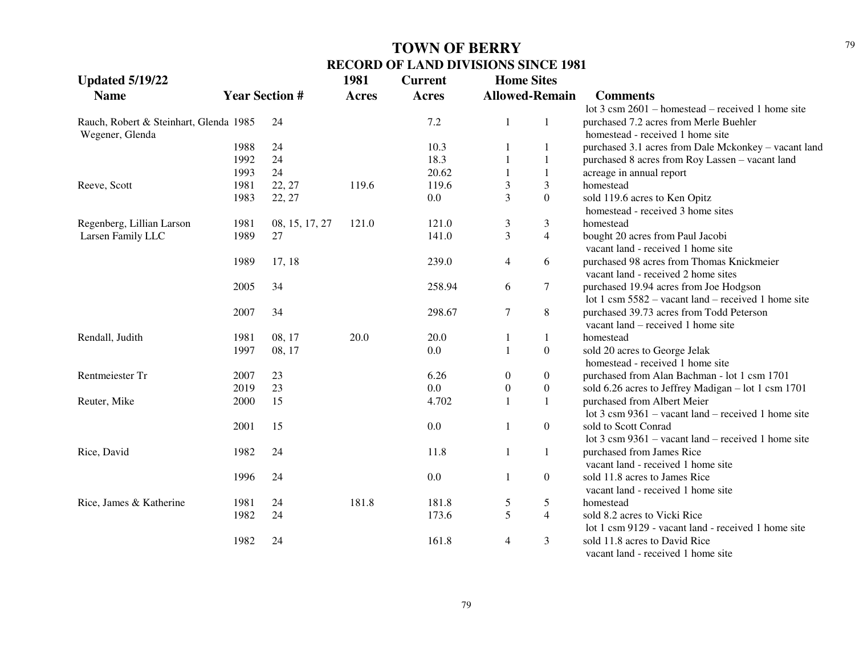| <b>Updated 5/19/22</b>                 |      |                       | 1981         | <b>Current</b> | <b>Home Sites</b> |                       |                                                               |
|----------------------------------------|------|-----------------------|--------------|----------------|-------------------|-----------------------|---------------------------------------------------------------|
| <b>Name</b>                            |      | <b>Year Section #</b> | <b>Acres</b> | <b>Acres</b>   |                   | <b>Allowed-Remain</b> | <b>Comments</b>                                               |
|                                        |      |                       |              |                |                   |                       | lot $3 \text{ cm } 2601$ – homestead – received 1 home site   |
| Rauch, Robert & Steinhart, Glenda 1985 |      | 24                    |              | 7.2            | 1                 | 1                     | purchased 7.2 acres from Merle Buehler                        |
| Wegener, Glenda                        |      |                       |              |                |                   |                       | homestead - received 1 home site                              |
|                                        | 1988 | 24                    |              | 10.3           |                   |                       | purchased 3.1 acres from Dale Mckonkey - vacant land          |
|                                        | 1992 | 24                    |              | 18.3           |                   | 1                     | purchased 8 acres from Roy Lassen - vacant land               |
|                                        | 1993 | 24                    |              | 20.62          |                   | $\mathbf{1}$          | acreage in annual report                                      |
| Reeve, Scott                           | 1981 | 22, 27                | 119.6        | 119.6          | 3                 | 3                     | homestead                                                     |
|                                        | 1983 | 22, 27                |              | 0.0            | $\overline{3}$    | $\overline{0}$        | sold 119.6 acres to Ken Opitz                                 |
|                                        |      |                       |              |                |                   |                       | homestead - received 3 home sites                             |
| Regenberg, Lillian Larson              | 1981 | 08, 15, 17, 27        | 121.0        | 121.0          | 3                 | 3                     | homestead                                                     |
| Larsen Family LLC                      | 1989 | 27                    |              | 141.0          | $\overline{3}$    | $\overline{4}$        | bought 20 acres from Paul Jacobi                              |
|                                        |      |                       |              |                |                   |                       | vacant land - received 1 home site                            |
|                                        | 1989 | 17, 18                |              | 239.0          | $\overline{4}$    | 6                     | purchased 98 acres from Thomas Knickmeier                     |
|                                        |      |                       |              |                |                   |                       | vacant land - received 2 home sites                           |
|                                        | 2005 | 34                    |              | 258.94         | 6                 | $\tau$                | purchased 19.94 acres from Joe Hodgson                        |
|                                        |      |                       |              |                |                   |                       | lot 1 csm $5582 -$ vacant land – received 1 home site         |
|                                        | 2007 | 34                    |              | 298.67         | $\tau$            | $\,8\,$               | purchased 39.73 acres from Todd Peterson                      |
|                                        |      |                       |              |                |                   |                       | vacant land – received 1 home site                            |
| Rendall, Judith                        | 1981 | 08, 17                | 20.0         | 20.0           | 1                 | 1                     | homestead                                                     |
|                                        | 1997 | 08, 17                |              | 0.0            | $\mathbf{1}$      | $\boldsymbol{0}$      | sold 20 acres to George Jelak                                 |
|                                        |      |                       |              |                |                   |                       | homestead - received 1 home site                              |
| Rentmeiester Tr                        | 2007 | 23                    |              | 6.26           | $\boldsymbol{0}$  | $\mathbf{0}$          | purchased from Alan Bachman - lot 1 csm 1701                  |
|                                        | 2019 | 23                    |              | 0.0            | $\boldsymbol{0}$  | $\mathbf{0}$          | sold 6.26 acres to Jeffrey Madigan - lot 1 csm 1701           |
| Reuter, Mike                           | 2000 | 15                    |              | 4.702          |                   | 1                     | purchased from Albert Meier                                   |
|                                        |      |                       |              |                |                   |                       | lot $3 \text{ cm } 9361$ – vacant land – received 1 home site |
|                                        | 2001 | 15                    |              | 0.0            | 1                 | $\overline{0}$        | sold to Scott Conrad                                          |
|                                        |      |                       |              |                |                   |                       | lot $3 \text{ cm } 9361$ – vacant land – received 1 home site |
| Rice, David                            | 1982 | 24                    |              | 11.8           | 1                 | $\mathbf{1}$          | purchased from James Rice                                     |
|                                        |      |                       |              |                |                   |                       | vacant land - received 1 home site                            |
|                                        | 1996 | 24                    |              | 0.0            | $\mathbf{1}$      | $\overline{0}$        | sold 11.8 acres to James Rice                                 |
|                                        |      |                       |              |                |                   |                       | vacant land - received 1 home site                            |
| Rice, James & Katherine                | 1981 | 24                    | 181.8        | 181.8          | 5                 | 5                     | homestead                                                     |
|                                        | 1982 | 24                    |              | 173.6          | 5                 | $\overline{4}$        | sold 8.2 acres to Vicki Rice                                  |
|                                        |      |                       |              |                |                   |                       | lot 1 csm 9129 - vacant land - received 1 home site           |
|                                        | 1982 | 24                    |              | 161.8          | $\overline{4}$    | 3                     | sold 11.8 acres to David Rice                                 |
|                                        |      |                       |              |                |                   |                       | vacant land - received 1 home site                            |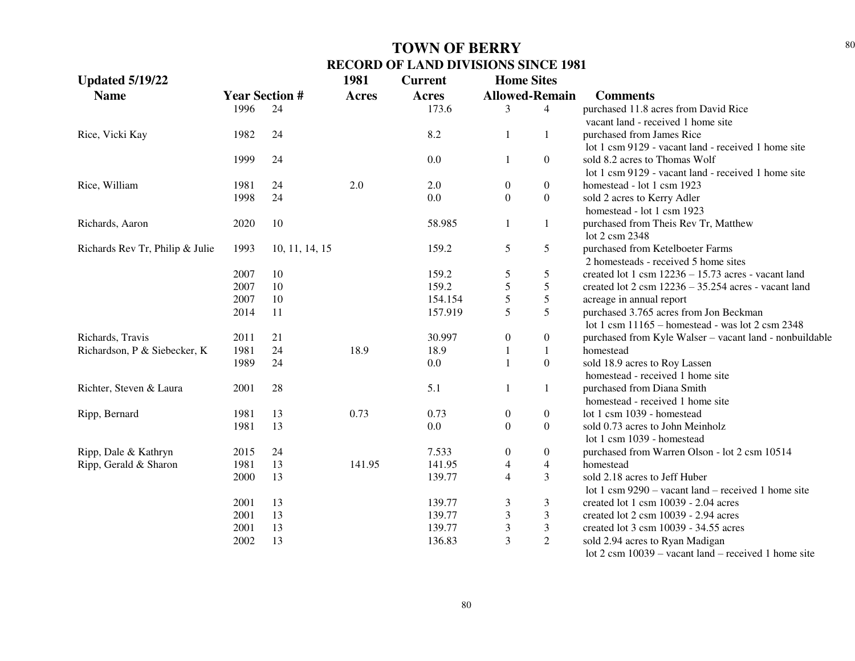| <b>Updated 5/19/22</b>          |                       |                | 1981         | <b>Current</b> | <b>Home Sites</b>        |                  |                                                                 |
|---------------------------------|-----------------------|----------------|--------------|----------------|--------------------------|------------------|-----------------------------------------------------------------|
| <b>Name</b>                     | <b>Year Section #</b> |                | <b>Acres</b> | <b>Acres</b>   | <b>Allowed-Remain</b>    |                  | <b>Comments</b>                                                 |
|                                 | 1996                  | 24             |              | 173.6          | 3                        | $\overline{4}$   | purchased 11.8 acres from David Rice                            |
|                                 |                       |                |              |                |                          |                  | vacant land - received 1 home site                              |
| Rice, Vicki Kay                 | 1982                  | 24             |              | 8.2            | 1                        | $\mathbf{1}$     | purchased from James Rice                                       |
|                                 |                       |                |              |                |                          |                  | lot 1 csm 9129 - vacant land - received 1 home site             |
|                                 | 1999                  | 24             |              | 0.0            | 1                        | $\boldsymbol{0}$ | sold 8.2 acres to Thomas Wolf                                   |
|                                 |                       |                |              |                |                          |                  | lot 1 csm 9129 - vacant land - received 1 home site             |
| Rice, William                   | 1981                  | 24             | 2.0          | 2.0            | $\boldsymbol{0}$         | $\boldsymbol{0}$ | homestead - lot 1 csm 1923                                      |
|                                 | 1998                  | 24             |              | 0.0            | $\boldsymbol{0}$         | $\boldsymbol{0}$ | sold 2 acres to Kerry Adler                                     |
|                                 |                       |                |              |                |                          |                  | homestead - lot 1 csm 1923                                      |
| Richards, Aaron                 | 2020                  | 10             |              | 58.985         | 1                        | $\mathbf{1}$     | purchased from Theis Rev Tr, Matthew                            |
|                                 |                       |                |              |                |                          |                  | lot 2 csm 2348                                                  |
| Richards Rev Tr, Philip & Julie | 1993                  | 10, 11, 14, 15 |              | 159.2          | 5                        | 5                | purchased from Ketelboeter Farms                                |
|                                 |                       |                |              |                |                          |                  | 2 homesteads - received 5 home sites                            |
|                                 | 2007                  | 10             |              | 159.2          | 5                        | 5                | created lot 1 csm $12236 - 15.73$ acres - vacant land           |
|                                 | 2007                  | 10             |              | 159.2          | 5                        | 5                | created lot $2 \text{ csm } 12236 - 35.254$ acres - vacant land |
|                                 | 2007                  | 10             |              | 154.154        | 5                        | 5                | acreage in annual report                                        |
|                                 | 2014                  | 11             |              | 157.919        | 5                        | 5                | purchased 3.765 acres from Jon Beckman                          |
|                                 |                       |                |              |                |                          |                  | lot 1 csm $11165$ - homestead - was lot 2 csm 2348              |
| Richards, Travis                | 2011                  | 21             |              | 30.997         | $\boldsymbol{0}$         | $\boldsymbol{0}$ | purchased from Kyle Walser - vacant land - nonbuildable         |
| Richardson, P & Siebecker, K    | 1981                  | 24             | 18.9         | 18.9           | $\mathbf{1}$             | $\mathbf{1}$     | homestead                                                       |
|                                 | 1989                  | 24             |              | 0.0            | $\mathbf{1}$             | $\overline{0}$   | sold 18.9 acres to Roy Lassen                                   |
|                                 |                       |                |              |                |                          |                  | homestead - received 1 home site                                |
| Richter, Steven & Laura         | 2001                  | 28             |              | 5.1            | 1                        | 1                | purchased from Diana Smith                                      |
|                                 |                       |                |              |                |                          |                  | homestead - received 1 home site                                |
| Ripp, Bernard                   | 1981                  | 13             | 0.73         | 0.73           | $\boldsymbol{0}$         | $\boldsymbol{0}$ | lot 1 csm 1039 - homestead                                      |
|                                 | 1981                  | 13             |              | 0.0            | $\boldsymbol{0}$         | $\overline{0}$   | sold 0.73 acres to John Meinholz                                |
|                                 |                       |                |              |                |                          |                  | lot 1 csm 1039 - homestead                                      |
| Ripp, Dale & Kathryn            | 2015                  | 24             |              | 7.533          | $\boldsymbol{0}$         | $\boldsymbol{0}$ | purchased from Warren Olson - lot 2 csm 10514                   |
| Ripp, Gerald & Sharon           | 1981                  | 13             | 141.95       | 141.95         | $\overline{\mathcal{A}}$ | $\overline{4}$   | homestead                                                       |
|                                 | 2000                  | 13             |              | 139.77         | $\overline{4}$           | 3                | sold 2.18 acres to Jeff Huber                                   |
|                                 |                       |                |              |                |                          |                  | lot 1 csm $9290 -$ vacant land – received 1 home site           |
|                                 | 2001                  | 13             |              | 139.77         | 3                        | 3                | created lot 1 csm 10039 - 2.04 acres                            |
|                                 | 2001                  | 13             |              | 139.77         | 3                        | $\overline{3}$   | created lot 2 csm 10039 - 2.94 acres                            |
|                                 | 2001                  | 13             |              | 139.77         | $\mathfrak{Z}$           | 3                | created lot 3 csm 10039 - 34.55 acres                           |
|                                 | 2002                  | 13             |              | 136.83         | 3                        | $\overline{2}$   | sold 2.94 acres to Ryan Madigan                                 |
|                                 |                       |                |              |                |                          |                  | lot $2 \text{ cm } 10039$ – vacant land – received 1 home site  |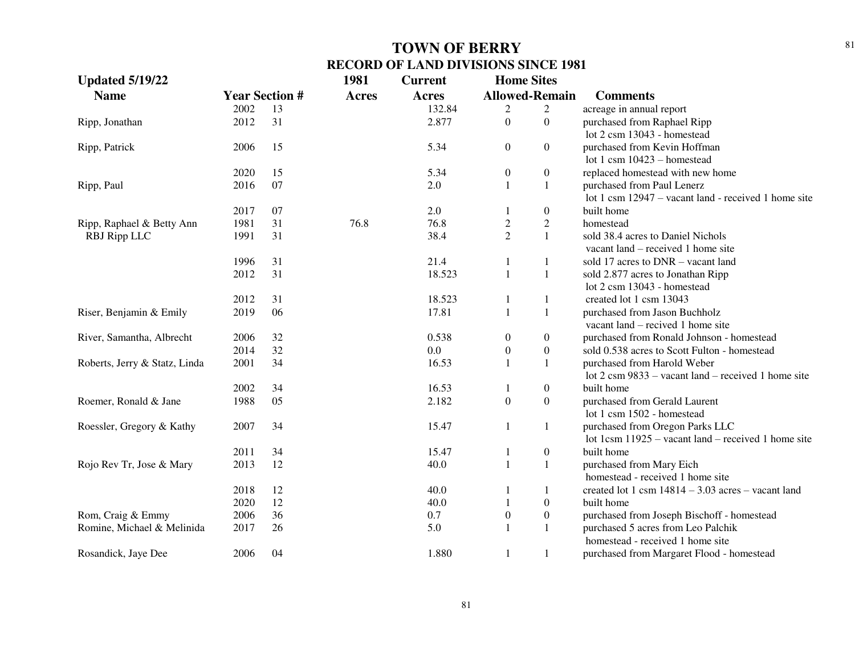| <b>Updated 5/19/22</b>        |      |                       | 1981         | <b>Current</b> | <b>Home Sites</b>     |                  |                                                                |
|-------------------------------|------|-----------------------|--------------|----------------|-----------------------|------------------|----------------------------------------------------------------|
| <b>Name</b>                   |      | <b>Year Section #</b> | <b>Acres</b> | <b>Acres</b>   | <b>Allowed-Remain</b> |                  | <b>Comments</b>                                                |
|                               | 2002 | 13                    |              | 132.84         | 2                     | 2                | acreage in annual report                                       |
| Ripp, Jonathan                | 2012 | 31                    |              | 2.877          | $\boldsymbol{0}$      | $\boldsymbol{0}$ | purchased from Raphael Ripp                                    |
|                               |      |                       |              |                |                       |                  | lot 2 csm 13043 - homestead                                    |
| Ripp, Patrick                 | 2006 | 15                    |              | 5.34           | $\boldsymbol{0}$      | $\boldsymbol{0}$ | purchased from Kevin Hoffman                                   |
|                               |      |                       |              |                |                       |                  | lot 1 csm $10423$ – homestead                                  |
|                               | 2020 | 15                    |              | 5.34           | $\boldsymbol{0}$      | $\boldsymbol{0}$ | replaced homestead with new home                               |
| Ripp, Paul                    | 2016 | 07                    |              | 2.0            | $\mathbf{1}$          | 1                | purchased from Paul Lenerz                                     |
|                               |      |                       |              |                |                       |                  | lot 1 csm 12947 – vacant land - received 1 home site           |
|                               | 2017 | 07                    |              | 2.0            |                       | $\boldsymbol{0}$ | built home                                                     |
| Ripp, Raphael & Betty Ann     | 1981 | 31                    | 76.8         | 76.8           | $\overline{c}$        | $\overline{2}$   | homestead                                                      |
| RBJ Ripp LLC                  | 1991 | 31                    |              | 38.4           | $\overline{2}$        | $\mathbf{1}$     | sold 38.4 acres to Daniel Nichols                              |
|                               |      |                       |              |                |                       |                  | vacant land – received 1 home site                             |
|                               | 1996 | 31                    |              | 21.4           | 1                     | 1                | sold 17 acres to DNR - vacant land                             |
|                               | 2012 | 31                    |              | 18.523         | $\mathbf{1}$          | $\mathbf{1}$     | sold 2.877 acres to Jonathan Ripp                              |
|                               |      |                       |              |                |                       |                  | lot 2 csm 13043 - homestead                                    |
|                               | 2012 | 31                    |              | 18.523         | 1                     | 1                | created lot 1 csm 13043                                        |
| Riser, Benjamin & Emily       | 2019 | 06                    |              | 17.81          | $\mathbf{1}$          | 1                | purchased from Jason Buchholz                                  |
|                               |      |                       |              |                |                       |                  | vacant land – recived 1 home site                              |
| River, Samantha, Albrecht     | 2006 | 32                    |              | 0.538          | $\boldsymbol{0}$      | $\boldsymbol{0}$ | purchased from Ronald Johnson - homestead                      |
|                               | 2014 | 32                    |              | 0.0            | $\boldsymbol{0}$      | $\boldsymbol{0}$ | sold 0.538 acres to Scott Fulton - homestead                   |
| Roberts, Jerry & Statz, Linda | 2001 | 34                    |              | 16.53          | $\mathbf{1}$          | 1                | purchased from Harold Weber                                    |
|                               |      |                       |              |                |                       |                  | lot $2 \text{ cm } 9833$ – vacant land – received 1 home site  |
|                               | 2002 | 34                    |              | 16.53          | -1                    | $\boldsymbol{0}$ | built home                                                     |
| Roemer, Ronald & Jane         | 1988 | 05                    |              | 2.182          | $\boldsymbol{0}$      | $\boldsymbol{0}$ | purchased from Gerald Laurent                                  |
|                               |      |                       |              |                |                       |                  | lot 1 csm 1502 - homestead                                     |
| Roessler, Gregory & Kathy     | 2007 | 34                    |              | 15.47          | 1                     | $\mathbf{1}$     | purchased from Oregon Parks LLC                                |
|                               |      |                       |              |                |                       |                  | lot 1 $\text{csm } 11925$ – vacant land – received 1 home site |
|                               | 2011 | 34                    |              | 15.47          | 1                     | $\boldsymbol{0}$ | built home                                                     |
| Rojo Rev Tr, Jose & Mary      | 2013 | 12                    |              | 40.0           | $\mathbf{1}$          | $\mathbf{1}$     | purchased from Mary Eich                                       |
|                               |      |                       |              |                |                       |                  | homestead - received 1 home site                               |
|                               | 2018 | 12                    |              | 40.0           | -1                    | 1                | created lot 1 csm $14814 - 3.03$ acres – vacant land           |
|                               | 2020 | 12                    |              | 40.0           | $\mathbf{1}$          | $\boldsymbol{0}$ | built home                                                     |
| Rom, Craig & Emmy             | 2006 | 36                    |              | 0.7            | $\boldsymbol{0}$      | $\boldsymbol{0}$ | purchased from Joseph Bischoff - homestead                     |
| Romine, Michael & Melinida    | 2017 | 26                    |              | 5.0            | 1                     | 1                | purchased 5 acres from Leo Palchik                             |
|                               |      |                       |              |                |                       |                  | homestead - received 1 home site                               |
| Rosandick, Jaye Dee           | 2006 | 04                    |              | 1.880          | $\mathbf{1}$          | 1                | purchased from Margaret Flood - homestead                      |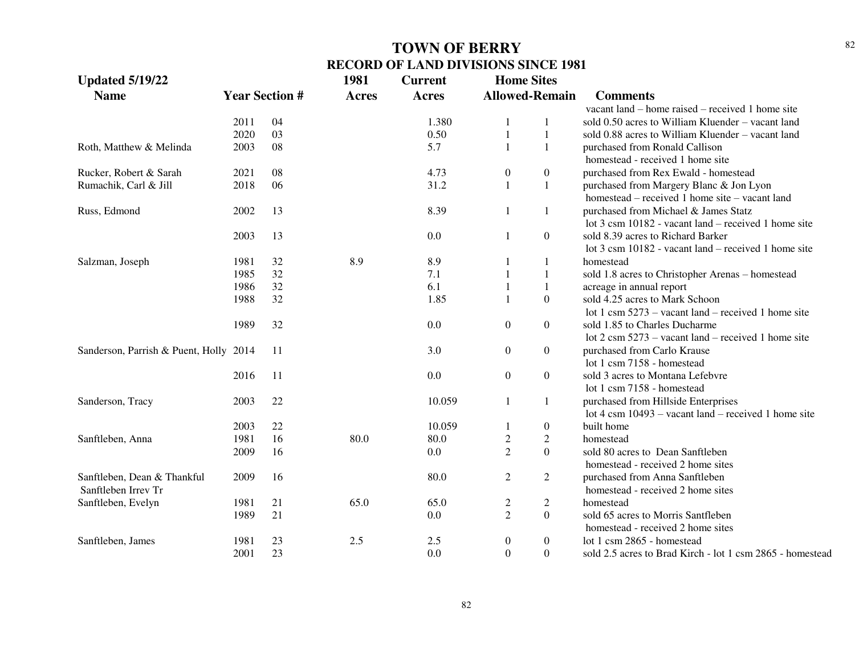| <b>Updated 5/19/22</b>                 |                       |    | 1981         | <b>Current</b> | <b>Home Sites</b>     |                  |                                                           |
|----------------------------------------|-----------------------|----|--------------|----------------|-----------------------|------------------|-----------------------------------------------------------|
| <b>Name</b>                            | <b>Year Section #</b> |    | <b>Acres</b> | <b>Acres</b>   | <b>Allowed-Remain</b> |                  | <b>Comments</b>                                           |
|                                        |                       |    |              |                |                       |                  | vacant land – home raised – received 1 home site          |
|                                        | 2011                  | 04 |              | 1.380          | -1                    | 1                | sold 0.50 acres to William Kluender – vacant land         |
|                                        | 2020                  | 03 |              | 0.50           | $\mathbf{1}$          | $\mathbf{1}$     | sold 0.88 acres to William Kluender – vacant land         |
| Roth, Matthew & Melinda                | 2003                  | 08 |              | 5.7            | $\mathbf{1}$          | $\mathbf{1}$     | purchased from Ronald Callison                            |
|                                        |                       |    |              |                |                       |                  | homestead - received 1 home site                          |
| Rucker, Robert & Sarah                 | 2021                  | 08 |              | 4.73           | $\boldsymbol{0}$      | $\boldsymbol{0}$ | purchased from Rex Ewald - homestead                      |
| Rumachik, Carl & Jill                  | 2018                  | 06 |              | 31.2           | $\mathbf{1}$          | $\mathbf{1}$     | purchased from Margery Blanc & Jon Lyon                   |
|                                        |                       |    |              |                |                       |                  | homestead – received 1 home site – vacant land            |
| Russ, Edmond                           | 2002                  | 13 |              | 8.39           | -1                    | 1                | purchased from Michael & James Statz                      |
|                                        |                       |    |              |                |                       |                  | lot 3 csm 10182 - vacant land – received 1 home site      |
|                                        | 2003                  | 13 |              | 0.0            | $\mathbf{1}$          | $\boldsymbol{0}$ | sold 8.39 acres to Richard Barker                         |
|                                        |                       |    |              |                |                       |                  | lot 3 csm 10182 - vacant land – received 1 home site      |
| Salzman, Joseph                        | 1981                  | 32 | 8.9          | 8.9            |                       | 1                | homestead                                                 |
|                                        | 1985                  | 32 |              | 7.1            |                       | $\mathbf{1}$     | sold 1.8 acres to Christopher Arenas - homestead          |
|                                        | 1986                  | 32 |              | 6.1            | $\mathbf{1}$          | $\mathbf{1}$     | acreage in annual report                                  |
|                                        | 1988                  | 32 |              | 1.85           | $\mathbf{1}$          | $\boldsymbol{0}$ | sold 4.25 acres to Mark Schoon                            |
|                                        |                       |    |              |                |                       |                  | lot 1 csm $5273$ – vacant land – received 1 home site     |
|                                        | 1989                  | 32 |              | 0.0            | $\boldsymbol{0}$      | $\boldsymbol{0}$ | sold 1.85 to Charles Ducharme                             |
|                                        |                       |    |              |                |                       |                  | lot 2 csm $5273$ – vacant land – received 1 home site     |
| Sanderson, Parrish & Puent, Holly 2014 |                       | 11 |              | 3.0            | $\boldsymbol{0}$      | $\boldsymbol{0}$ | purchased from Carlo Krause                               |
|                                        |                       |    |              |                |                       |                  | lot 1 csm 7158 - homestead                                |
|                                        | 2016                  | 11 |              | 0.0            | $\boldsymbol{0}$      | $\boldsymbol{0}$ | sold 3 acres to Montana Lefebvre                          |
|                                        |                       |    |              |                |                       |                  | lot 1 csm 7158 - homestead                                |
| Sanderson, Tracy                       | 2003                  | 22 |              | 10.059         | $\mathbf{1}$          | $\mathbf{1}$     | purchased from Hillside Enterprises                       |
|                                        |                       |    |              |                |                       |                  | lot 4 csm $10493$ – vacant land – received 1 home site    |
|                                        | 2003                  | 22 |              | 10.059         | -1                    | $\boldsymbol{0}$ | built home                                                |
| Sanftleben, Anna                       | 1981                  | 16 | 80.0         | 80.0           | $\mathfrak{2}$        | $\overline{c}$   | homestead                                                 |
|                                        | 2009                  | 16 |              | 0.0            | $\overline{2}$        | $\overline{0}$   | sold 80 acres to Dean Sanftleben                          |
|                                        |                       |    |              |                |                       |                  | homestead - received 2 home sites                         |
| Sanftleben, Dean & Thankful            | 2009                  | 16 |              | 80.0           | $\mathfrak{2}$        | $\overline{2}$   | purchased from Anna Sanftleben                            |
| Sanftleben Irrev Tr                    |                       |    |              |                |                       |                  | homestead - received 2 home sites                         |
| Sanftleben, Evelyn                     | 1981                  | 21 | 65.0         | 65.0           | $\overline{c}$        | $\overline{2}$   | homestead                                                 |
|                                        | 1989                  | 21 |              | 0.0            | $\overline{2}$        | $\mathbf{0}$     | sold 65 acres to Morris Santfleben                        |
|                                        |                       |    |              |                |                       |                  | homestead - received 2 home sites                         |
| Sanftleben, James                      | 1981                  | 23 | 2.5          | 2.5            | $\boldsymbol{0}$      | $\boldsymbol{0}$ | lot 1 csm 2865 - homestead                                |
|                                        | 2001                  | 23 |              | 0.0            | $\mathbf{0}$          | $\overline{0}$   | sold 2.5 acres to Brad Kirch - lot 1 csm 2865 - homestead |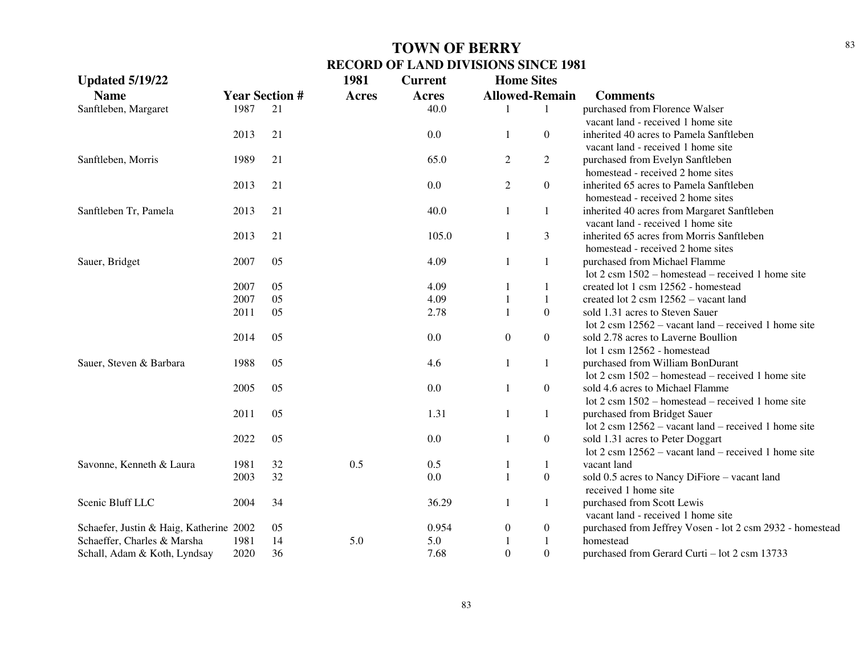| <b>Updated 5/19/22</b>                  |                       |    | 1981         | <b>Current</b> | <b>Home Sites</b> |                       |                                                                |
|-----------------------------------------|-----------------------|----|--------------|----------------|-------------------|-----------------------|----------------------------------------------------------------|
| <b>Name</b>                             | <b>Year Section #</b> |    | <b>Acres</b> | <b>Acres</b>   |                   | <b>Allowed-Remain</b> | <b>Comments</b>                                                |
| Sanftleben, Margaret                    | 1987                  | 21 |              | 40.0           |                   | 1                     | purchased from Florence Walser                                 |
|                                         |                       |    |              |                |                   |                       | vacant land - received 1 home site                             |
|                                         | 2013                  | 21 |              | 0.0            | 1                 | $\overline{0}$        | inherited 40 acres to Pamela Sanftleben                        |
|                                         |                       |    |              |                |                   |                       | vacant land - received 1 home site                             |
| Sanftleben, Morris                      | 1989                  | 21 |              | 65.0           | $\overline{2}$    | $\overline{2}$        | purchased from Evelyn Sanftleben                               |
|                                         |                       |    |              |                |                   |                       | homestead - received 2 home sites                              |
|                                         | 2013                  | 21 |              | 0.0            | $\mathfrak{2}$    | $\overline{0}$        | inherited 65 acres to Pamela Sanftleben                        |
|                                         |                       |    |              |                |                   |                       | homestead - received 2 home sites                              |
| Sanftleben Tr, Pamela                   | 2013                  | 21 |              | 40.0           | 1                 | 1                     | inherited 40 acres from Margaret Sanftleben                    |
|                                         |                       |    |              |                |                   |                       | vacant land - received 1 home site                             |
|                                         | 2013                  | 21 |              | 105.0          | 1                 | 3                     | inherited 65 acres from Morris Sanftleben                      |
|                                         |                       |    |              |                |                   |                       | homestead - received 2 home sites                              |
| Sauer, Bridget                          | 2007                  | 05 |              | 4.09           | $\mathbf{1}$      | 1                     | purchased from Michael Flamme                                  |
|                                         |                       |    |              |                |                   |                       | lot $2 \text{ cm } 1502$ – homestead – received 1 home site    |
|                                         | 2007                  | 05 |              | 4.09           | 1                 | $\mathbf{1}$          | created lot 1 csm 12562 - homestead                            |
|                                         | 2007                  | 05 |              | 4.09           | $\mathbf{1}$      | 1                     | created lot 2 csm 12562 - vacant land                          |
|                                         | 2011                  | 05 |              | 2.78           | $\mathbf{1}$      | $\overline{0}$        | sold 1.31 acres to Steven Sauer                                |
|                                         |                       |    |              |                |                   |                       | lot 2 csm $12562$ – vacant land – received 1 home site         |
|                                         | 2014                  | 05 |              | 0.0            | $\boldsymbol{0}$  | $\boldsymbol{0}$      | sold 2.78 acres to Laverne Boullion                            |
|                                         |                       |    |              |                |                   |                       | lot 1 csm 12562 - homestead                                    |
| Sauer, Steven & Barbara                 | 1988                  | 05 |              | 4.6            | $\mathbf{1}$      | $\mathbf{1}$          | purchased from William BonDurant                               |
|                                         |                       |    |              |                |                   |                       | lot $2 \text{ cm } 1502$ – homestead – received 1 home site    |
|                                         | 2005                  | 05 |              | 0.0            | 1                 | $\boldsymbol{0}$      | sold 4.6 acres to Michael Flamme                               |
|                                         |                       |    |              |                |                   |                       | lot $2 \text{ cm } 1502$ – homestead – received 1 home site    |
|                                         | 2011                  | 05 |              | 1.31           | $\mathbf{1}$      | $\mathbf{1}$          | purchased from Bridget Sauer                                   |
|                                         |                       |    |              |                |                   |                       | lot $2 \text{ cm } 12562$ – vacant land – received 1 home site |
|                                         | 2022                  | 05 |              | 0.0            | 1                 | $\overline{0}$        | sold 1.31 acres to Peter Doggart                               |
|                                         |                       |    |              |                |                   |                       | lot $2 \text{ cm } 12562$ – vacant land – received 1 home site |
| Savonne, Kenneth & Laura                | 1981                  | 32 | 0.5          | 0.5            | $\mathbf{1}$      | $\mathbf{1}$          | vacant land                                                    |
|                                         | 2003                  | 32 |              | 0.0            | $\mathbf{1}$      | $\boldsymbol{0}$      | sold 0.5 acres to Nancy DiFiore – vacant land                  |
|                                         |                       |    |              |                |                   |                       | received 1 home site                                           |
| Scenic Bluff LLC                        | 2004                  | 34 |              | 36.29          | $\mathbf{1}$      | $\mathbf{1}$          | purchased from Scott Lewis                                     |
|                                         |                       |    |              |                |                   |                       | vacant land - received 1 home site                             |
| Schaefer, Justin & Haig, Katherine 2002 |                       | 05 |              | 0.954          | $\boldsymbol{0}$  | $\boldsymbol{0}$      | purchased from Jeffrey Vosen - lot 2 csm 2932 - homestead      |
| Schaeffer, Charles & Marsha             | 1981                  | 14 | 5.0          | 5.0            | 1                 | $\mathbf{1}$          | homestead                                                      |
| Schall, Adam & Koth, Lyndsay            | 2020                  | 36 |              | 7.68           | $\Omega$          | $\Omega$              | purchased from Gerard Curti - lot 2 csm 13733                  |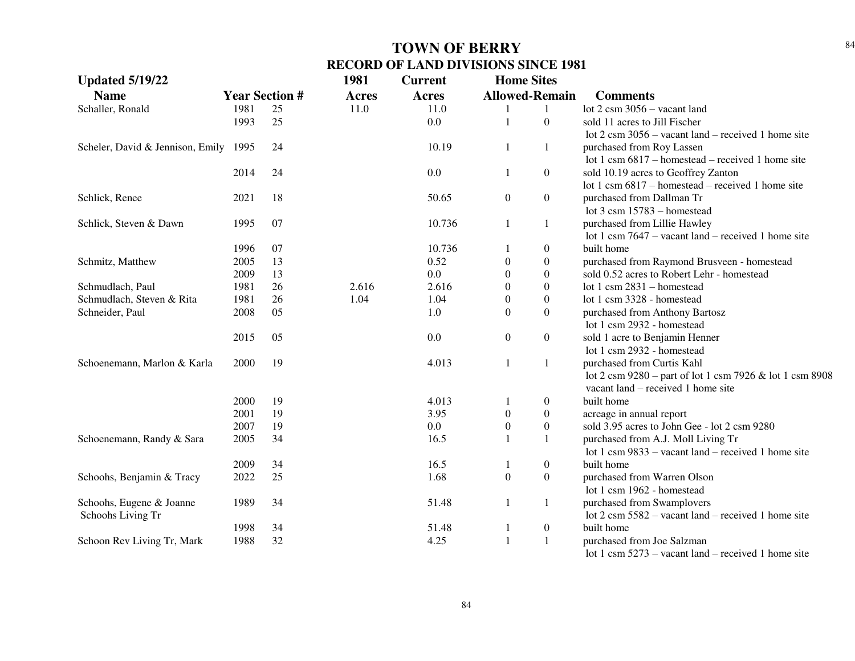| <b>Updated 5/19/22</b>           |                       |    | 1981         | <b>Current</b> | <b>Home Sites</b>     |                  |                                                               |
|----------------------------------|-----------------------|----|--------------|----------------|-----------------------|------------------|---------------------------------------------------------------|
| <b>Name</b>                      | <b>Year Section #</b> |    | <b>Acres</b> | <b>Acres</b>   | <b>Allowed-Remain</b> |                  | <b>Comments</b>                                               |
| Schaller, Ronald                 | 1981                  | 25 | 11.0         | 11.0           | 1                     | $\mathbf{1}$     | lot $2 \text{ csm } 3056$ – vacant land                       |
|                                  | 1993                  | 25 |              | 0.0            | $\mathbf{1}$          | $\boldsymbol{0}$ | sold 11 acres to Jill Fischer                                 |
|                                  |                       |    |              |                |                       |                  | lot 2 csm $3056$ – vacant land – received 1 home site         |
| Scheler, David & Jennison, Emily | 1995                  | 24 |              | 10.19          | $\mathbf{1}$          | $\mathbf{1}$     | purchased from Roy Lassen                                     |
|                                  |                       |    |              |                |                       |                  | lot 1 csm $6817$ – homestead – received 1 home site           |
|                                  | 2014                  | 24 |              | 0.0            | 1                     | $\boldsymbol{0}$ | sold 10.19 acres to Geoffrey Zanton                           |
|                                  |                       |    |              |                |                       |                  | lot 1 csm 6817 – homestead – received 1 home site             |
| Schlick, Renee                   | 2021                  | 18 |              | 50.65          | $\boldsymbol{0}$      | $\boldsymbol{0}$ | purchased from Dallman Tr                                     |
|                                  |                       |    |              |                |                       |                  | lot $3 \text{ cm}$ 15783 – homestead                          |
| Schlick, Steven & Dawn           | 1995                  | 07 |              | 10.736         | $\mathbf{1}$          | $\mathbf{1}$     | purchased from Lillie Hawley                                  |
|                                  |                       |    |              |                |                       |                  | lot 1 csm $7647$ – vacant land – received 1 home site         |
|                                  | 1996                  | 07 |              | 10.736         | -1                    | $\boldsymbol{0}$ | built home                                                    |
| Schmitz, Matthew                 | 2005                  | 13 |              | 0.52           | $\boldsymbol{0}$      | $\boldsymbol{0}$ | purchased from Raymond Brusveen - homestead                   |
|                                  | 2009                  | 13 |              | 0.0            | $\theta$              | $\boldsymbol{0}$ | sold 0.52 acres to Robert Lehr - homestead                    |
| Schmudlach, Paul                 | 1981                  | 26 | 2.616        | 2.616          | $\theta$              | $\boldsymbol{0}$ | lot 1 csm $2831 -$ homestead                                  |
| Schmudlach, Steven & Rita        | 1981                  | 26 | 1.04         | 1.04           | $\overline{0}$        | $\boldsymbol{0}$ | lot 1 csm 3328 - homestead                                    |
| Schneider, Paul                  | 2008                  | 05 |              | 1.0            | $\boldsymbol{0}$      | $\boldsymbol{0}$ | purchased from Anthony Bartosz                                |
|                                  |                       |    |              |                |                       |                  | lot 1 csm 2932 - homestead                                    |
|                                  | 2015                  | 05 |              | 0.0            | $\boldsymbol{0}$      | $\boldsymbol{0}$ | sold 1 acre to Benjamin Henner                                |
|                                  |                       |    |              |                |                       |                  | lot 1 csm 2932 - homestead                                    |
| Schoenemann, Marlon & Karla      | 2000                  | 19 |              | 4.013          | 1                     | $\mathbf{1}$     | purchased from Curtis Kahl                                    |
|                                  |                       |    |              |                |                       |                  | lot 2 csm 9280 – part of lot 1 csm 7926 & lot 1 csm 8908      |
|                                  |                       |    |              |                |                       |                  | vacant land – received 1 home site                            |
|                                  | 2000                  | 19 |              | 4.013          | 1                     | $\boldsymbol{0}$ | built home                                                    |
|                                  | 2001                  | 19 |              | 3.95           | $\boldsymbol{0}$      | $\boldsymbol{0}$ | acreage in annual report                                      |
|                                  | 2007                  | 19 |              | 0.0            | $\boldsymbol{0}$      | $\boldsymbol{0}$ | sold 3.95 acres to John Gee - lot 2 csm 9280                  |
| Schoenemann, Randy & Sara        | 2005                  | 34 |              | 16.5           | 1                     | $\mathbf{1}$     | purchased from A.J. Moll Living Tr                            |
|                                  |                       |    |              |                |                       |                  | lot 1 csm $9833 -$ vacant land – received 1 home site         |
|                                  | 2009                  | 34 |              | 16.5           | 1                     | $\boldsymbol{0}$ | built home                                                    |
| Schoohs, Benjamin & Tracy        | 2022                  | 25 |              | 1.68           | $\boldsymbol{0}$      | $\boldsymbol{0}$ | purchased from Warren Olson                                   |
|                                  |                       |    |              |                |                       |                  | lot 1 csm 1962 - homestead                                    |
| Schoohs, Eugene & Joanne         | 1989                  | 34 |              | 51.48          | 1                     | $\mathbf{1}$     | purchased from Swamplovers                                    |
| Schoohs Living Tr                |                       |    |              |                |                       |                  | lot $2 \text{ cm } 5582$ – vacant land – received 1 home site |
|                                  | 1998                  | 34 |              | 51.48          | 1                     | $\boldsymbol{0}$ | built home                                                    |
| Schoon Rev Living Tr, Mark       | 1988                  | 32 |              | 4.25           | $\mathbf{1}$          | $\mathbf{1}$     | purchased from Joe Salzman                                    |
|                                  |                       |    |              |                |                       |                  | lot 1 csm $5273$ – vacant land – received 1 home site         |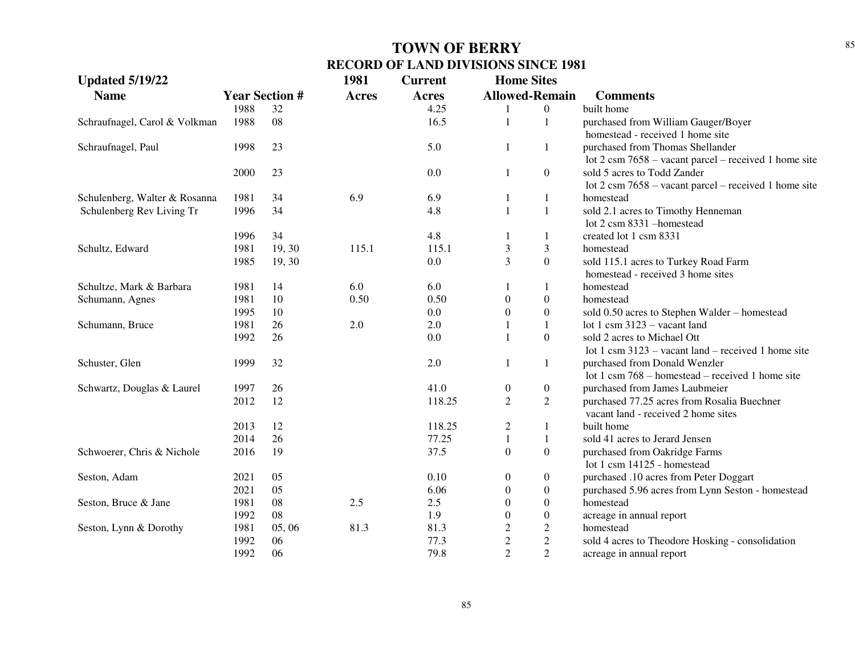| <b>Updated 5/19/22</b>        |      |                       | 1981         | <b>Current</b> | <b>Home Sites</b>     |                  |                                                                 |
|-------------------------------|------|-----------------------|--------------|----------------|-----------------------|------------------|-----------------------------------------------------------------|
| <b>Name</b>                   |      | <b>Year Section #</b> | <b>Acres</b> | Acres          | <b>Allowed-Remain</b> |                  | <b>Comments</b>                                                 |
|                               | 1988 | 32                    |              | 4.25           |                       | $\overline{0}$   | built home                                                      |
| Schraufnagel, Carol & Volkman | 1988 | 08                    |              | 16.5           | 1                     | $\mathbf{1}$     | purchased from William Gauger/Boyer                             |
|                               |      |                       |              |                |                       |                  | homestead - received 1 home site                                |
| Schraufnagel, Paul            | 1998 | 23                    |              | 5.0            | $\mathbf{1}$          | $\mathbf{1}$     | purchased from Thomas Shellander                                |
|                               |      |                       |              |                |                       |                  | lot $2 \text{ cm } 7658$ – vacant parcel – received 1 home site |
|                               | 2000 | 23                    |              | $0.0\,$        | $\mathbf{1}$          | $\overline{0}$   | sold 5 acres to Todd Zander                                     |
|                               |      |                       |              |                |                       |                  | lot $2 \text{ cm } 7658$ – vacant parcel – received 1 home site |
| Schulenberg, Walter & Rosanna | 1981 | 34                    | 6.9          | 6.9            | 1                     | $\mathbf{1}$     | homestead                                                       |
| Schulenberg Rev Living Tr     | 1996 | 34                    |              | 4.8            | $\mathbf{1}$          | $\mathbf{1}$     | sold 2.1 acres to Timothy Henneman                              |
|                               |      |                       |              |                |                       |                  | lot 2 csm 8331 - homestead                                      |
|                               | 1996 | 34                    |              | 4.8            | 1                     | $\mathbf{1}$     | created lot 1 csm 8331                                          |
| Schultz, Edward               | 1981 | 19, 30                | 115.1        | 115.1          | $\mathfrak{Z}$        | $\mathfrak{Z}$   | homestead                                                       |
|                               | 1985 | 19, 30                |              | 0.0            | 3                     | $\overline{0}$   | sold 115.1 acres to Turkey Road Farm                            |
|                               |      |                       |              |                |                       |                  | homestead - received 3 home sites                               |
| Schultze, Mark & Barbara      | 1981 | 14                    | 6.0          | 6.0            |                       | 1                | homestead                                                       |
| Schumann, Agnes               | 1981 | 10                    | 0.50         | 0.50           | $\boldsymbol{0}$      | $\boldsymbol{0}$ | homestead                                                       |
|                               | 1995 | 10                    |              | 0.0            | $\boldsymbol{0}$      | $\boldsymbol{0}$ | sold 0.50 acres to Stephen Walder - homestead                   |
| Schumann, Bruce               | 1981 | 26                    | 2.0          | 2.0            |                       | $\mathbf{1}$     | lot 1 csm $3123 -$ vacant land                                  |
|                               | 1992 | 26                    |              | 0.0            | 1                     | $\boldsymbol{0}$ | sold 2 acres to Michael Ott                                     |
|                               |      |                       |              |                |                       |                  | lot 1 csm $3123$ – vacant land – received 1 home site           |
| Schuster, Glen                | 1999 | 32                    |              | $2.0\,$        | $\mathbf{1}$          | $\mathbf{1}$     | purchased from Donald Wenzler                                   |
|                               |      |                       |              |                |                       |                  | lot 1 csm 768 – homestead – received 1 home site                |
| Schwartz, Douglas & Laurel    | 1997 | 26                    |              | 41.0           | $\boldsymbol{0}$      | $\boldsymbol{0}$ | purchased from James Laubmeier                                  |
|                               | 2012 | 12                    |              | 118.25         | $\overline{2}$        | $\overline{2}$   | purchased 77.25 acres from Rosalia Buechner                     |
|                               |      |                       |              |                |                       |                  | vacant land - received 2 home sites                             |
|                               | 2013 | 12                    |              | 118.25         | $\overline{c}$        | 1                | built home                                                      |
|                               | 2014 | 26                    |              | 77.25          | $\mathbf{1}$          | $\mathbf{1}$     | sold 41 acres to Jerard Jensen                                  |
| Schwoerer, Chris & Nichole    | 2016 | 19                    |              | 37.5           | $\boldsymbol{0}$      | $\boldsymbol{0}$ | purchased from Oakridge Farms                                   |
|                               |      |                       |              |                |                       |                  | lot 1 csm 14125 - homestead                                     |
| Seston, Adam                  | 2021 | 05                    |              | 0.10           | $\boldsymbol{0}$      | $\boldsymbol{0}$ | purchased .10 acres from Peter Doggart                          |
|                               | 2021 | 05                    |              | 6.06           | $\boldsymbol{0}$      | $\boldsymbol{0}$ | purchased 5.96 acres from Lynn Seston - homestead               |
| Seston, Bruce & Jane          | 1981 | 08                    | 2.5          | 2.5            | $\boldsymbol{0}$      | $\boldsymbol{0}$ | homestead                                                       |
|                               | 1992 | 08                    |              | 1.9            | $\boldsymbol{0}$      | $\boldsymbol{0}$ | acreage in annual report                                        |
| Seston, Lynn & Dorothy        | 1981 | 05,06                 | 81.3         | 81.3           | $\mathbf{2}$          | $\mathbf{2}$     | homestead                                                       |
|                               | 1992 | 06                    |              | 77.3           | $\sqrt{2}$            | $\overline{c}$   | sold 4 acres to Theodore Hosking - consolidation                |
|                               | 1992 | 06                    |              | 79.8           | $\overline{2}$        | $\overline{2}$   | acreage in annual report                                        |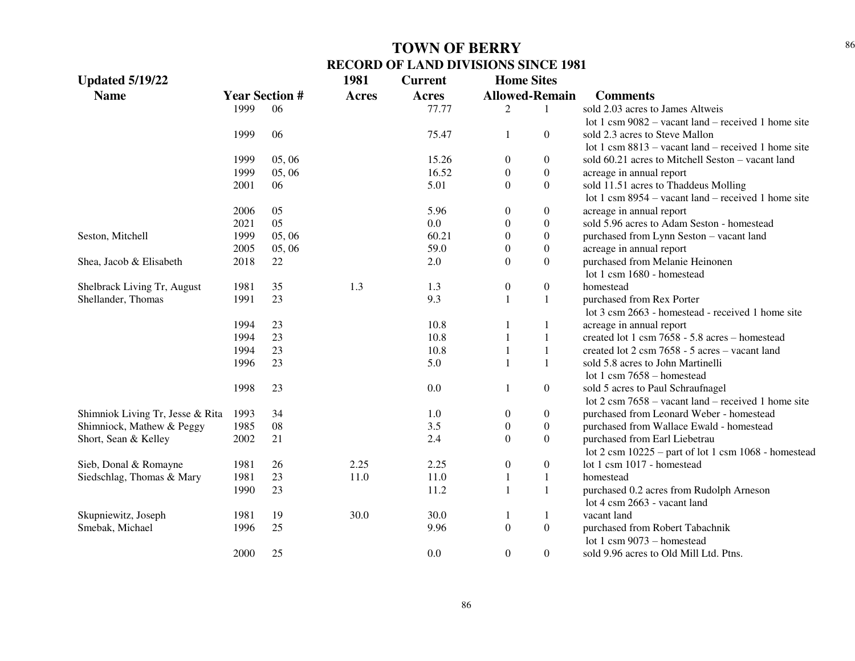| <b>Updated 5/19/22</b>           |      |                       | 1981         | <b>Current</b> | <b>Home Sites</b> |                       |                                                                          |
|----------------------------------|------|-----------------------|--------------|----------------|-------------------|-----------------------|--------------------------------------------------------------------------|
| <b>Name</b>                      |      | <b>Year Section #</b> | <b>Acres</b> | <b>Acres</b>   |                   | <b>Allowed-Remain</b> | <b>Comments</b>                                                          |
|                                  | 1999 | 06                    |              | 77.77          | 2                 | $\mathbf{1}$          | sold 2.03 acres to James Altweis                                         |
|                                  |      |                       |              |                |                   |                       | lot 1 csm $9082$ – vacant land – received 1 home site                    |
|                                  | 1999 | 06                    |              | 75.47          | $\mathbf{1}$      | $\theta$              | sold 2.3 acres to Steve Mallon                                           |
|                                  |      |                       |              |                |                   |                       | lot 1 csm $8813$ – vacant land – received 1 home site                    |
|                                  | 1999 | 05,06                 |              | 15.26          | $\boldsymbol{0}$  | $\boldsymbol{0}$      | sold 60.21 acres to Mitchell Seston – vacant land                        |
|                                  | 1999 | 05,06                 |              | 16.52          | $\boldsymbol{0}$  | $\boldsymbol{0}$      | acreage in annual report                                                 |
|                                  | 2001 | 06                    |              | 5.01           | $\Omega$          | $\boldsymbol{0}$      | sold 11.51 acres to Thaddeus Molling                                     |
|                                  |      |                       |              |                |                   |                       | lot 1 csm $8954 -$ vacant land – received 1 home site                    |
|                                  | 2006 | 05                    |              | 5.96           | $\boldsymbol{0}$  | $\boldsymbol{0}$      | acreage in annual report                                                 |
|                                  | 2021 | 05                    |              | 0.0            | $\boldsymbol{0}$  | $\boldsymbol{0}$      | sold 5.96 acres to Adam Seston - homestead                               |
| Seston, Mitchell                 | 1999 | 05, 06                |              | 60.21          | $\boldsymbol{0}$  | $\boldsymbol{0}$      | purchased from Lynn Seston - vacant land                                 |
|                                  | 2005 | 05, 06                |              | 59.0           | $\boldsymbol{0}$  | $\boldsymbol{0}$      | acreage in annual report                                                 |
| Shea, Jacob & Elisabeth          | 2018 | 22                    |              | 2.0            | $\mathbf{0}$      | $\boldsymbol{0}$      | purchased from Melanie Heinonen                                          |
|                                  |      |                       |              |                |                   |                       | lot 1 csm 1680 - homestead                                               |
| Shelbrack Living Tr, August      | 1981 | 35                    | 1.3          | 1.3            | $\boldsymbol{0}$  | $\boldsymbol{0}$      | homestead                                                                |
| Shellander, Thomas               | 1991 | 23                    |              | 9.3            | $\mathbf{1}$      | 1                     | purchased from Rex Porter                                                |
|                                  |      |                       |              |                |                   |                       | lot 3 csm 2663 - homestead - received 1 home site                        |
|                                  | 1994 | 23                    |              | 10.8           | 1                 | $\mathbf{1}$          | acreage in annual report                                                 |
|                                  | 1994 | 23                    |              | 10.8           | 1                 | 1                     | created lot 1 csm 7658 - 5.8 acres - homestead                           |
|                                  | 1994 | 23                    |              | 10.8           |                   | $\mathbf{1}$          | created lot 2 csm 7658 - 5 acres – vacant land                           |
|                                  | 1996 | 23                    |              | 5.0            | $\mathbf{1}$      | 1                     | sold 5.8 acres to John Martinelli                                        |
|                                  |      |                       |              |                |                   |                       | lot 1 csm $7658 -$ homestead                                             |
|                                  | 1998 | 23                    |              | 0.0            | $\mathbf{1}$      | $\boldsymbol{0}$      | sold 5 acres to Paul Schraufnagel                                        |
|                                  |      |                       |              |                |                   |                       | lot $2 \text{ cm}$ 7658 – vacant land – received 1 home site             |
| Shimniok Living Tr, Jesse & Rita | 1993 | 34                    |              | 1.0            | $\boldsymbol{0}$  | $\boldsymbol{0}$      | purchased from Leonard Weber - homestead                                 |
| Shimniock, Mathew & Peggy        | 1985 | 08                    |              | 3.5            | $\boldsymbol{0}$  | $\boldsymbol{0}$      | purchased from Wallace Ewald - homestead                                 |
| Short, Sean & Kelley             | 2002 | 21                    |              | 2.4            | $\boldsymbol{0}$  | $\boldsymbol{0}$      | purchased from Earl Liebetrau                                            |
|                                  |      |                       |              |                |                   |                       | lot $2 \text{ cm } 10225$ – part of lot $1 \text{ cm } 1068$ - homestead |
| Sieb, Donal & Romayne            | 1981 | 26                    | 2.25         | 2.25           | $\boldsymbol{0}$  | $\boldsymbol{0}$      | lot 1 csm 1017 - homestead                                               |
| Siedschlag, Thomas & Mary        | 1981 | 23                    | 11.0         | 11.0           | $\mathbf{1}$      | $\mathbf{1}$          | homestead                                                                |
|                                  | 1990 | 23                    |              | 11.2           | 1                 | $\mathbf{1}$          | purchased 0.2 acres from Rudolph Arneson                                 |
|                                  |      |                       |              |                |                   |                       | lot 4 csm 2663 - vacant land                                             |
| Skupniewitz, Joseph              | 1981 | 19                    | 30.0         | 30.0           | 1                 | 1                     | vacant land                                                              |
| Smebak, Michael                  | 1996 | 25                    |              | 9.96           | $\boldsymbol{0}$  | $\boldsymbol{0}$      | purchased from Robert Tabachnik                                          |
|                                  |      |                       |              |                |                   |                       | lot 1 csm $9073$ – homestead                                             |
|                                  | 2000 | 25                    |              | 0.0            | $\mathbf{0}$      | $\boldsymbol{0}$      | sold 9.96 acres to Old Mill Ltd. Ptns.                                   |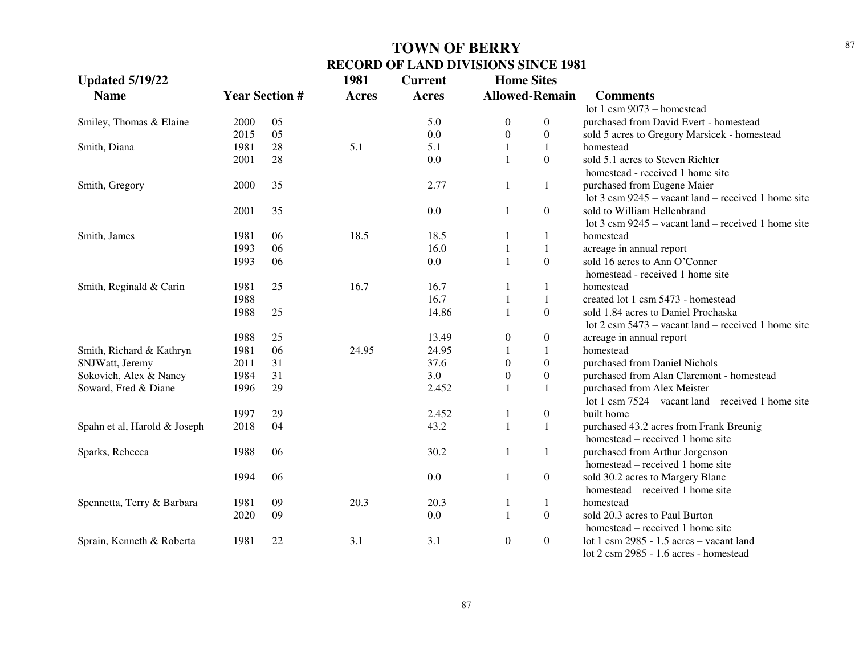| <b>Updated 5/19/22</b>       |      |                       | 1981         | <b>Current</b> | <b>Home Sites</b> |                       |                                                               |
|------------------------------|------|-----------------------|--------------|----------------|-------------------|-----------------------|---------------------------------------------------------------|
| <b>Name</b>                  |      | <b>Year Section #</b> | <b>Acres</b> | <b>Acres</b>   |                   | <b>Allowed-Remain</b> | <b>Comments</b>                                               |
|                              |      |                       |              |                |                   |                       | lot 1 csm $9073 -$ homestead                                  |
| Smiley, Thomas & Elaine      | 2000 | 05                    |              | 5.0            | $\overline{0}$    | $\boldsymbol{0}$      | purchased from David Evert - homestead                        |
|                              | 2015 | 05                    |              | 0.0            | $\overline{0}$    | $\boldsymbol{0}$      | sold 5 acres to Gregory Marsicek - homestead                  |
| Smith, Diana                 | 1981 | 28                    | 5.1          | 5.1            | $\mathbf{1}$      | $\mathbf{1}$          | homestead                                                     |
|                              | 2001 | 28                    |              | 0.0            | $\mathbf{1}$      | $\mathbf{0}$          | sold 5.1 acres to Steven Richter                              |
|                              |      |                       |              |                |                   |                       | homestead - received 1 home site                              |
| Smith, Gregory               | 2000 | 35                    |              | 2.77           | 1                 | -1                    | purchased from Eugene Maier                                   |
|                              |      |                       |              |                |                   |                       | lot $3 \text{ cm } 9245$ – vacant land – received 1 home site |
|                              | 2001 | 35                    |              | 0.0            | $\mathbf{1}$      | $\overline{0}$        | sold to William Hellenbrand                                   |
|                              |      |                       |              |                |                   |                       | lot $3 \text{ cm } 9245$ – vacant land – received 1 home site |
| Smith, James                 | 1981 | 06                    | 18.5         | 18.5           | -1                | -1                    | homestead                                                     |
|                              | 1993 | 06                    |              | 16.0           | $\mathbf{1}$      | $\mathbf{1}$          | acreage in annual report                                      |
|                              | 1993 | 06                    |              | 0.0            | $\mathbf{1}$      | $\mathbf{0}$          | sold 16 acres to Ann O'Conner                                 |
|                              |      |                       |              |                |                   |                       | homestead - received 1 home site                              |
| Smith, Reginald & Carin      | 1981 | 25                    | 16.7         | 16.7           |                   | $\mathbf{1}$          | homestead                                                     |
|                              | 1988 |                       |              | 16.7           | $\mathbf{1}$      | $\mathbf{1}$          | created lot 1 csm 5473 - homestead                            |
|                              | 1988 | 25                    |              | 14.86          | $\mathbf{1}$      | $\mathbf{0}$          | sold 1.84 acres to Daniel Prochaska                           |
|                              |      |                       |              |                |                   |                       | lot $2 \text{ cm } 5473$ – vacant land – received 1 home site |
|                              | 1988 | 25                    |              | 13.49          | $\boldsymbol{0}$  | $\boldsymbol{0}$      | acreage in annual report                                      |
| Smith, Richard & Kathryn     | 1981 | 06                    | 24.95        | 24.95          | $\mathbf{1}$      | 1                     | homestead                                                     |
| SNJWatt, Jeremy              | 2011 | 31                    |              | 37.6           | $\theta$          | $\boldsymbol{0}$      | purchased from Daniel Nichols                                 |
| Sokovich, Alex & Nancy       | 1984 | 31                    |              | 3.0            | $\boldsymbol{0}$  | $\boldsymbol{0}$      | purchased from Alan Claremont - homestead                     |
| Soward, Fred & Diane         | 1996 | 29                    |              | 2.452          | $\mathbf{1}$      | $\mathbf{1}$          | purchased from Alex Meister                                   |
|                              |      |                       |              |                |                   |                       | lot 1 csm $7524$ – vacant land – received 1 home site         |
|                              | 1997 | 29                    |              | 2.452          | $\mathbf{1}$      | $\boldsymbol{0}$      | built home                                                    |
| Spahn et al, Harold & Joseph | 2018 | 04                    |              | 43.2           | $\mathbf{1}$      | $\mathbf{1}$          | purchased 43.2 acres from Frank Breunig                       |
|                              |      |                       |              |                |                   |                       | homestead – received 1 home site                              |
| Sparks, Rebecca              | 1988 | 06                    |              | 30.2           | $\mathbf{1}$      | 1                     | purchased from Arthur Jorgenson                               |
|                              |      |                       |              |                |                   |                       | homestead – received 1 home site                              |
|                              | 1994 | 06                    |              | 0.0            | $\mathbf{1}$      | $\boldsymbol{0}$      | sold 30.2 acres to Margery Blanc                              |
|                              |      |                       |              |                |                   |                       | homestead – received 1 home site                              |
| Spennetta, Terry & Barbara   | 1981 | 09                    | 20.3         | 20.3           | $\mathbf{1}$      | -1                    | homestead                                                     |
|                              | 2020 | 09                    |              | 0.0            | $\mathbf{1}$      | $\boldsymbol{0}$      | sold 20.3 acres to Paul Burton                                |
|                              |      |                       |              |                |                   |                       | homestead – received 1 home site                              |
| Sprain, Kenneth & Roberta    | 1981 | 22                    | 3.1          | 3.1            | $\overline{0}$    | $\boldsymbol{0}$      | lot 1 csm $2985 - 1.5$ acres – vacant land                    |
|                              |      |                       |              |                |                   |                       | lot 2 csm 2985 - 1.6 acres - homestead                        |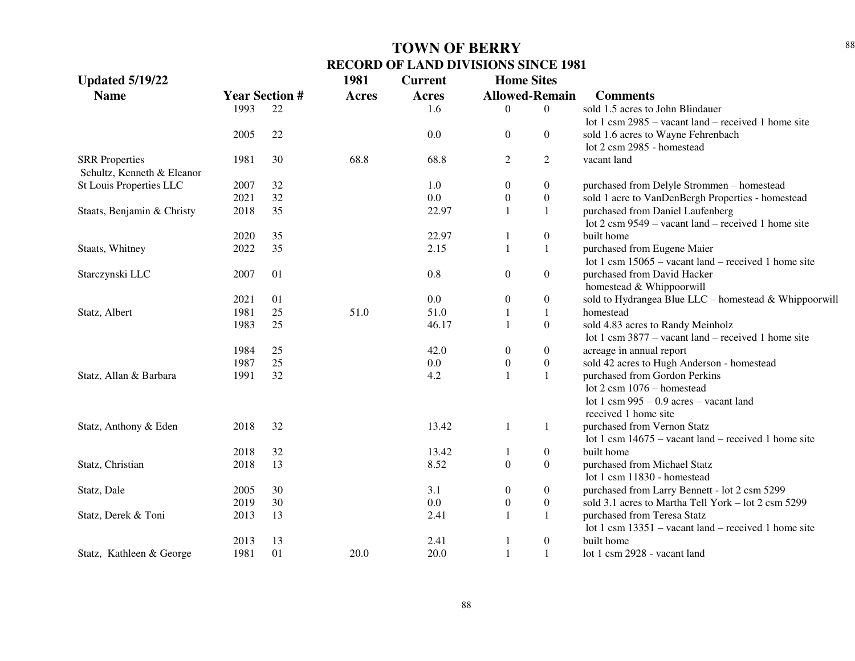| <b>Updated 5/19/22</b>     |                       |    | 1981         | <b>Current</b> | <b>Home Sites</b> |                       |                                                               |
|----------------------------|-----------------------|----|--------------|----------------|-------------------|-----------------------|---------------------------------------------------------------|
| <b>Name</b>                | <b>Year Section #</b> |    | <b>Acres</b> | <b>Acres</b>   |                   | <b>Allowed-Remain</b> | <b>Comments</b>                                               |
|                            | 1993                  | 22 |              | 1.6            | $\overline{0}$    | $\Omega$              | sold 1.5 acres to John Blindauer                              |
|                            |                       |    |              |                |                   |                       | lot 1 csm $2985$ – vacant land – received 1 home site         |
|                            | 2005                  | 22 |              | 0.0            | $\boldsymbol{0}$  | $\overline{0}$        | sold 1.6 acres to Wayne Fehrenbach                            |
|                            |                       |    |              |                |                   |                       | lot 2 csm 2985 - homestead                                    |
| <b>SRR</b> Properties      | 1981                  | 30 | 68.8         | 68.8           | $\overline{c}$    | $\overline{2}$        | vacant land                                                   |
| Schultz, Kenneth & Eleanor |                       |    |              |                |                   |                       |                                                               |
| St Louis Properties LLC    | 2007                  | 32 |              | 1.0            | $\boldsymbol{0}$  | $\boldsymbol{0}$      | purchased from Delyle Strommen - homestead                    |
|                            | 2021                  | 32 |              | 0.0            | $\boldsymbol{0}$  | $\boldsymbol{0}$      | sold 1 acre to VanDenBergh Properties - homestead             |
| Staats, Benjamin & Christy | 2018                  | 35 |              | 22.97          | $\mathbf{1}$      | $\mathbf{1}$          | purchased from Daniel Laufenberg                              |
|                            |                       |    |              |                |                   |                       | lot $2 \text{ cm } 9549$ – vacant land – received 1 home site |
|                            | 2020                  | 35 |              | 22.97          | $\mathbf{1}$      | $\boldsymbol{0}$      | built home                                                    |
| Staats, Whitney            | 2022                  | 35 |              | 2.15           | $\mathbf{1}$      | 1                     | purchased from Eugene Maier                                   |
|                            |                       |    |              |                |                   |                       | lot 1 csm $15065$ – vacant land – received 1 home site        |
| Starczynski LLC            | 2007                  | 01 |              | 0.8            | $\boldsymbol{0}$  | $\boldsymbol{0}$      | purchased from David Hacker                                   |
|                            |                       |    |              |                |                   |                       | homestead & Whippoorwill                                      |
|                            | 2021                  | 01 |              | 0.0            | $\boldsymbol{0}$  | $\boldsymbol{0}$      | sold to Hydrangea Blue LLC - homestead & Whippoorwill         |
| Statz, Albert              | 1981                  | 25 | 51.0         | 51.0           | 1                 | $\mathbf{1}$          | homestead                                                     |
|                            | 1983                  | 25 |              | 46.17          | $\mathbf{1}$      | $\boldsymbol{0}$      | sold 4.83 acres to Randy Meinholz                             |
|                            |                       |    |              |                |                   |                       | lot 1 csm $3877 -$ vacant land – received 1 home site         |
|                            | 1984                  | 25 |              | 42.0           | $\boldsymbol{0}$  | $\boldsymbol{0}$      | acreage in annual report                                      |
|                            | 1987                  | 25 |              | 0.0            | $\boldsymbol{0}$  | $\boldsymbol{0}$      | sold 42 acres to Hugh Anderson - homestead                    |
| Statz, Allan & Barbara     | 1991                  | 32 |              | 4.2            | $\mathbf{1}$      | $\mathbf{1}$          | purchased from Gordon Perkins                                 |
|                            |                       |    |              |                |                   |                       | lot $2 \text{ csm } 1076$ – homestead                         |
|                            |                       |    |              |                |                   |                       | lot 1 csm $995 - 0.9$ acres – vacant land                     |
|                            |                       |    |              |                |                   |                       | received 1 home site                                          |
| Statz, Anthony & Eden      | 2018                  | 32 |              | 13.42          | $\mathbf{1}$      | 1                     | purchased from Vernon Statz                                   |
|                            |                       |    |              |                |                   |                       | lot 1 csm $14675$ – vacant land – received 1 home site        |
|                            | 2018                  | 32 |              | 13.42          | 1                 | $\boldsymbol{0}$      | built home                                                    |
| Statz, Christian           | 2018                  | 13 |              | 8.52           | $\boldsymbol{0}$  | $\overline{0}$        | purchased from Michael Statz                                  |
|                            |                       |    |              |                |                   |                       | lot 1 csm 11830 - homestead                                   |
| Statz, Dale                | 2005                  | 30 |              | 3.1            | $\boldsymbol{0}$  | $\boldsymbol{0}$      | purchased from Larry Bennett - lot 2 csm 5299                 |
|                            | 2019                  | 30 |              | 0.0            | $\boldsymbol{0}$  | $\boldsymbol{0}$      | sold 3.1 acres to Martha Tell York – lot 2 csm 5299           |
| Statz, Derek & Toni        | 2013                  | 13 |              | 2.41           | $\mathbf{1}$      | $\mathbf{1}$          | purchased from Teresa Statz                                   |
|                            |                       |    |              |                |                   |                       | lot 1 csm $13351$ – vacant land – received 1 home site        |
|                            | 2013                  | 13 |              | 2.41           | 1                 | $\boldsymbol{0}$      | built home                                                    |
| Statz, Kathleen & George   | 1981                  | 01 | 20.0         | 20.0           | $\mathbf{1}$      | $\mathbf{1}$          | lot 1 csm 2928 - vacant land                                  |
|                            |                       |    |              |                |                   |                       |                                                               |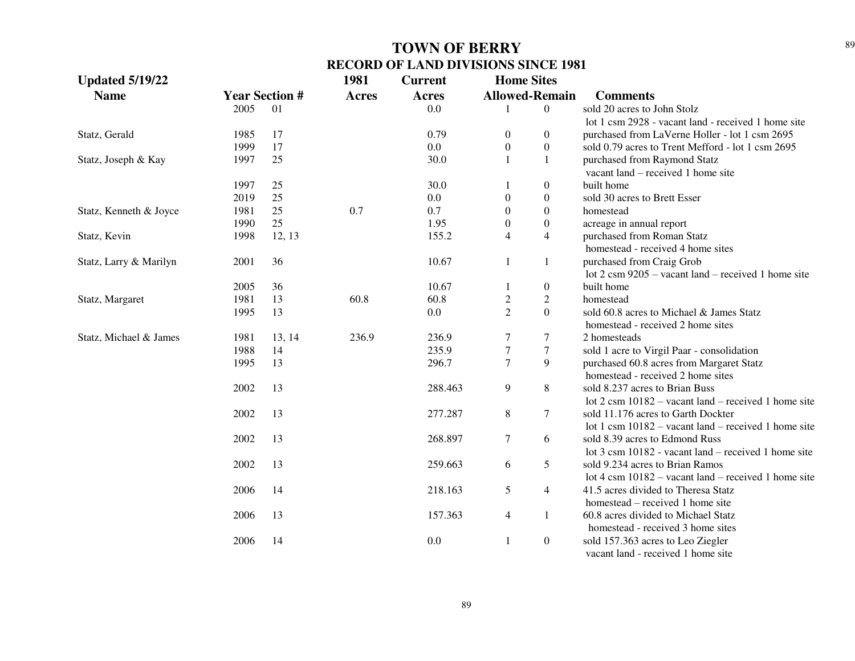| <b>Updated 5/19/22</b> |      |                       | 1981         | <b>Current</b> | <b>Home Sites</b>       |                  |                                                                |
|------------------------|------|-----------------------|--------------|----------------|-------------------------|------------------|----------------------------------------------------------------|
| <b>Name</b>            |      | <b>Year Section #</b> | <b>Acres</b> | <b>Acres</b>   | <b>Allowed-Remain</b>   |                  | <b>Comments</b>                                                |
|                        | 2005 | 01                    |              | 0.0            |                         | $\theta$         | sold 20 acres to John Stolz                                    |
|                        |      |                       |              |                |                         |                  | lot 1 csm 2928 - vacant land - received 1 home site            |
| Statz, Gerald          | 1985 | 17                    |              | 0.79           | 0                       | $\boldsymbol{0}$ | purchased from LaVerne Holler - lot 1 csm 2695                 |
|                        | 1999 | 17                    |              | 0.0            | $\boldsymbol{0}$        | $\boldsymbol{0}$ | sold 0.79 acres to Trent Mefford - lot 1 csm 2695              |
| Statz, Joseph & Kay    | 1997 | 25                    |              | 30.0           | $\mathbf{1}$            | 1                | purchased from Raymond Statz                                   |
|                        |      |                       |              |                |                         |                  | vacant land – received 1 home site                             |
|                        | 1997 | 25                    |              | 30.0           |                         | $\mathbf{0}$     | built home                                                     |
|                        | 2019 | 25                    |              | 0.0            | $\theta$                | $\overline{0}$   | sold 30 acres to Brett Esser                                   |
| Statz, Kenneth & Joyce | 1981 | 25                    | 0.7          | 0.7            | $\boldsymbol{0}$        | $\overline{0}$   | homestead                                                      |
|                        | 1990 | 25                    |              | 1.95           | $\overline{0}$          | $\boldsymbol{0}$ | acreage in annual report                                       |
| Statz, Kevin           | 1998 | 12, 13                |              | 155.2          | $\overline{4}$          | $\overline{4}$   | purchased from Roman Statz                                     |
|                        |      |                       |              |                |                         |                  | homestead - received 4 home sites                              |
| Statz, Larry & Marilyn | 2001 | 36                    |              | 10.67          | 1                       | 1                | purchased from Craig Grob                                      |
|                        |      |                       |              |                |                         |                  | lot $2 \text{ cm } 9205$ – vacant land – received 1 home site  |
|                        | 2005 | 36                    |              | 10.67          | 1                       | $\boldsymbol{0}$ | built home                                                     |
| Statz, Margaret        | 1981 | 13                    | 60.8         | 60.8           | $\overline{\mathbf{c}}$ | $\boldsymbol{2}$ | homestead                                                      |
|                        | 1995 | 13                    |              | 0.0            | $\overline{2}$          | $\overline{0}$   | sold 60.8 acres to Michael & James Statz                       |
|                        |      |                       |              |                |                         |                  | homestead - received 2 home sites                              |
| Statz, Michael & James | 1981 | 13, 14                | 236.9        | 236.9          | 7                       | $\tau$           | 2 homesteads                                                   |
|                        | 1988 | 14                    |              | 235.9          | $\sqrt{ }$              | $\boldsymbol{7}$ | sold 1 acre to Virgil Paar - consolidation                     |
|                        | 1995 | 13                    |              | 296.7          | $\overline{7}$          | 9                | purchased 60.8 acres from Margaret Statz                       |
|                        |      |                       |              |                |                         |                  | homestead - received 2 home sites                              |
|                        | 2002 | 13                    |              | 288.463        | 9                       | 8                | sold 8.237 acres to Brian Buss                                 |
|                        |      |                       |              |                |                         |                  | lot $2 \text{ cm } 10182$ – vacant land – received 1 home site |
|                        | 2002 | 13                    |              | 277.287        | 8                       | 7                | sold 11.176 acres to Garth Dockter                             |
|                        |      |                       |              |                |                         |                  | lot 1 csm $10182$ – vacant land – received 1 home site         |
|                        | 2002 | 13                    |              | 268.897        | $\tau$                  | 6                | sold 8.39 acres to Edmond Russ                                 |
|                        |      |                       |              |                |                         |                  | lot 3 csm 10182 - vacant land – received 1 home site           |
|                        | 2002 | 13                    |              | 259.663        | 6                       | 5                | sold 9.234 acres to Brian Ramos                                |
|                        |      |                       |              |                |                         |                  | lot 4 csm $10182$ – vacant land – received 1 home site         |
|                        | 2006 | 14                    |              | 218.163        | 5                       | $\overline{4}$   | 41.5 acres divided to Theresa Statz                            |
|                        |      |                       |              |                |                         |                  | homestead – received 1 home site                               |
|                        | 2006 | 13                    |              | 157.363        | $\overline{4}$          | 1                | 60.8 acres divided to Michael Statz                            |
|                        |      |                       |              |                |                         |                  | homestead - received 3 home sites                              |
|                        | 2006 | 14                    |              | 0.0            | $\mathbf{1}$            | $\boldsymbol{0}$ | sold 157.363 acres to Leo Ziegler                              |
|                        |      |                       |              |                |                         |                  | vacant land - received 1 home site                             |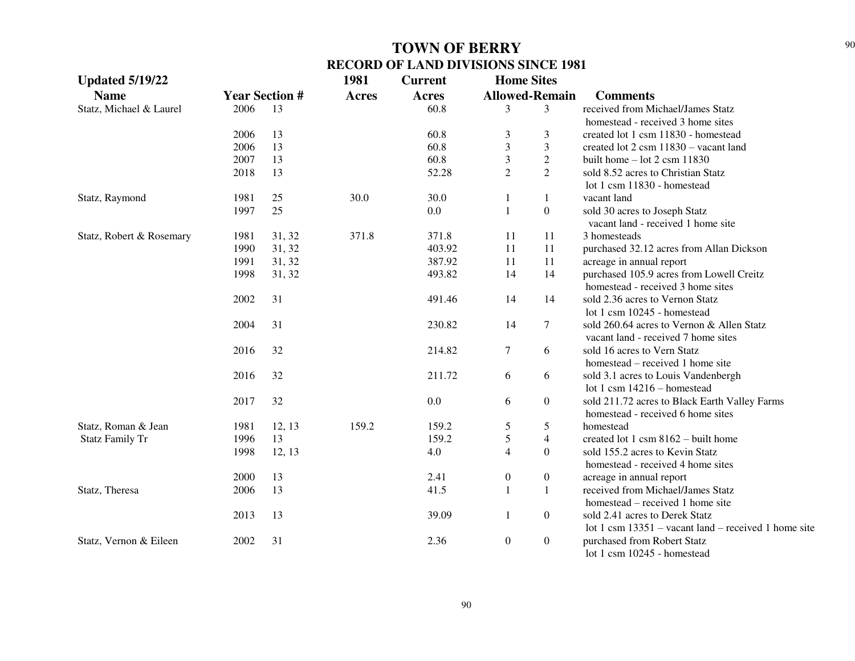| <b>Updated 5/19/22</b>   |                       |        | 1981         | <b>Current</b> | <b>Home Sites</b>       |                  |                                                        |
|--------------------------|-----------------------|--------|--------------|----------------|-------------------------|------------------|--------------------------------------------------------|
| <b>Name</b>              | <b>Year Section #</b> |        | <b>Acres</b> | <b>Acres</b>   | <b>Allowed-Remain</b>   |                  | <b>Comments</b>                                        |
| Statz, Michael & Laurel  | 2006                  | 13     |              | 60.8           | 3                       | 3                | received from Michael/James Statz                      |
|                          |                       |        |              |                |                         |                  | homestead - received 3 home sites                      |
|                          | 2006                  | 13     |              | 60.8           | 3                       | 3                | created lot 1 csm 11830 - homestead                    |
|                          | 2006                  | 13     |              | 60.8           | $\overline{\mathbf{3}}$ | 3                | created lot 2 csm 11830 - vacant land                  |
|                          | 2007                  | 13     |              | 60.8           | $\mathfrak 3$           | $\overline{c}$   | built home $-$ lot 2 csm 11830                         |
|                          | 2018                  | 13     |              | 52.28          | $\overline{2}$          | $\overline{2}$   | sold 8.52 acres to Christian Statz                     |
|                          |                       |        |              |                |                         |                  | lot 1 csm 11830 - homestead                            |
| Statz, Raymond           | 1981                  | 25     | 30.0         | 30.0           | $\mathbf{1}$            | 1                | vacant land                                            |
|                          | 1997                  | 25     |              | 0.0            | $\mathbf{1}$            | $\overline{0}$   | sold 30 acres to Joseph Statz                          |
|                          |                       |        |              |                |                         |                  | vacant land - received 1 home site                     |
| Statz, Robert & Rosemary | 1981                  | 31, 32 | 371.8        | 371.8          | 11                      | 11               | 3 homesteads                                           |
|                          | 1990                  | 31, 32 |              | 403.92         | 11                      | 11               | purchased 32.12 acres from Allan Dickson               |
|                          | 1991                  | 31, 32 |              | 387.92         | 11                      | 11               | acreage in annual report                               |
|                          | 1998                  | 31, 32 |              | 493.82         | 14                      | 14               | purchased 105.9 acres from Lowell Creitz               |
|                          |                       |        |              |                |                         |                  | homestead - received 3 home sites                      |
|                          | 2002                  | 31     |              | 491.46         | 14                      | 14               | sold 2.36 acres to Vernon Statz                        |
|                          |                       |        |              |                |                         |                  | lot 1 csm 10245 - homestead                            |
|                          | 2004                  | 31     |              | 230.82         | 14                      | 7                | sold 260.64 acres to Vernon & Allen Statz              |
|                          |                       |        |              |                |                         |                  | vacant land - received 7 home sites                    |
|                          | 2016                  | 32     |              | 214.82         | $\tau$                  | 6                | sold 16 acres to Vern Statz                            |
|                          |                       |        |              |                |                         |                  | homestead – received 1 home site                       |
|                          | 2016                  | 32     |              | 211.72         | 6                       | 6                | sold 3.1 acres to Louis Vandenbergh                    |
|                          |                       |        |              |                |                         |                  | lot 1 csm 14216 - homestead                            |
|                          | 2017                  | 32     |              | 0.0            | 6                       | $\overline{0}$   | sold 211.72 acres to Black Earth Valley Farms          |
|                          |                       |        |              |                |                         |                  | homestead - received 6 home sites                      |
| Statz, Roman & Jean      | 1981                  | 12, 13 | 159.2        | 159.2          | $\mathfrak s$           | 5                | homestead                                              |
| <b>Statz Family Tr</b>   | 1996                  | 13     |              | 159.2          | $\sqrt{5}$              | $\overline{4}$   | created lot 1 csm $8162 -$ built home                  |
|                          | 1998                  | 12, 13 |              | 4.0            | $\overline{4}$          | $\Omega$         | sold 155.2 acres to Kevin Statz                        |
|                          |                       |        |              |                |                         |                  | homestead - received 4 home sites                      |
|                          | 2000                  | 13     |              | 2.41           | $\boldsymbol{0}$        | $\boldsymbol{0}$ | acreage in annual report                               |
| Statz, Theresa           | 2006                  | 13     |              | 41.5           | $\mathbf{1}$            | 1                | received from Michael/James Statz                      |
|                          |                       |        |              |                |                         |                  | homestead – received 1 home site                       |
|                          | 2013                  | 13     |              | 39.09          | $\mathbf{1}$            | $\boldsymbol{0}$ | sold 2.41 acres to Derek Statz                         |
|                          |                       |        |              |                |                         |                  | lot 1 csm $13351$ – vacant land – received 1 home site |
| Statz, Vernon & Eileen   | 2002                  | 31     |              | 2.36           | $\boldsymbol{0}$        | $\boldsymbol{0}$ | purchased from Robert Statz                            |
|                          |                       |        |              |                |                         |                  | lot 1 csm 10245 - homestead                            |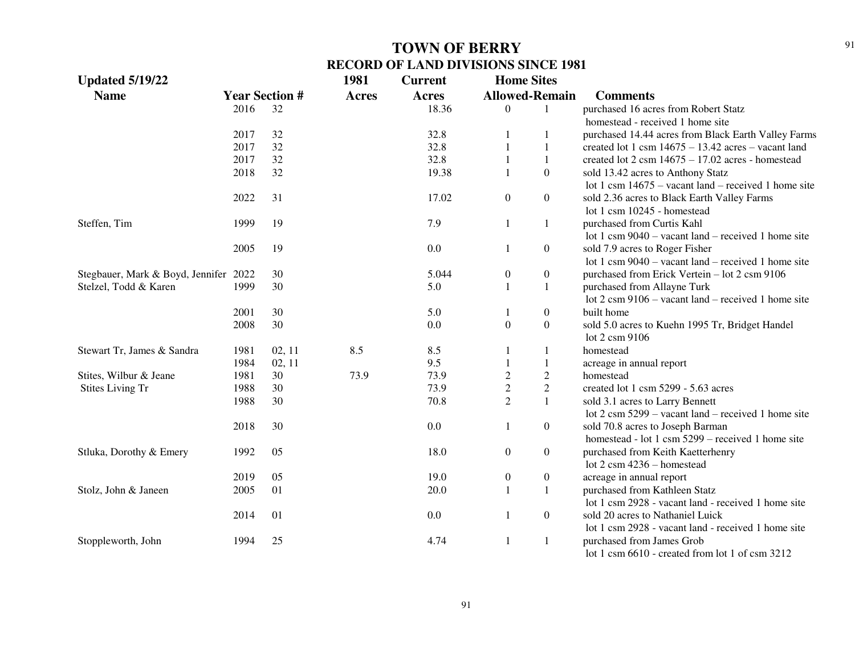| <b>Updated 5/19/22</b>                |      |                       | 1981         | <b>Current</b> | <b>Home Sites</b>     |                  |                                                                    |
|---------------------------------------|------|-----------------------|--------------|----------------|-----------------------|------------------|--------------------------------------------------------------------|
| <b>Name</b>                           |      | <b>Year Section #</b> | <b>Acres</b> | Acres          | <b>Allowed-Remain</b> |                  | <b>Comments</b>                                                    |
|                                       | 2016 | 32                    |              | 18.36          | $\theta$              | $\mathbf{1}$     | purchased 16 acres from Robert Statz                               |
|                                       |      |                       |              |                |                       |                  | homestead - received 1 home site                                   |
|                                       | 2017 | 32                    |              | 32.8           | 1                     |                  | purchased 14.44 acres from Black Earth Valley Farms                |
|                                       | 2017 | 32                    |              | 32.8           | 1                     |                  | created lot 1 csm $14675 - 13.42$ acres - vacant land              |
|                                       | 2017 | 32                    |              | 32.8           |                       |                  | created lot $2 \text{ cm} 14675 - 17.02 \text{ acres}$ - homestead |
|                                       | 2018 | 32                    |              | 19.38          | 1                     | $\overline{0}$   | sold 13.42 acres to Anthony Statz                                  |
|                                       |      |                       |              |                |                       |                  | lot 1 csm $14675$ – vacant land – received 1 home site             |
|                                       | 2022 | 31                    |              | 17.02          | $\overline{0}$        | $\overline{0}$   | sold 2.36 acres to Black Earth Valley Farms                        |
|                                       |      |                       |              |                |                       |                  | lot 1 csm 10245 - homestead                                        |
| Steffen, Tim                          | 1999 | 19                    |              | 7.9            | $\mathbf{1}$          | 1                | purchased from Curtis Kahl                                         |
|                                       |      |                       |              |                |                       |                  | lot 1 csm $9040$ – vacant land – received 1 home site              |
|                                       | 2005 | 19                    |              | 0.0            | 1                     | $\boldsymbol{0}$ | sold 7.9 acres to Roger Fisher                                     |
|                                       |      |                       |              |                |                       |                  | lot 1 csm $9040$ – vacant land – received 1 home site              |
| Stegbauer, Mark & Boyd, Jennifer 2022 |      | 30                    |              | 5.044          | $\boldsymbol{0}$      | $\boldsymbol{0}$ | purchased from Erick Vertein - lot 2 csm 9106                      |
| Stelzel, Todd & Karen                 | 1999 | 30                    |              | 5.0            | 1                     | 1                | purchased from Allayne Turk                                        |
|                                       |      |                       |              |                |                       |                  | lot $2 \text{ cm } 9106$ – vacant land – received 1 home site      |
|                                       | 2001 | 30                    |              | 5.0            | 1                     | $\boldsymbol{0}$ | built home                                                         |
|                                       | 2008 | 30                    |              | 0.0            | $\boldsymbol{0}$      | $\boldsymbol{0}$ | sold 5.0 acres to Kuehn 1995 Tr, Bridget Handel                    |
|                                       |      |                       |              |                |                       |                  | lot 2 csm 9106                                                     |
| Stewart Tr, James & Sandra            | 1981 | 02, 11                | 8.5          | 8.5            | 1                     | 1                | homestead                                                          |
|                                       | 1984 | 02, 11                |              | 9.5            |                       |                  | acreage in annual report                                           |
| Stites, Wilbur & Jeane                | 1981 | 30                    | 73.9         | 73.9           | $\overline{2}$        | $\sqrt{2}$       | homestead                                                          |
| <b>Stites Living Tr</b>               | 1988 | 30                    |              | 73.9           | $\sqrt{2}$            | $\sqrt{2}$       | created lot 1 csm 5299 - 5.63 acres                                |
|                                       | 1988 | 30                    |              | 70.8           | $\overline{2}$        | $\mathbf{1}$     | sold 3.1 acres to Larry Bennett                                    |
|                                       |      |                       |              |                |                       |                  | lot $2 \text{ cm } 5299$ – vacant land – received 1 home site      |
|                                       | 2018 | 30                    |              | 0.0            | $\mathbf{1}$          | $\overline{0}$   | sold 70.8 acres to Joseph Barman                                   |
|                                       |      |                       |              |                |                       |                  | homestead - lot 1 csm 5299 – received 1 home site                  |
| Stluka, Dorothy & Emery               | 1992 | 05                    |              | 18.0           | $\boldsymbol{0}$      | $\boldsymbol{0}$ | purchased from Keith Kaetterhenry                                  |
|                                       |      |                       |              |                |                       |                  | lot $2 \text{ cm}$ 4236 – homestead                                |
|                                       | 2019 | 05                    |              | 19.0           | $\boldsymbol{0}$      | $\boldsymbol{0}$ | acreage in annual report                                           |
| Stolz, John & Janeen                  | 2005 | 01                    |              | 20.0           | $\mathbf{1}$          | $\mathbf{1}$     | purchased from Kathleen Statz                                      |
|                                       |      |                       |              |                |                       |                  | lot 1 csm 2928 - vacant land - received 1 home site                |
|                                       | 2014 | 01                    |              | 0.0            | 1                     | $\boldsymbol{0}$ | sold 20 acres to Nathaniel Luick                                   |
|                                       |      |                       |              |                |                       |                  | lot 1 csm 2928 - vacant land - received 1 home site                |
| Stoppleworth, John                    | 1994 | 25                    |              | 4.74           | 1                     | $\mathbf{1}$     | purchased from James Grob                                          |
|                                       |      |                       |              |                |                       |                  | lot 1 csm $6610$ - created from lot 1 of csm $3212$                |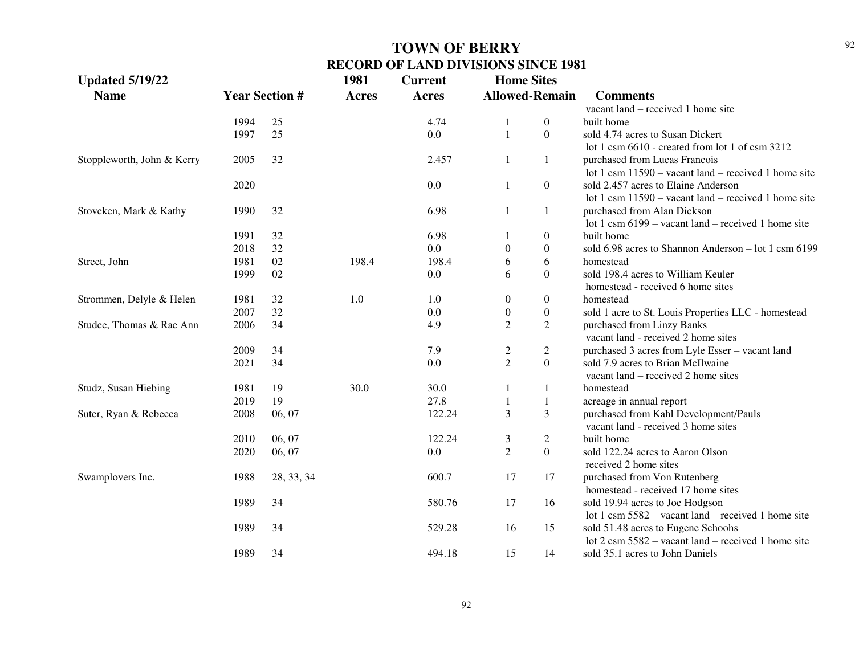| <b>Updated 5/19/22</b>     |                       |            | 1981         | <b>Current</b> | <b>Home Sites</b>     |                  |                                                               |
|----------------------------|-----------------------|------------|--------------|----------------|-----------------------|------------------|---------------------------------------------------------------|
| <b>Name</b>                | <b>Year Section #</b> |            | <b>Acres</b> | <b>Acres</b>   | <b>Allowed-Remain</b> |                  | <b>Comments</b>                                               |
|                            |                       |            |              |                |                       |                  | vacant land – received 1 home site                            |
|                            | 1994                  | 25         |              | 4.74           | 1                     | $\overline{0}$   | built home                                                    |
|                            | 1997                  | 25         |              | 0.0            | $\mathbf{1}$          | $\overline{0}$   | sold 4.74 acres to Susan Dickert                              |
|                            |                       |            |              |                |                       |                  | lot 1 csm 6610 - created from lot 1 of csm 3212               |
| Stoppleworth, John & Kerry | 2005                  | 32         |              | 2.457          | 1                     | $\mathbf{1}$     | purchased from Lucas Francois                                 |
|                            |                       |            |              |                |                       |                  | lot 1 csm $11590$ – vacant land – received 1 home site        |
|                            | 2020                  |            |              | 0.0            | $\mathbf{1}$          | $\overline{0}$   | sold 2.457 acres to Elaine Anderson                           |
|                            |                       |            |              |                |                       |                  | lot 1 csm $11590 -$ vacant land – received 1 home site        |
| Stoveken, Mark & Kathy     | 1990                  | 32         |              | 6.98           | $\mathbf{1}$          | $\mathbf{1}$     | purchased from Alan Dickson                                   |
|                            |                       |            |              |                |                       |                  | lot 1 csm $6199 -$ vacant land – received 1 home site         |
|                            | 1991                  | 32         |              | 6.98           | $\mathbf{1}$          | $\boldsymbol{0}$ | built home                                                    |
|                            | 2018                  | 32         |              | 0.0            | $\boldsymbol{0}$      | $\overline{0}$   | sold 6.98 acres to Shannon Anderson - lot 1 csm 6199          |
| Street, John               | 1981                  | 02         | 198.4        | 198.4          | 6                     | 6                | homestead                                                     |
|                            | 1999                  | 02         |              | 0.0            | 6                     | $\Omega$         | sold 198.4 acres to William Keuler                            |
|                            |                       |            |              |                |                       |                  | homestead - received 6 home sites                             |
| Strommen, Delyle & Helen   | 1981                  | 32         | 1.0          | 1.0            | $\boldsymbol{0}$      | $\overline{0}$   | homestead                                                     |
|                            | 2007                  | 32         |              | 0.0            | $\boldsymbol{0}$      | $\overline{0}$   | sold 1 acre to St. Louis Properties LLC - homestead           |
| Studee, Thomas & Rae Ann   | 2006                  | 34         |              | 4.9            | $\overline{2}$        | $\overline{2}$   | purchased from Linzy Banks                                    |
|                            |                       |            |              |                |                       |                  | vacant land - received 2 home sites                           |
|                            | 2009                  | 34         |              | 7.9            | $\overline{c}$        | $\overline{2}$   | purchased 3 acres from Lyle Esser - vacant land               |
|                            | 2021                  | 34         |              | 0.0            | $\overline{2}$        | $\overline{0}$   | sold 7.9 acres to Brian McIlwaine                             |
|                            |                       |            |              |                |                       |                  | vacant land – received 2 home sites                           |
| Studz, Susan Hiebing       | 1981                  | 19         | 30.0         | 30.0           | $\mathbf{1}$          | 1                | homestead                                                     |
|                            | 2019                  | 19         |              | 27.8           | $\mathbf{1}$          | 1                | acreage in annual report                                      |
| Suter, Ryan & Rebecca      | 2008                  | 06, 07     |              | 122.24         | 3                     | 3                | purchased from Kahl Development/Pauls                         |
|                            |                       |            |              |                |                       |                  | vacant land - received 3 home sites                           |
|                            | 2010                  | 06, 07     |              | 122.24         | $\mathfrak{Z}$        | $\overline{2}$   | built home                                                    |
|                            | 2020                  | 06, 07     |              | 0.0            | $\overline{2}$        | $\overline{0}$   | sold 122.24 acres to Aaron Olson                              |
|                            |                       |            |              |                |                       |                  | received 2 home sites                                         |
| Swamplovers Inc.           | 1988                  | 28, 33, 34 |              | 600.7          | 17                    | 17               | purchased from Von Rutenberg                                  |
|                            |                       |            |              |                |                       |                  | homestead - received 17 home sites                            |
|                            | 1989                  | 34         |              | 580.76         | 17                    | 16               | sold 19.94 acres to Joe Hodgson                               |
|                            |                       |            |              |                |                       |                  | lot 1 csm $5582 -$ vacant land – received 1 home site         |
|                            | 1989                  | 34         |              | 529.28         | 16                    | 15               | sold 51.48 acres to Eugene Schools                            |
|                            |                       |            |              |                |                       |                  | lot $2 \text{ cm } 5582$ – vacant land – received 1 home site |
|                            | 1989                  | 34         |              | 494.18         | 15                    | 14               | sold 35.1 acres to John Daniels                               |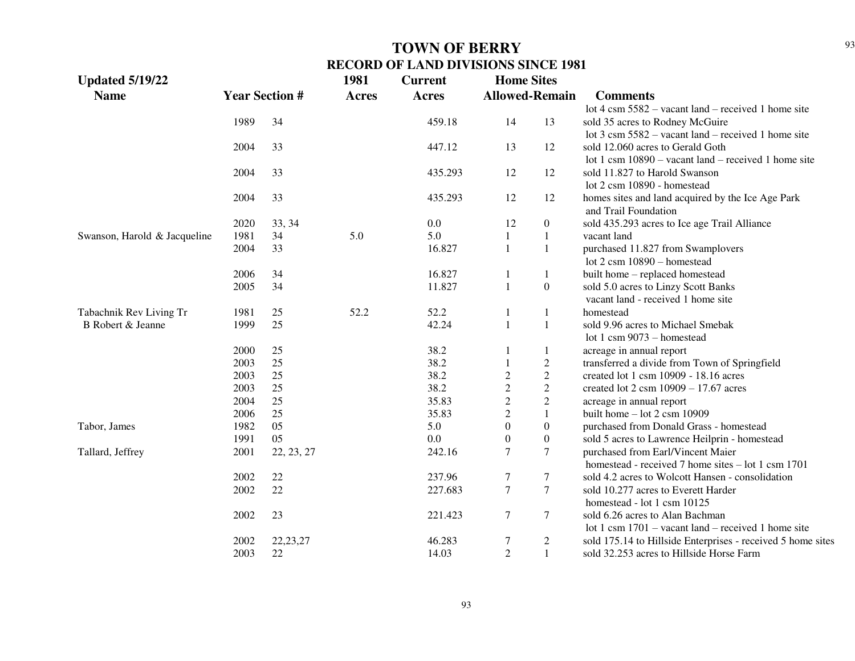| <b>Updated 5/19/22</b>       |                       |            | 1981         | <b>Current</b> | <b>Home Sites</b> |                       |                                                                           |
|------------------------------|-----------------------|------------|--------------|----------------|-------------------|-----------------------|---------------------------------------------------------------------------|
| <b>Name</b>                  | <b>Year Section #</b> |            | <b>Acres</b> | <b>Acres</b>   |                   | <b>Allowed-Remain</b> | <b>Comments</b>                                                           |
|                              |                       |            |              |                |                   |                       | lot $4 \text{ cm } 5582$ – vacant land – received 1 home site             |
|                              | 1989                  | 34         |              | 459.18         | 14                | 13                    | sold 35 acres to Rodney McGuire                                           |
|                              |                       |            |              |                |                   |                       | lot $3 \text{ cm } 5582$ – vacant land – received 1 home site             |
|                              | 2004                  | 33         |              | 447.12         | 13                | 12                    | sold 12.060 acres to Gerald Goth                                          |
|                              |                       |            |              |                |                   |                       | lot 1 csm $10890 -$ vacant land – received 1 home site                    |
|                              | 2004                  | 33         |              | 435.293        | 12                | 12                    | sold 11.827 to Harold Swanson                                             |
|                              |                       |            |              |                |                   |                       | lot 2 csm 10890 - homestead                                               |
|                              | 2004                  | 33         |              | 435.293        | 12                | 12                    | homes sites and land acquired by the Ice Age Park<br>and Trail Foundation |
|                              | 2020                  | 33, 34     |              | 0.0            | 12                | $\boldsymbol{0}$      | sold 435.293 acres to Ice age Trail Alliance                              |
| Swanson, Harold & Jacqueline | 1981                  | 34         | 5.0          | 5.0            | $\mathbf{1}$      | $\mathbf{1}$          | vacant land                                                               |
|                              | 2004                  | 33         |              | 16.827         | 1                 | $\mathbf{1}$          | purchased 11.827 from Swamplovers                                         |
|                              |                       |            |              |                |                   |                       | lot 2 csm 10890 - homestead                                               |
|                              | 2006                  | 34         |              | 16.827         | 1                 | $\mathbf{1}$          | built home - replaced homestead                                           |
|                              | 2005                  | 34         |              | 11.827         | $\mathbf{1}$      | $\boldsymbol{0}$      | sold 5.0 acres to Linzy Scott Banks                                       |
|                              |                       |            |              |                |                   |                       | vacant land - received 1 home site                                        |
| Tabachnik Rev Living Tr      | 1981                  | 25         | 52.2         | 52.2           | 1                 | $\mathbf{1}$          | homestead                                                                 |
| B Robert & Jeanne            | 1999                  | 25         |              | 42.24          | $\mathbf{1}$      | $\mathbf{1}$          | sold 9.96 acres to Michael Smebak                                         |
|                              |                       |            |              |                |                   |                       | lot 1 csm $9073 -$ homestead                                              |
|                              | 2000                  | 25         |              | 38.2           | 1                 | $\mathbf{1}$          | acreage in annual report                                                  |
|                              | 2003                  | 25         |              | 38.2           |                   | $\overline{c}$        | transferred a divide from Town of Springfield                             |
|                              | 2003                  | $25\,$     |              | 38.2           | $\boldsymbol{2}$  | $\overline{c}$        | created lot 1 csm 10909 - 18.16 acres                                     |
|                              | 2003                  | 25         |              | 38.2           | $\overline{c}$    | $\overline{c}$        | created lot $2 \text{ csm } 10909 - 17.67$ acres                          |
|                              | 2004                  | $25\,$     |              | 35.83          | $\mathbf{2}$      | $\overline{c}$        | acreage in annual report                                                  |
|                              | 2006                  | 25         |              | 35.83          | $\sqrt{2}$        | $\mathbf{1}$          | built home $-$ lot 2 csm 10909                                            |
| Tabor, James                 | 1982                  | 05         |              | 5.0            | $\boldsymbol{0}$  | $\boldsymbol{0}$      | purchased from Donald Grass - homestead                                   |
|                              | 1991                  | 05         |              | $0.0\,$        | $\boldsymbol{0}$  | $\boldsymbol{0}$      | sold 5 acres to Lawrence Heilprin - homestead                             |
| Tallard, Jeffrey             | 2001                  | 22, 23, 27 |              | 242.16         | $\boldsymbol{7}$  | $\boldsymbol{7}$      | purchased from Earl/Vincent Maier                                         |
|                              |                       |            |              |                |                   |                       | homestead - received 7 home sites $-$ lot 1 csm 1701                      |
|                              | 2002                  | $22\,$     |              | 237.96         | $\tau$            | $\tau$                | sold 4.2 acres to Wolcott Hansen - consolidation                          |
|                              | 2002                  | 22         |              | 227.683        | $\boldsymbol{7}$  | $\tau$                | sold 10.277 acres to Everett Harder                                       |
|                              |                       |            |              |                |                   |                       | homestead - lot 1 csm 10125                                               |
|                              | 2002                  | 23         |              | 221.423        | $\tau$            | $\tau$                | sold 6.26 acres to Alan Bachman                                           |
|                              |                       |            |              |                |                   |                       | lot 1 csm $1701$ – vacant land – received 1 home site                     |
|                              | 2002                  | 22, 23, 27 |              | 46.283         | $\tau$            | $\overline{c}$        | sold 175.14 to Hillside Enterprises - received 5 home sites               |
|                              | 2003                  | 22         |              | 14.03          | $\overline{2}$    | $\mathbf{1}$          | sold 32.253 acres to Hillside Horse Farm                                  |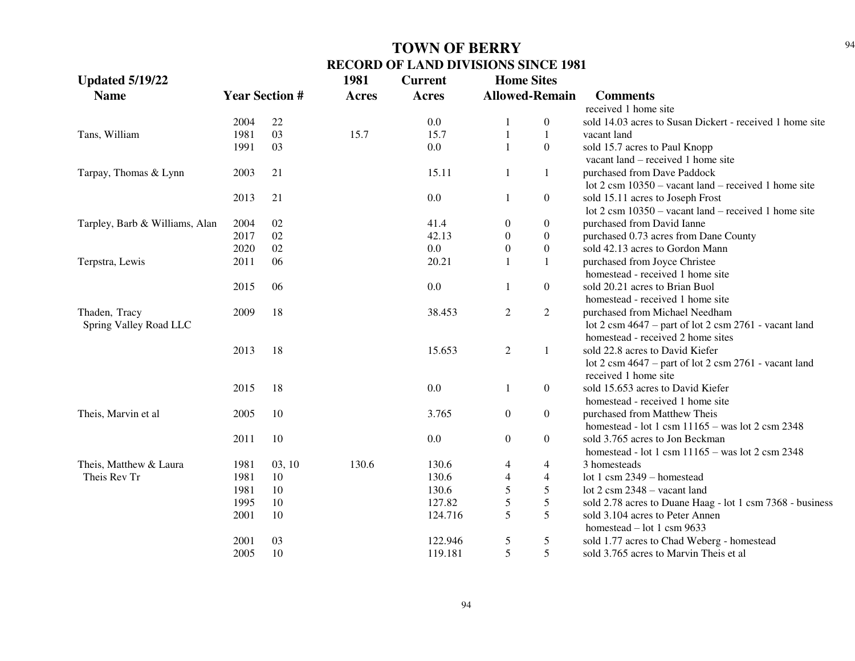| <b>Updated 5/19/22</b>         |      |                       | 1981  | <b>Current</b> | <b>Home Sites</b>     |                  |                                                                           |
|--------------------------------|------|-----------------------|-------|----------------|-----------------------|------------------|---------------------------------------------------------------------------|
| <b>Name</b>                    |      | <b>Year Section #</b> | Acres | Acres          | <b>Allowed-Remain</b> |                  | <b>Comments</b>                                                           |
|                                |      |                       |       |                |                       |                  | received 1 home site                                                      |
|                                | 2004 | 22                    |       | 0.0            | $\mathbf{1}$          | $\overline{0}$   | sold 14.03 acres to Susan Dickert - received 1 home site                  |
| Tans, William                  | 1981 | 03                    | 15.7  | 15.7           | $\mathbf{1}$          | $\mathbf{1}$     | vacant land                                                               |
|                                | 1991 | 03                    |       | 0.0            | $\mathbf{1}$          | $\overline{0}$   | sold 15.7 acres to Paul Knopp                                             |
|                                |      |                       |       |                |                       |                  | vacant land – received 1 home site                                        |
| Tarpay, Thomas & Lynn          | 2003 | 21                    |       | 15.11          | 1                     | $\mathbf{1}$     | purchased from Dave Paddock                                               |
|                                |      |                       |       |                |                       |                  | lot $2 \text{ cm } 10350$ – vacant land – received 1 home site            |
|                                | 2013 | 21                    |       | 0.0            | 1                     | $\boldsymbol{0}$ | sold 15.11 acres to Joseph Frost                                          |
|                                |      |                       |       |                |                       |                  | lot $2 \text{ cm } 10350$ – vacant land – received 1 home site            |
| Tarpley, Barb & Williams, Alan | 2004 | 02                    |       | 41.4           | $\boldsymbol{0}$      | $\boldsymbol{0}$ | purchased from David Ianne                                                |
|                                | 2017 | 02                    |       | 42.13          | $\boldsymbol{0}$      | $\boldsymbol{0}$ | purchased 0.73 acres from Dane County                                     |
|                                | 2020 | 02                    |       | 0.0            | $\boldsymbol{0}$      | $\boldsymbol{0}$ | sold 42.13 acres to Gordon Mann                                           |
| Terpstra, Lewis                | 2011 | 06                    |       | 20.21          | $\mathbf{1}$          | $\mathbf{1}$     | purchased from Joyce Christee                                             |
|                                |      |                       |       |                |                       |                  | homestead - received 1 home site                                          |
|                                | 2015 | 06                    |       | 0.0            | 1                     | $\overline{0}$   | sold 20.21 acres to Brian Buol                                            |
|                                |      |                       |       |                |                       |                  | homestead - received 1 home site                                          |
| Thaden, Tracy                  | 2009 | 18                    |       | 38.453         | $\mathbf{2}$          | $\overline{2}$   | purchased from Michael Needham                                            |
| Spring Valley Road LLC         |      |                       |       |                |                       |                  | lot $2 \text{ cm } 4647$ – part of lot $2 \text{ cm } 2761$ - vacant land |
|                                |      |                       |       |                |                       |                  | homestead - received 2 home sites                                         |
|                                | 2013 | 18                    |       | 15.653         | $\overline{2}$        | 1                | sold 22.8 acres to David Kiefer                                           |
|                                |      |                       |       |                |                       |                  | lot $2 \text{ cm } 4647$ – part of lot $2 \text{ cm } 2761$ - vacant land |
|                                |      |                       |       |                |                       |                  | received 1 home site                                                      |
|                                | 2015 | 18                    |       | 0.0            | 1                     | $\overline{0}$   | sold 15.653 acres to David Kiefer                                         |
|                                |      |                       |       |                |                       |                  | homestead - received 1 home site                                          |
| Theis, Marvin et al            | 2005 | 10                    |       | 3.765          | $\boldsymbol{0}$      | $\boldsymbol{0}$ | purchased from Matthew Theis                                              |
|                                |      |                       |       |                |                       |                  | homestead - lot 1 csm $11165 - was$ lot 2 csm 2348                        |
|                                | 2011 | 10                    |       | 0.0            | $\overline{0}$        | $\boldsymbol{0}$ | sold 3.765 acres to Jon Beckman                                           |
|                                |      |                       |       |                |                       |                  | homestead - lot 1 csm $11165 - was$ lot 2 csm 2348                        |
| Theis, Matthew & Laura         | 1981 | 03, 10                | 130.6 | 130.6          | 4                     | $\overline{4}$   | 3 homesteads                                                              |
| Theis Rev Tr                   | 1981 | 10                    |       | 130.6          | $\overline{4}$        | $\overline{4}$   | lot 1 csm $2349$ – homestead                                              |
|                                | 1981 | 10                    |       | 130.6          | 5                     | $\sqrt{5}$       | lot $2 \text{ csm } 2348 - \text{vacant land}$                            |
|                                | 1995 | 10                    |       | 127.82         | 5                     | $\mathfrak s$    | sold 2.78 acres to Duane Haag - lot 1 csm 7368 - business                 |
|                                | 2001 | 10                    |       | 124.716        | 5                     | 5                | sold 3.104 acres to Peter Annen                                           |
|                                |      |                       |       |                |                       |                  | homestead $-$ lot 1 csm 9633                                              |
|                                | 2001 | 03                    |       | 122.946        | 5                     | 5                | sold 1.77 acres to Chad Weberg - homestead                                |
|                                | 2005 | 10                    |       | 119.181        | 5                     | 5                | sold 3.765 acres to Marvin Theis et al.                                   |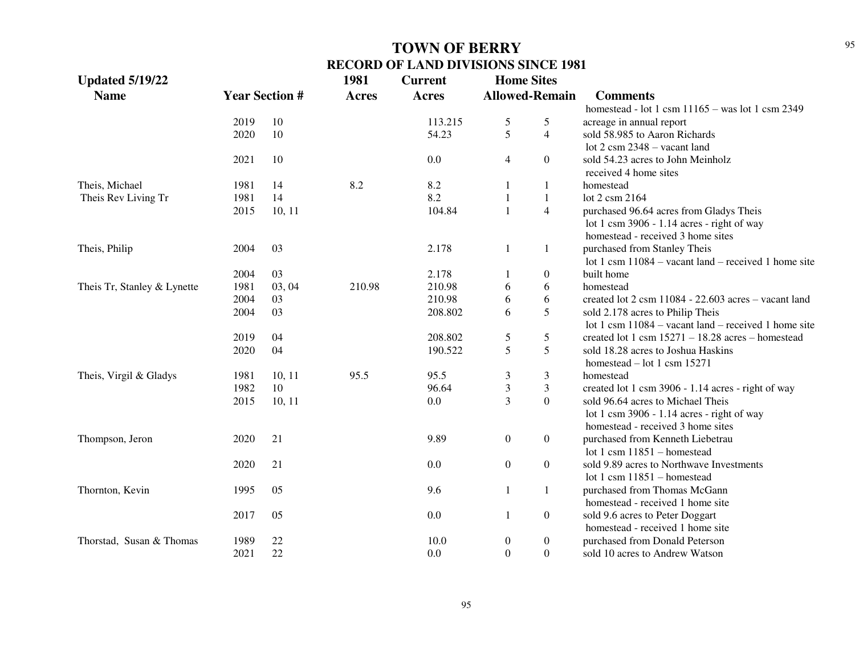| <b>Updated 5/19/22</b>      |      |                       | 1981         | <b>Current</b> | <b>Home Sites</b> |                       |                                                            |
|-----------------------------|------|-----------------------|--------------|----------------|-------------------|-----------------------|------------------------------------------------------------|
| <b>Name</b>                 |      | <b>Year Section #</b> | <b>Acres</b> | <b>Acres</b>   |                   | <b>Allowed-Remain</b> | <b>Comments</b>                                            |
|                             |      |                       |              |                |                   |                       | homestead - lot 1 csm $11165 - was$ lot 1 csm 2349         |
|                             | 2019 | 10                    |              | 113.215        | 5                 | 5                     | acreage in annual report                                   |
|                             | 2020 | 10                    |              | 54.23          | 5                 | $\overline{4}$        | sold 58.985 to Aaron Richards                              |
|                             |      |                       |              |                |                   |                       | lot $2 \text{ csm } 2348 - \text{vacant land}$             |
|                             | 2021 | 10                    |              | 0.0            | 4                 | $\theta$              | sold 54.23 acres to John Meinholz<br>received 4 home sites |
| Theis, Michael              | 1981 | 14                    | 8.2          | 8.2            | 1                 | 1                     | homestead                                                  |
| Theis Rev Living Tr         | 1981 | 14                    |              | 8.2            | $\mathbf{1}$      | $\mathbf{1}$          | lot 2 csm 2164                                             |
|                             | 2015 | 10, 11                |              | 104.84         | $\mathbf{1}$      | $\overline{4}$        | purchased 96.64 acres from Gladys Theis                    |
|                             |      |                       |              |                |                   |                       | lot 1 csm $3906 - 1.14$ acres - right of way               |
|                             |      |                       |              |                |                   |                       | homestead - received 3 home sites                          |
| Theis, Philip               | 2004 | 03                    |              | 2.178          | $\mathbf{1}$      | 1                     | purchased from Stanley Theis                               |
|                             |      |                       |              |                |                   |                       | lot 1 csm 11084 – vacant land – received 1 home site       |
|                             | 2004 | 03                    |              | 2.178          | 1                 | $\theta$              | built home                                                 |
| Theis Tr, Stanley & Lynette | 1981 | 03, 04                | 210.98       | 210.98         | 6                 | 6                     | homestead                                                  |
|                             | 2004 | 03                    |              | 210.98         | 6                 | 6                     | created lot 2 csm 11084 - 22.603 acres - vacant land       |
|                             | 2004 | 03                    |              | 208.802        | 6                 | 5                     | sold 2.178 acres to Philip Theis                           |
|                             |      |                       |              |                |                   |                       | lot 1 csm $11084$ – vacant land – received 1 home site     |
|                             | 2019 | 04                    |              | 208.802        | 5                 | 5                     | created lot 1 csm $15271 - 18.28$ acres - homestead        |
|                             | 2020 | 04                    |              | 190.522        | 5                 | 5                     | sold 18.28 acres to Joshua Haskins                         |
|                             |      |                       |              |                |                   |                       | homestead $-$ lot 1 csm 15271                              |
| Theis, Virgil & Gladys      | 1981 | 10, 11                | 95.5         | 95.5           | 3                 | 3                     | homestead                                                  |
|                             | 1982 | 10                    |              | 96.64          | $\mathfrak{Z}$    | 3                     | created lot 1 csm 3906 - 1.14 acres - right of way         |
|                             | 2015 | 10, 11                |              | 0.0            | $\overline{3}$    | $\overline{0}$        | sold 96.64 acres to Michael Theis                          |
|                             |      |                       |              |                |                   |                       | lot 1 csm $3906 - 1.14$ acres - right of way               |
|                             |      |                       |              |                |                   |                       | homestead - received 3 home sites                          |
| Thompson, Jeron             | 2020 | 21                    |              | 9.89           | $\boldsymbol{0}$  | $\boldsymbol{0}$      | purchased from Kenneth Liebetrau                           |
|                             |      |                       |              |                |                   |                       | lot 1 csm $11851 -$ homestead                              |
|                             | 2020 | 21                    |              | 0.0            | $\boldsymbol{0}$  | $\boldsymbol{0}$      | sold 9.89 acres to Northwave Investments                   |
|                             |      |                       |              |                |                   |                       | lot 1 csm $11851 -$ homestead                              |
| Thornton, Kevin             | 1995 | 05                    |              | 9.6            | $\mathbf{1}$      | $\mathbf{1}$          | purchased from Thomas McGann                               |
|                             |      |                       |              |                |                   |                       |                                                            |
|                             |      | 05                    |              | 0.0            |                   |                       | homestead - received 1 home site                           |
|                             | 2017 |                       |              |                | 1                 | $\boldsymbol{0}$      | sold 9.6 acres to Peter Doggart                            |
|                             |      |                       |              |                |                   |                       | homestead - received 1 home site                           |
| Thorstad, Susan & Thomas    | 1989 | 22                    |              | 10.0           | $\boldsymbol{0}$  | $\mathbf{0}$          | purchased from Donald Peterson                             |
|                             | 2021 | 22                    |              | 0.0            | $\boldsymbol{0}$  | $\overline{0}$        | sold 10 acres to Andrew Watson                             |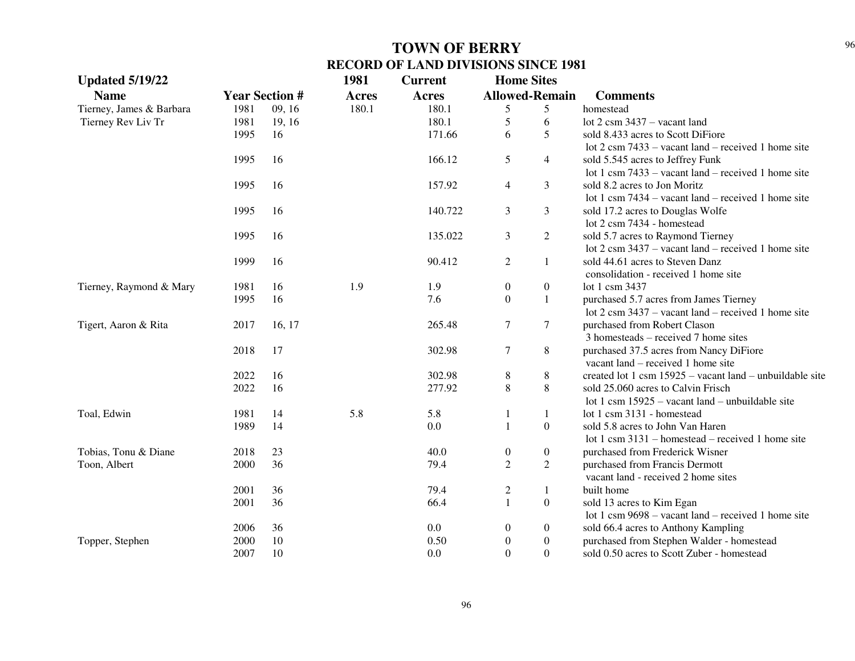| <b>Updated 5/19/22</b>   |                       |        | 1981  | <b>Current</b> | <b>Home Sites</b> |                       |                                                               |
|--------------------------|-----------------------|--------|-------|----------------|-------------------|-----------------------|---------------------------------------------------------------|
| <b>Name</b>              | <b>Year Section #</b> |        | Acres | Acres          |                   | <b>Allowed-Remain</b> | <b>Comments</b>                                               |
| Tierney, James & Barbara | 1981                  | 09, 16 | 180.1 | 180.1          | 5                 | 5                     | homestead                                                     |
| Tierney Rev Liv Tr       | 1981                  | 19, 16 |       | 180.1          | 5                 | 6                     | lot $2 \text{ csm } 3437 - \text{vacant land}$                |
|                          | 1995                  | 16     |       | 171.66         | 6                 | 5                     | sold 8.433 acres to Scott DiFiore                             |
|                          |                       |        |       |                |                   |                       | lot $2 \text{ cm } 7433$ – vacant land – received 1 home site |
|                          | 1995                  | 16     |       | 166.12         | 5                 | $\overline{4}$        | sold 5.545 acres to Jeffrey Funk                              |
|                          |                       |        |       |                |                   |                       | lot 1 csm $7433 -$ vacant land – received 1 home site         |
|                          | 1995                  | 16     |       | 157.92         | $\overline{4}$    | 3                     | sold 8.2 acres to Jon Moritz                                  |
|                          |                       |        |       |                |                   |                       | lot 1 csm $7434 -$ vacant land – received 1 home site         |
|                          | 1995                  | 16     |       | 140.722        | 3                 | 3                     | sold 17.2 acres to Douglas Wolfe                              |
|                          |                       |        |       |                |                   |                       | lot 2 csm 7434 - homestead                                    |
|                          | 1995                  | 16     |       | 135.022        | 3                 | $\overline{2}$        | sold 5.7 acres to Raymond Tierney                             |
|                          |                       |        |       |                |                   |                       | lot $2 \text{ cm } 3437$ – vacant land – received 1 home site |
|                          | 1999                  | 16     |       | 90.412         | 2                 | 1                     | sold 44.61 acres to Steven Danz                               |
|                          |                       |        |       |                |                   |                       | consolidation - received 1 home site                          |
| Tierney, Raymond & Mary  | 1981                  | 16     | 1.9   | 1.9            | $\boldsymbol{0}$  | $\boldsymbol{0}$      | lot 1 csm 3437                                                |
|                          | 1995                  | 16     |       | 7.6            | $\overline{0}$    | $\mathbf{1}$          | purchased 5.7 acres from James Tierney                        |
|                          |                       |        |       |                |                   |                       | lot $2 \text{ cm } 3437$ – vacant land – received 1 home site |
| Tigert, Aaron & Rita     | 2017                  | 16, 17 |       | 265.48         | $\tau$            | $\tau$                | purchased from Robert Clason                                  |
|                          |                       |        |       |                |                   |                       | $3$ homesteads – received $7$ home sites                      |
|                          | 2018                  | 17     |       | 302.98         | 7                 | $\,8$                 | purchased 37.5 acres from Nancy DiFiore                       |
|                          |                       |        |       |                |                   |                       | vacant land – received 1 home site                            |
|                          | 2022                  | 16     |       | 302.98         | 8                 | $\,8\,$               | created lot 1 csm $15925 -$ vacant land – unbuildable site    |
|                          | 2022                  | 16     |       | 277.92         | 8                 | $\,8\,$               | sold 25.060 acres to Calvin Frisch                            |
|                          |                       |        |       |                |                   |                       | lot 1 csm $15925$ – vacant land – unbuildable site            |
| Toal, Edwin              | 1981                  | 14     | 5.8   | 5.8            | 1                 | 1                     | lot 1 csm 3131 - homestead                                    |
|                          | 1989                  | 14     |       | 0.0            | $\mathbf{1}$      | $\boldsymbol{0}$      | sold 5.8 acres to John Van Haren                              |
|                          |                       |        |       |                |                   |                       | lot 1 csm 3131 – homestead – received 1 home site             |
| Tobias, Tonu & Diane     | 2018                  | 23     |       | 40.0           | $\boldsymbol{0}$  | $\boldsymbol{0}$      | purchased from Frederick Wisner                               |
| Toon, Albert             | 2000                  | 36     |       | 79.4           | $\overline{2}$    | $\overline{2}$        | purchased from Francis Dermott                                |
|                          |                       |        |       |                |                   |                       | vacant land - received 2 home sites                           |
|                          | 2001                  | 36     |       | 79.4           | $\overline{c}$    | $\mathbf{1}$          | built home                                                    |
|                          | 2001                  | 36     |       | 66.4           | $\mathbf{1}$      | $\boldsymbol{0}$      | sold 13 acres to Kim Egan                                     |
|                          |                       |        |       |                |                   |                       | lot 1 csm $9698 -$ vacant land – received 1 home site         |
|                          | 2006                  | 36     |       | 0.0            | $\boldsymbol{0}$  | $\boldsymbol{0}$      | sold 66.4 acres to Anthony Kampling                           |
| Topper, Stephen          | 2000                  | 10     |       | 0.50           | $\overline{0}$    | $\boldsymbol{0}$      | purchased from Stephen Walder - homestead                     |
|                          | 2007                  | 10     |       | 0.0            | $\Omega$          | $\boldsymbol{0}$      | sold 0.50 acres to Scott Zuber - homestead                    |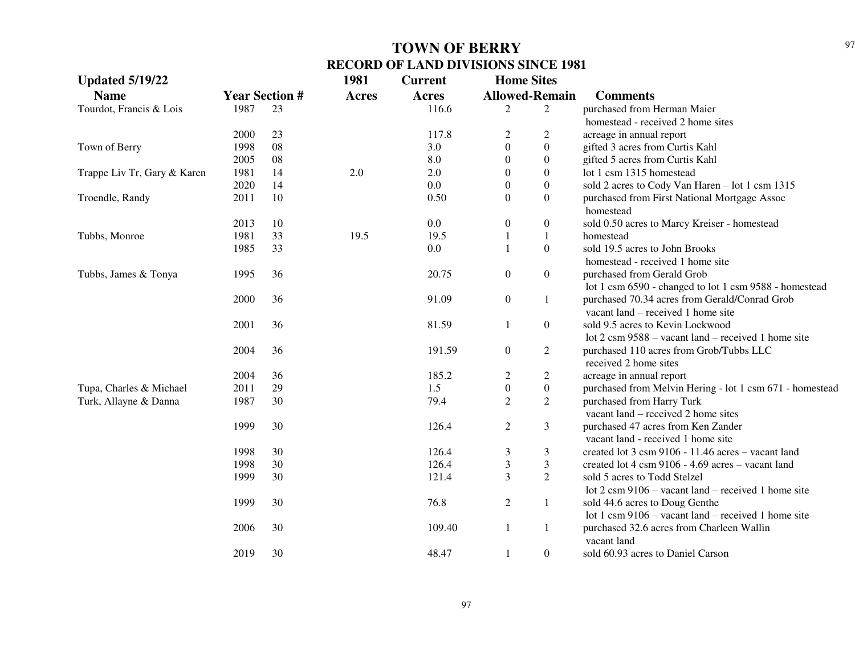| <b>Updated 5/19/22</b>      |                       |    | 1981         | <b>Current</b> | <b>Home Sites</b> |                       |                                                                                     |
|-----------------------------|-----------------------|----|--------------|----------------|-------------------|-----------------------|-------------------------------------------------------------------------------------|
| <b>Name</b>                 | <b>Year Section #</b> |    | <b>Acres</b> | <b>Acres</b>   |                   | <b>Allowed-Remain</b> | <b>Comments</b>                                                                     |
| Tourdot, Francis & Lois     | 1987                  | 23 |              | 116.6          | 2                 | 2                     | purchased from Herman Maier                                                         |
|                             |                       |    |              |                |                   |                       | homestead - received 2 home sites                                                   |
|                             | 2000                  | 23 |              | 117.8          | $\overline{c}$    | 2                     | acreage in annual report                                                            |
| Town of Berry               | 1998                  | 08 |              | 3.0            | $\theta$          | $\boldsymbol{0}$      | gifted 3 acres from Curtis Kahl                                                     |
|                             | 2005                  | 08 |              | 8.0            | $\theta$          | $\boldsymbol{0}$      | gifted 5 acres from Curtis Kahl                                                     |
| Trappe Liv Tr, Gary & Karen | 1981                  | 14 | 2.0          | 2.0            | 0                 | $\boldsymbol{0}$      | lot 1 csm 1315 homestead                                                            |
|                             | 2020                  | 14 |              | 0.0            | $\mathbf{0}$      | $\boldsymbol{0}$      | sold 2 acres to Cody Van Haren - lot 1 csm 1315                                     |
| Troendle, Randy             | 2011                  | 10 |              | 0.50           | $\boldsymbol{0}$  | $\overline{0}$        | purchased from First National Mortgage Assoc<br>homestead                           |
|                             | 2013                  | 10 |              | 0.0            | $\boldsymbol{0}$  | $\boldsymbol{0}$      | sold 0.50 acres to Marcy Kreiser - homestead                                        |
| Tubbs, Monroe               | 1981                  | 33 | 19.5         | 19.5           | $\mathbf{1}$      | $\mathbf{1}$          | homestead                                                                           |
|                             | 1985                  | 33 |              | 0.0            | $\mathbf{1}$      | $\boldsymbol{0}$      | sold 19.5 acres to John Brooks                                                      |
|                             |                       |    |              |                |                   |                       | homestead - received 1 home site                                                    |
| Tubbs, James & Tonya        | 1995                  | 36 |              | 20.75          | $\boldsymbol{0}$  | $\boldsymbol{0}$      | purchased from Gerald Grob                                                          |
|                             |                       |    |              |                |                   |                       | lot 1 csm 6590 - changed to lot 1 csm 9588 - homestead                              |
|                             | 2000                  | 36 |              | 91.09          | $\boldsymbol{0}$  | $\mathbf{1}$          | purchased 70.34 acres from Gerald/Conrad Grob<br>vacant land – received 1 home site |
|                             | 2001                  | 36 |              | 81.59          | $\mathbf{1}$      | $\overline{0}$        | sold 9.5 acres to Kevin Lockwood                                                    |
|                             |                       |    |              |                |                   |                       | lot 2 csm 9588 – vacant land – received 1 home site                                 |
|                             | 2004                  | 36 |              | 191.59         | $\boldsymbol{0}$  | $\overline{c}$        | purchased 110 acres from Grob/Tubbs LLC                                             |
|                             |                       |    |              |                |                   |                       | received 2 home sites                                                               |
|                             | 2004                  | 36 |              | 185.2          | $\overline{c}$    | $\overline{c}$        | acreage in annual report                                                            |
| Tupa, Charles & Michael     | 2011                  | 29 |              | 1.5            | $\boldsymbol{0}$  | $\boldsymbol{0}$      | purchased from Melvin Hering - lot 1 csm 671 - homestead                            |
| Turk, Allayne & Danna       | 1987                  | 30 |              | 79.4           | $\overline{c}$    | $\overline{c}$        | purchased from Harry Turk                                                           |
|                             |                       |    |              |                |                   |                       | vacant land – received 2 home sites                                                 |
|                             | 1999                  | 30 |              | 126.4          | $\overline{c}$    | 3                     | purchased 47 acres from Ken Zander                                                  |
|                             |                       |    |              |                |                   |                       | vacant land - received 1 home site                                                  |
|                             | 1998                  | 30 |              | 126.4          | 3                 | 3                     | created lot 3 csm 9106 - 11.46 acres - vacant land                                  |
|                             | 1998                  | 30 |              | 126.4          | 3                 | 3                     | created lot 4 csm 9106 - 4.69 acres - vacant land                                   |
|                             | 1999                  | 30 |              | 121.4          | 3                 | $\overline{2}$        | sold 5 acres to Todd Stelzel                                                        |
|                             |                       |    |              |                |                   |                       | lot $2 \text{ cm } 9106$ – vacant land – received 1 home site                       |
|                             | 1999                  | 30 |              | 76.8           | $\overline{2}$    | 1                     | sold 44.6 acres to Doug Genthe                                                      |
|                             |                       |    |              |                |                   |                       | lot 1 csm $9106 -$ vacant land – received 1 home site                               |
|                             | 2006                  | 30 |              | 109.40         | $\mathbf{1}$      | $\mathbf{1}$          | purchased 32.6 acres from Charleen Wallin<br>vacant land                            |
|                             | 2019                  | 30 |              | 48.47          | 1                 | $\overline{0}$        | sold 60.93 acres to Daniel Carson                                                   |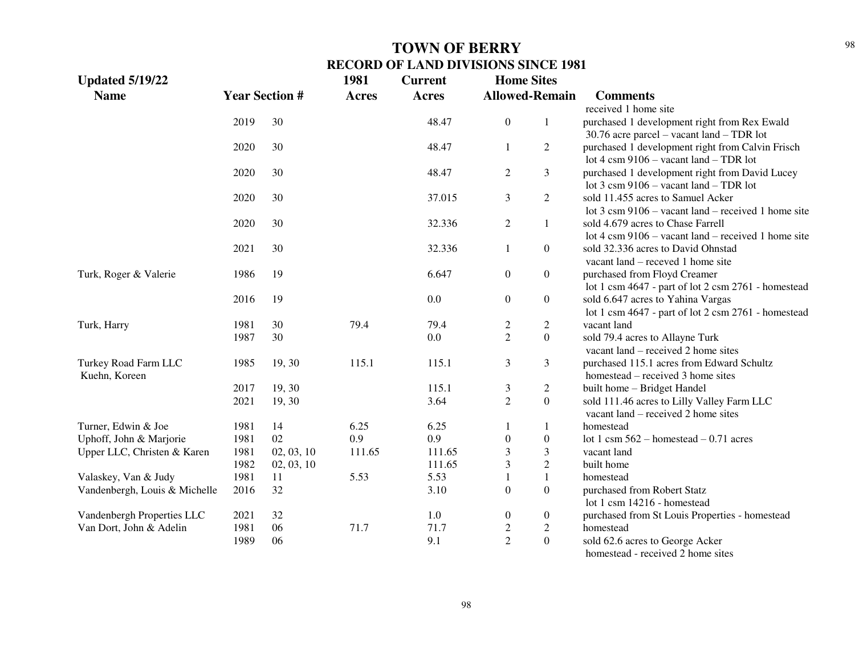| <b>Updated 5/19/22</b>        |      |                       | 1981         | <b>Current</b> | <b>Home Sites</b>     |                  |                                                                |
|-------------------------------|------|-----------------------|--------------|----------------|-----------------------|------------------|----------------------------------------------------------------|
| <b>Name</b>                   |      | <b>Year Section #</b> | <b>Acres</b> | <b>Acres</b>   | <b>Allowed-Remain</b> |                  | <b>Comments</b>                                                |
|                               |      |                       |              |                |                       |                  | received 1 home site                                           |
|                               | 2019 | 30                    |              | 48.47          | $\overline{0}$        | $\mathbf{1}$     | purchased 1 development right from Rex Ewald                   |
|                               |      |                       |              |                |                       |                  | 30.76 acre parcel – vacant land – TDR lot                      |
|                               | 2020 | 30                    |              | 48.47          | 1                     | $\overline{2}$   | purchased 1 development right from Calvin Frisch               |
|                               |      |                       |              |                |                       |                  | lot 4 csm 9106 - vacant land - TDR lot                         |
|                               | 2020 | 30                    |              | 48.47          | $\overline{2}$        | 3                | purchased 1 development right from David Lucey                 |
|                               |      |                       |              |                |                       |                  | lot $3 \text{ cm } 9106 - \text{vacant land} - \text{TDR}$ lot |
|                               | 2020 | 30                    |              | 37.015         | 3                     | $\overline{2}$   | sold 11.455 acres to Samuel Acker                              |
|                               |      |                       |              |                |                       |                  | lot 3 csm 9106 - vacant land - received 1 home site            |
|                               | 2020 | 30                    |              | 32.336         | $\overline{c}$        | $\mathbf{1}$     | sold 4.679 acres to Chase Farrell                              |
|                               |      |                       |              |                |                       |                  | lot 4 csm $9106 -$ vacant land – received 1 home site          |
|                               | 2021 | 30                    |              | 32.336         | 1                     | $\overline{0}$   | sold 32.336 acres to David Ohnstad                             |
|                               |      |                       |              |                |                       |                  | vacant land – receved 1 home site                              |
| Turk, Roger & Valerie         | 1986 | 19                    |              | 6.647          | $\boldsymbol{0}$      | $\overline{0}$   | purchased from Floyd Creamer                                   |
|                               |      |                       |              |                |                       |                  | lot 1 csm 4647 - part of lot 2 csm 2761 - homestead            |
|                               | 2016 | 19                    |              | 0.0            | $\boldsymbol{0}$      | $\overline{0}$   | sold 6.647 acres to Yahina Vargas                              |
|                               |      |                       |              |                |                       |                  | lot 1 csm 4647 - part of lot 2 csm 2761 - homestead            |
| Turk, Harry                   | 1981 | 30                    | 79.4         | 79.4           | $\overline{c}$        | $\overline{c}$   | vacant land                                                    |
|                               | 1987 | 30                    |              | 0.0            | $\overline{2}$        | $\overline{0}$   | sold 79.4 acres to Allayne Turk                                |
|                               |      |                       |              |                |                       |                  | vacant land – received 2 home sites                            |
| Turkey Road Farm LLC          | 1985 | 19, 30                | 115.1        | 115.1          | 3                     | 3                | purchased 115.1 acres from Edward Schultz                      |
| Kuehn, Koreen                 |      |                       |              |                |                       |                  | homestead – received 3 home sites                              |
|                               | 2017 | 19, 30                |              | 115.1          | 3                     | $\overline{c}$   | built home - Bridget Handel                                    |
|                               | 2021 | 19, 30                |              | 3.64           | $\overline{2}$        | $\overline{0}$   | sold 111.46 acres to Lilly Valley Farm LLC                     |
|                               |      |                       |              |                |                       |                  | vacant land – received 2 home sites                            |
| Turner, Edwin & Joe           | 1981 | 14                    | 6.25         | 6.25           | 1                     | 1                | homestead                                                      |
| Uphoff, John & Marjorie       | 1981 | 02                    | 0.9          | 0.9            | $\boldsymbol{0}$      | $\boldsymbol{0}$ | lot 1 csm $562$ – homestead – 0.71 acres                       |
| Upper LLC, Christen & Karen   | 1981 | 02, 03, 10            | 111.65       | 111.65         | 3                     | 3                | vacant land                                                    |
|                               | 1982 | 02, 03, 10            |              | 111.65         | 3                     | $\sqrt{2}$       | built home                                                     |
| Valaskey, Van & Judy          | 1981 | 11                    | 5.53         | 5.53           | $\mathbf{1}$          | $\mathbf{1}$     | homestead                                                      |
| Vandenbergh, Louis & Michelle | 2016 | 32                    |              | 3.10           | $\mathbf{0}$          | $\boldsymbol{0}$ | purchased from Robert Statz                                    |
|                               |      |                       |              |                |                       |                  | lot 1 csm 14216 - homestead                                    |
| Vandenbergh Properties LLC    | 2021 | 32                    |              | 1.0            | $\boldsymbol{0}$      | $\boldsymbol{0}$ | purchased from St Louis Properties - homestead                 |
| Van Dort, John & Adelin       | 1981 | 06                    | 71.7         | 71.7           | $\overline{c}$        | $\overline{c}$   | homestead                                                      |
|                               | 1989 | 06                    |              | 9.1            | $\overline{2}$        | $\mathbf{0}$     | sold 62.6 acres to George Acker                                |
|                               |      |                       |              |                |                       |                  | homestead - received 2 home sites                              |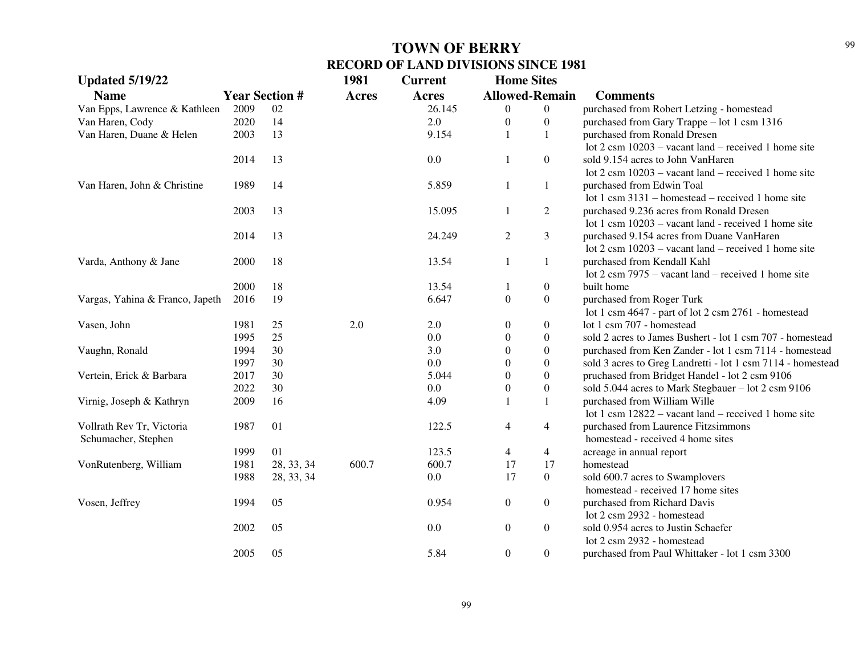| <b>Updated 5/19/22</b>          |                       |            | 1981         | <b>Current</b> | <b>Home Sites</b> |                       |                                                                |
|---------------------------------|-----------------------|------------|--------------|----------------|-------------------|-----------------------|----------------------------------------------------------------|
| <b>Name</b>                     | <b>Year Section #</b> |            | <b>Acres</b> | <b>Acres</b>   |                   | <b>Allowed-Remain</b> | <b>Comments</b>                                                |
| Van Epps, Lawrence & Kathleen   | 2009                  | 02         |              | 26.145         | $\overline{0}$    | $\overline{0}$        | purchased from Robert Letzing - homestead                      |
| Van Haren, Cody                 | 2020                  | 14         |              | 2.0            | $\boldsymbol{0}$  | $\boldsymbol{0}$      | purchased from Gary Trappe - lot 1 csm 1316                    |
| Van Haren, Duane & Helen        | 2003                  | 13         |              | 9.154          | 1                 | $\mathbf{1}$          | purchased from Ronald Dresen                                   |
|                                 |                       |            |              |                |                   |                       | lot $2 \text{ cm } 10203$ – vacant land – received 1 home site |
|                                 | 2014                  | 13         |              | $0.0\,$        | $\mathbf{1}$      | $\boldsymbol{0}$      | sold 9.154 acres to John VanHaren                              |
|                                 |                       |            |              |                |                   |                       | lot $2 \text{ cm } 10203$ – vacant land – received 1 home site |
| Van Haren, John & Christine     | 1989                  | 14         |              | 5.859          | 1                 | 1                     | purchased from Edwin Toal                                      |
|                                 |                       |            |              |                |                   |                       | lot 1 csm 3131 – homestead – received 1 home site              |
|                                 | 2003                  | 13         |              | 15.095         | $\mathbf{1}$      | $\overline{2}$        | purchased 9.236 acres from Ronald Dresen                       |
|                                 |                       |            |              |                |                   |                       | lot 1 csm 10203 – vacant land - received 1 home site           |
|                                 | 2014                  | 13         |              | 24.249         | $\sqrt{2}$        | 3                     | purchased 9.154 acres from Duane VanHaren                      |
|                                 |                       |            |              |                |                   |                       | lot $2 \text{ cm } 10203$ – vacant land – received 1 home site |
| Varda, Anthony & Jane           | 2000                  | 18         |              | 13.54          | $\mathbf{1}$      | 1                     | purchased from Kendall Kahl                                    |
|                                 |                       |            |              |                |                   |                       | lot $2 \text{ cm } 7975$ – vacant land – received 1 home site  |
|                                 | 2000                  | 18         |              | 13.54          | 1                 | $\boldsymbol{0}$      | built home                                                     |
| Vargas, Yahina & Franco, Japeth | 2016                  | 19         |              | 6.647          | $\mathbf{0}$      | $\boldsymbol{0}$      | purchased from Roger Turk                                      |
|                                 |                       |            |              |                |                   |                       | lot 1 csm 4647 - part of lot 2 csm 2761 - homestead            |
| Vasen, John                     | 1981                  | 25         | $2.0\,$      | 2.0            | $\boldsymbol{0}$  | $\boldsymbol{0}$      | lot 1 csm 707 - homestead                                      |
|                                 | 1995                  | 25         |              | 0.0            | $\overline{0}$    | $\boldsymbol{0}$      | sold 2 acres to James Bushert - lot 1 csm 707 - homestead      |
| Vaughn, Ronald                  | 1994                  | 30         |              | 3.0            | $\Omega$          | $\boldsymbol{0}$      | purchased from Ken Zander - lot 1 csm 7114 - homestead         |
|                                 | 1997                  | 30         |              | 0.0            | $\theta$          | $\boldsymbol{0}$      | sold 3 acres to Greg Landretti - lot 1 csm 7114 - homestead    |
| Vertein, Erick & Barbara        | 2017                  | 30         |              | 5.044          | $\overline{0}$    | $\boldsymbol{0}$      | pruchased from Bridget Handel - lot 2 csm 9106                 |
|                                 | 2022                  | 30         |              | 0.0            | $\boldsymbol{0}$  | $\boldsymbol{0}$      | sold 5.044 acres to Mark Stegbauer - lot 2 csm 9106            |
| Virnig, Joseph & Kathryn        | 2009                  | 16         |              | 4.09           | $\mathbf{1}$      | $\mathbf{1}$          | purchased from William Wille                                   |
|                                 |                       |            |              |                |                   |                       | lot 1 csm 12822 - vacant land - received 1 home site           |
| Vollrath Rev Tr, Victoria       | 1987                  | 01         |              | 122.5          | $\overline{4}$    | $\overline{4}$        | purchased from Laurence Fitzsimmons                            |
| Schumacher, Stephen             |                       |            |              |                |                   |                       | homestead - received 4 home sites                              |
|                                 | 1999                  | 01         |              | 123.5          | 4                 | $\overline{4}$        | acreage in annual report                                       |
| VonRutenberg, William           | 1981                  | 28, 33, 34 | 600.7        | 600.7          | 17                | 17                    | homestead                                                      |
|                                 | 1988                  | 28, 33, 34 |              | $0.0\,$        | 17                | $\boldsymbol{0}$      | sold 600.7 acres to Swamplovers                                |
|                                 |                       |            |              |                |                   |                       | homestead - received 17 home sites                             |
| Vosen, Jeffrey                  | 1994                  | 05         |              | 0.954          | $\boldsymbol{0}$  | $\boldsymbol{0}$      | purchased from Richard Davis                                   |
|                                 |                       |            |              |                |                   |                       | lot 2 csm 2932 - homestead                                     |
|                                 | 2002                  | 05         |              | 0.0            | $\boldsymbol{0}$  | $\boldsymbol{0}$      | sold 0.954 acres to Justin Schaefer                            |
|                                 |                       |            |              |                |                   |                       | lot 2 csm 2932 - homestead                                     |
|                                 | 2005                  | 05         |              | 5.84           | $\overline{0}$    | $\boldsymbol{0}$      | purchased from Paul Whittaker - lot 1 csm 3300                 |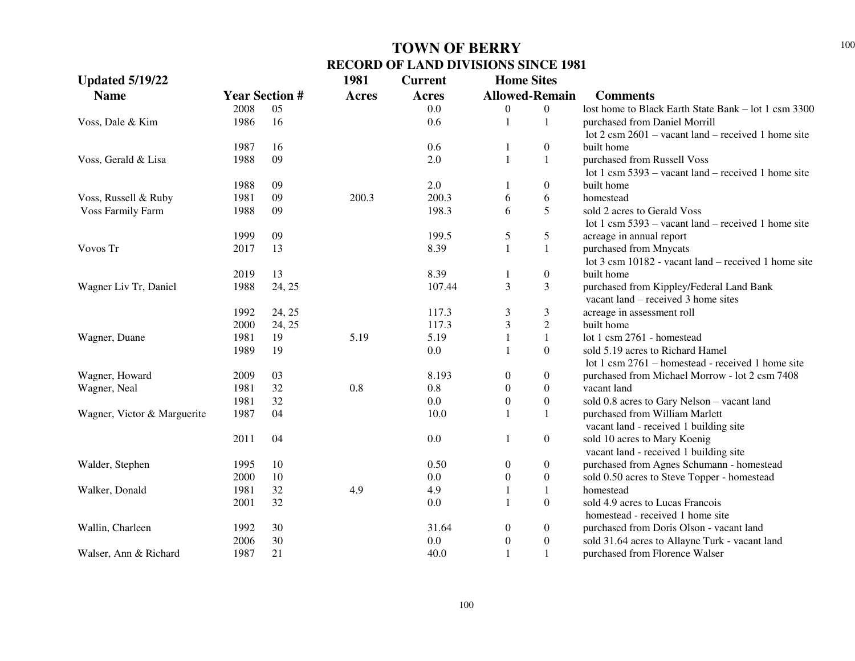| <b>Updated 5/19/22</b>      |              |                       | 1981         | <b>Current</b> | <b>Home Sites</b>     |                                  |                                                               |
|-----------------------------|--------------|-----------------------|--------------|----------------|-----------------------|----------------------------------|---------------------------------------------------------------|
| <b>Name</b>                 |              | <b>Year Section #</b> | <b>Acres</b> | Acres          | <b>Allowed-Remain</b> |                                  | <b>Comments</b>                                               |
|                             | 2008         | 05                    |              | 0.0            | $\boldsymbol{0}$      | $\boldsymbol{0}$                 | lost home to Black Earth State Bank - lot 1 csm 3300          |
| Voss, Dale & Kim            | 1986         | 16                    |              | 0.6            | $\mathbf{1}$          | 1                                | purchased from Daniel Morrill                                 |
|                             |              |                       |              |                |                       |                                  | lot $2 \text{ cm } 2601$ – vacant land – received 1 home site |
|                             | 1987         | 16                    |              | 0.6            | 1                     | $\boldsymbol{0}$                 | built home                                                    |
| Voss, Gerald & Lisa         | 1988         | 09                    |              | 2.0            | $\mathbf{1}$          | 1                                | purchased from Russell Voss                                   |
|                             |              |                       |              |                |                       |                                  | lot 1 csm $5393$ – vacant land – received 1 home site         |
|                             | 1988         | 09                    |              | $2.0\,$        | $\mathbf{1}$          | $\boldsymbol{0}$                 | built home                                                    |
| Voss, Russell & Ruby        | 1981         | 09                    | 200.3        | 200.3          | 6                     | 6                                | homestead                                                     |
| <b>Voss Farmily Farm</b>    | 1988         | 09                    |              | 198.3          | 6                     | 5                                | sold 2 acres to Gerald Voss                                   |
|                             |              |                       |              |                |                       |                                  | lot 1 csm $5393 -$ vacant land – received 1 home site         |
|                             | 1999         | 09                    |              | 199.5          | $\mathfrak s$         | 5                                | acreage in annual report                                      |
| Vovos Tr                    | 2017         | 13                    |              | 8.39           | $\mathbf{1}$          | $\mathbf{1}$                     | purchased from Mnycats                                        |
|                             |              |                       |              |                |                       |                                  | lot 3 csm 10182 - vacant land – received 1 home site          |
|                             | 2019         | 13                    |              | 8.39           | 1                     | $\boldsymbol{0}$                 | built home                                                    |
| Wagner Liv Tr, Daniel       | 1988         | 24, 25                |              | 107.44         | 3                     | 3                                | purchased from Kippley/Federal Land Bank                      |
|                             |              |                       |              | 117.3          |                       |                                  | vacant land – received 3 home sites                           |
|                             | 1992<br>2000 | 24, 25                |              | 117.3          | 3<br>$\mathfrak{Z}$   | 3                                | acreage in assessment roll<br>built home                      |
| Wagner, Duane               | 1981         | 24, 25<br>19          | 5.19         | 5.19           | $\mathbf{1}$          | $\overline{c}$                   | lot 1 csm 2761 - homestead                                    |
|                             | 1989         | 19                    |              | 0.0            | $\mathbf{1}$          | $\mathbf{1}$<br>$\boldsymbol{0}$ | sold 5.19 acres to Richard Hamel                              |
|                             |              |                       |              |                |                       |                                  | lot 1 csm 2761 – homestead - received 1 home site             |
| Wagner, Howard              | 2009         | 03                    |              | 8.193          | $\boldsymbol{0}$      | $\boldsymbol{0}$                 | purchased from Michael Morrow - lot 2 csm 7408                |
| Wagner, Neal                | 1981         | 32                    | 0.8          | 0.8            | $\boldsymbol{0}$      | $\boldsymbol{0}$                 | vacant land                                                   |
|                             | 1981         | 32                    |              | 0.0            | $\boldsymbol{0}$      | $\boldsymbol{0}$                 | sold 0.8 acres to Gary Nelson - vacant land                   |
| Wagner, Victor & Marguerite | 1987         | 04                    |              | 10.0           | $\mathbf{1}$          | 1                                | purchased from William Marlett                                |
|                             |              |                       |              |                |                       |                                  | vacant land - received 1 building site                        |
|                             | 2011         | 04                    |              | 0.0            | 1                     | $\boldsymbol{0}$                 | sold 10 acres to Mary Koenig                                  |
|                             |              |                       |              |                |                       |                                  | vacant land - received 1 building site                        |
| Walder, Stephen             | 1995         | 10                    |              | 0.50           | $\boldsymbol{0}$      | $\boldsymbol{0}$                 | purchased from Agnes Schumann - homestead                     |
|                             | 2000         | 10                    |              | 0.0            | $\boldsymbol{0}$      | $\boldsymbol{0}$                 | sold 0.50 acres to Steve Topper - homestead                   |
| Walker, Donald              | 1981         | 32                    | 4.9          | 4.9            | $\mathbf{1}$          | $\mathbf{1}$                     | homestead                                                     |
|                             | 2001         | 32                    |              | 0.0            | $\mathbf{1}$          | $\boldsymbol{0}$                 | sold 4.9 acres to Lucas Francois                              |
|                             |              |                       |              |                |                       |                                  | homestead - received 1 home site                              |
| Wallin, Charleen            | 1992         | 30                    |              | 31.64          | $\boldsymbol{0}$      | $\boldsymbol{0}$                 | purchased from Doris Olson - vacant land                      |
|                             | 2006         | 30                    |              | 0.0            | $\boldsymbol{0}$      | $\boldsymbol{0}$                 | sold 31.64 acres to Allayne Turk - vacant land                |
| Walser, Ann & Richard       | 1987         | 21                    |              | 40.0           | $\mathbf{1}$          | $\mathbf{1}$                     | purchased from Florence Walser                                |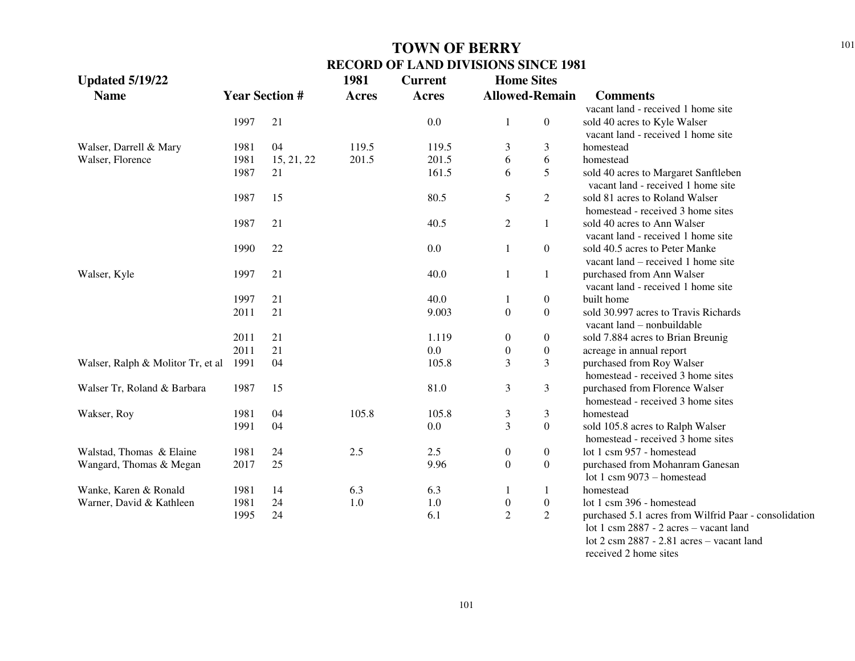| <b>Updated 5/19/22</b><br><b>Name</b> |      | <b>Year Section #</b> | 1981<br><b>Acres</b> | <b>Current</b><br><b>Acres</b> | <b>Home Sites</b><br><b>Allowed-Remain</b> | <b>Comments</b>                                       |
|---------------------------------------|------|-----------------------|----------------------|--------------------------------|--------------------------------------------|-------------------------------------------------------|
|                                       |      |                       |                      |                                |                                            | vacant land - received 1 home site                    |
|                                       | 1997 | 21                    |                      | 0.0                            | $\boldsymbol{0}$<br>1                      | sold 40 acres to Kyle Walser                          |
|                                       |      |                       |                      |                                |                                            | vacant land - received 1 home site                    |
| Walser, Darrell & Mary                | 1981 | 04                    | 119.5                | 119.5                          | 3<br>3                                     | homestead                                             |
| Walser, Florence                      | 1981 | 15, 21, 22            | 201.5                | 201.5                          | 6<br>6                                     | homestead                                             |
|                                       | 1987 | 21                    |                      | 161.5                          | 5<br>6                                     | sold 40 acres to Margaret Sanftleben                  |
|                                       |      |                       |                      |                                |                                            | vacant land - received 1 home site                    |
|                                       | 1987 | 15                    |                      | 80.5                           | 5<br>2                                     | sold 81 acres to Roland Walser                        |
|                                       |      |                       |                      |                                |                                            | homestead - received 3 home sites                     |
|                                       | 1987 | 21                    |                      | 40.5                           | $\mathfrak{2}$<br>1                        | sold 40 acres to Ann Walser                           |
|                                       |      |                       |                      |                                |                                            | vacant land - received 1 home site                    |
|                                       | 1990 | 22                    |                      | 0.0                            | $\overline{0}$<br>1                        | sold 40.5 acres to Peter Manke                        |
|                                       |      |                       |                      |                                |                                            | vacant land – received 1 home site                    |
| Walser, Kyle                          | 1997 | 21                    |                      | 40.0                           | $\mathbf{1}$<br>1                          | purchased from Ann Walser                             |
|                                       |      |                       |                      |                                |                                            | vacant land - received 1 home site                    |
|                                       | 1997 | 21                    |                      | 40.0                           | $\boldsymbol{0}$<br>1                      | built home                                            |
|                                       | 2011 | 21                    |                      | 9.003                          | $\boldsymbol{0}$<br>$\boldsymbol{0}$       | sold 30.997 acres to Travis Richards                  |
|                                       |      |                       |                      |                                |                                            | vacant land - nonbuildable                            |
|                                       | 2011 | 21                    |                      | 1.119                          | $\boldsymbol{0}$<br>$\boldsymbol{0}$       | sold 7.884 acres to Brian Breunig                     |
|                                       | 2011 | 21                    |                      | 0.0                            | $\boldsymbol{0}$<br>$\boldsymbol{0}$       | acreage in annual report                              |
| Walser, Ralph & Molitor Tr, et al     | 1991 | 04                    |                      | 105.8                          | 3<br>3                                     | purchased from Roy Walser                             |
|                                       |      |                       |                      |                                |                                            | homestead - received 3 home sites                     |
| Walser Tr, Roland & Barbara           | 1987 | 15                    |                      | 81.0                           | 3<br>3                                     | purchased from Florence Walser                        |
|                                       |      |                       |                      |                                |                                            | homestead - received 3 home sites                     |
| Wakser, Roy                           | 1981 | 04                    | 105.8                | 105.8                          | 3<br>3                                     | homestead                                             |
|                                       | 1991 | 04                    |                      | 0.0                            | $\mathfrak{Z}$<br>$\overline{0}$           | sold 105.8 acres to Ralph Walser                      |
|                                       |      |                       |                      |                                |                                            | homestead - received 3 home sites                     |
| Walstad, Thomas & Elaine              | 1981 | 24                    | 2.5                  | 2.5                            | $\boldsymbol{0}$<br>$\overline{0}$         | lot 1 csm 957 - homestead                             |
| Wangard, Thomas & Megan               | 2017 | 25                    |                      | 9.96                           | $\boldsymbol{0}$<br>$\overline{0}$         | purchased from Mohanram Ganesan                       |
|                                       |      |                       |                      |                                |                                            | lot 1 csm $9073$ – homestead                          |
| Wanke, Karen & Ronald                 | 1981 | 14                    | 6.3                  | 6.3                            | -1<br>1                                    | homestead                                             |
| Warner, David & Kathleen              | 1981 | 24                    | 1.0                  | 1.0                            | $\boldsymbol{0}$<br>$\boldsymbol{0}$       | lot 1 csm 396 - homestead                             |
|                                       | 1995 | 24                    |                      | 6.1                            | $\overline{2}$<br>$\overline{2}$           | purchased 5.1 acres from Wilfrid Paar - consolidation |
|                                       |      |                       |                      |                                |                                            | lot 1 csm 2887 - 2 acres - vacant land                |

 lot 2 csm 2887 - 2.81 acres – vacant land received 2 home sites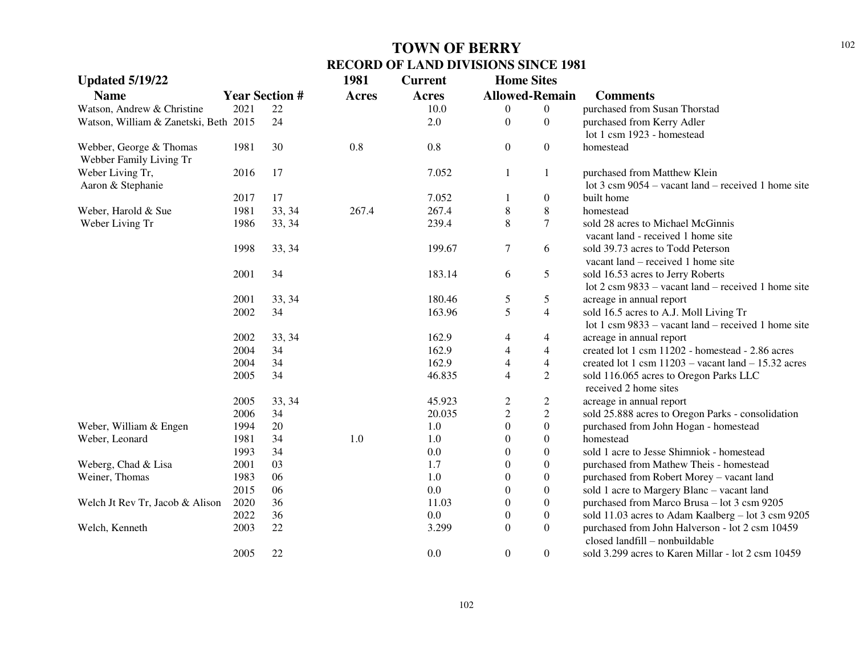| <b>Updated 5/19/22</b>                |                       |        | 1981         | <b>Current</b> | <b>Home Sites</b>       |                  |                                                                                   |
|---------------------------------------|-----------------------|--------|--------------|----------------|-------------------------|------------------|-----------------------------------------------------------------------------------|
| <b>Name</b>                           | <b>Year Section #</b> |        | <b>Acres</b> | Acres          | <b>Allowed-Remain</b>   |                  | <b>Comments</b>                                                                   |
| Watson, Andrew & Christine            | 2021                  | 22     |              | 10.0           | 0                       | $\boldsymbol{0}$ | purchased from Susan Thorstad                                                     |
| Watson, William & Zanetski, Beth 2015 |                       | 24     |              | 2.0            | $\boldsymbol{0}$        | $\boldsymbol{0}$ | purchased from Kerry Adler                                                        |
|                                       |                       |        |              |                |                         |                  | lot 1 csm 1923 - homestead                                                        |
| Webber, George & Thomas               | 1981                  | 30     | 0.8          | 0.8            | $\boldsymbol{0}$        | $\boldsymbol{0}$ | homestead                                                                         |
| Webber Family Living Tr               |                       |        |              |                |                         |                  |                                                                                   |
| Weber Living Tr,                      | 2016                  | 17     |              | 7.052          | 1                       | 1                | purchased from Matthew Klein                                                      |
| Aaron & Stephanie                     |                       |        |              |                |                         |                  | lot $3 \text{ cm } 9054$ – vacant land – received 1 home site                     |
|                                       | 2017                  | 17     |              | 7.052          | 1                       | $\boldsymbol{0}$ | built home                                                                        |
| Weber, Harold & Sue                   | 1981                  | 33, 34 | 267.4        | 267.4          | $\,8\,$                 | $\,8\,$          | homestead                                                                         |
| Weber Living Tr                       | 1986                  | 33, 34 |              | 239.4          | 8                       | $\overline{7}$   | sold 28 acres to Michael McGinnis                                                 |
|                                       |                       |        |              |                |                         |                  | vacant land - received 1 home site                                                |
|                                       | 1998                  | 33, 34 |              | 199.67         | $\boldsymbol{7}$        | 6                | sold 39.73 acres to Todd Peterson                                                 |
|                                       |                       |        |              |                |                         |                  | vacant land – received 1 home site                                                |
|                                       | 2001                  | 34     |              | 183.14         | 6                       | 5                | sold 16.53 acres to Jerry Roberts                                                 |
|                                       |                       |        |              |                |                         |                  | lot 2 csm 9833 – vacant land – received 1 home site                               |
|                                       | 2001                  | 33, 34 |              | 180.46         | 5                       | 5                | acreage in annual report                                                          |
|                                       | 2002                  | 34     |              | 163.96         | 5                       | $\overline{4}$   | sold 16.5 acres to A.J. Moll Living Tr                                            |
|                                       |                       |        |              |                |                         |                  | lot 1 csm $9833$ – vacant land – received 1 home site                             |
|                                       | 2002                  | 33, 34 |              | 162.9          | 4                       | $\overline{4}$   | acreage in annual report                                                          |
|                                       | 2004                  | 34     |              | 162.9          | $\overline{4}$          | $\overline{4}$   | created lot 1 csm 11202 - homestead - 2.86 acres                                  |
|                                       | 2004                  | 34     |              | 162.9          | $\overline{4}$          | $\overline{4}$   | created lot 1 csm $11203$ – vacant land – 15.32 acres                             |
|                                       | 2005                  | 34     |              | 46.835         | $\overline{4}$          | $\sqrt{2}$       | sold 116.065 acres to Oregon Parks LLC                                            |
|                                       |                       |        |              |                |                         |                  | received 2 home sites                                                             |
|                                       | 2005                  | 33, 34 |              | 45.923         | $\overline{\mathbf{c}}$ | $\overline{c}$   | acreage in annual report                                                          |
|                                       | 2006                  | 34     |              | 20.035         | $\overline{c}$          | $\overline{c}$   | sold 25.888 acres to Oregon Parks - consolidation                                 |
| Weber, William & Engen                | 1994                  | 20     |              | 1.0            | $\boldsymbol{0}$        | $\boldsymbol{0}$ | purchased from John Hogan - homestead                                             |
| Weber, Leonard                        | 1981                  | 34     | 1.0          | 1.0            | $\boldsymbol{0}$        | $\boldsymbol{0}$ | homestead                                                                         |
|                                       | 1993                  | 34     |              | 0.0            | $\boldsymbol{0}$        | $\boldsymbol{0}$ | sold 1 acre to Jesse Shimniok - homestead                                         |
| Weberg, Chad & Lisa                   | 2001                  | 03     |              | 1.7            | $\mathbf{0}$            | $\boldsymbol{0}$ | purchased from Mathew Theis - homestead                                           |
| Weiner, Thomas                        | 1983                  | 06     |              | 1.0            | $\boldsymbol{0}$        | $\boldsymbol{0}$ | purchased from Robert Morey - vacant land                                         |
|                                       | 2015                  | 06     |              | 0.0            | $\overline{0}$          | $\boldsymbol{0}$ | sold 1 acre to Margery Blanc - vacant land                                        |
| Welch Jt Rev Tr, Jacob & Alison       | 2020                  | 36     |              | 11.03          | $\boldsymbol{0}$        | $\boldsymbol{0}$ | purchased from Marco Brusa - lot 3 csm 9205                                       |
|                                       | 2022                  | 36     |              | 0.0            | $\boldsymbol{0}$        | $\boldsymbol{0}$ | sold 11.03 acres to Adam Kaalberg - lot 3 csm 9205                                |
| Welch, Kenneth                        | 2003                  | 22     |              | 3.299          | $\boldsymbol{0}$        | $\boldsymbol{0}$ | purchased from John Halverson - lot 2 csm 10459<br>closed landfill - nonbuildable |
|                                       | 2005                  | 22     |              | 0.0            | $\boldsymbol{0}$        | $\boldsymbol{0}$ | sold 3.299 acres to Karen Millar - lot 2 csm 10459                                |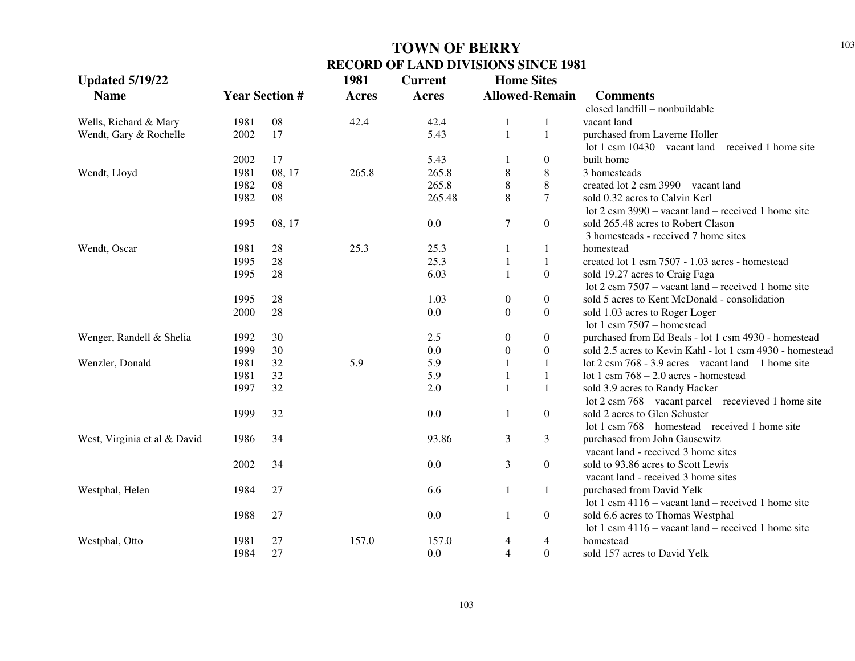| <b>Updated 5/19/22</b>       |      |                       | 1981         | <b>Current</b> | <b>Home Sites</b> |                       |                                                                  |  |
|------------------------------|------|-----------------------|--------------|----------------|-------------------|-----------------------|------------------------------------------------------------------|--|
| <b>Name</b>                  |      | <b>Year Section #</b> | <b>Acres</b> | <b>Acres</b>   |                   | <b>Allowed-Remain</b> | <b>Comments</b>                                                  |  |
|                              |      |                       |              |                |                   |                       | closed landfill - nonbuildable                                   |  |
| Wells, Richard & Mary        | 1981 | 08                    | 42.4         | 42.4           | 1                 | 1                     | vacant land                                                      |  |
| Wendt, Gary & Rochelle       | 2002 | 17                    |              | 5.43           | $\mathbf{1}$      | $\mathbf{1}$          | purchased from Laverne Holler                                    |  |
|                              |      |                       |              |                |                   |                       | lot 1 csm $10430 -$ vacant land – received 1 home site           |  |
|                              | 2002 | 17                    |              | 5.43           | 1                 | $\boldsymbol{0}$      | built home                                                       |  |
| Wendt, Lloyd                 | 1981 | 08, 17                | 265.8        | 265.8          | $8\,$             | $\,8\,$               | 3 homesteads                                                     |  |
|                              | 1982 | 08                    |              | 265.8          | $\,8\,$           | 8                     | created lot 2 csm 3990 - vacant land                             |  |
|                              | 1982 | 08                    |              | 265.48         | 8                 | $\overline{7}$        | sold 0.32 acres to Calvin Kerl                                   |  |
|                              |      |                       |              |                |                   |                       | lot $2 \text{ cm } 3990$ – vacant land – received 1 home site    |  |
|                              | 1995 | 08, 17                |              | 0.0            | $\tau$            | $\boldsymbol{0}$      | sold 265.48 acres to Robert Clason                               |  |
|                              |      |                       |              |                |                   |                       | 3 homesteads - received 7 home sites                             |  |
| Wendt, Oscar                 | 1981 | 28                    | 25.3         | 25.3           | 1                 | 1                     | homestead                                                        |  |
|                              | 1995 | 28                    |              | 25.3           | 1                 | $\mathbf{1}$          | created lot 1 csm 7507 - 1.03 acres - homestead                  |  |
|                              | 1995 | $28\,$                |              | 6.03           | $\mathbf{1}$      | $\boldsymbol{0}$      | sold 19.27 acres to Craig Faga                                   |  |
|                              |      |                       |              |                |                   |                       | lot $2 \text{ cm } 7507$ – vacant land – received 1 home site    |  |
|                              | 1995 | 28                    |              | 1.03           | $\boldsymbol{0}$  | $\boldsymbol{0}$      | sold 5 acres to Kent McDonald - consolidation                    |  |
|                              | 2000 | 28                    |              | 0.0            | $\boldsymbol{0}$  | $\boldsymbol{0}$      | sold 1.03 acres to Roger Loger                                   |  |
|                              |      |                       |              |                |                   |                       | lot 1 csm $7507$ – homestead                                     |  |
| Wenger, Randell & Shelia     | 1992 | 30                    |              | 2.5            | $\boldsymbol{0}$  | $\boldsymbol{0}$      | purchased from Ed Beals - lot 1 csm 4930 - homestead             |  |
|                              | 1999 | 30                    |              | 0.0            | $\theta$          | $\overline{0}$        | sold 2.5 acres to Kevin Kahl - lot 1 csm 4930 - homestead        |  |
| Wenzler, Donald              | 1981 | 32                    | 5.9          | 5.9            | 1                 | $\mathbf{1}$          | lot 2 csm 768 - 3.9 acres – vacant land – 1 home site            |  |
|                              | 1981 | 32                    |              | 5.9            | 1                 | $\mathbf{1}$          | lot 1 csm $768 - 2.0$ acres - homestead                          |  |
|                              | 1997 | 32                    |              | 2.0            | 1                 | $\mathbf{1}$          | sold 3.9 acres to Randy Hacker                                   |  |
|                              |      |                       |              |                |                   |                       | lot $2 \text{ cm } 768$ – vacant parcel – recevieved 1 home site |  |
|                              | 1999 | 32                    |              | 0.0            | 1                 | $\boldsymbol{0}$      | sold 2 acres to Glen Schuster                                    |  |
|                              |      |                       |              |                |                   |                       | lot 1 csm $768$ – homestead – received 1 home site               |  |
| West, Virginia et al & David | 1986 | 34                    |              | 93.86          | $\mathfrak{Z}$    | $\mathfrak{Z}$        | purchased from John Gausewitz                                    |  |
|                              |      |                       |              |                |                   |                       | vacant land - received 3 home sites                              |  |
|                              | 2002 | 34                    |              | 0.0            | $\mathfrak{Z}$    | $\boldsymbol{0}$      | sold to 93.86 acres to Scott Lewis                               |  |
|                              |      |                       |              |                |                   |                       | vacant land - received 3 home sites                              |  |
| Westphal, Helen              | 1984 | 27                    |              | 6.6            | $\mathbf{1}$      | $\mathbf{1}$          | purchased from David Yelk                                        |  |
|                              |      |                       |              |                |                   |                       | lot 1 csm $4116 -$ vacant land – received 1 home site            |  |
|                              | 1988 | 27                    |              | 0.0            | 1                 | $\boldsymbol{0}$      | sold 6.6 acres to Thomas Westphal                                |  |
|                              |      |                       |              |                |                   |                       | lot 1 csm $4116 -$ vacant land – received 1 home site            |  |
| Westphal, Otto               | 1981 | 27                    | 157.0        | 157.0          | $\overline{4}$    | 4                     | homestead                                                        |  |
|                              | 1984 | 27                    |              | 0.0            | $\overline{4}$    | $\boldsymbol{0}$      | sold 157 acres to David Yelk                                     |  |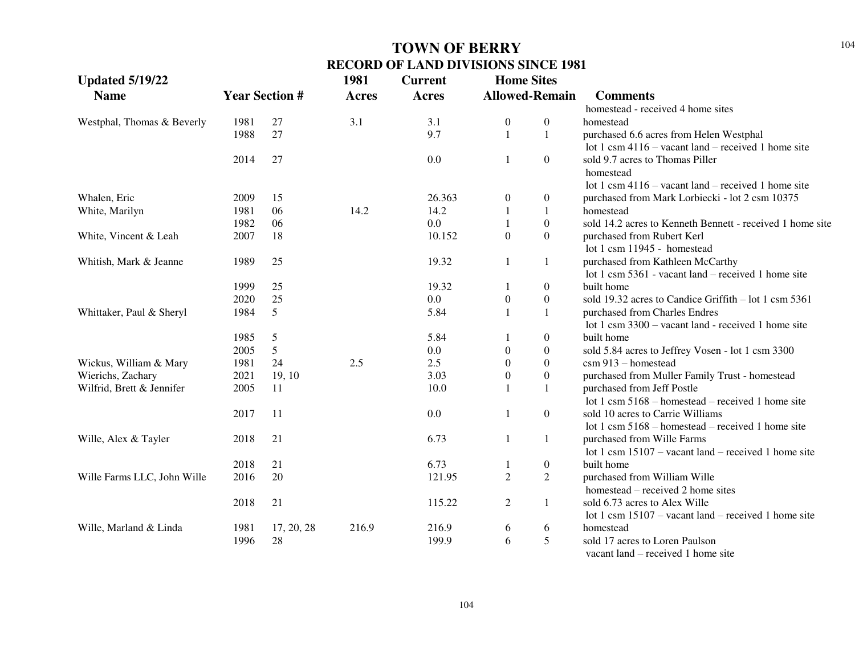| <b>Updated 5/19/22</b>      |      |                       | 1981         | <b>Current</b> | <b>Home Sites</b> |                       |                                                           |
|-----------------------------|------|-----------------------|--------------|----------------|-------------------|-----------------------|-----------------------------------------------------------|
| <b>Name</b>                 |      | <b>Year Section #</b> | <b>Acres</b> | <b>Acres</b>   |                   | <b>Allowed-Remain</b> | <b>Comments</b>                                           |
|                             |      |                       |              |                |                   |                       | homestead - received 4 home sites                         |
| Westphal, Thomas & Beverly  | 1981 | 27                    | 3.1          | 3.1            | $\boldsymbol{0}$  | $\boldsymbol{0}$      | homestead                                                 |
|                             | 1988 | 27                    |              | 9.7            | $\mathbf{1}$      | $\mathbf{1}$          | purchased 6.6 acres from Helen Westphal                   |
|                             |      |                       |              |                |                   |                       | lot 1 csm $4116 -$ vacant land – received 1 home site     |
|                             | 2014 | 27                    |              | 0.0            | 1                 | $\boldsymbol{0}$      | sold 9.7 acres to Thomas Piller                           |
|                             |      |                       |              |                |                   |                       | homestead                                                 |
|                             |      |                       |              |                |                   |                       | lot 1 csm $4116$ – vacant land – received 1 home site     |
| Whalen, Eric                | 2009 | 15                    |              | 26.363         | $\mathbf{0}$      | $\mathbf{0}$          | purchased from Mark Lorbiecki - lot 2 csm 10375           |
| White, Marilyn              | 1981 | 06                    | 14.2         | 14.2           |                   | $\mathbf{1}$          | homestead                                                 |
|                             | 1982 | 06                    |              | 0.0            |                   | $\boldsymbol{0}$      | sold 14.2 acres to Kenneth Bennett - received 1 home site |
| White, Vincent & Leah       | 2007 | 18                    |              | 10.152         | $\Omega$          | $\theta$              | purchased from Rubert Kerl                                |
|                             |      |                       |              |                |                   |                       | lot 1 csm 11945 - homestead                               |
| Whitish, Mark & Jeanne      | 1989 | 25                    |              | 19.32          | 1                 | $\mathbf{1}$          | purchased from Kathleen McCarthy                          |
|                             |      |                       |              |                |                   |                       | lot 1 csm 5361 - vacant land – received 1 home site       |
|                             | 1999 | 25                    |              | 19.32          | -1                | $\boldsymbol{0}$      | built home                                                |
|                             | 2020 | 25                    |              | 0.0            | $\boldsymbol{0}$  | $\boldsymbol{0}$      | sold 19.32 acres to Candice Griffith – lot 1 csm 5361     |
| Whittaker, Paul & Sheryl    | 1984 | 5                     |              | 5.84           | $\mathbf{1}$      | $\mathbf{1}$          | purchased from Charles Endres                             |
|                             |      |                       |              |                |                   |                       | lot 1 csm 3300 – vacant land - received 1 home site       |
|                             | 1985 | $\sqrt{5}$            |              | 5.84           |                   | $\boldsymbol{0}$      | built home                                                |
|                             | 2005 | $\mathfrak{S}$        |              | 0.0            | $\boldsymbol{0}$  | $\boldsymbol{0}$      | sold 5.84 acres to Jeffrey Vosen - lot 1 csm 3300         |
| Wickus, William & Mary      | 1981 | 24                    | 2.5          | 2.5            | $\theta$          | $\boldsymbol{0}$      | csm 913 - homestead                                       |
| Wierichs, Zachary           | 2021 | 19, 10                |              | 3.03           | $\boldsymbol{0}$  | $\mathbf{0}$          | purchased from Muller Family Trust - homestead            |
| Wilfrid, Brett & Jennifer   | 2005 | 11                    |              | 10.0           | $\mathbf{1}$      | 1                     | purchased from Jeff Postle                                |
|                             |      |                       |              |                |                   |                       | lot 1 csm $5168$ – homestead – received 1 home site       |
|                             | 2017 | 11                    |              | 0.0            | -1                | $\overline{0}$        | sold 10 acres to Carrie Williams                          |
|                             |      |                       |              |                |                   |                       | lot 1 csm $5168$ – homestead – received 1 home site       |
| Wille, Alex & Tayler        | 2018 | 21                    |              | 6.73           | 1                 | 1                     | purchased from Wille Farms                                |
|                             |      |                       |              |                |                   |                       | lot 1 csm $15107$ – vacant land – received 1 home site    |
|                             | 2018 | 21                    |              | 6.73           | 1                 | $\boldsymbol{0}$      | built home                                                |
| Wille Farms LLC, John Wille | 2016 | 20                    |              | 121.95         | 2                 | $\overline{2}$        | purchased from William Wille                              |
|                             |      |                       |              |                |                   |                       | homestead – received 2 home sites                         |
|                             | 2018 | 21                    |              | 115.22         | $\overline{2}$    | $\mathbf{1}$          | sold 6.73 acres to Alex Wille                             |
|                             |      |                       |              |                |                   |                       | lot 1 csm $15107$ – vacant land – received 1 home site    |
| Wille, Marland & Linda      | 1981 | 17, 20, 28            | 216.9        | 216.9          | 6                 | 6                     | homestead                                                 |
|                             | 1996 | 28                    |              | 199.9          | 6                 | 5                     | sold 17 acres to Loren Paulson                            |
|                             |      |                       |              |                |                   |                       | vacant land – received 1 home site                        |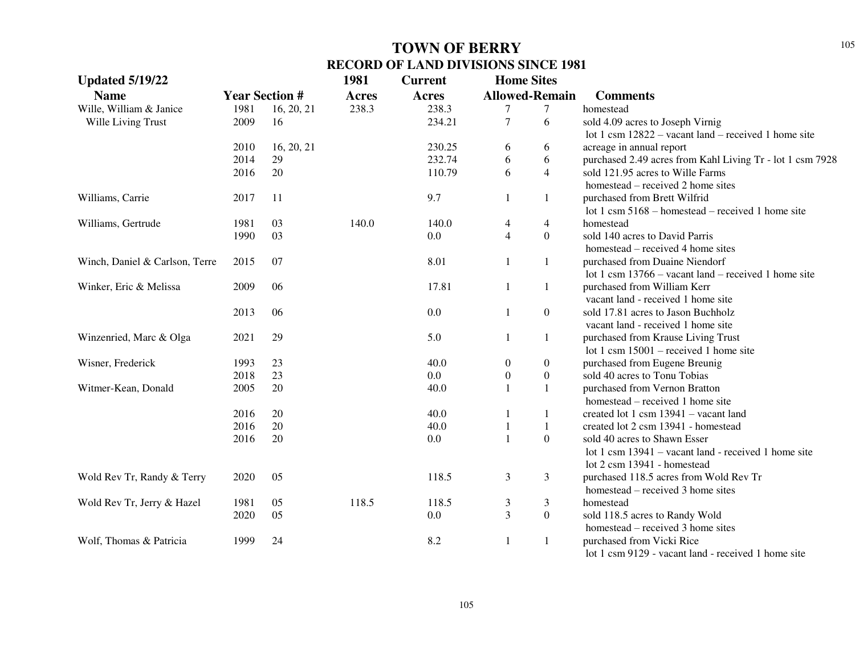| <b>Updated 5/19/22</b>         |      |                       | 1981         | <b>Current</b> | <b>Home Sites</b> |                       |                                                           |
|--------------------------------|------|-----------------------|--------------|----------------|-------------------|-----------------------|-----------------------------------------------------------|
| <b>Name</b>                    |      | <b>Year Section #</b> | <b>Acres</b> | <b>Acres</b>   |                   | <b>Allowed-Remain</b> | <b>Comments</b>                                           |
| Wille, William & Janice        | 1981 | 16, 20, 21            | 238.3        | 238.3          | 7                 | 7                     | homestead                                                 |
| Wille Living Trust             | 2009 | 16                    |              | 234.21         | $\tau$            | 6                     | sold 4.09 acres to Joseph Virnig                          |
|                                |      |                       |              |                |                   |                       | lot 1 csm $12822$ – vacant land – received 1 home site    |
|                                | 2010 | 16, 20, 21            |              | 230.25         | 6                 | 6                     | acreage in annual report                                  |
|                                | 2014 | 29                    |              | 232.74         | 6                 | 6                     | purchased 2.49 acres from Kahl Living Tr - lot 1 csm 7928 |
|                                | 2016 | 20                    |              | 110.79         | 6                 | $\overline{4}$        | sold 121.95 acres to Wille Farms                          |
|                                |      |                       |              |                |                   |                       | homestead – received 2 home sites                         |
| Williams, Carrie               | 2017 | 11                    |              | 9.7            | 1                 | $\mathbf{1}$          | purchased from Brett Wilfrid                              |
|                                |      |                       |              |                |                   |                       | lot 1 csm $5168$ – homestead – received 1 home site       |
| Williams, Gertrude             | 1981 | 03                    | 140.0        | 140.0          | 4                 | $\overline{4}$        | homestead                                                 |
|                                | 1990 | 03                    |              | 0.0            | $\overline{4}$    | $\boldsymbol{0}$      | sold 140 acres to David Parris                            |
|                                |      |                       |              |                |                   |                       | homestead – received 4 home sites                         |
| Winch, Daniel & Carlson, Terre | 2015 | 07                    |              | 8.01           | $\mathbf{1}$      | 1                     | purchased from Duaine Niendorf                            |
|                                |      |                       |              |                |                   |                       | lot 1 csm $13766$ – vacant land – received 1 home site    |
| Winker, Eric & Melissa         | 2009 | 06                    |              | 17.81          | 1                 | 1                     | purchased from William Kerr                               |
|                                |      |                       |              |                |                   |                       | vacant land - received 1 home site                        |
|                                | 2013 | 06                    |              | 0.0            | 1                 | $\boldsymbol{0}$      | sold 17.81 acres to Jason Buchholz                        |
|                                |      |                       |              |                |                   |                       | vacant land - received 1 home site                        |
| Winzenried, Marc & Olga        | 2021 | 29                    |              | 5.0            | 1                 | $\mathbf{1}$          | purchased from Krause Living Trust                        |
|                                |      |                       |              |                |                   |                       | lot 1 csm $15001$ – received 1 home site                  |
| Wisner, Frederick              | 1993 | 23                    |              | 40.0           | 0                 | $\boldsymbol{0}$      | purchased from Eugene Breunig                             |
|                                | 2018 | 23                    |              | 0.0            | $\boldsymbol{0}$  | $\boldsymbol{0}$      | sold 40 acres to Tonu Tobias                              |
| Witmer-Kean, Donald            | 2005 | $20\,$                |              | 40.0           | $\mathbf{1}$      | $\mathbf{1}$          | purchased from Vernon Bratton                             |
|                                |      |                       |              |                |                   |                       | homestead – received 1 home site                          |
|                                | 2016 | 20                    |              | 40.0           | 1                 | $\mathbf{1}$          | created lot 1 csm 13941 - vacant land                     |
|                                | 2016 | 20                    |              | 40.0           | 1                 | $\mathbf{1}$          | created lot 2 csm 13941 - homestead                       |
|                                | 2016 | 20                    |              | 0.0            | $\mathbf{1}$      | $\boldsymbol{0}$      | sold 40 acres to Shawn Esser                              |
|                                |      |                       |              |                |                   |                       | lot 1 csm 13941 – vacant land - received 1 home site      |
|                                |      |                       |              |                |                   |                       | lot 2 csm 13941 - homestead                               |
| Wold Rev Tr, Randy & Terry     | 2020 | 05                    |              | 118.5          | 3                 | 3                     | purchased 118.5 acres from Wold Rev Tr                    |
|                                |      |                       |              |                |                   |                       | homestead – received 3 home sites                         |
| Wold Rev Tr, Jerry & Hazel     | 1981 | 05                    | 118.5        | 118.5          | 3                 | 3                     | homestead                                                 |
|                                | 2020 | 05                    |              | 0.0            | 3                 | $\boldsymbol{0}$      | sold 118.5 acres to Randy Wold                            |
|                                |      |                       |              |                |                   |                       | homestead – received 3 home sites                         |
| Wolf, Thomas & Patricia        | 1999 | 24                    |              | 8.2            | 1                 | 1                     | purchased from Vicki Rice                                 |
|                                |      |                       |              |                |                   |                       | lot 1 csm 9129 - vacant land - received 1 home site       |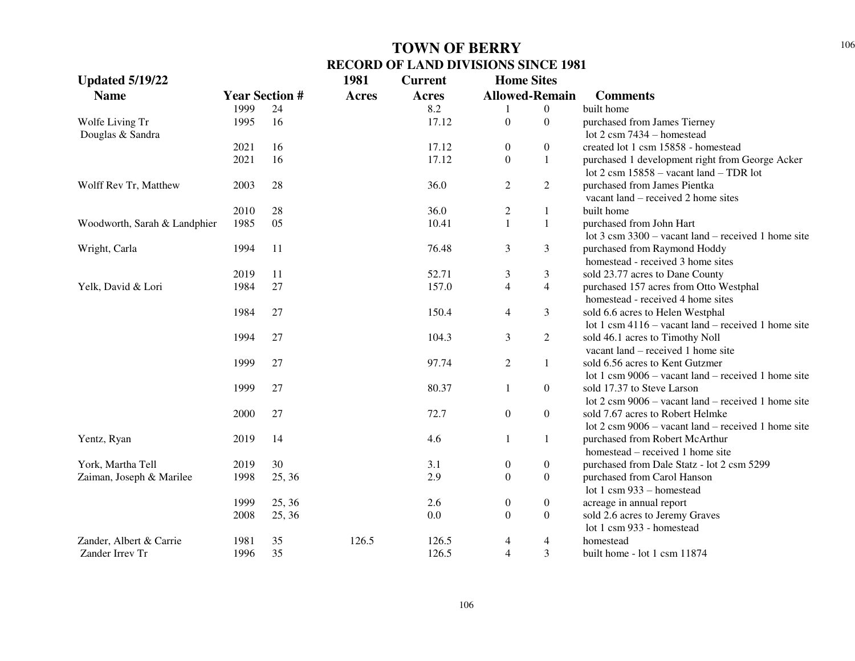| <b>Updated 5/19/22</b>       |                       |        | 1981         | <b>Home Sites</b><br><b>Current</b> |                  |                       |                                                                                                                                     |
|------------------------------|-----------------------|--------|--------------|-------------------------------------|------------------|-----------------------|-------------------------------------------------------------------------------------------------------------------------------------|
| <b>Name</b>                  | <b>Year Section #</b> |        | <b>Acres</b> | Acres                               |                  | <b>Allowed-Remain</b> | <b>Comments</b>                                                                                                                     |
|                              | 1999                  | 24     |              | 8.2                                 |                  | $\overline{0}$        | built home                                                                                                                          |
| Wolfe Living Tr              | 1995                  | 16     |              | 17.12                               | $\boldsymbol{0}$ | $\boldsymbol{0}$      | purchased from James Tierney                                                                                                        |
| Douglas & Sandra             |                       |        |              |                                     |                  |                       | lot $2 \text{ cm}$ 7434 – homestead                                                                                                 |
|                              | 2021                  | 16     |              | 17.12                               | $\boldsymbol{0}$ | $\overline{0}$        | created lot 1 csm 15858 - homestead                                                                                                 |
|                              | 2021                  | 16     |              | 17.12                               | $\Omega$         | $\mathbf{1}$          | purchased 1 development right from George Acker<br>lot 2 csm $15858 -$ vacant land $-$ TDR lot                                      |
| Wolff Rev Tr, Matthew        | 2003                  | 28     |              | 36.0                                | 2                | $\overline{2}$        | purchased from James Pientka<br>vacant land – received 2 home sites                                                                 |
|                              | 2010                  | 28     |              | 36.0                                | $\overline{c}$   | $\mathbf{1}$          | built home                                                                                                                          |
| Woodworth, Sarah & Landphier | 1985                  | 05     |              | 10.41                               | $\mathbf{1}$     | $\mathbf{1}$          | purchased from John Hart                                                                                                            |
|                              |                       |        |              |                                     |                  |                       | lot $3 \text{ cm } 3300$ – vacant land – received 1 home site                                                                       |
| Wright, Carla                | 1994                  | 11     |              | 76.48                               | 3                | 3                     | purchased from Raymond Hoddy<br>homestead - received 3 home sites                                                                   |
|                              | 2019                  | 11     |              | 52.71                               | 3                | 3                     | sold 23.77 acres to Dane County                                                                                                     |
| Yelk, David & Lori           | 1984                  | 27     |              | 157.0                               | 4                | $\overline{4}$        | purchased 157 acres from Otto Westphal<br>homestead - received 4 home sites                                                         |
|                              | 1984                  | 27     |              | 150.4                               | 4                | 3                     | sold 6.6 acres to Helen Westphal<br>lot 1 csm $4116$ – vacant land – received 1 home site                                           |
|                              | 1994                  | 27     |              | 104.3                               | 3                | $\overline{2}$        | sold 46.1 acres to Timothy Noll<br>vacant land – received 1 home site                                                               |
|                              | 1999                  | 27     |              | 97.74                               | $\overline{2}$   | $\mathbf{1}$          | sold 6.56 acres to Kent Gutzmer<br>lot 1 csm $9006$ – vacant land – received 1 home site                                            |
|                              | 1999                  | 27     |              | 80.37                               | 1                | $\overline{0}$        | sold 17.37 to Steve Larson<br>lot $2 \text{ cm } 9006$ – vacant land – received 1 home site                                         |
|                              | 2000                  | 27     |              | 72.7                                | $\boldsymbol{0}$ | $\overline{0}$        | sold 7.67 acres to Robert Helmke                                                                                                    |
| Yentz, Ryan                  | 2019                  | 14     |              | 4.6                                 |                  | $\mathbf{1}$          | lot $2 \text{ cm } 9006$ – vacant land – received 1 home site<br>purchased from Robert McArthur<br>homestead – received 1 home site |
| York, Martha Tell            | 2019                  | 30     |              | 3.1                                 | $\boldsymbol{0}$ | $\boldsymbol{0}$      | purchased from Dale Statz - lot 2 csm 5299                                                                                          |
| Zaiman, Joseph & Marilee     | 1998                  | 25, 36 |              | 2.9                                 | $\boldsymbol{0}$ | $\boldsymbol{0}$      | purchased from Carol Hanson                                                                                                         |
|                              |                       |        |              |                                     |                  |                       | lot 1 csm $933$ – homestead                                                                                                         |
|                              | 1999                  | 25, 36 |              | 2.6                                 | $\boldsymbol{0}$ | $\boldsymbol{0}$      | acreage in annual report                                                                                                            |
|                              | 2008                  | 25, 36 |              | 0.0                                 | $\boldsymbol{0}$ | $\boldsymbol{0}$      | sold 2.6 acres to Jeremy Graves<br>lot 1 csm 933 - homestead                                                                        |
| Zander, Albert & Carrie      | 1981                  | 35     | 126.5        | 126.5                               | 4                | 4                     | homestead                                                                                                                           |
| Zander Irrev Tr              | 1996                  | 35     |              | 126.5                               | $\overline{4}$   | 3                     | built home - lot 1 csm 11874                                                                                                        |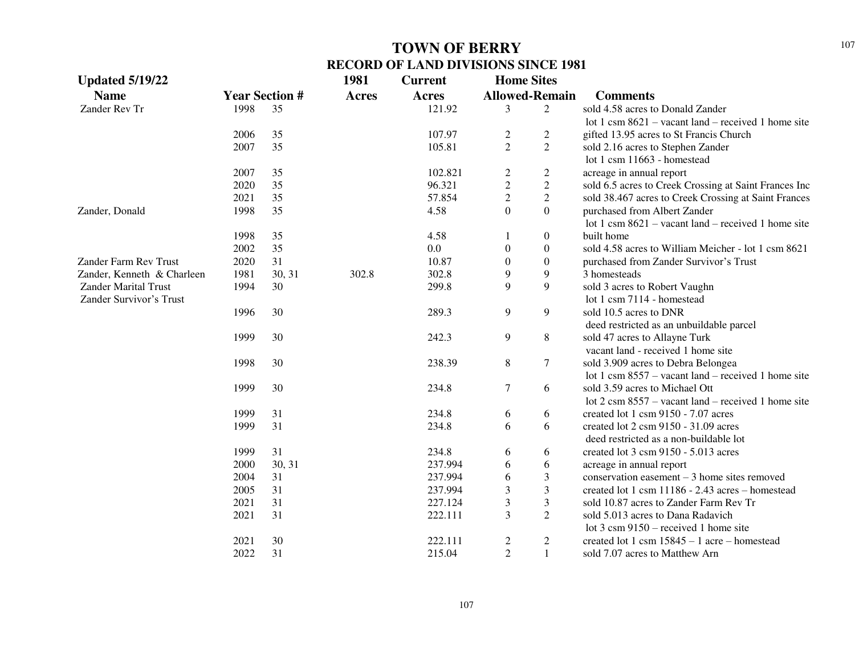| <b>Updated 5/19/22</b>      |      |                       | 1981         | <b>Current</b> | <b>Home Sites</b>     |                  |                                                               |
|-----------------------------|------|-----------------------|--------------|----------------|-----------------------|------------------|---------------------------------------------------------------|
| <b>Name</b>                 |      | <b>Year Section #</b> | <b>Acres</b> | Acres          | <b>Allowed-Remain</b> |                  | <b>Comments</b>                                               |
| Zander Rev Tr               | 1998 | 35                    |              | 121.92         | 3                     | 2                | sold 4.58 acres to Donald Zander                              |
|                             |      |                       |              |                |                       |                  | lot 1 csm $8621$ – vacant land – received 1 home site         |
|                             | 2006 | 35                    |              | 107.97         | $\boldsymbol{2}$      | $\overline{2}$   | gifted 13.95 acres to St Francis Church                       |
|                             | 2007 | 35                    |              | 105.81         | $\overline{2}$        | $\overline{2}$   | sold 2.16 acres to Stephen Zander                             |
|                             |      |                       |              |                |                       |                  | lot 1 csm 11663 - homestead                                   |
|                             | 2007 | 35                    |              | 102.821        | $\overline{c}$        | $\overline{c}$   | acreage in annual report                                      |
|                             | 2020 | 35                    |              | 96.321         | $\sqrt{2}$            | $\sqrt{2}$       | sold 6.5 acres to Creek Crossing at Saint Frances Inc         |
|                             | 2021 | 35                    |              | 57.854         | $\overline{c}$        | $\sqrt{2}$       | sold 38.467 acres to Creek Crossing at Saint Frances          |
| Zander, Donald              | 1998 | 35                    |              | 4.58           | $\overline{0}$        | $\overline{0}$   | purchased from Albert Zander                                  |
|                             |      |                       |              |                |                       |                  | lot 1 csm $8621$ – vacant land – received 1 home site         |
|                             | 1998 | 35                    |              | 4.58           | 1                     | $\boldsymbol{0}$ | built home                                                    |
|                             | 2002 | 35                    |              | $0.0\,$        | $\boldsymbol{0}$      | $\boldsymbol{0}$ | sold 4.58 acres to William Meicher - lot 1 csm 8621           |
| Zander Farm Rev Trust       | 2020 | 31                    |              | 10.87          | $\boldsymbol{0}$      | $\boldsymbol{0}$ | purchased from Zander Survivor's Trust                        |
| Zander, Kenneth & Charleen  | 1981 | 30, 31                | 302.8        | 302.8          | 9                     | $\overline{9}$   | 3 homesteads                                                  |
| <b>Zander Marital Trust</b> | 1994 | 30                    |              | 299.8          | 9                     | 9                | sold 3 acres to Robert Vaughn                                 |
| Zander Survivor's Trust     |      |                       |              |                |                       |                  | lot 1 csm 7114 - homestead                                    |
|                             | 1996 | 30                    |              | 289.3          | 9                     | 9                | sold 10.5 acres to DNR                                        |
|                             |      |                       |              |                |                       |                  | deed restricted as an unbuildable parcel                      |
|                             | 1999 | 30                    |              | 242.3          | 9                     | $\,8\,$          | sold 47 acres to Allayne Turk                                 |
|                             |      |                       |              |                |                       |                  | vacant land - received 1 home site                            |
|                             | 1998 | 30                    |              | 238.39         | $\,8\,$               | $\tau$           | sold 3.909 acres to Debra Belongea                            |
|                             |      |                       |              |                |                       |                  | lot 1 csm $8557$ – vacant land – received 1 home site         |
|                             | 1999 | 30                    |              | 234.8          | $\overline{7}$        | 6                | sold 3.59 acres to Michael Ott                                |
|                             |      |                       |              |                |                       |                  | lot $2 \text{ cm } 8557$ – vacant land – received 1 home site |
|                             | 1999 | 31                    |              | 234.8          | 6                     | 6                | created lot 1 csm 9150 - 7.07 acres                           |
|                             | 1999 | 31                    |              | 234.8          | 6                     | 6                | created lot 2 csm 9150 - 31.09 acres                          |
|                             |      |                       |              |                |                       |                  | deed restricted as a non-buildable lot                        |
|                             | 1999 | 31                    |              | 234.8          | 6                     | 6                | created lot 3 csm 9150 - 5.013 acres                          |
|                             | 2000 | 30, 31                |              | 237.994        | 6                     | 6                | acreage in annual report                                      |
|                             | 2004 | 31                    |              | 237.994        | 6                     | $\mathfrak{Z}$   | conservation easement $-3$ home sites removed                 |
|                             | 2005 | 31                    |              | 237.994        | 3                     | $\mathfrak{Z}$   | created lot 1 csm 11186 - 2.43 acres - homestead              |
|                             | 2021 | 31                    |              | 227.124        | 3                     | $\mathfrak{Z}$   | sold 10.87 acres to Zander Farm Rev Tr                        |
|                             | 2021 | 31                    |              | 222.111        | 3                     | $\overline{2}$   | sold 5.013 acres to Dana Radavich                             |
|                             |      |                       |              |                |                       |                  | lot $3 \text{ cm } 9150$ – received 1 home site               |
|                             | 2021 | 30                    |              | 222.111        | $\overline{c}$        | $\overline{2}$   | created lot 1 csm $15845 - 1$ acre – homestead                |
|                             | 2022 | 31                    |              | 215.04         | $\overline{2}$        | $\mathbf{1}$     | sold 7.07 acres to Matthew Arn                                |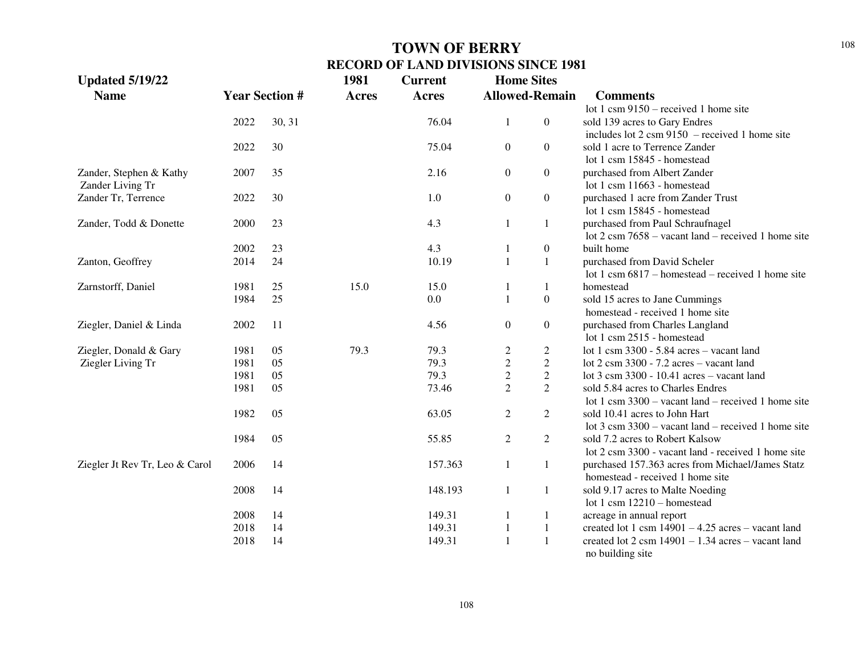| <b>Updated 5/19/22</b>         |      |                       | 1981         | <b>Current</b> | <b>Home Sites</b>     |                  |                                                                              |
|--------------------------------|------|-----------------------|--------------|----------------|-----------------------|------------------|------------------------------------------------------------------------------|
| <b>Name</b>                    |      | <b>Year Section #</b> | <b>Acres</b> | <b>Acres</b>   | <b>Allowed-Remain</b> |                  | <b>Comments</b>                                                              |
|                                |      |                       |              |                |                       |                  | lot 1 csm $9150$ – received 1 home site                                      |
|                                | 2022 | 30, 31                |              | 76.04          | 1                     | $\overline{0}$   | sold 139 acres to Gary Endres                                                |
|                                |      |                       |              |                |                       |                  | includes lot $2 \text{ cm } 9150$ – received 1 home site                     |
|                                | 2022 | 30                    |              | 75.04          | $\overline{0}$        | $\overline{0}$   | sold 1 acre to Terrence Zander                                               |
|                                |      |                       |              |                |                       |                  | lot 1 csm 15845 - homestead                                                  |
| Zander, Stephen & Kathy        | 2007 | 35                    |              | 2.16           | $\overline{0}$        | $\overline{0}$   | purchased from Albert Zander                                                 |
| Zander Living Tr               |      |                       |              |                |                       |                  | lot 1 csm 11663 - homestead                                                  |
| Zander Tr, Terrence            | 2022 | 30                    |              | 1.0            | $\overline{0}$        | $\overline{0}$   | purchased 1 acre from Zander Trust                                           |
|                                |      |                       |              |                |                       |                  | lot 1 csm 15845 - homestead                                                  |
| Zander, Todd & Donette         | 2000 | 23                    |              | 4.3            | 1                     | 1                | purchased from Paul Schraufnagel                                             |
|                                |      |                       |              |                |                       |                  | lot $2 \text{ cm}$ 7658 – vacant land – received 1 home site                 |
|                                | 2002 | 23                    |              | 4.3            |                       | $\boldsymbol{0}$ | built home                                                                   |
| Zanton, Geoffrey               | 2014 | 24                    |              | 10.19          | 1                     | $\mathbf{1}$     | purchased from David Scheler                                                 |
|                                |      |                       |              |                |                       |                  | lot 1 csm $6817$ – homestead – received 1 home site                          |
| Zarnstorff, Daniel             | 1981 | 25                    | 15.0         | 15.0           |                       | 1                | homestead                                                                    |
|                                | 1984 | 25                    |              | 0.0            | 1                     | $\boldsymbol{0}$ | sold 15 acres to Jane Cummings                                               |
|                                |      |                       |              |                |                       |                  | homestead - received 1 home site                                             |
| Ziegler, Daniel & Linda        | 2002 | 11                    |              | 4.56           | $\overline{0}$        | $\overline{0}$   | purchased from Charles Langland                                              |
|                                |      |                       |              |                |                       |                  | lot 1 csm 2515 - homestead                                                   |
| Ziegler, Donald & Gary         | 1981 | 05                    | 79.3         | 79.3           | $\overline{c}$        | $\overline{c}$   | lot 1 csm $3300 - 5.84$ acres - vacant land                                  |
| Ziegler Living Tr              | 1981 | 05                    |              | 79.3           | $\overline{c}$        | $\overline{2}$   | lot $2 \text{ cm } 3300 - 7.2 \text{ acres} - \text{vacant land}$            |
|                                | 1981 | 05                    |              | 79.3           | $\overline{c}$        | $\overline{2}$   | lot 3 csm 3300 - 10.41 acres - vacant land                                   |
|                                | 1981 | 05                    |              | 73.46          | $\overline{2}$        | $\overline{2}$   | sold 5.84 acres to Charles Endres                                            |
|                                |      |                       |              |                |                       |                  | lot 1 csm $3300 -$ vacant land – received 1 home site                        |
|                                | 1982 | 05                    |              | 63.05          | $\overline{2}$        | $\overline{2}$   | sold 10.41 acres to John Hart                                                |
|                                |      |                       |              |                |                       |                  | lot $3 \text{ cm } 3300$ – vacant land – received 1 home site                |
|                                | 1984 | 05                    |              | 55.85          | $\overline{2}$        | $\overline{2}$   | sold 7.2 acres to Robert Kalsow                                              |
|                                |      |                       |              |                |                       |                  | lot 2 csm 3300 - vacant land - received 1 home site                          |
| Ziegler Jt Rev Tr, Leo & Carol | 2006 | 14                    |              | 157.363        | $\mathbf{1}$          | $\mathbf{1}$     | purchased 157.363 acres from Michael/James Statz                             |
|                                |      |                       |              |                |                       |                  | homestead - received 1 home site                                             |
|                                | 2008 | 14                    |              | 148.193        | 1                     | $\mathbf{1}$     | sold 9.17 acres to Malte Noeding                                             |
|                                |      |                       |              |                |                       |                  | lot 1 csm 12210 - homestead                                                  |
|                                | 2008 | 14                    |              | 149.31         |                       | $\mathbf{1}$     | acreage in annual report                                                     |
|                                | 2018 | 14                    |              | 149.31         |                       | $\mathbf{1}$     | created lot 1 csm $14901 - 4.25$ acres - vacant land                         |
|                                | 2018 | 14                    |              | 149.31         |                       | $\mathbf{1}$     | created lot $2 \text{ csm } 14901 - 1.34 \text{ acres} - \text{vacant land}$ |
|                                |      |                       |              |                |                       |                  | no building site                                                             |